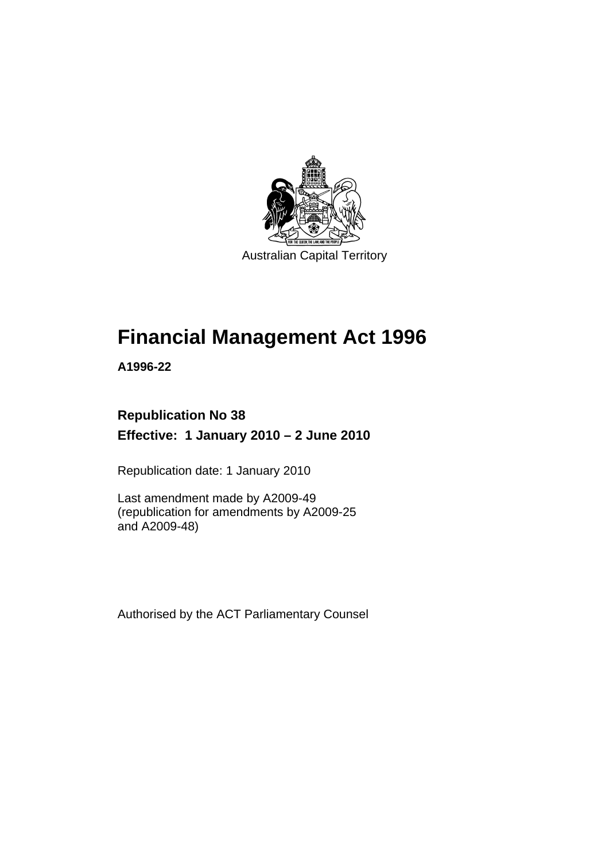

Australian Capital Territory

# **[Financial Management Act 1996](#page-10-0)**

**A1996-22** 

# **Republication No 38 Effective: 1 January 2010 – 2 June 2010**

Republication date: 1 January 2010

Last amendment made by A2009-49 (republication for amendments by A2009-25 and A2009-48)

Authorised by the ACT Parliamentary Counsel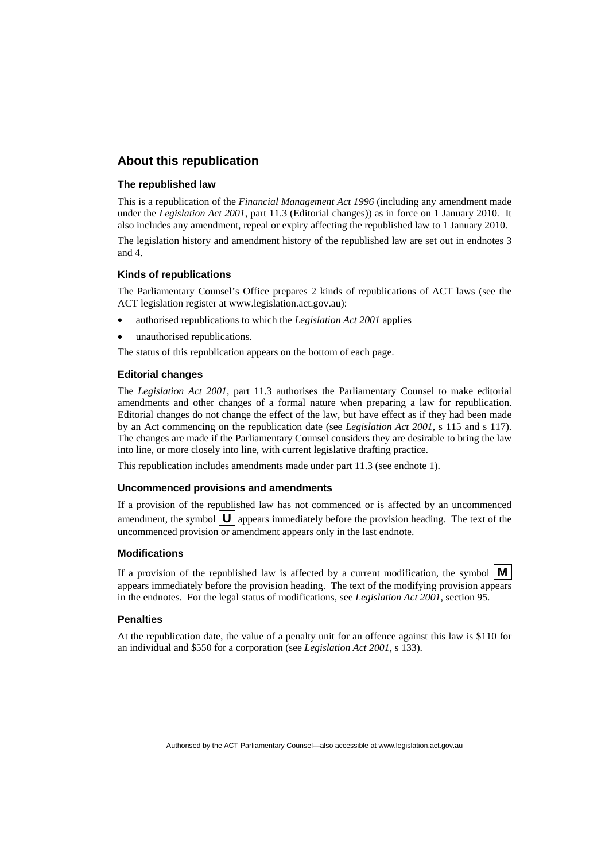#### **About this republication**

#### **The republished law**

This is a republication of the *Financial Management Act 1996* (including any amendment made under the *Legislation Act 2001*, part 11.3 (Editorial changes)) as in force on 1 January 2010*.* It also includes any amendment, repeal or expiry affecting the republished law to 1 January 2010.

The legislation history and amendment history of the republished law are set out in endnotes 3 and 4.

#### **Kinds of republications**

The Parliamentary Counsel's Office prepares 2 kinds of republications of ACT laws (see the ACT legislation register at www.legislation.act.gov.au):

- authorised republications to which the *Legislation Act 2001* applies
- unauthorised republications.

The status of this republication appears on the bottom of each page.

#### **Editorial changes**

The *Legislation Act 2001*, part 11.3 authorises the Parliamentary Counsel to make editorial amendments and other changes of a formal nature when preparing a law for republication. Editorial changes do not change the effect of the law, but have effect as if they had been made by an Act commencing on the republication date (see *Legislation Act 2001*, s 115 and s 117). The changes are made if the Parliamentary Counsel considers they are desirable to bring the law into line, or more closely into line, with current legislative drafting practice.

This republication includes amendments made under part 11.3 (see endnote 1).

#### **Uncommenced provisions and amendments**

If a provision of the republished law has not commenced or is affected by an uncommenced amendment, the symbol  $\mathbf{U}$  appears immediately before the provision heading. The text of the uncommenced provision or amendment appears only in the last endnote.

#### **Modifications**

If a provision of the republished law is affected by a current modification, the symbol  $\vert \mathbf{M} \vert$ appears immediately before the provision heading. The text of the modifying provision appears in the endnotes. For the legal status of modifications, see *Legislation Act 2001*, section 95.

#### **Penalties**

At the republication date, the value of a penalty unit for an offence against this law is \$110 for an individual and \$550 for a corporation (see *Legislation Act 2001*, s 133).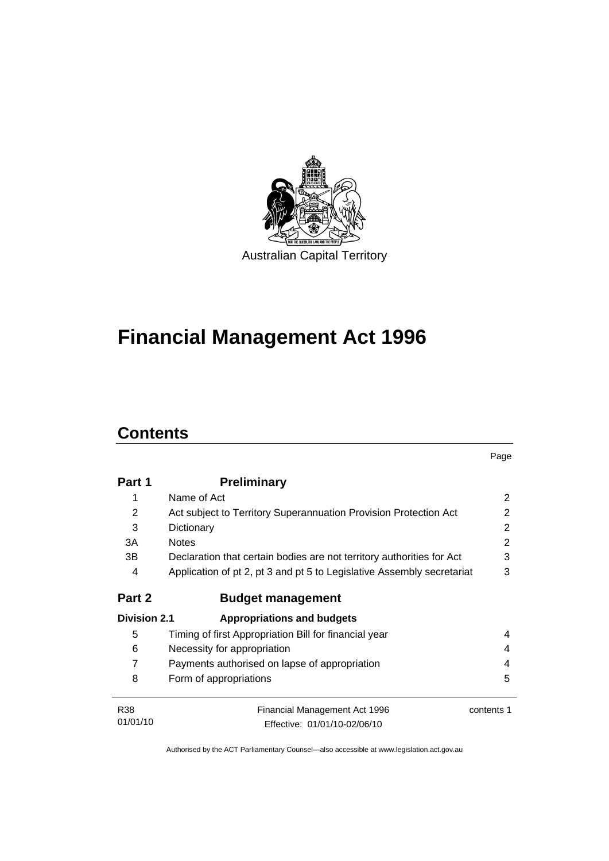

# **[Financial Management Act 1996](#page-10-0)**

# **Contents**

|                     |                                                                        | Page       |
|---------------------|------------------------------------------------------------------------|------------|
| Part 1              | <b>Preliminary</b>                                                     |            |
| 1                   | Name of Act                                                            | 2          |
| 2                   | Act subject to Territory Superannuation Provision Protection Act       | 2          |
| 3                   | Dictionary                                                             | 2          |
| 3A                  | <b>Notes</b>                                                           | 2          |
| 3B                  | Declaration that certain bodies are not territory authorities for Act  | 3          |
| 4                   | Application of pt 2, pt 3 and pt 5 to Legislative Assembly secretariat | 3          |
| Part 2              | <b>Budget management</b>                                               |            |
| <b>Division 2.1</b> | <b>Appropriations and budgets</b>                                      |            |
| 5                   | Timing of first Appropriation Bill for financial year                  | 4          |
| 6                   | Necessity for appropriation                                            | 4          |
| $\overline{7}$      | Payments authorised on lapse of appropriation                          | 4          |
| 8                   | Form of appropriations                                                 | 5          |
| <b>R38</b>          | Financial Management Act 1996                                          | contents 1 |
| 01/01/10            | Effective: 01/01/10-02/06/10                                           |            |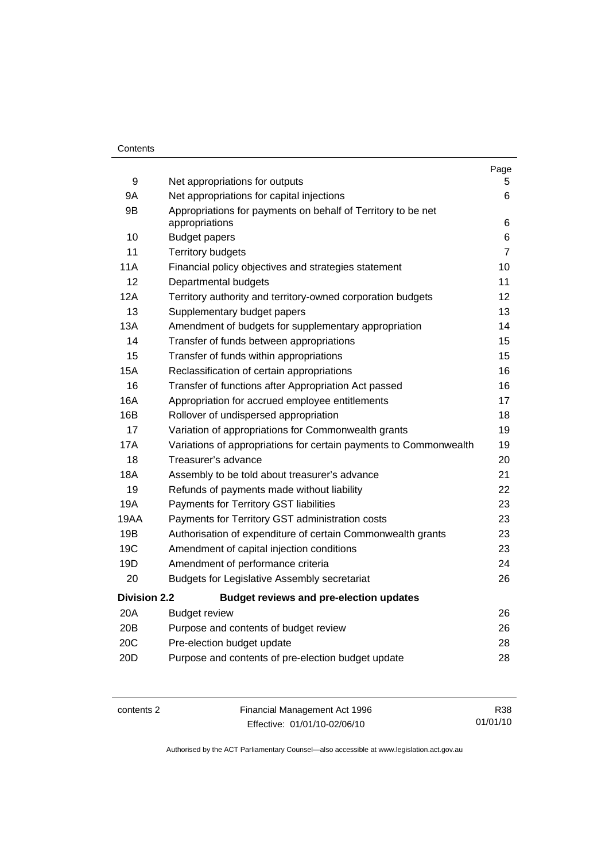#### **Contents**

|                     |                                                                                | Page           |
|---------------------|--------------------------------------------------------------------------------|----------------|
| 9                   | Net appropriations for outputs                                                 | 5.             |
| 9A                  | Net appropriations for capital injections                                      | 6              |
| 9B                  | Appropriations for payments on behalf of Territory to be net<br>appropriations | 6              |
| 10                  | <b>Budget papers</b>                                                           | 6              |
| 11                  | <b>Territory budgets</b>                                                       | $\overline{7}$ |
| 11A                 | Financial policy objectives and strategies statement                           | 10             |
| $12 \overline{ }$   | Departmental budgets                                                           | 11             |
| 12A                 | Territory authority and territory-owned corporation budgets                    | 12             |
| 13                  | Supplementary budget papers                                                    | 13             |
| 13A                 | Amendment of budgets for supplementary appropriation                           | 14             |
| 14                  | Transfer of funds between appropriations                                       | 15             |
| 15                  | Transfer of funds within appropriations                                        | 15             |
| <b>15A</b>          | Reclassification of certain appropriations                                     | 16             |
| 16                  | Transfer of functions after Appropriation Act passed                           | 16             |
| 16A                 | Appropriation for accrued employee entitlements                                | 17             |
| 16B                 | Rollover of undispersed appropriation                                          | 18             |
| 17                  | Variation of appropriations for Commonwealth grants                            | 19             |
| 17A                 | Variations of appropriations for certain payments to Commonwealth              | 19             |
| 18                  | Treasurer's advance                                                            | 20             |
| <b>18A</b>          | Assembly to be told about treasurer's advance                                  | 21             |
| 19                  | Refunds of payments made without liability                                     | 22             |
| 19A                 | Payments for Territory GST liabilities                                         | 23             |
| 19AA                | Payments for Territory GST administration costs                                | 23             |
| 19B                 | Authorisation of expenditure of certain Commonwealth grants                    | 23             |
| 19 <sub>C</sub>     | Amendment of capital injection conditions                                      | 23             |
| 19D                 | Amendment of performance criteria                                              | 24             |
| 20                  | <b>Budgets for Legislative Assembly secretariat</b>                            | 26             |
| <b>Division 2.2</b> | <b>Budget reviews and pre-election updates</b>                                 |                |
| 20A                 | <b>Budget review</b>                                                           | 26             |
| 20B                 | Purpose and contents of budget review                                          | 26             |
| 20C                 | Pre-election budget update                                                     | 28             |
| 20 <sub>D</sub>     | Purpose and contents of pre-election budget update                             | 28             |
|                     |                                                                                |                |

contents 2 Financial Management Act 1996 Effective: 01/01/10-02/06/10 R38 01/01/10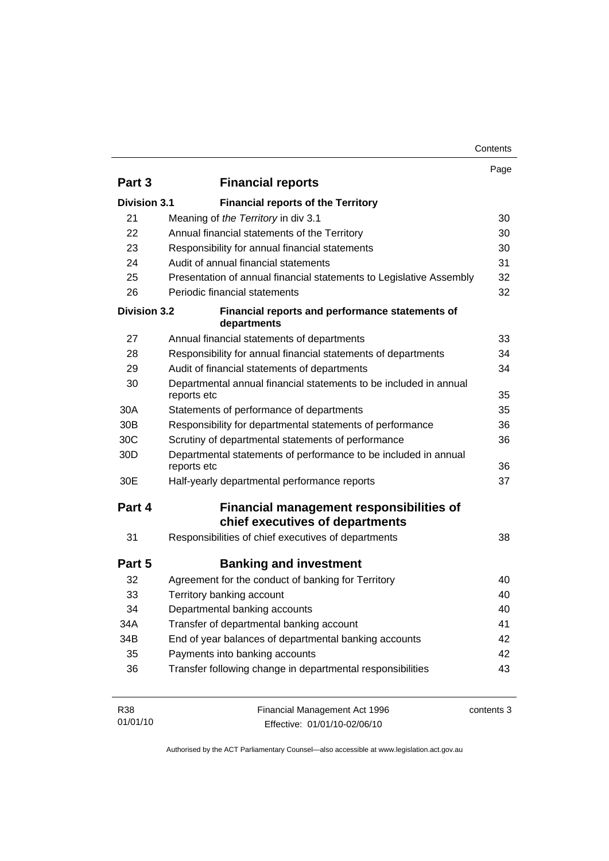| Contents |
|----------|
|----------|

|                     |                                                                                  | Page       |
|---------------------|----------------------------------------------------------------------------------|------------|
| Part 3              | <b>Financial reports</b>                                                         |            |
| <b>Division 3.1</b> | <b>Financial reports of the Territory</b>                                        |            |
| 21                  | Meaning of the Territory in div 3.1                                              | 30         |
| 22                  | Annual financial statements of the Territory                                     | 30         |
| 23                  | Responsibility for annual financial statements                                   | 30         |
| 24                  | Audit of annual financial statements                                             | 31         |
| 25                  | Presentation of annual financial statements to Legislative Assembly              | 32         |
| 26                  | Periodic financial statements                                                    | 32         |
| <b>Division 3.2</b> | Financial reports and performance statements of<br>departments                   |            |
| 27                  | Annual financial statements of departments                                       | 33         |
| 28                  | Responsibility for annual financial statements of departments                    | 34         |
| 29                  | Audit of financial statements of departments                                     | 34         |
| 30                  | Departmental annual financial statements to be included in annual<br>reports etc | 35         |
| 30A                 | Statements of performance of departments                                         | 35         |
| 30 <sub>B</sub>     | Responsibility for departmental statements of performance                        | 36         |
| 30 <sub>C</sub>     | Scrutiny of departmental statements of performance                               | 36         |
| 30 <sub>D</sub>     | Departmental statements of performance to be included in annual<br>reports etc   | 36         |
| 30E                 | Half-yearly departmental performance reports                                     | 37         |
| Part 4              | Financial management responsibilities of<br>chief executives of departments      |            |
| 31                  | Responsibilities of chief executives of departments                              | 38         |
| Part 5              | <b>Banking and investment</b>                                                    |            |
| 32                  | Agreement for the conduct of banking for Territory                               | 40         |
| 33                  | Territory banking account                                                        | 40         |
| 34                  | Departmental banking accounts                                                    | 40         |
| 34A                 | Transfer of departmental banking account                                         | 41         |
| 34B                 | End of year balances of departmental banking accounts                            | 42         |
| 35                  | Payments into banking accounts                                                   | 42         |
| 36                  | Transfer following change in departmental responsibilities                       | 43         |
| R38<br>01/01/10     | Financial Management Act 1996<br>Effective: 01/01/10-02/06/10                    | contents 3 |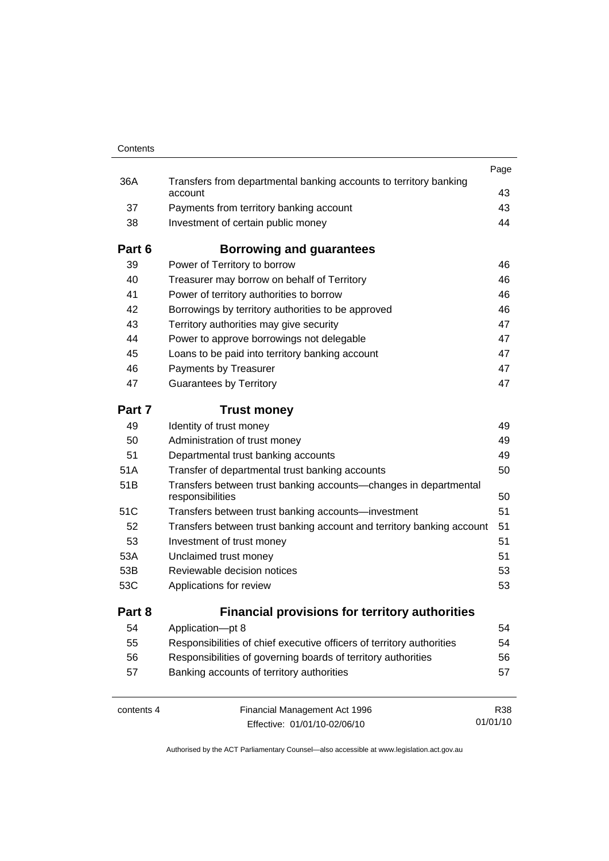| Contents   |                                                                                      |          |
|------------|--------------------------------------------------------------------------------------|----------|
|            |                                                                                      | Page     |
| 36A        | Transfers from departmental banking accounts to territory banking<br>account         | 43       |
| 37         | Payments from territory banking account                                              | 43       |
| 38         | Investment of certain public money                                                   | 44       |
| Part 6     | Borrowing and guarantees                                                             |          |
| 39         | Power of Territory to borrow                                                         | 46       |
| 40         | Treasurer may borrow on behalf of Territory                                          | 46       |
| 41         | Power of territory authorities to borrow                                             | 46       |
| 42         | Borrowings by territory authorities to be approved                                   | 46       |
| 43         | Territory authorities may give security                                              | 47       |
| 44         | Power to approve borrowings not delegable                                            | 47       |
| 45         | Loans to be paid into territory banking account                                      | 47       |
| 46         | Payments by Treasurer                                                                | 47       |
| 47         | <b>Guarantees by Territory</b>                                                       | 47       |
| Part 7     | <b>Trust money</b>                                                                   |          |
| 49         | Identity of trust money                                                              | 49       |
| 50         | Administration of trust money                                                        | 49       |
| 51         | Departmental trust banking accounts                                                  | 49       |
| 51A        | Transfer of departmental trust banking accounts                                      | 50       |
| 51B        | Transfers between trust banking accounts-changes in departmental<br>responsibilities | 50       |
| 51C        | Transfers between trust banking accounts-investment                                  | 51       |
| 52         | Transfers between trust banking account and territory banking account                | 51       |
| 53         | Investment of trust money                                                            | 51       |
| 53A        | Unclaimed trust money                                                                | 51       |
| 53B        | Reviewable decision notices                                                          | 53       |
| 53C        | Applications for review                                                              | 53       |
| Part 8     | <b>Financial provisions for territory authorities</b>                                |          |
| 54         | Application-pt 8                                                                     | 54       |
| 55         | Responsibilities of chief executive officers of territory authorities                | 54       |
| 56         | Responsibilities of governing boards of territory authorities                        | 56       |
| 57         | Banking accounts of territory authorities                                            | 57       |
| contents 4 | Financial Management Act 1996                                                        | R38      |
|            | Effective: 01/01/10-02/06/10                                                         | 01/01/10 |

Effective: 01/01/10-02/06/10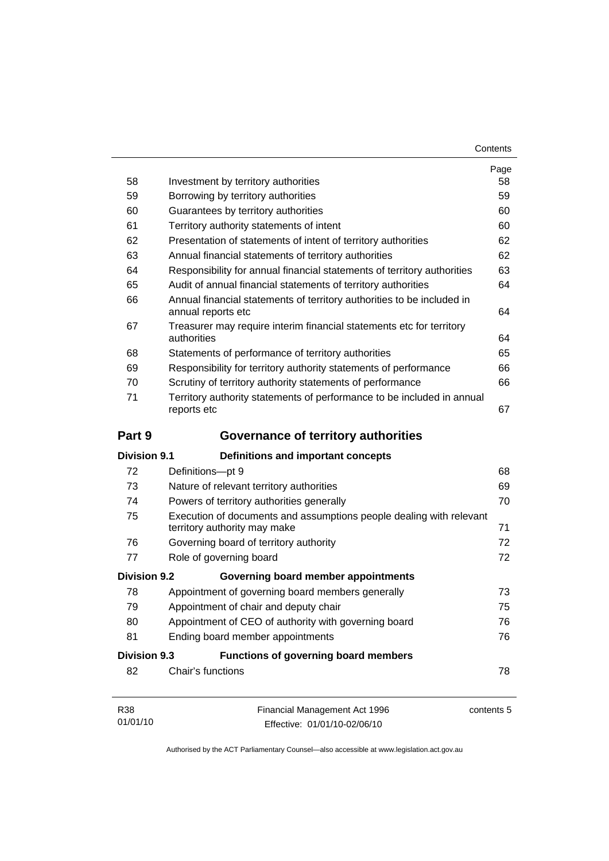| Contents |
|----------|
|----------|

| 58                  | Investment by territory authorities                                                                 | Page<br>58 |  |
|---------------------|-----------------------------------------------------------------------------------------------------|------------|--|
| 59                  | Borrowing by territory authorities                                                                  |            |  |
| 60                  | Guarantees by territory authorities                                                                 |            |  |
| 61                  | Territory authority statements of intent                                                            |            |  |
| 62                  | Presentation of statements of intent of territory authorities                                       |            |  |
| 63                  | Annual financial statements of territory authorities                                                |            |  |
| 64                  | Responsibility for annual financial statements of territory authorities                             | 62<br>63   |  |
| 65                  | Audit of annual financial statements of territory authorities                                       | 64         |  |
| 66                  | Annual financial statements of territory authorities to be included in<br>annual reports etc        |            |  |
| 67                  | Treasurer may require interim financial statements etc for territory<br>authorities                 |            |  |
| 68                  | Statements of performance of territory authorities                                                  | 65         |  |
| 69                  | Responsibility for territory authority statements of performance                                    | 66         |  |
| 70                  | Scrutiny of territory authority statements of performance                                           | 66         |  |
| 71                  | Territory authority statements of performance to be included in annual<br>reports etc               | 67         |  |
| Part 9              | <b>Governance of territory authorities</b>                                                          |            |  |
| <b>Division 9.1</b> | <b>Definitions and important concepts</b>                                                           |            |  |
| 72                  | Definitions-pt 9                                                                                    | 68         |  |
| 73                  | Nature of relevant territory authorities                                                            | 69         |  |
| 74                  | Powers of territory authorities generally                                                           |            |  |
| 75                  | Execution of documents and assumptions people dealing with relevant<br>territory authority may make | 71         |  |
| 76                  | Governing board of territory authority                                                              | 72         |  |
| 77                  | Role of governing board                                                                             | 72         |  |
| <b>Division 9.2</b> | Governing board member appointments                                                                 |            |  |
| 78                  | Appointment of governing board members generally                                                    | 73         |  |
| 79                  | Appointment of chair and deputy chair                                                               | 75         |  |
| 80                  | Appointment of CEO of authority with governing board                                                |            |  |
| 81                  | Ending board member appointments                                                                    | 76         |  |
| <b>Division 9.3</b> | <b>Functions of governing board members</b>                                                         |            |  |
| 82                  | Chair's functions                                                                                   | 78         |  |
| R38                 | Financial Management Act 1996                                                                       | contents 5 |  |

Effective: 01/01/10-02/06/10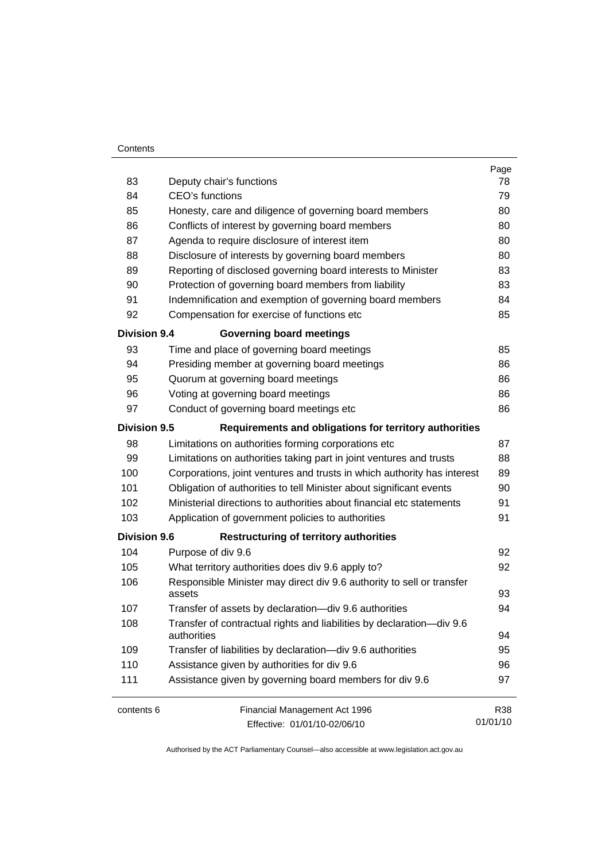#### **Contents**

|                     |                                                                                      | Page     |  |  |
|---------------------|--------------------------------------------------------------------------------------|----------|--|--|
| 83                  | Deputy chair's functions                                                             |          |  |  |
| 84                  | <b>CEO's functions</b>                                                               |          |  |  |
| 85                  | Honesty, care and diligence of governing board members                               |          |  |  |
| 86                  | Conflicts of interest by governing board members                                     |          |  |  |
| 87                  | Agenda to require disclosure of interest item                                        | 80       |  |  |
| 88                  | Disclosure of interests by governing board members                                   | 80       |  |  |
| 89                  | Reporting of disclosed governing board interests to Minister                         | 83       |  |  |
| 90                  | Protection of governing board members from liability                                 | 83       |  |  |
| 91                  | Indemnification and exemption of governing board members                             | 84       |  |  |
| 92                  | Compensation for exercise of functions etc                                           | 85       |  |  |
| <b>Division 9.4</b> | <b>Governing board meetings</b>                                                      |          |  |  |
| 93                  | Time and place of governing board meetings                                           | 85       |  |  |
| 94                  | Presiding member at governing board meetings                                         | 86       |  |  |
| 95                  | Quorum at governing board meetings                                                   | 86       |  |  |
| 96                  | Voting at governing board meetings                                                   | 86       |  |  |
| 97                  | Conduct of governing board meetings etc                                              | 86       |  |  |
| <b>Division 9.5</b> | Requirements and obligations for territory authorities                               |          |  |  |
| 98                  | Limitations on authorities forming corporations etc                                  | 87       |  |  |
| 99                  | Limitations on authorities taking part in joint ventures and trusts                  | 88       |  |  |
| 100                 | Corporations, joint ventures and trusts in which authority has interest              | 89       |  |  |
| 101                 | Obligation of authorities to tell Minister about significant events                  | 90       |  |  |
| 102                 | Ministerial directions to authorities about financial etc statements                 | 91       |  |  |
| 103                 | Application of government policies to authorities                                    | 91       |  |  |
| <b>Division 9.6</b> | <b>Restructuring of territory authorities</b>                                        |          |  |  |
| 104                 | Purpose of div 9.6                                                                   | 92       |  |  |
| 105                 | What territory authorities does div 9.6 apply to?                                    | 92       |  |  |
| 106                 | Responsible Minister may direct div 9.6 authority to sell or transfer<br>assets      |          |  |  |
| 107                 | Transfer of assets by declaration-div 9.6 authorities                                | 94       |  |  |
| 108                 | Transfer of contractual rights and liabilities by declaration-div 9.6<br>authorities |          |  |  |
| 109                 | Transfer of liabilities by declaration-div 9.6 authorities                           | 94<br>95 |  |  |
| 110                 | Assistance given by authorities for div 9.6                                          | 96       |  |  |
| 111                 | Assistance given by governing board members for div 9.6                              |          |  |  |
| contents 6          | Financial Management Act 1996                                                        | R38      |  |  |
|                     | Effective: 01/01/10-02/06/10                                                         | 01/01/10 |  |  |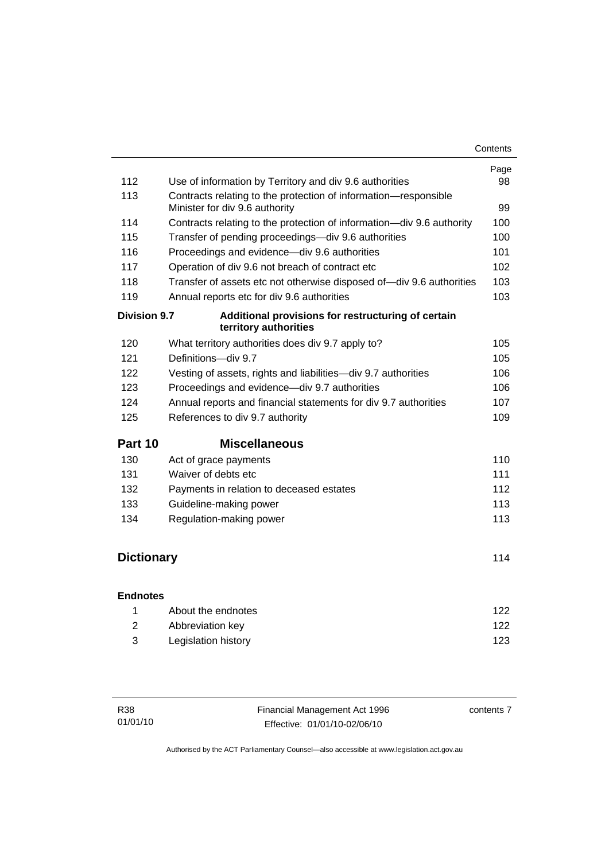|                     |                                                                                                   | Page |
|---------------------|---------------------------------------------------------------------------------------------------|------|
| 112                 | Use of information by Territory and div 9.6 authorities                                           | 98   |
| 113                 | Contracts relating to the protection of information-responsible<br>Minister for div 9.6 authority | 99   |
| 114                 | Contracts relating to the protection of information—div 9.6 authority                             | 100  |
| 115                 | Transfer of pending proceedings—div 9.6 authorities                                               | 100  |
| 116                 | Proceedings and evidence-div 9.6 authorities                                                      | 101  |
| 117                 | Operation of div 9.6 not breach of contract etc                                                   | 102  |
| 118                 | Transfer of assets etc not otherwise disposed of-div 9.6 authorities                              | 103  |
| 119                 | Annual reports etc for div 9.6 authorities                                                        | 103  |
| <b>Division 9.7</b> | Additional provisions for restructuring of certain<br>territory authorities                       |      |
| 120                 | What territory authorities does div 9.7 apply to?                                                 | 105  |
| 121                 | Definitions-div 9.7                                                                               | 105  |
| 122                 | Vesting of assets, rights and liabilities-div 9.7 authorities                                     | 106  |
| 123                 | Proceedings and evidence-div 9.7 authorities                                                      | 106  |
| 124                 | Annual reports and financial statements for div 9.7 authorities                                   | 107  |
| 125                 | References to div 9.7 authority                                                                   | 109  |
| Part 10             | <b>Miscellaneous</b>                                                                              |      |
| 130                 | Act of grace payments                                                                             | 110  |
| 131                 | Waiver of debts etc                                                                               | 111  |
| 132                 | Payments in relation to deceased estates                                                          | 112  |
| 133                 | Guideline-making power                                                                            | 113  |
| 134                 | Regulation-making power                                                                           | 113  |
|                     |                                                                                                   |      |
| <b>Dictionary</b>   |                                                                                                   | 114  |
| <b>Endnotes</b>     |                                                                                                   |      |
|                     |                                                                                                   |      |

| About the endnotes  | 122 |
|---------------------|-----|
| Abbreviation key    | 122 |
| Legislation history | 123 |

| <b>R38</b> | Financial Management Act 1996 | contents 7 |
|------------|-------------------------------|------------|
| 01/01/10   | Effective: 01/01/10-02/06/10  |            |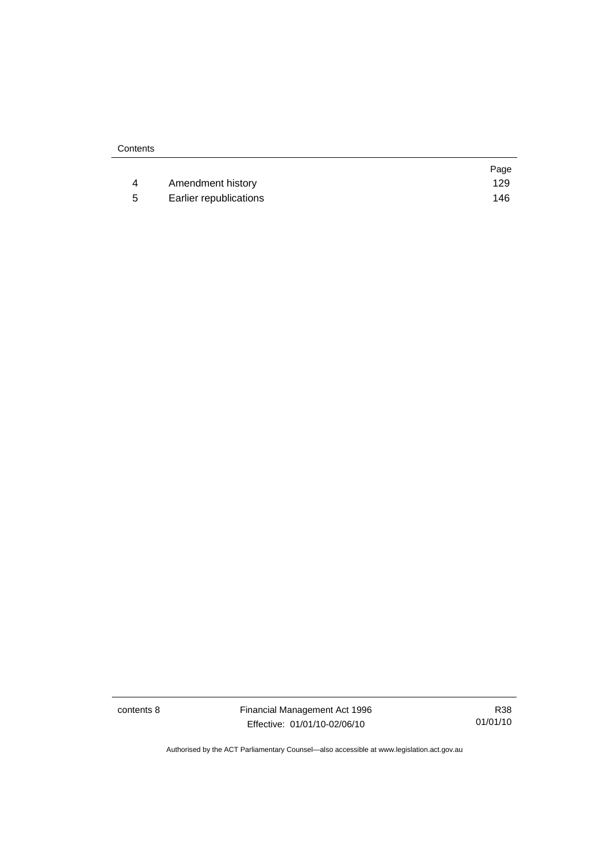|    |                        | Page |
|----|------------------------|------|
|    | Amendment history      | 129  |
| -5 | Earlier republications | 146  |

contents 8 Financial Management Act 1996 Effective: 01/01/10-02/06/10

R38 01/01/10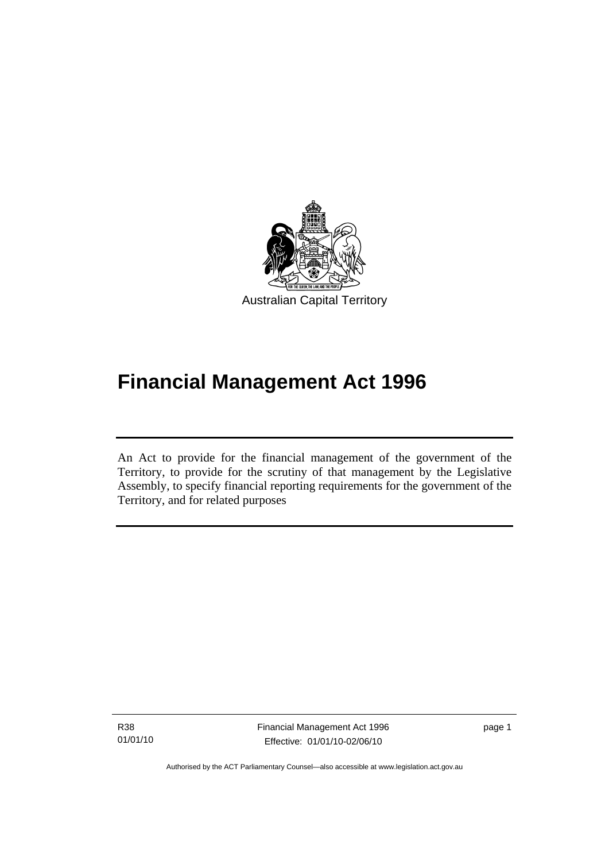<span id="page-10-0"></span>

# **Financial Management Act 1996**

An Act to provide for the financial management of the government of the Territory, to provide for the scrutiny of that management by the Legislative Assembly, to specify financial reporting requirements for the government of the Territory, and for related purposes

R38 01/01/10

l

Financial Management Act 1996 Effective: 01/01/10-02/06/10

page 1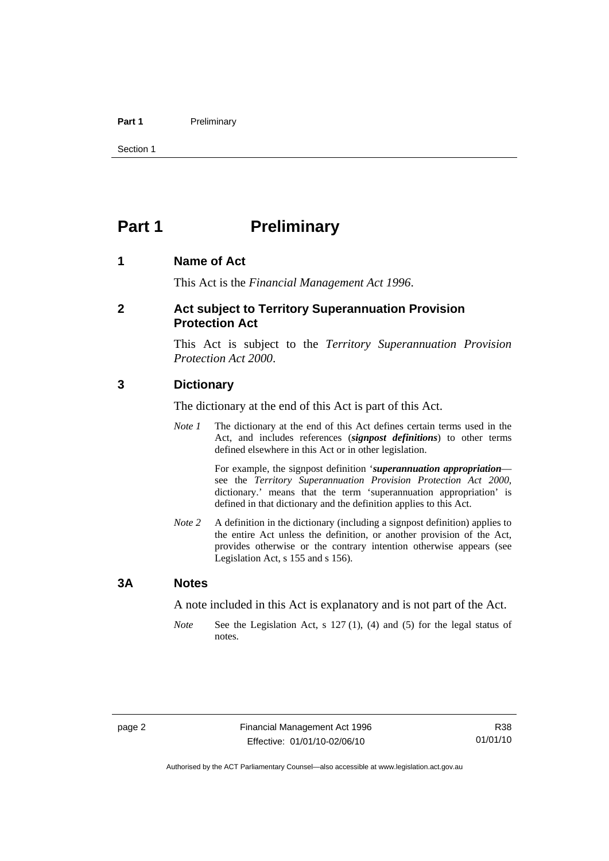#### <span id="page-11-0"></span>Part 1 **Preliminary**

Section 1

# **Part 1** Preliminary

#### **1 Name of Act**

This Act is the *Financial Management Act 1996*.

#### **2 Act subject to Territory Superannuation Provision Protection Act**

This Act is subject to the *Territory Superannuation Provision Protection Act 2000*.

#### **3 Dictionary**

The dictionary at the end of this Act is part of this Act.

*Note 1* The dictionary at the end of this Act defines certain terms used in the Act, and includes references (*signpost definitions*) to other terms defined elsewhere in this Act or in other legislation.

> For example, the signpost definition '*superannuation appropriation* see the *Territory Superannuation Provision Protection Act 2000*, dictionary.' means that the term 'superannuation appropriation' is defined in that dictionary and the definition applies to this Act.

*Note 2* A definition in the dictionary (including a signpost definition) applies to the entire Act unless the definition, or another provision of the Act, provides otherwise or the contrary intention otherwise appears (see Legislation Act, s 155 and s 156).

#### **3A Notes**

A note included in this Act is explanatory and is not part of the Act.

*Note* See the Legislation Act, s 127 (1), (4) and (5) for the legal status of notes.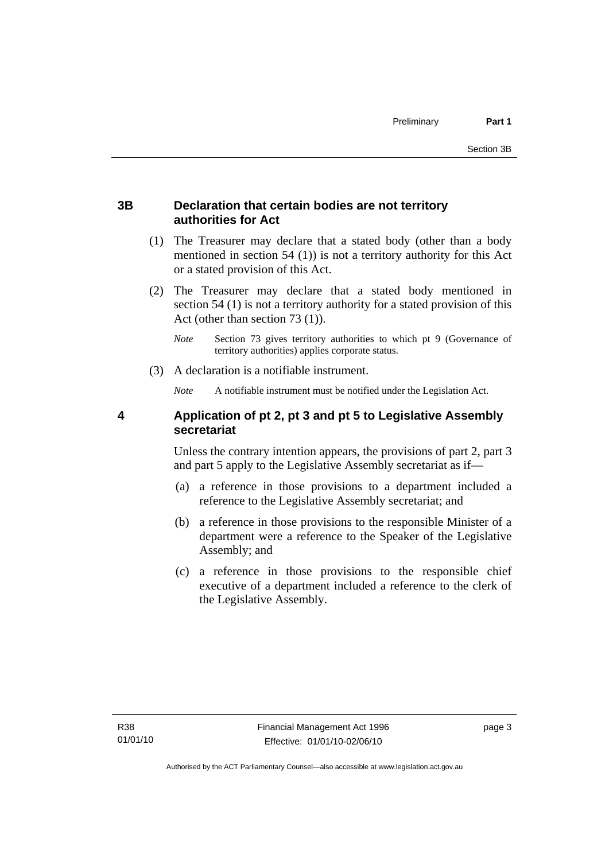#### <span id="page-12-0"></span>**3B Declaration that certain bodies are not territory authorities for Act**

- (1) The Treasurer may declare that a stated body (other than a body mentioned in section 54 (1)) is not a territory authority for this Act or a stated provision of this Act.
- (2) The Treasurer may declare that a stated body mentioned in section 54 (1) is not a territory authority for a stated provision of this Act (other than section 73 (1)).
	- *Note* Section 73 gives territory authorities to which pt 9 (Governance of territory authorities) applies corporate status.
- (3) A declaration is a notifiable instrument.

*Note* A notifiable instrument must be notified under the Legislation Act.

### **4 Application of pt 2, pt 3 and pt 5 to Legislative Assembly secretariat**

Unless the contrary intention appears, the provisions of part 2, part 3 and part 5 apply to the Legislative Assembly secretariat as if—

- (a) a reference in those provisions to a department included a reference to the Legislative Assembly secretariat; and
- (b) a reference in those provisions to the responsible Minister of a department were a reference to the Speaker of the Legislative Assembly; and
- (c) a reference in those provisions to the responsible chief executive of a department included a reference to the clerk of the Legislative Assembly.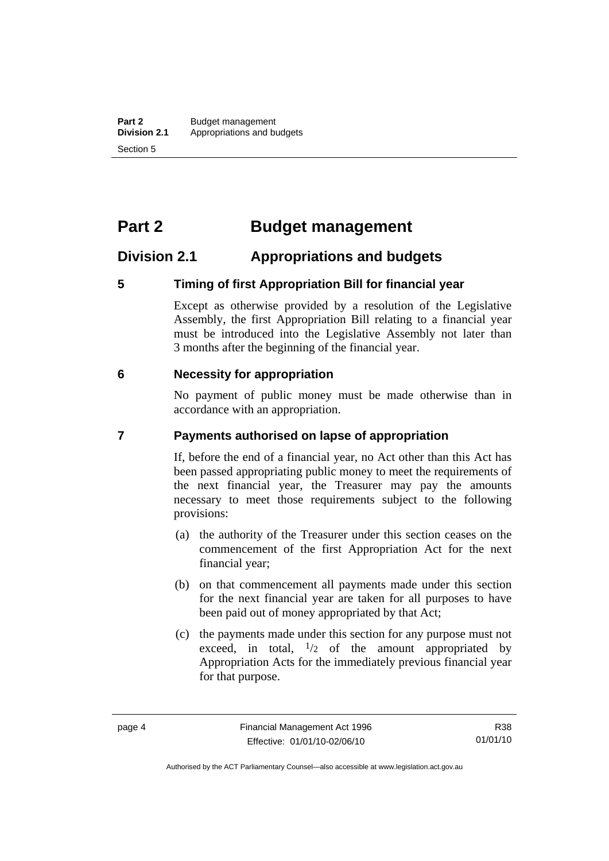# <span id="page-13-0"></span>**Part 2 Budget management**

## **Division 2.1 Appropriations and budgets**

#### **5 Timing of first Appropriation Bill for financial year**

Except as otherwise provided by a resolution of the Legislative Assembly, the first Appropriation Bill relating to a financial year must be introduced into the Legislative Assembly not later than 3 months after the beginning of the financial year.

#### **6 Necessity for appropriation**

No payment of public money must be made otherwise than in accordance with an appropriation.

#### **7 Payments authorised on lapse of appropriation**

If, before the end of a financial year, no Act other than this Act has been passed appropriating public money to meet the requirements of the next financial year, the Treasurer may pay the amounts necessary to meet those requirements subject to the following provisions:

- (a) the authority of the Treasurer under this section ceases on the commencement of the first Appropriation Act for the next financial year;
- (b) on that commencement all payments made under this section for the next financial year are taken for all purposes to have been paid out of money appropriated by that Act;
- (c) the payments made under this section for any purpose must not exceed, in total,  $\frac{1}{2}$  of the amount appropriated by Appropriation Acts for the immediately previous financial year for that purpose.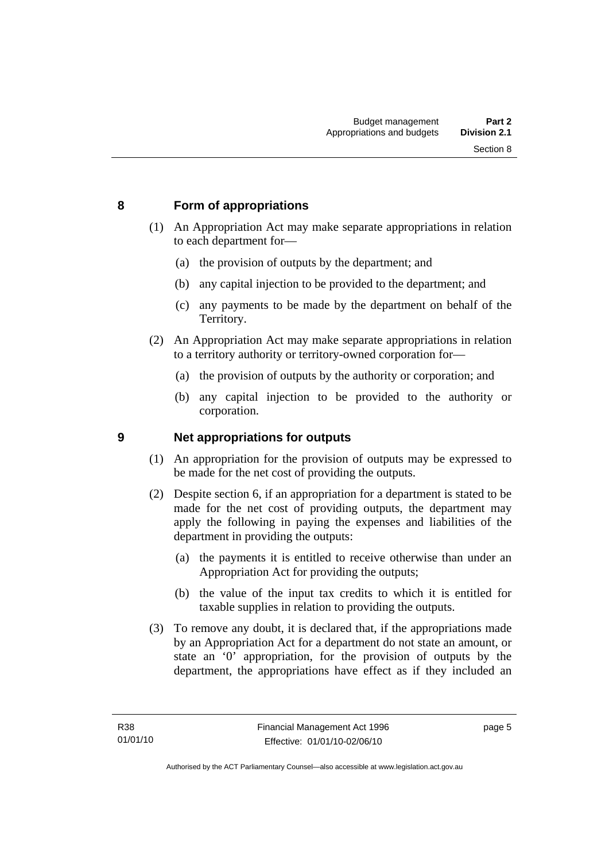#### <span id="page-14-0"></span>**8 Form of appropriations**

- (1) An Appropriation Act may make separate appropriations in relation to each department for—
	- (a) the provision of outputs by the department; and
	- (b) any capital injection to be provided to the department; and
	- (c) any payments to be made by the department on behalf of the Territory.
- (2) An Appropriation Act may make separate appropriations in relation to a territory authority or territory-owned corporation for—
	- (a) the provision of outputs by the authority or corporation; and
	- (b) any capital injection to be provided to the authority or corporation.

#### **9 Net appropriations for outputs**

- (1) An appropriation for the provision of outputs may be expressed to be made for the net cost of providing the outputs.
- (2) Despite section 6, if an appropriation for a department is stated to be made for the net cost of providing outputs, the department may apply the following in paying the expenses and liabilities of the department in providing the outputs:
	- (a) the payments it is entitled to receive otherwise than under an Appropriation Act for providing the outputs;
	- (b) the value of the input tax credits to which it is entitled for taxable supplies in relation to providing the outputs.
- (3) To remove any doubt, it is declared that, if the appropriations made by an Appropriation Act for a department do not state an amount, or state an '0' appropriation, for the provision of outputs by the department, the appropriations have effect as if they included an

page 5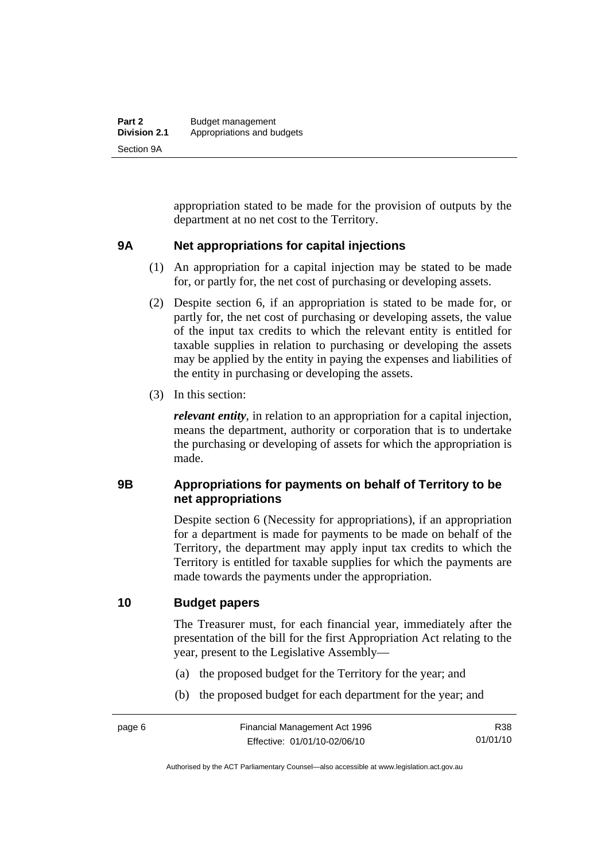<span id="page-15-0"></span>appropriation stated to be made for the provision of outputs by the department at no net cost to the Territory.

#### **9A Net appropriations for capital injections**

- (1) An appropriation for a capital injection may be stated to be made for, or partly for, the net cost of purchasing or developing assets.
- (2) Despite section 6, if an appropriation is stated to be made for, or partly for, the net cost of purchasing or developing assets, the value of the input tax credits to which the relevant entity is entitled for taxable supplies in relation to purchasing or developing the assets may be applied by the entity in paying the expenses and liabilities of the entity in purchasing or developing the assets.
- (3) In this section:

*relevant entity*, in relation to an appropriation for a capital injection, means the department, authority or corporation that is to undertake the purchasing or developing of assets for which the appropriation is made.

#### **9B Appropriations for payments on behalf of Territory to be net appropriations**

Despite section 6 (Necessity for appropriations), if an appropriation for a department is made for payments to be made on behalf of the Territory, the department may apply input tax credits to which the Territory is entitled for taxable supplies for which the payments are made towards the payments under the appropriation.

#### **10 Budget papers**

The Treasurer must, for each financial year, immediately after the presentation of the bill for the first Appropriation Act relating to the year, present to the Legislative Assembly—

- (a) the proposed budget for the Territory for the year; and
- (b) the proposed budget for each department for the year; and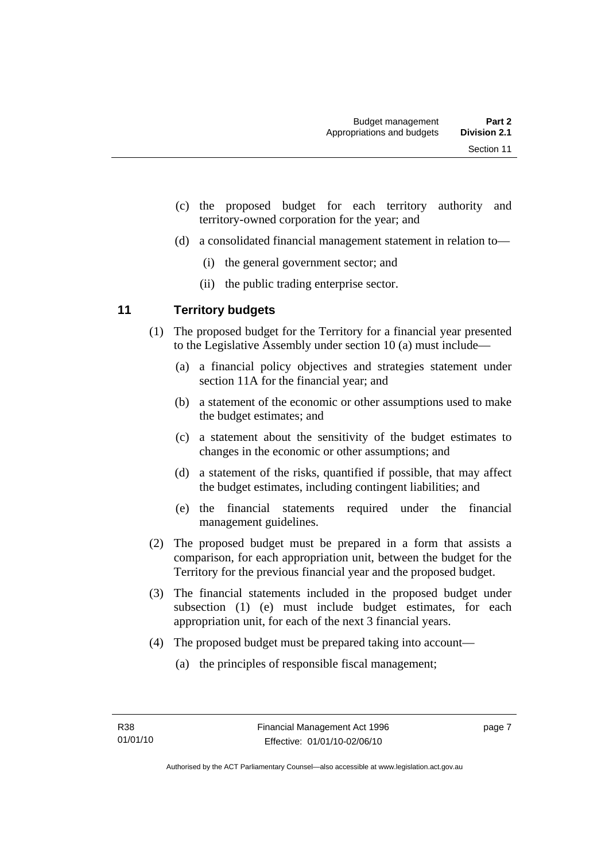- <span id="page-16-0"></span> (c) the proposed budget for each territory authority and territory-owned corporation for the year; and
- (d) a consolidated financial management statement in relation to—
	- (i) the general government sector; and
	- (ii) the public trading enterprise sector.

### **11 Territory budgets**

- (1) The proposed budget for the Territory for a financial year presented to the Legislative Assembly under section 10 (a) must include—
	- (a) a financial policy objectives and strategies statement under section 11A for the financial year; and
	- (b) a statement of the economic or other assumptions used to make the budget estimates; and
	- (c) a statement about the sensitivity of the budget estimates to changes in the economic or other assumptions; and
	- (d) a statement of the risks, quantified if possible, that may affect the budget estimates, including contingent liabilities; and
	- (e) the financial statements required under the financial management guidelines.
- (2) The proposed budget must be prepared in a form that assists a comparison, for each appropriation unit, between the budget for the Territory for the previous financial year and the proposed budget.
- (3) The financial statements included in the proposed budget under subsection (1) (e) must include budget estimates, for each appropriation unit, for each of the next 3 financial years.
- (4) The proposed budget must be prepared taking into account—
	- (a) the principles of responsible fiscal management;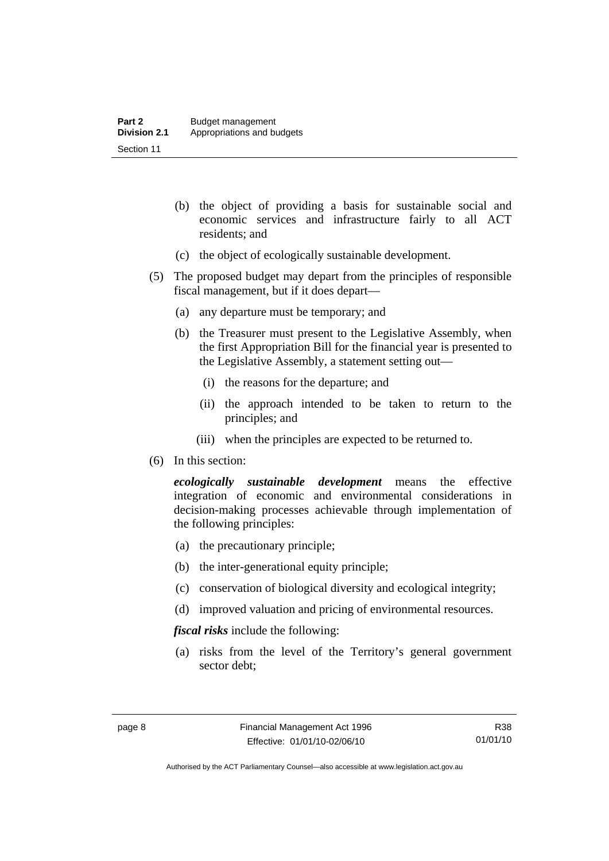- (b) the object of providing a basis for sustainable social and economic services and infrastructure fairly to all ACT residents; and
- (c) the object of ecologically sustainable development.
- (5) The proposed budget may depart from the principles of responsible fiscal management, but if it does depart—
	- (a) any departure must be temporary; and
	- (b) the Treasurer must present to the Legislative Assembly, when the first Appropriation Bill for the financial year is presented to the Legislative Assembly, a statement setting out—
		- (i) the reasons for the departure; and
		- (ii) the approach intended to be taken to return to the principles; and
		- (iii) when the principles are expected to be returned to.
- (6) In this section:

*ecologically sustainable development* means the effective integration of economic and environmental considerations in decision-making processes achievable through implementation of the following principles:

- (a) the precautionary principle;
- (b) the inter-generational equity principle;
- (c) conservation of biological diversity and ecological integrity;
- (d) improved valuation and pricing of environmental resources.

*fiscal risks* include the following:

 (a) risks from the level of the Territory's general government sector debt;

Authorised by the ACT Parliamentary Counsel—also accessible at www.legislation.act.gov.au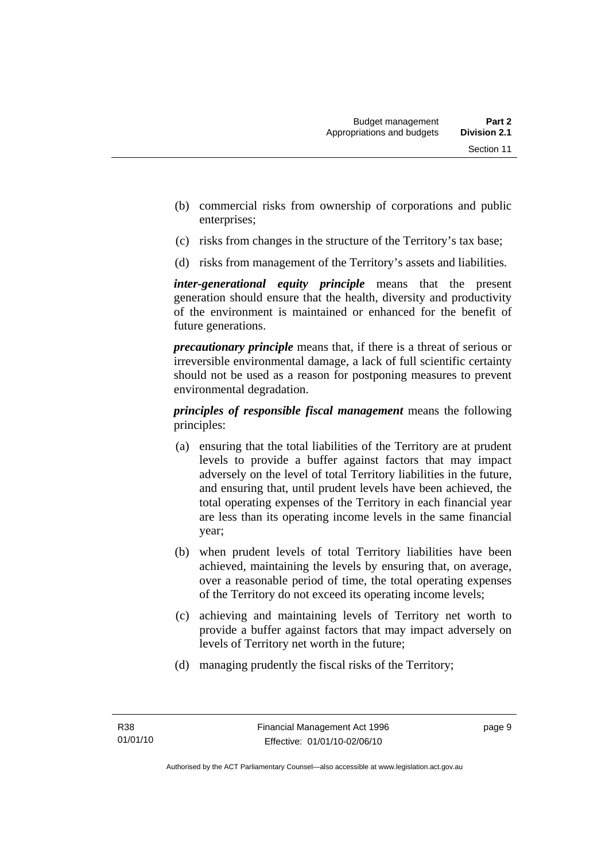- (b) commercial risks from ownership of corporations and public enterprises;
- (c) risks from changes in the structure of the Territory's tax base;
- (d) risks from management of the Territory's assets and liabilities.

*inter-generational equity principle* means that the present generation should ensure that the health, diversity and productivity of the environment is maintained or enhanced for the benefit of future generations.

*precautionary principle* means that, if there is a threat of serious or irreversible environmental damage, a lack of full scientific certainty should not be used as a reason for postponing measures to prevent environmental degradation.

*principles of responsible fiscal management* means the following principles:

- (a) ensuring that the total liabilities of the Territory are at prudent levels to provide a buffer against factors that may impact adversely on the level of total Territory liabilities in the future, and ensuring that, until prudent levels have been achieved, the total operating expenses of the Territory in each financial year are less than its operating income levels in the same financial year;
- (b) when prudent levels of total Territory liabilities have been achieved, maintaining the levels by ensuring that, on average, over a reasonable period of time, the total operating expenses of the Territory do not exceed its operating income levels;
- (c) achieving and maintaining levels of Territory net worth to provide a buffer against factors that may impact adversely on levels of Territory net worth in the future;
- (d) managing prudently the fiscal risks of the Territory;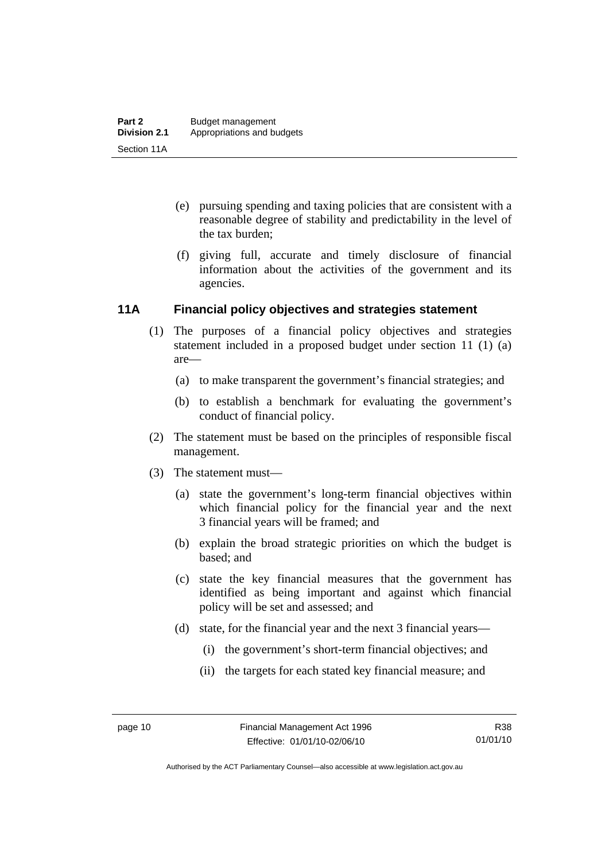- <span id="page-19-0"></span> (e) pursuing spending and taxing policies that are consistent with a reasonable degree of stability and predictability in the level of the tax burden;
- (f) giving full, accurate and timely disclosure of financial information about the activities of the government and its agencies.

#### **11A Financial policy objectives and strategies statement**

- (1) The purposes of a financial policy objectives and strategies statement included in a proposed budget under section 11 (1) (a) are—
	- (a) to make transparent the government's financial strategies; and
	- (b) to establish a benchmark for evaluating the government's conduct of financial policy.
- (2) The statement must be based on the principles of responsible fiscal management.
- (3) The statement must—
	- (a) state the government's long-term financial objectives within which financial policy for the financial year and the next 3 financial years will be framed; and
	- (b) explain the broad strategic priorities on which the budget is based; and
	- (c) state the key financial measures that the government has identified as being important and against which financial policy will be set and assessed; and
	- (d) state, for the financial year and the next 3 financial years—
		- (i) the government's short-term financial objectives; and
		- (ii) the targets for each stated key financial measure; and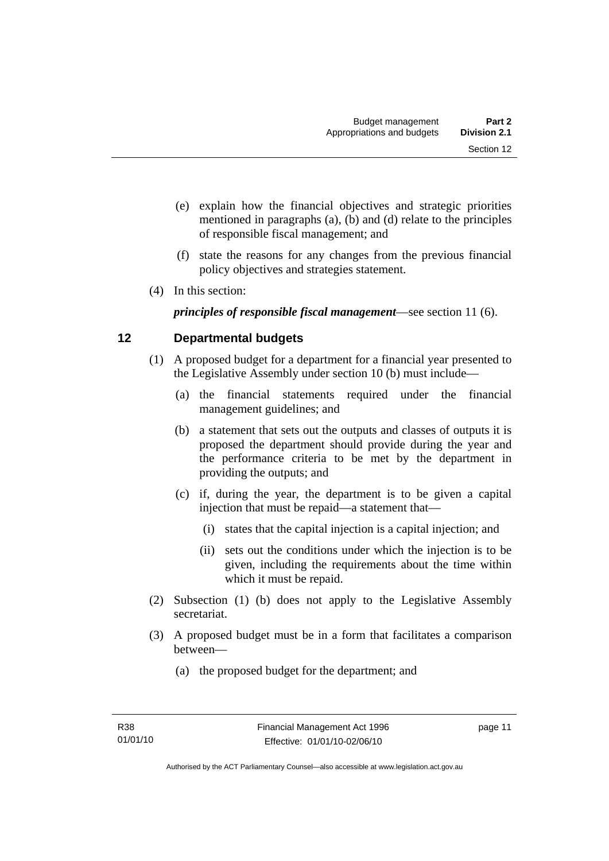- <span id="page-20-0"></span> (e) explain how the financial objectives and strategic priorities mentioned in paragraphs (a), (b) and (d) relate to the principles of responsible fiscal management; and
- (f) state the reasons for any changes from the previous financial policy objectives and strategies statement.
- (4) In this section:

*principles of responsible fiscal management*—see section 11 (6).

## **12 Departmental budgets**

- (1) A proposed budget for a department for a financial year presented to the Legislative Assembly under section 10 (b) must include—
	- (a) the financial statements required under the financial management guidelines; and
	- (b) a statement that sets out the outputs and classes of outputs it is proposed the department should provide during the year and the performance criteria to be met by the department in providing the outputs; and
	- (c) if, during the year, the department is to be given a capital injection that must be repaid—a statement that—
		- (i) states that the capital injection is a capital injection; and
		- (ii) sets out the conditions under which the injection is to be given, including the requirements about the time within which it must be repaid.
- (2) Subsection (1) (b) does not apply to the Legislative Assembly secretariat.
- (3) A proposed budget must be in a form that facilitates a comparison between—
	- (a) the proposed budget for the department; and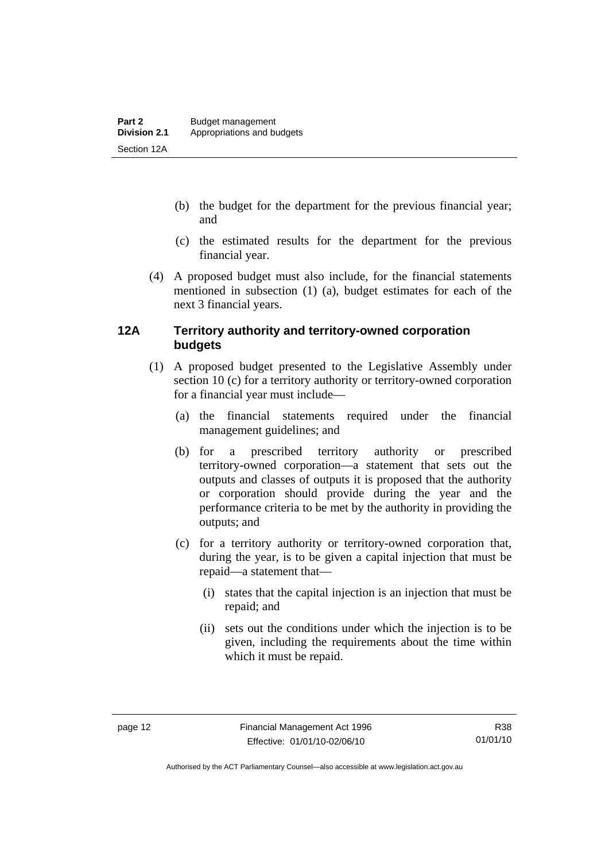- <span id="page-21-0"></span> (b) the budget for the department for the previous financial year; and
- (c) the estimated results for the department for the previous financial year.
- (4) A proposed budget must also include, for the financial statements mentioned in subsection (1) (a), budget estimates for each of the next 3 financial years.

#### **12A Territory authority and territory-owned corporation budgets**

- (1) A proposed budget presented to the Legislative Assembly under section 10 (c) for a territory authority or territory-owned corporation for a financial year must include—
	- (a) the financial statements required under the financial management guidelines; and
	- (b) for a prescribed territory authority or prescribed territory-owned corporation—a statement that sets out the outputs and classes of outputs it is proposed that the authority or corporation should provide during the year and the performance criteria to be met by the authority in providing the outputs; and
	- (c) for a territory authority or territory-owned corporation that, during the year, is to be given a capital injection that must be repaid—a statement that—
		- (i) states that the capital injection is an injection that must be repaid; and
		- (ii) sets out the conditions under which the injection is to be given, including the requirements about the time within which it must be repaid.

Authorised by the ACT Parliamentary Counsel—also accessible at www.legislation.act.gov.au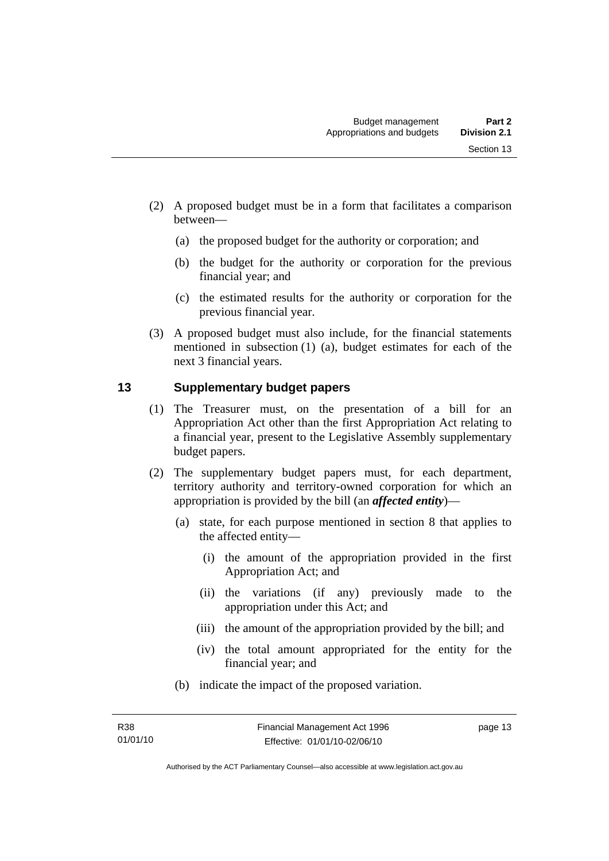- <span id="page-22-0"></span> (2) A proposed budget must be in a form that facilitates a comparison between—
	- (a) the proposed budget for the authority or corporation; and
	- (b) the budget for the authority or corporation for the previous financial year; and
	- (c) the estimated results for the authority or corporation for the previous financial year.
- (3) A proposed budget must also include, for the financial statements mentioned in subsection (1) (a), budget estimates for each of the next 3 financial years.

#### **13 Supplementary budget papers**

- (1) The Treasurer must, on the presentation of a bill for an Appropriation Act other than the first Appropriation Act relating to a financial year, present to the Legislative Assembly supplementary budget papers.
- (2) The supplementary budget papers must, for each department, territory authority and territory-owned corporation for which an appropriation is provided by the bill (an *affected entity*)—
	- (a) state, for each purpose mentioned in section 8 that applies to the affected entity—
		- (i) the amount of the appropriation provided in the first Appropriation Act; and
		- (ii) the variations (if any) previously made to the appropriation under this Act; and
		- (iii) the amount of the appropriation provided by the bill; and
		- (iv) the total amount appropriated for the entity for the financial year; and
	- (b) indicate the impact of the proposed variation.

page 13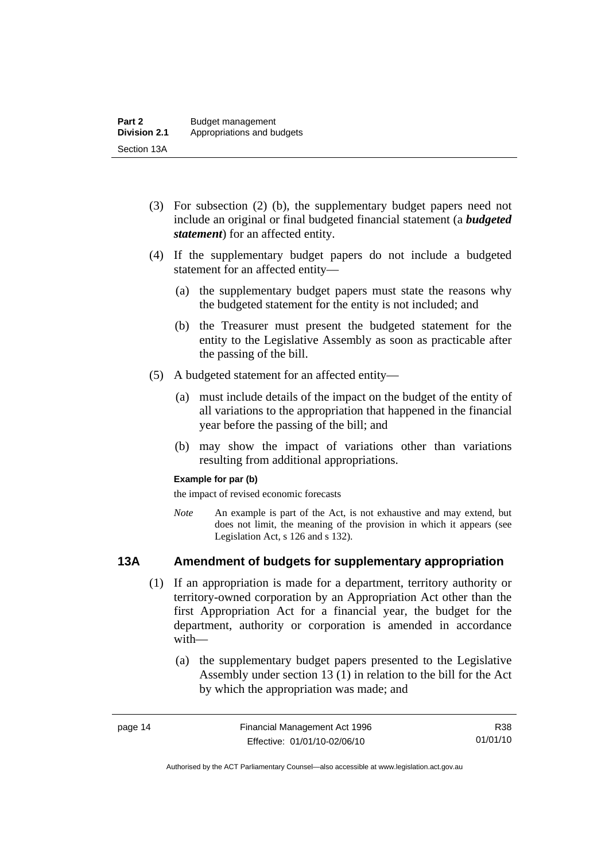- <span id="page-23-0"></span> (3) For subsection (2) (b), the supplementary budget papers need not include an original or final budgeted financial statement (a *budgeted statement*) for an affected entity.
- (4) If the supplementary budget papers do not include a budgeted statement for an affected entity—
	- (a) the supplementary budget papers must state the reasons why the budgeted statement for the entity is not included; and
	- (b) the Treasurer must present the budgeted statement for the entity to the Legislative Assembly as soon as practicable after the passing of the bill.
- (5) A budgeted statement for an affected entity—
	- (a) must include details of the impact on the budget of the entity of all variations to the appropriation that happened in the financial year before the passing of the bill; and
	- (b) may show the impact of variations other than variations resulting from additional appropriations.

#### **Example for par (b)**

the impact of revised economic forecasts

*Note* An example is part of the Act, is not exhaustive and may extend, but does not limit, the meaning of the provision in which it appears (see Legislation Act, s 126 and s 132).

#### **13A Amendment of budgets for supplementary appropriation**

- (1) If an appropriation is made for a department, territory authority or territory-owned corporation by an Appropriation Act other than the first Appropriation Act for a financial year, the budget for the department, authority or corporation is amended in accordance with—
	- (a) the supplementary budget papers presented to the Legislative Assembly under section 13 (1) in relation to the bill for the Act by which the appropriation was made; and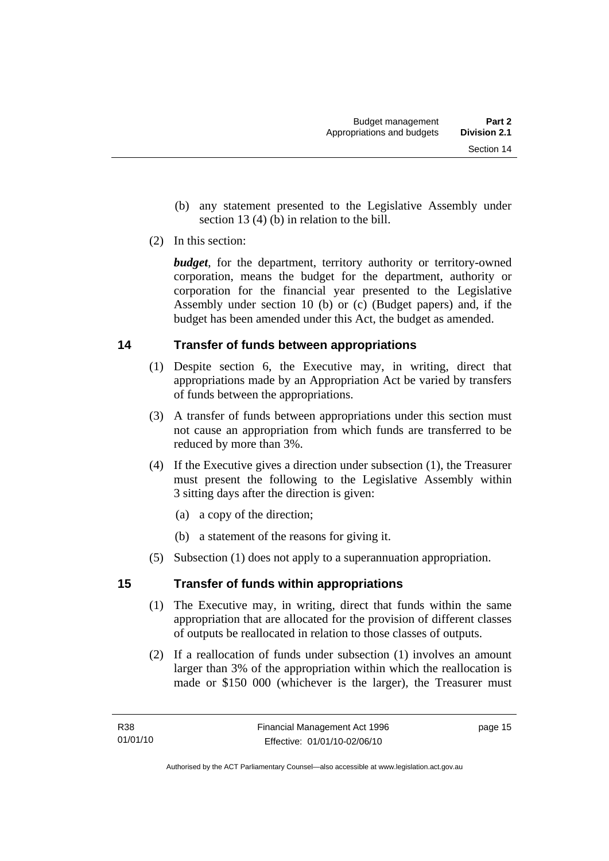- <span id="page-24-0"></span> (b) any statement presented to the Legislative Assembly under section 13 (4) (b) in relation to the bill.
- (2) In this section:

*budget*, for the department, territory authority or territory-owned corporation, means the budget for the department, authority or corporation for the financial year presented to the Legislative Assembly under section 10 (b) or (c) (Budget papers) and, if the budget has been amended under this Act, the budget as amended.

### **14 Transfer of funds between appropriations**

- (1) Despite section 6, the Executive may, in writing, direct that appropriations made by an Appropriation Act be varied by transfers of funds between the appropriations.
- (3) A transfer of funds between appropriations under this section must not cause an appropriation from which funds are transferred to be reduced by more than 3%.
- (4) If the Executive gives a direction under subsection (1), the Treasurer must present the following to the Legislative Assembly within 3 sitting days after the direction is given:
	- (a) a copy of the direction;
	- (b) a statement of the reasons for giving it.
- (5) Subsection (1) does not apply to a superannuation appropriation.

### **15 Transfer of funds within appropriations**

- (1) The Executive may, in writing, direct that funds within the same appropriation that are allocated for the provision of different classes of outputs be reallocated in relation to those classes of outputs.
- (2) If a reallocation of funds under subsection (1) involves an amount larger than 3% of the appropriation within which the reallocation is made or \$150 000 (whichever is the larger), the Treasurer must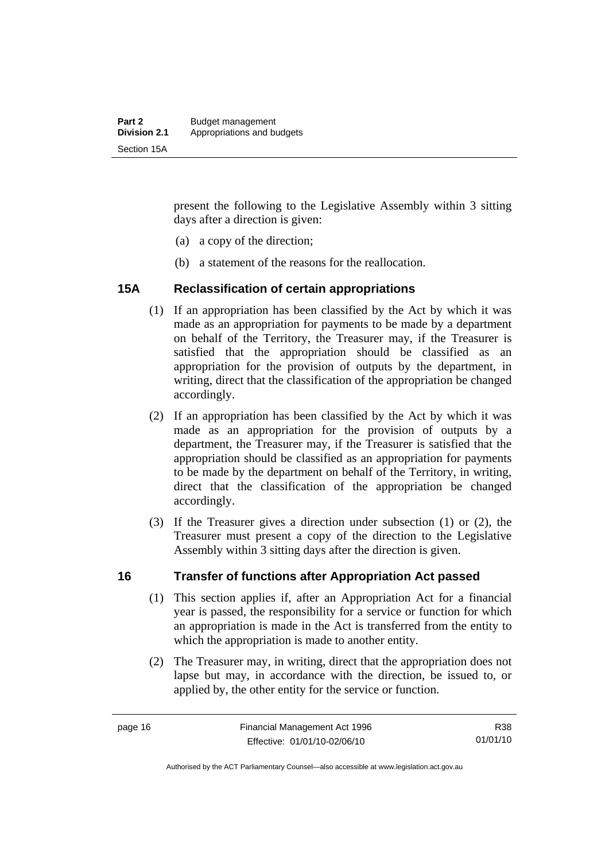<span id="page-25-0"></span>present the following to the Legislative Assembly within 3 sitting days after a direction is given:

- (a) a copy of the direction;
- (b) a statement of the reasons for the reallocation.

#### **15A Reclassification of certain appropriations**

- (1) If an appropriation has been classified by the Act by which it was made as an appropriation for payments to be made by a department on behalf of the Territory, the Treasurer may, if the Treasurer is satisfied that the appropriation should be classified as an appropriation for the provision of outputs by the department, in writing, direct that the classification of the appropriation be changed accordingly.
- (2) If an appropriation has been classified by the Act by which it was made as an appropriation for the provision of outputs by a department, the Treasurer may, if the Treasurer is satisfied that the appropriation should be classified as an appropriation for payments to be made by the department on behalf of the Territory, in writing, direct that the classification of the appropriation be changed accordingly.
- (3) If the Treasurer gives a direction under subsection (1) or (2), the Treasurer must present a copy of the direction to the Legislative Assembly within 3 sitting days after the direction is given.

#### **16 Transfer of functions after Appropriation Act passed**

- (1) This section applies if, after an Appropriation Act for a financial year is passed, the responsibility for a service or function for which an appropriation is made in the Act is transferred from the entity to which the appropriation is made to another entity.
- (2) The Treasurer may, in writing, direct that the appropriation does not lapse but may, in accordance with the direction, be issued to, or applied by, the other entity for the service or function.

R38 01/01/10

Authorised by the ACT Parliamentary Counsel—also accessible at www.legislation.act.gov.au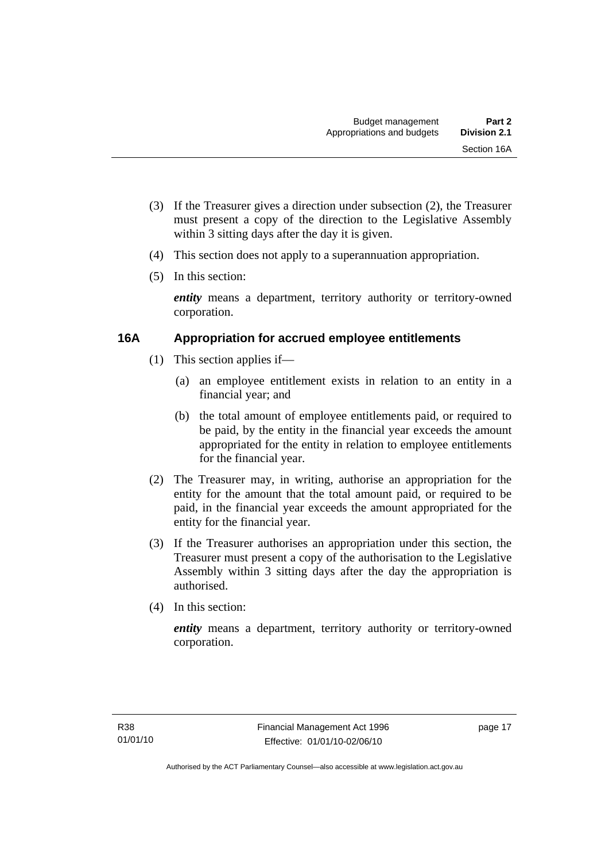- <span id="page-26-0"></span> (3) If the Treasurer gives a direction under subsection (2), the Treasurer must present a copy of the direction to the Legislative Assembly within 3 sitting days after the day it is given.
- (4) This section does not apply to a superannuation appropriation.
- (5) In this section:

*entity* means a department, territory authority or territory-owned corporation.

#### **16A Appropriation for accrued employee entitlements**

- (1) This section applies if—
	- (a) an employee entitlement exists in relation to an entity in a financial year; and
	- (b) the total amount of employee entitlements paid, or required to be paid, by the entity in the financial year exceeds the amount appropriated for the entity in relation to employee entitlements for the financial year.
- (2) The Treasurer may, in writing, authorise an appropriation for the entity for the amount that the total amount paid, or required to be paid, in the financial year exceeds the amount appropriated for the entity for the financial year.
- (3) If the Treasurer authorises an appropriation under this section, the Treasurer must present a copy of the authorisation to the Legislative Assembly within 3 sitting days after the day the appropriation is authorised.
- (4) In this section:

*entity* means a department, territory authority or territory-owned corporation.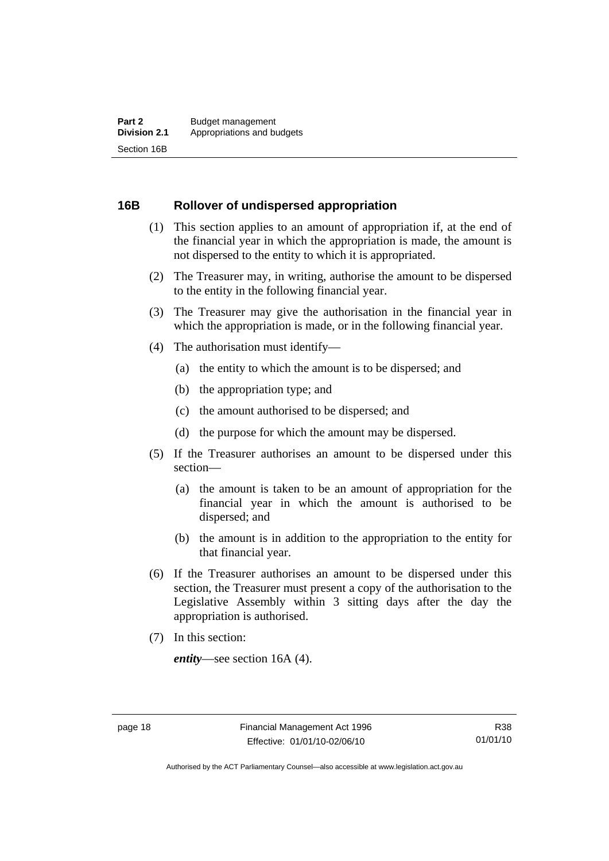#### <span id="page-27-0"></span>**16B Rollover of undispersed appropriation**

- (1) This section applies to an amount of appropriation if, at the end of the financial year in which the appropriation is made, the amount is not dispersed to the entity to which it is appropriated.
- (2) The Treasurer may, in writing, authorise the amount to be dispersed to the entity in the following financial year.
- (3) The Treasurer may give the authorisation in the financial year in which the appropriation is made, or in the following financial year.
- (4) The authorisation must identify—
	- (a) the entity to which the amount is to be dispersed; and
	- (b) the appropriation type; and
	- (c) the amount authorised to be dispersed; and
	- (d) the purpose for which the amount may be dispersed.
- (5) If the Treasurer authorises an amount to be dispersed under this section—
	- (a) the amount is taken to be an amount of appropriation for the financial year in which the amount is authorised to be dispersed; and
	- (b) the amount is in addition to the appropriation to the entity for that financial year.
- (6) If the Treasurer authorises an amount to be dispersed under this section, the Treasurer must present a copy of the authorisation to the Legislative Assembly within 3 sitting days after the day the appropriation is authorised.
- (7) In this section:

*entity*—see section 16A (4).

Authorised by the ACT Parliamentary Counsel—also accessible at www.legislation.act.gov.au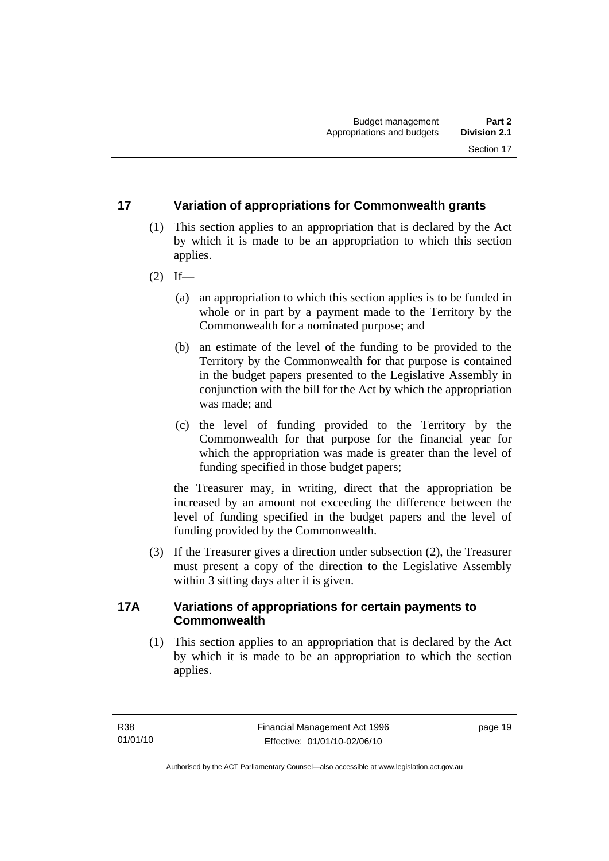#### <span id="page-28-0"></span>**17 Variation of appropriations for Commonwealth grants**

- (1) This section applies to an appropriation that is declared by the Act by which it is made to be an appropriation to which this section applies.
- $(2)$  If—
	- (a) an appropriation to which this section applies is to be funded in whole or in part by a payment made to the Territory by the Commonwealth for a nominated purpose; and
	- (b) an estimate of the level of the funding to be provided to the Territory by the Commonwealth for that purpose is contained in the budget papers presented to the Legislative Assembly in conjunction with the bill for the Act by which the appropriation was made; and
	- (c) the level of funding provided to the Territory by the Commonwealth for that purpose for the financial year for which the appropriation was made is greater than the level of funding specified in those budget papers;

the Treasurer may, in writing, direct that the appropriation be increased by an amount not exceeding the difference between the level of funding specified in the budget papers and the level of funding provided by the Commonwealth.

 (3) If the Treasurer gives a direction under subsection (2), the Treasurer must present a copy of the direction to the Legislative Assembly within 3 sitting days after it is given.

#### **17A Variations of appropriations for certain payments to Commonwealth**

 (1) This section applies to an appropriation that is declared by the Act by which it is made to be an appropriation to which the section applies.

page 19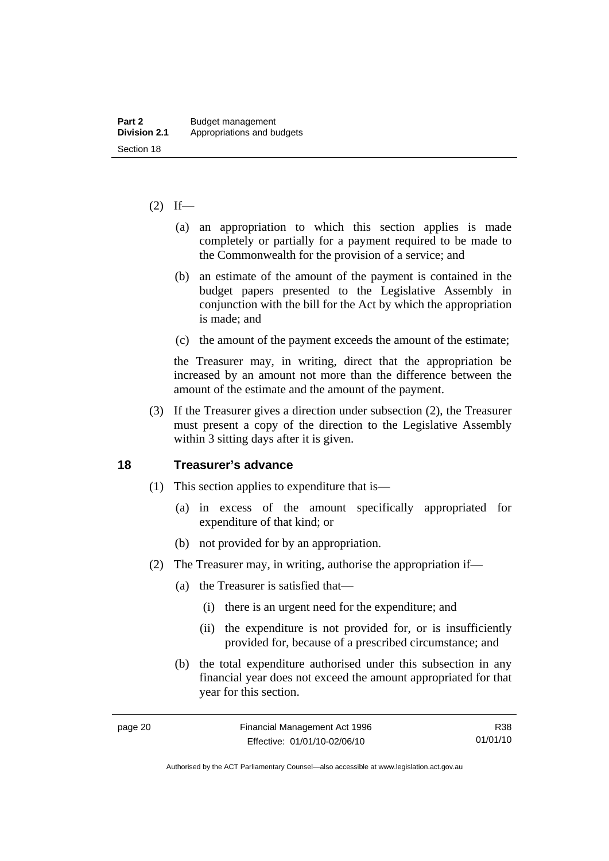#### <span id="page-29-0"></span> $(2)$  If—

- (a) an appropriation to which this section applies is made completely or partially for a payment required to be made to the Commonwealth for the provision of a service; and
- (b) an estimate of the amount of the payment is contained in the budget papers presented to the Legislative Assembly in conjunction with the bill for the Act by which the appropriation is made; and
- (c) the amount of the payment exceeds the amount of the estimate;

the Treasurer may, in writing, direct that the appropriation be increased by an amount not more than the difference between the amount of the estimate and the amount of the payment.

 (3) If the Treasurer gives a direction under subsection (2), the Treasurer must present a copy of the direction to the Legislative Assembly within 3 sitting days after it is given.

#### **18 Treasurer's advance**

- (1) This section applies to expenditure that is—
	- (a) in excess of the amount specifically appropriated for expenditure of that kind; or
	- (b) not provided for by an appropriation.
- (2) The Treasurer may, in writing, authorise the appropriation if—
	- (a) the Treasurer is satisfied that—
		- (i) there is an urgent need for the expenditure; and
		- (ii) the expenditure is not provided for, or is insufficiently provided for, because of a prescribed circumstance; and
	- (b) the total expenditure authorised under this subsection in any financial year does not exceed the amount appropriated for that year for this section.

Authorised by the ACT Parliamentary Counsel—also accessible at www.legislation.act.gov.au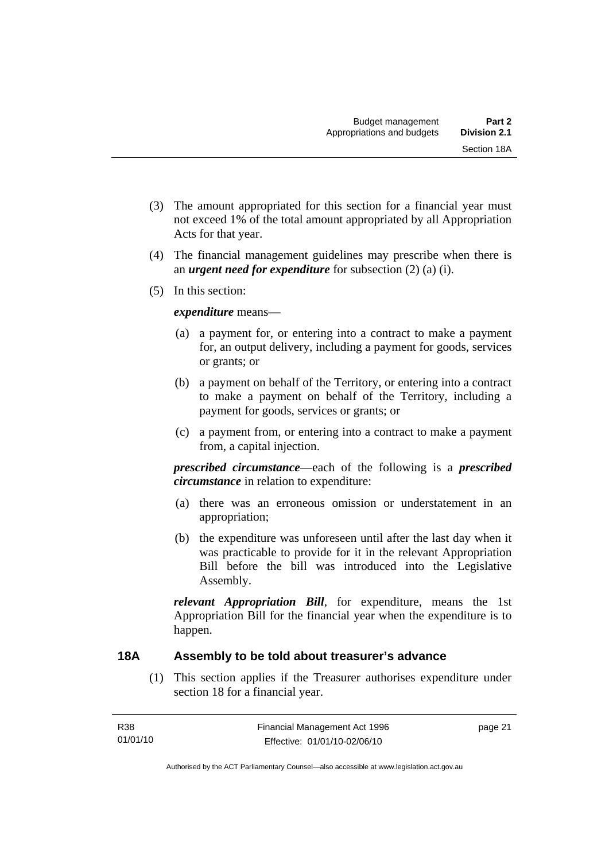- <span id="page-30-0"></span> (3) The amount appropriated for this section for a financial year must not exceed 1% of the total amount appropriated by all Appropriation Acts for that year.
- (4) The financial management guidelines may prescribe when there is an *urgent need for expenditure* for subsection (2) (a) (i).
- (5) In this section:

#### *expenditure* means—

- (a) a payment for, or entering into a contract to make a payment for, an output delivery, including a payment for goods, services or grants; or
- (b) a payment on behalf of the Territory, or entering into a contract to make a payment on behalf of the Territory, including a payment for goods, services or grants; or
- (c) a payment from, or entering into a contract to make a payment from, a capital injection.

*prescribed circumstance*—each of the following is a *prescribed circumstance* in relation to expenditure:

- (a) there was an erroneous omission or understatement in an appropriation;
- (b) the expenditure was unforeseen until after the last day when it was practicable to provide for it in the relevant Appropriation Bill before the bill was introduced into the Legislative Assembly.

*relevant Appropriation Bill*, for expenditure, means the 1st Appropriation Bill for the financial year when the expenditure is to happen.

#### **18A Assembly to be told about treasurer's advance**

 (1) This section applies if the Treasurer authorises expenditure under section 18 for a financial year.

Authorised by the ACT Parliamentary Counsel—also accessible at www.legislation.act.gov.au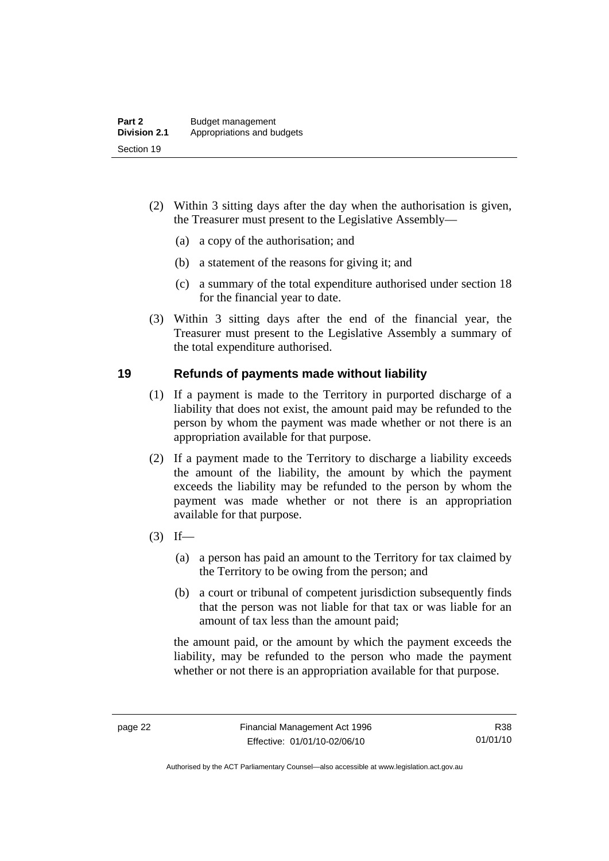- <span id="page-31-0"></span> (2) Within 3 sitting days after the day when the authorisation is given, the Treasurer must present to the Legislative Assembly—
	- (a) a copy of the authorisation; and
	- (b) a statement of the reasons for giving it; and
	- (c) a summary of the total expenditure authorised under section 18 for the financial year to date.
- (3) Within 3 sitting days after the end of the financial year, the Treasurer must present to the Legislative Assembly a summary of the total expenditure authorised.

#### **19 Refunds of payments made without liability**

- (1) If a payment is made to the Territory in purported discharge of a liability that does not exist, the amount paid may be refunded to the person by whom the payment was made whether or not there is an appropriation available for that purpose.
- (2) If a payment made to the Territory to discharge a liability exceeds the amount of the liability, the amount by which the payment exceeds the liability may be refunded to the person by whom the payment was made whether or not there is an appropriation available for that purpose.
- $(3)$  If—
	- (a) a person has paid an amount to the Territory for tax claimed by the Territory to be owing from the person; and
	- (b) a court or tribunal of competent jurisdiction subsequently finds that the person was not liable for that tax or was liable for an amount of tax less than the amount paid;

the amount paid, or the amount by which the payment exceeds the liability, may be refunded to the person who made the payment whether or not there is an appropriation available for that purpose.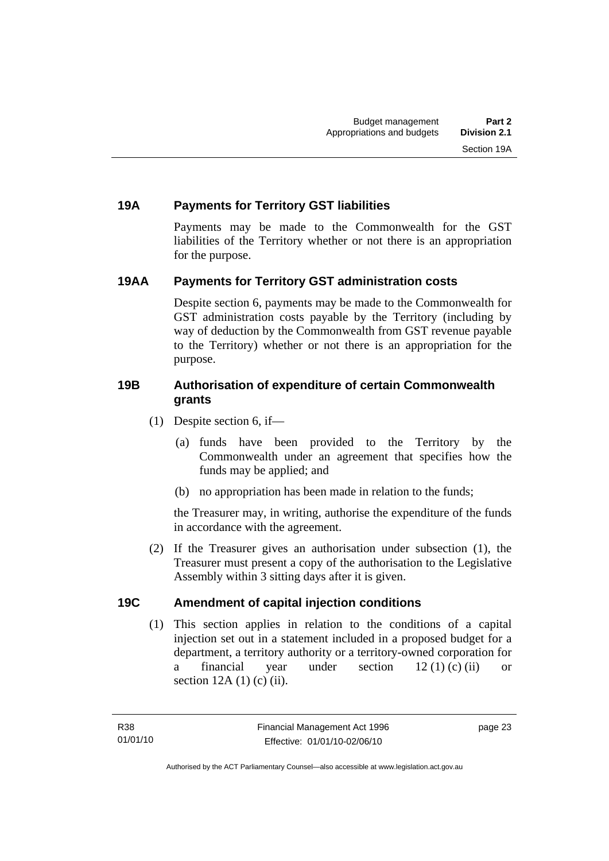#### <span id="page-32-0"></span>**19A Payments for Territory GST liabilities**

Payments may be made to the Commonwealth for the GST liabilities of the Territory whether or not there is an appropriation for the purpose.

#### **19AA Payments for Territory GST administration costs**

Despite section 6, payments may be made to the Commonwealth for GST administration costs payable by the Territory (including by way of deduction by the Commonwealth from GST revenue payable to the Territory) whether or not there is an appropriation for the purpose.

#### **19B Authorisation of expenditure of certain Commonwealth grants**

- (1) Despite section 6, if—
	- (a) funds have been provided to the Territory by the Commonwealth under an agreement that specifies how the funds may be applied; and
	- (b) no appropriation has been made in relation to the funds;

the Treasurer may, in writing, authorise the expenditure of the funds in accordance with the agreement.

 (2) If the Treasurer gives an authorisation under subsection (1), the Treasurer must present a copy of the authorisation to the Legislative Assembly within 3 sitting days after it is given.

#### **19C Amendment of capital injection conditions**

 (1) This section applies in relation to the conditions of a capital injection set out in a statement included in a proposed budget for a department, a territory authority or a territory-owned corporation for a financial year under section 12 (1) (c) (ii) or section  $12A(1)$  (c) (ii).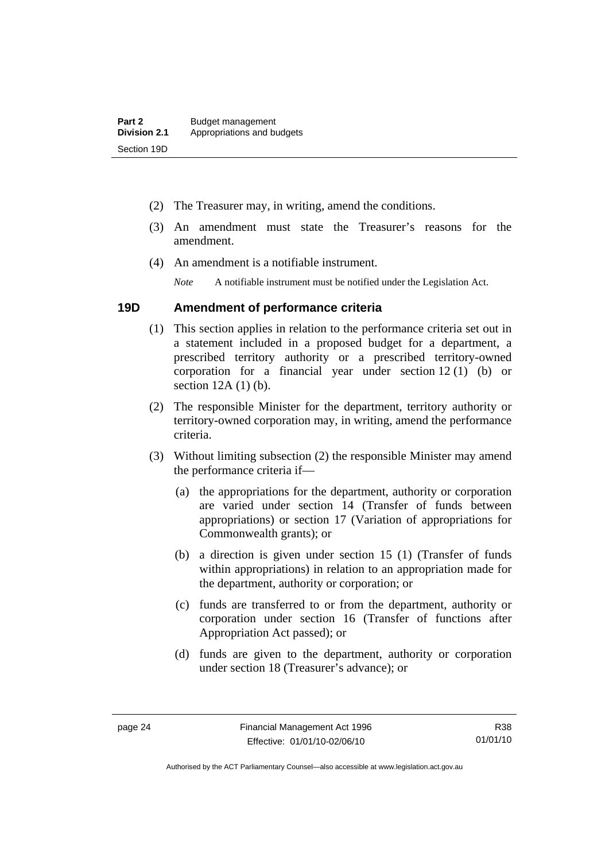- <span id="page-33-0"></span>(2) The Treasurer may, in writing, amend the conditions.
- (3) An amendment must state the Treasurer's reasons for the amendment.
- (4) An amendment is a notifiable instrument.

*Note* A notifiable instrument must be notified under the Legislation Act.

#### **19D Amendment of performance criteria**

- (1) This section applies in relation to the performance criteria set out in a statement included in a proposed budget for a department, a prescribed territory authority or a prescribed territory-owned corporation for a financial year under section 12 (1) (b) or section 12A (1) (b).
- (2) The responsible Minister for the department, territory authority or territory-owned corporation may, in writing, amend the performance criteria.
- (3) Without limiting subsection (2) the responsible Minister may amend the performance criteria if—
	- (a) the appropriations for the department, authority or corporation are varied under section 14 (Transfer of funds between appropriations) or section 17 (Variation of appropriations for Commonwealth grants); or
	- (b) a direction is given under section 15 (1) (Transfer of funds within appropriations) in relation to an appropriation made for the department, authority or corporation; or
	- (c) funds are transferred to or from the department, authority or corporation under section 16 (Transfer of functions after Appropriation Act passed); or
	- (d) funds are given to the department, authority or corporation under section 18 (Treasurer's advance); or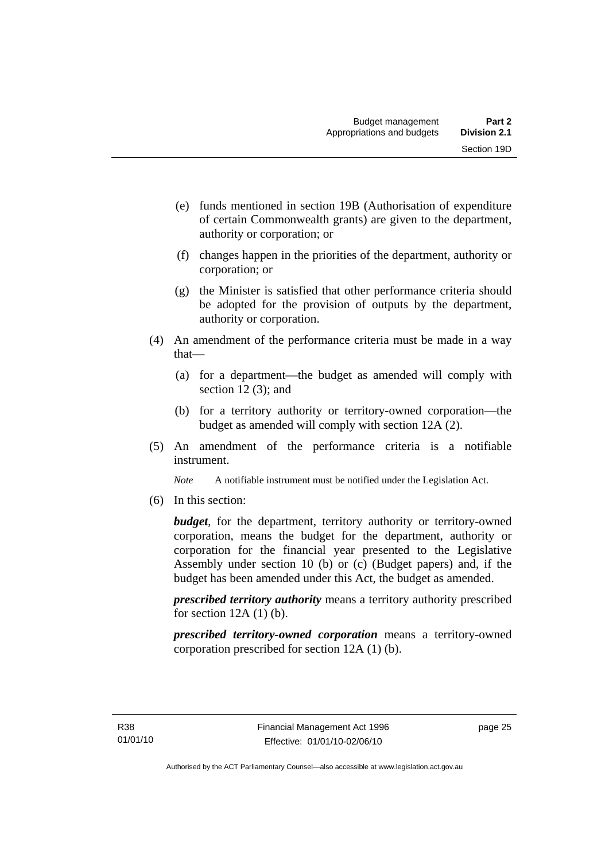- (e) funds mentioned in section 19B (Authorisation of expenditure of certain Commonwealth grants) are given to the department, authority or corporation; or
- (f) changes happen in the priorities of the department, authority or corporation; or
- (g) the Minister is satisfied that other performance criteria should be adopted for the provision of outputs by the department, authority or corporation.
- (4) An amendment of the performance criteria must be made in a way that—
	- (a) for a department—the budget as amended will comply with section 12(3); and
	- (b) for a territory authority or territory-owned corporation—the budget as amended will comply with section 12A (2).
- (5) An amendment of the performance criteria is a notifiable instrument.

*Note* A notifiable instrument must be notified under the Legislation Act.

(6) In this section:

*budget*, for the department, territory authority or territory-owned corporation, means the budget for the department, authority or corporation for the financial year presented to the Legislative Assembly under section 10 (b) or (c) (Budget papers) and, if the budget has been amended under this Act, the budget as amended.

*prescribed territory authority* means a territory authority prescribed for section  $12A(1)$  (b).

*prescribed territory-owned corporation* means a territory-owned corporation prescribed for section 12A (1) (b).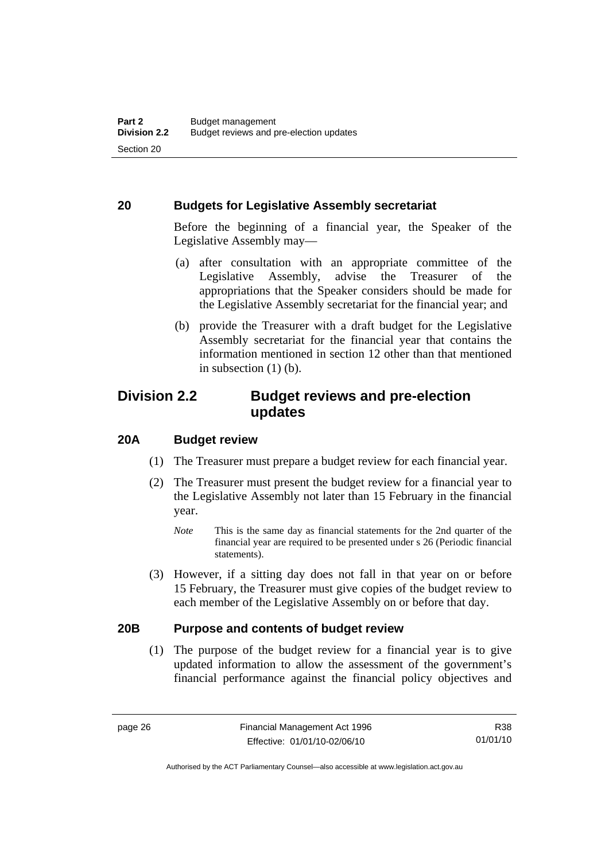#### <span id="page-35-0"></span>**20 Budgets for Legislative Assembly secretariat**

Before the beginning of a financial year, the Speaker of the Legislative Assembly may—

- (a) after consultation with an appropriate committee of the Legislative Assembly, advise the Treasurer of the appropriations that the Speaker considers should be made for the Legislative Assembly secretariat for the financial year; and
- (b) provide the Treasurer with a draft budget for the Legislative Assembly secretariat for the financial year that contains the information mentioned in section 12 other than that mentioned in subsection  $(1)$  (b).

# **Division 2.2 Budget reviews and pre-election updates**

#### **20A Budget review**

- (1) The Treasurer must prepare a budget review for each financial year.
- (2) The Treasurer must present the budget review for a financial year to the Legislative Assembly not later than 15 February in the financial year.
	- *Note* This is the same day as financial statements for the 2nd quarter of the financial year are required to be presented under s 26 (Periodic financial statements).
- (3) However, if a sitting day does not fall in that year on or before 15 February, the Treasurer must give copies of the budget review to each member of the Legislative Assembly on or before that day.

#### **20B Purpose and contents of budget review**

 (1) The purpose of the budget review for a financial year is to give updated information to allow the assessment of the government's financial performance against the financial policy objectives and

R38 01/01/10

Authorised by the ACT Parliamentary Counsel—also accessible at www.legislation.act.gov.au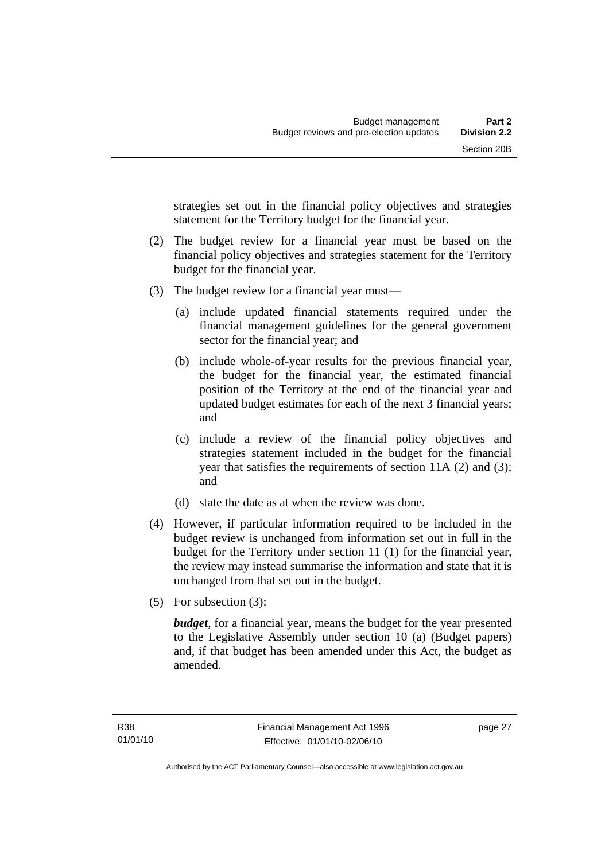strategies set out in the financial policy objectives and strategies statement for the Territory budget for the financial year.

- (2) The budget review for a financial year must be based on the financial policy objectives and strategies statement for the Territory budget for the financial year.
- (3) The budget review for a financial year must—
	- (a) include updated financial statements required under the financial management guidelines for the general government sector for the financial year; and
	- (b) include whole-of-year results for the previous financial year, the budget for the financial year, the estimated financial position of the Territory at the end of the financial year and updated budget estimates for each of the next 3 financial years; and
	- (c) include a review of the financial policy objectives and strategies statement included in the budget for the financial year that satisfies the requirements of section 11A (2) and (3); and
	- (d) state the date as at when the review was done.
- (4) However, if particular information required to be included in the budget review is unchanged from information set out in full in the budget for the Territory under section 11 (1) for the financial year, the review may instead summarise the information and state that it is unchanged from that set out in the budget.
- (5) For subsection (3):

*budget*, for a financial year, means the budget for the year presented to the Legislative Assembly under section 10 (a) (Budget papers) and, if that budget has been amended under this Act, the budget as amended.

page 27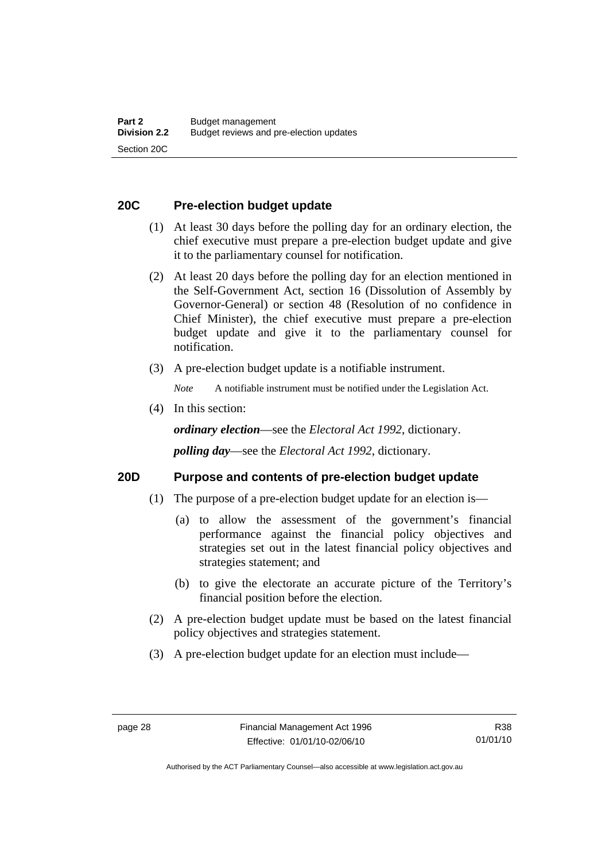# **20C Pre-election budget update**

- (1) At least 30 days before the polling day for an ordinary election, the chief executive must prepare a pre-election budget update and give it to the parliamentary counsel for notification.
- (2) At least 20 days before the polling day for an election mentioned in the Self-Government Act, section 16 (Dissolution of Assembly by Governor-General) or section 48 (Resolution of no confidence in Chief Minister), the chief executive must prepare a pre-election budget update and give it to the parliamentary counsel for notification.
- (3) A pre-election budget update is a notifiable instrument.

*Note* A notifiable instrument must be notified under the Legislation Act.

(4) In this section:

*ordinary election*—see the *Electoral Act 1992*, dictionary.

*polling day*—see the *Electoral Act 1992*, dictionary.

### **20D Purpose and contents of pre-election budget update**

- (1) The purpose of a pre-election budget update for an election is—
	- (a) to allow the assessment of the government's financial performance against the financial policy objectives and strategies set out in the latest financial policy objectives and strategies statement; and
	- (b) to give the electorate an accurate picture of the Territory's financial position before the election.
- (2) A pre-election budget update must be based on the latest financial policy objectives and strategies statement.
- (3) A pre-election budget update for an election must include—

R38 01/01/10

Authorised by the ACT Parliamentary Counsel—also accessible at www.legislation.act.gov.au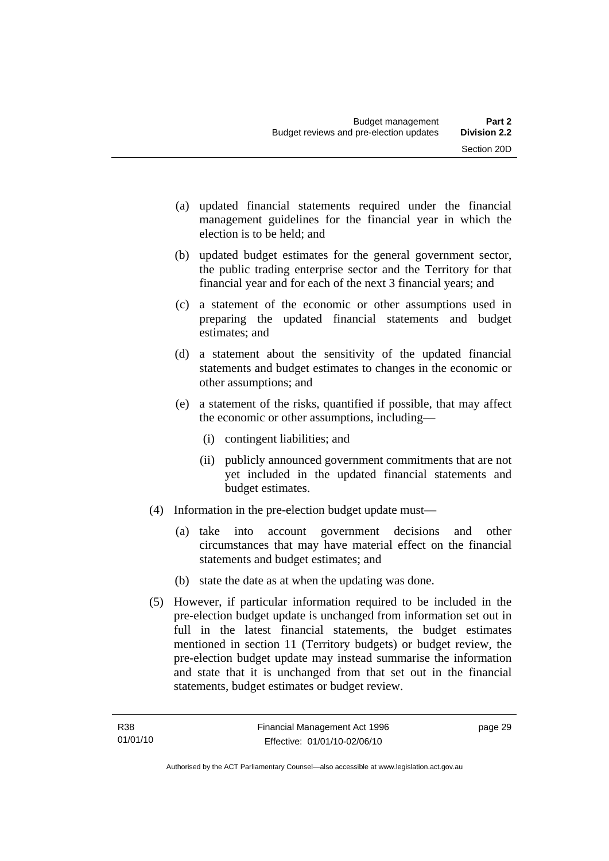- (a) updated financial statements required under the financial management guidelines for the financial year in which the election is to be held; and
- (b) updated budget estimates for the general government sector, the public trading enterprise sector and the Territory for that financial year and for each of the next 3 financial years; and
- (c) a statement of the economic or other assumptions used in preparing the updated financial statements and budget estimates; and
- (d) a statement about the sensitivity of the updated financial statements and budget estimates to changes in the economic or other assumptions; and
- (e) a statement of the risks, quantified if possible, that may affect the economic or other assumptions, including—
	- (i) contingent liabilities; and
	- (ii) publicly announced government commitments that are not yet included in the updated financial statements and budget estimates.
- (4) Information in the pre-election budget update must—
	- (a) take into account government decisions and other circumstances that may have material effect on the financial statements and budget estimates; and
	- (b) state the date as at when the updating was done.
- (5) However, if particular information required to be included in the pre-election budget update is unchanged from information set out in full in the latest financial statements, the budget estimates mentioned in section 11 (Territory budgets) or budget review, the pre-election budget update may instead summarise the information and state that it is unchanged from that set out in the financial statements, budget estimates or budget review.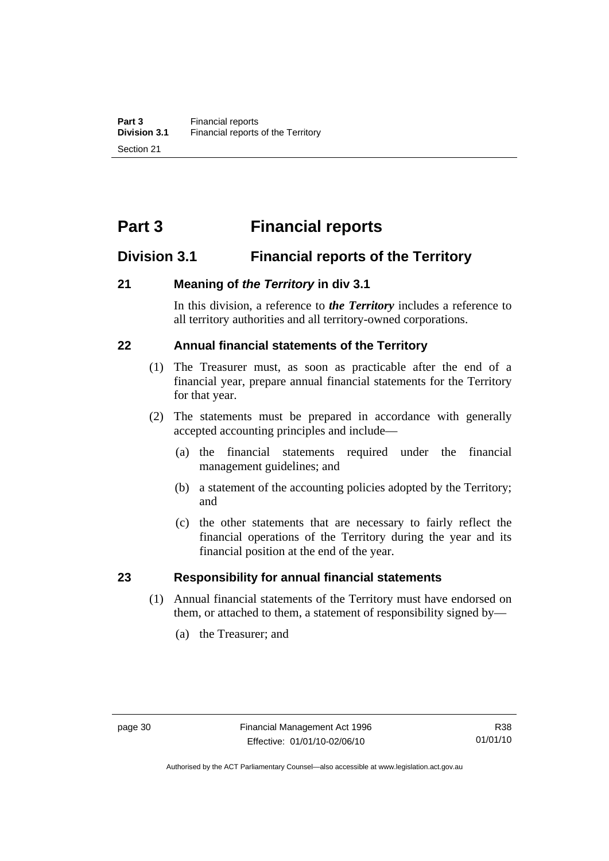# **Part 3 Financial reports**

# **Division 3.1 Financial reports of the Territory**

# **21 Meaning of** *the Territory* **in div 3.1**

In this division, a reference to *the Territory* includes a reference to all territory authorities and all territory-owned corporations.

# **22 Annual financial statements of the Territory**

- (1) The Treasurer must, as soon as practicable after the end of a financial year, prepare annual financial statements for the Territory for that year.
- (2) The statements must be prepared in accordance with generally accepted accounting principles and include—
	- (a) the financial statements required under the financial management guidelines; and
	- (b) a statement of the accounting policies adopted by the Territory; and
	- (c) the other statements that are necessary to fairly reflect the financial operations of the Territory during the year and its financial position at the end of the year.

### **23 Responsibility for annual financial statements**

- (1) Annual financial statements of the Territory must have endorsed on them, or attached to them, a statement of responsibility signed by—
	- (a) the Treasurer; and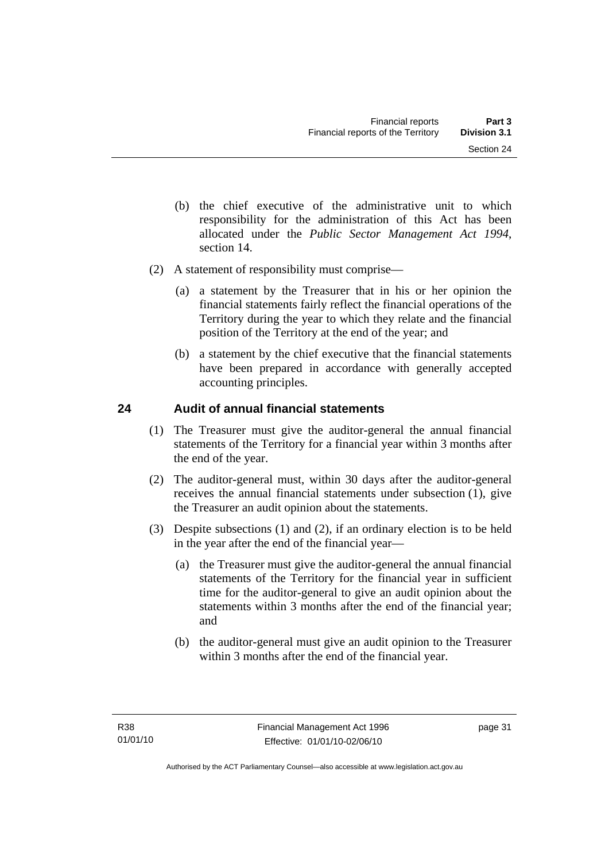- (b) the chief executive of the administrative unit to which responsibility for the administration of this Act has been allocated under the *Public Sector Management Act 1994*, section 14.
- (2) A statement of responsibility must comprise—
	- (a) a statement by the Treasurer that in his or her opinion the financial statements fairly reflect the financial operations of the Territory during the year to which they relate and the financial position of the Territory at the end of the year; and
	- (b) a statement by the chief executive that the financial statements have been prepared in accordance with generally accepted accounting principles.

# **24 Audit of annual financial statements**

- (1) The Treasurer must give the auditor-general the annual financial statements of the Territory for a financial year within 3 months after the end of the year.
- (2) The auditor-general must, within 30 days after the auditor-general receives the annual financial statements under subsection (1), give the Treasurer an audit opinion about the statements.
- (3) Despite subsections (1) and (2), if an ordinary election is to be held in the year after the end of the financial year—
	- (a) the Treasurer must give the auditor-general the annual financial statements of the Territory for the financial year in sufficient time for the auditor-general to give an audit opinion about the statements within 3 months after the end of the financial year; and
	- (b) the auditor-general must give an audit opinion to the Treasurer within 3 months after the end of the financial year.

page 31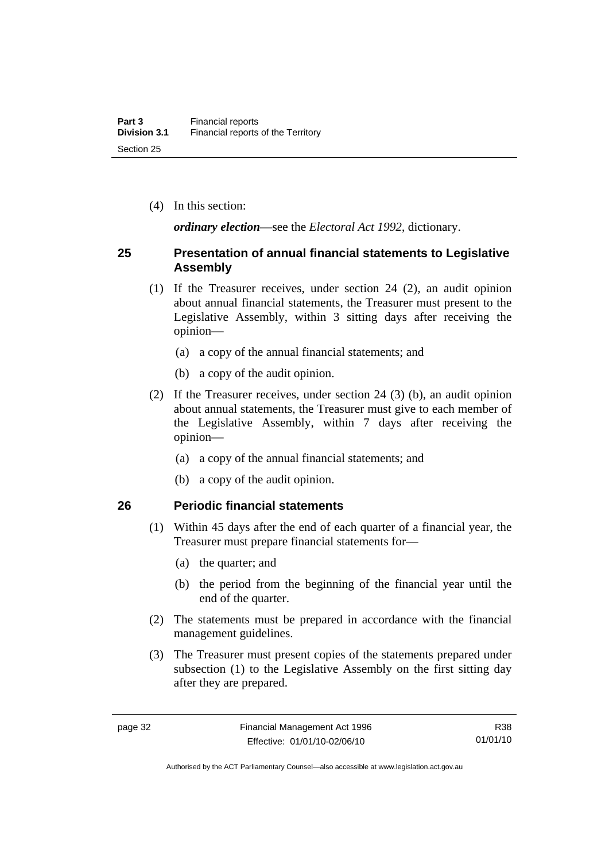(4) In this section:

*ordinary election*—see the *Electoral Act 1992*, dictionary.

## **25 Presentation of annual financial statements to Legislative Assembly**

- (1) If the Treasurer receives, under section 24 (2), an audit opinion about annual financial statements, the Treasurer must present to the Legislative Assembly, within 3 sitting days after receiving the opinion—
	- (a) a copy of the annual financial statements; and
	- (b) a copy of the audit opinion.
- (2) If the Treasurer receives, under section 24 (3) (b), an audit opinion about annual statements, the Treasurer must give to each member of the Legislative Assembly, within 7 days after receiving the opinion—
	- (a) a copy of the annual financial statements; and
	- (b) a copy of the audit opinion.

### **26 Periodic financial statements**

- (1) Within 45 days after the end of each quarter of a financial year, the Treasurer must prepare financial statements for—
	- (a) the quarter; and
	- (b) the period from the beginning of the financial year until the end of the quarter.
- (2) The statements must be prepared in accordance with the financial management guidelines.
- (3) The Treasurer must present copies of the statements prepared under subsection (1) to the Legislative Assembly on the first sitting day after they are prepared.

R38 01/01/10

Authorised by the ACT Parliamentary Counsel—also accessible at www.legislation.act.gov.au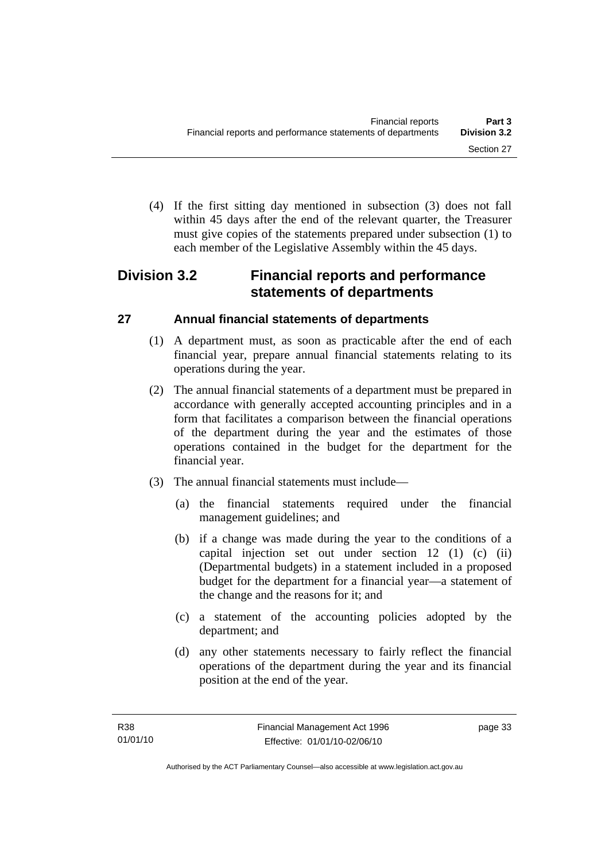(4) If the first sitting day mentioned in subsection (3) does not fall within 45 days after the end of the relevant quarter, the Treasurer must give copies of the statements prepared under subsection (1) to each member of the Legislative Assembly within the 45 days.

# **Division 3.2 Financial reports and performance statements of departments**

# **27 Annual financial statements of departments**

- (1) A department must, as soon as practicable after the end of each financial year, prepare annual financial statements relating to its operations during the year.
- (2) The annual financial statements of a department must be prepared in accordance with generally accepted accounting principles and in a form that facilitates a comparison between the financial operations of the department during the year and the estimates of those operations contained in the budget for the department for the financial year.
- (3) The annual financial statements must include—
	- (a) the financial statements required under the financial management guidelines; and
	- (b) if a change was made during the year to the conditions of a capital injection set out under section 12 (1) (c) (ii) (Departmental budgets) in a statement included in a proposed budget for the department for a financial year—a statement of the change and the reasons for it; and
	- (c) a statement of the accounting policies adopted by the department; and
	- (d) any other statements necessary to fairly reflect the financial operations of the department during the year and its financial position at the end of the year.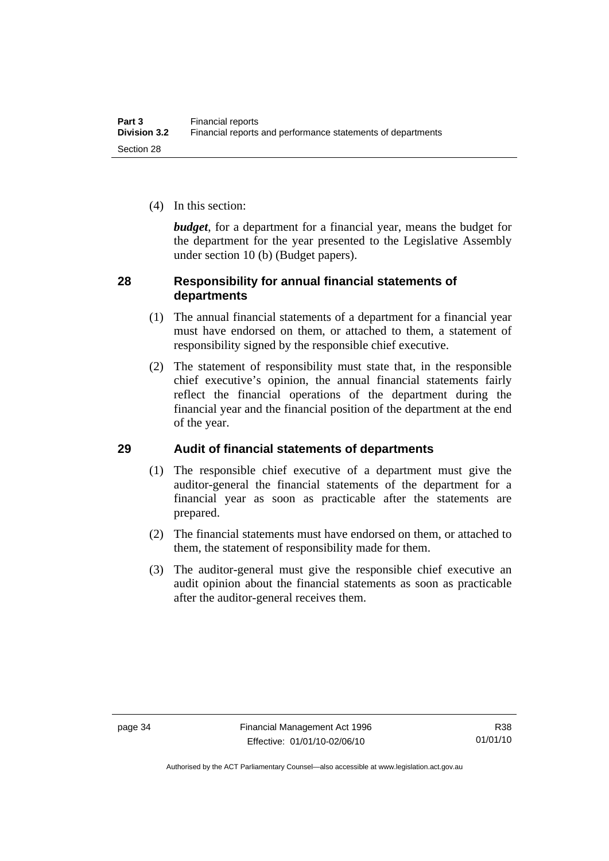(4) In this section:

*budget*, for a department for a financial year, means the budget for the department for the year presented to the Legislative Assembly under section 10 (b) (Budget papers).

# **28 Responsibility for annual financial statements of departments**

- (1) The annual financial statements of a department for a financial year must have endorsed on them, or attached to them, a statement of responsibility signed by the responsible chief executive.
- (2) The statement of responsibility must state that, in the responsible chief executive's opinion, the annual financial statements fairly reflect the financial operations of the department during the financial year and the financial position of the department at the end of the year.

# **29 Audit of financial statements of departments**

- (1) The responsible chief executive of a department must give the auditor-general the financial statements of the department for a financial year as soon as practicable after the statements are prepared.
- (2) The financial statements must have endorsed on them, or attached to them, the statement of responsibility made for them.
- (3) The auditor-general must give the responsible chief executive an audit opinion about the financial statements as soon as practicable after the auditor-general receives them.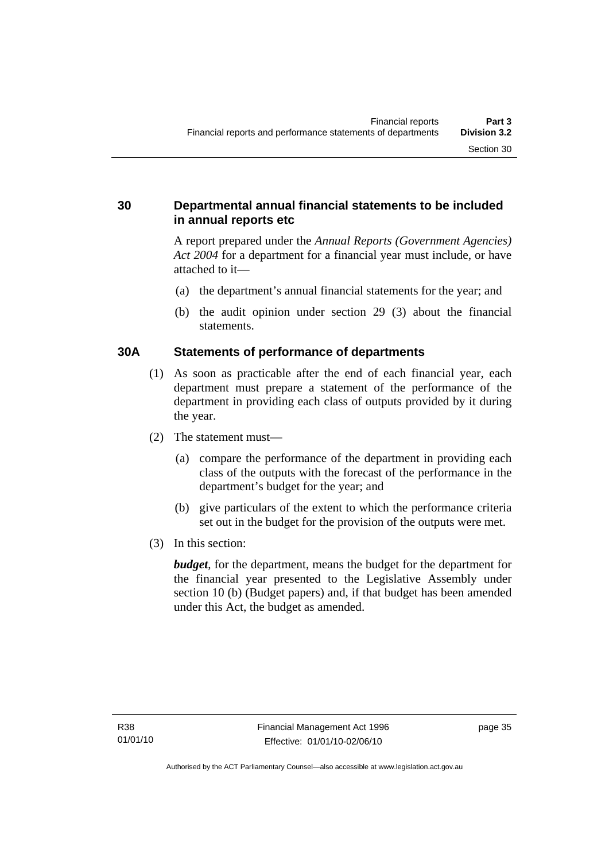# **30 Departmental annual financial statements to be included in annual reports etc**

A report prepared under the *Annual Reports (Government Agencies) Act 2004* for a department for a financial year must include, or have attached to it—

- (a) the department's annual financial statements for the year; and
- (b) the audit opinion under section 29 (3) about the financial statements.

# **30A Statements of performance of departments**

- (1) As soon as practicable after the end of each financial year, each department must prepare a statement of the performance of the department in providing each class of outputs provided by it during the year.
- (2) The statement must—
	- (a) compare the performance of the department in providing each class of the outputs with the forecast of the performance in the department's budget for the year; and
	- (b) give particulars of the extent to which the performance criteria set out in the budget for the provision of the outputs were met.
- (3) In this section:

*budget*, for the department, means the budget for the department for the financial year presented to the Legislative Assembly under section 10 (b) (Budget papers) and, if that budget has been amended under this Act, the budget as amended.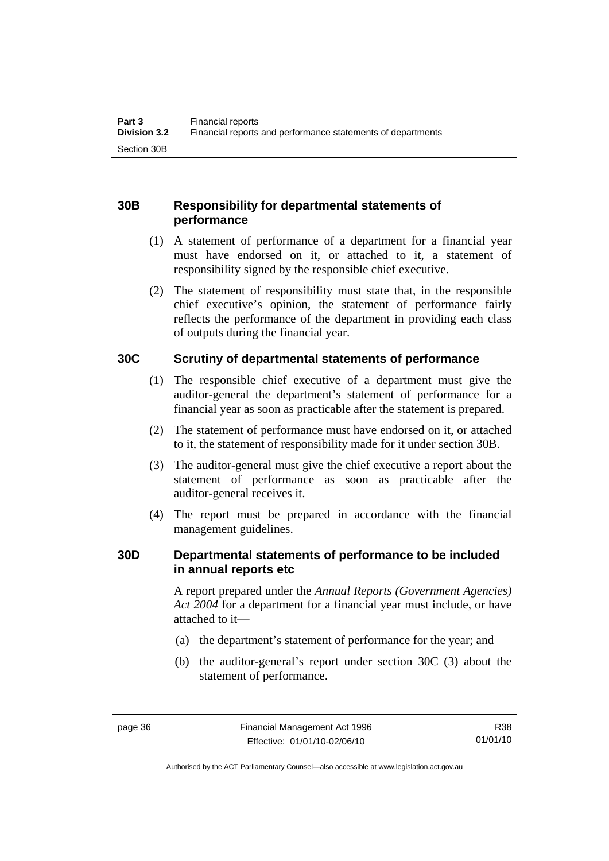# **30B Responsibility for departmental statements of performance**

- (1) A statement of performance of a department for a financial year must have endorsed on it, or attached to it, a statement of responsibility signed by the responsible chief executive.
- (2) The statement of responsibility must state that, in the responsible chief executive's opinion, the statement of performance fairly reflects the performance of the department in providing each class of outputs during the financial year.

# **30C Scrutiny of departmental statements of performance**

- (1) The responsible chief executive of a department must give the auditor-general the department's statement of performance for a financial year as soon as practicable after the statement is prepared.
- (2) The statement of performance must have endorsed on it, or attached to it, the statement of responsibility made for it under section 30B.
- (3) The auditor-general must give the chief executive a report about the statement of performance as soon as practicable after the auditor-general receives it.
- (4) The report must be prepared in accordance with the financial management guidelines.

### **30D Departmental statements of performance to be included in annual reports etc**

A report prepared under the *Annual Reports (Government Agencies) Act 2004* for a department for a financial year must include, or have attached to it—

- (a) the department's statement of performance for the year; and
- (b) the auditor-general's report under section 30C (3) about the statement of performance.

R38 01/01/10

Authorised by the ACT Parliamentary Counsel—also accessible at www.legislation.act.gov.au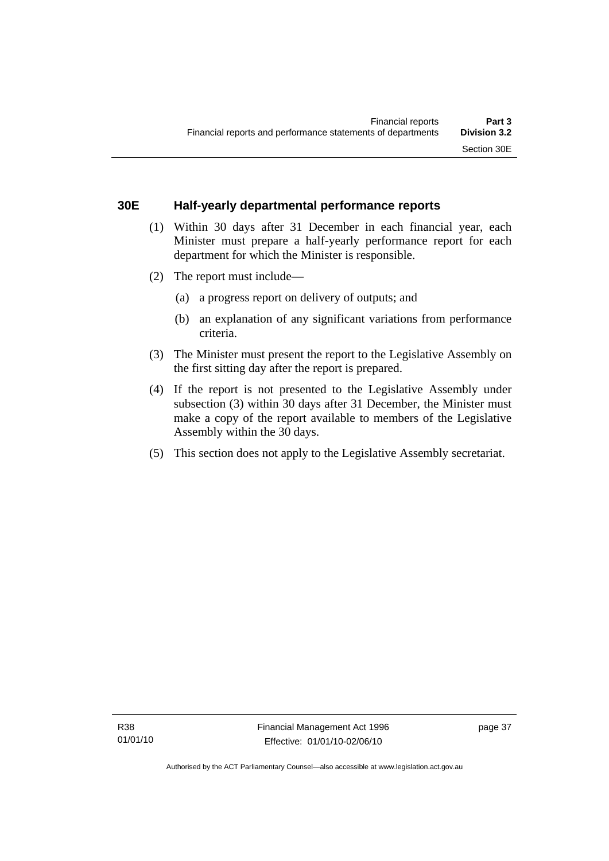## **30E Half-yearly departmental performance reports**

- (1) Within 30 days after 31 December in each financial year, each Minister must prepare a half-yearly performance report for each department for which the Minister is responsible.
- (2) The report must include—
	- (a) a progress report on delivery of outputs; and
	- (b) an explanation of any significant variations from performance criteria.
- (3) The Minister must present the report to the Legislative Assembly on the first sitting day after the report is prepared.
- (4) If the report is not presented to the Legislative Assembly under subsection (3) within 30 days after 31 December, the Minister must make a copy of the report available to members of the Legislative Assembly within the 30 days.
- (5) This section does not apply to the Legislative Assembly secretariat.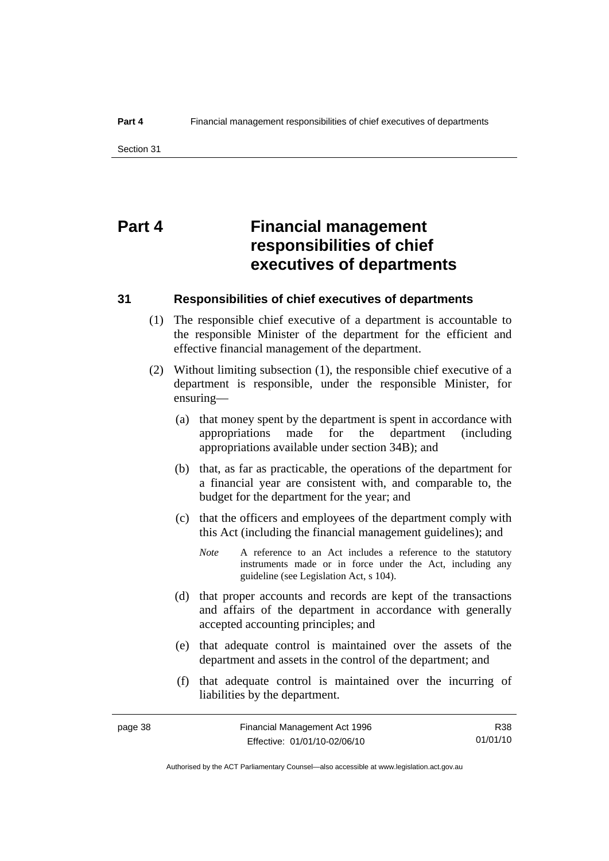# **Part 4 Financial management responsibilities of chief executives of departments**

#### **31 Responsibilities of chief executives of departments**

- (1) The responsible chief executive of a department is accountable to the responsible Minister of the department for the efficient and effective financial management of the department.
- (2) Without limiting subsection (1), the responsible chief executive of a department is responsible, under the responsible Minister, for ensuring—
	- (a) that money spent by the department is spent in accordance with appropriations made for the department (including appropriations available under section 34B); and
	- (b) that, as far as practicable, the operations of the department for a financial year are consistent with, and comparable to, the budget for the department for the year; and
	- (c) that the officers and employees of the department comply with this Act (including the financial management guidelines); and
		- *Note* A reference to an Act includes a reference to the statutory instruments made or in force under the Act, including any guideline (see Legislation Act, s 104).
	- (d) that proper accounts and records are kept of the transactions and affairs of the department in accordance with generally accepted accounting principles; and
	- (e) that adequate control is maintained over the assets of the department and assets in the control of the department; and
	- (f) that adequate control is maintained over the incurring of liabilities by the department.

R38 01/01/10

Authorised by the ACT Parliamentary Counsel—also accessible at www.legislation.act.gov.au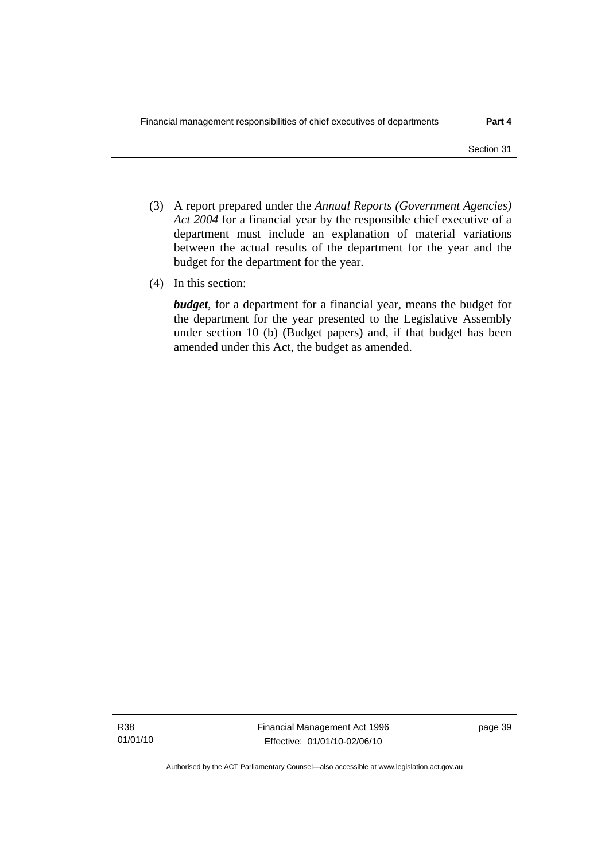- (3) A report prepared under the *Annual Reports (Government Agencies) Act 2004* for a financial year by the responsible chief executive of a department must include an explanation of material variations between the actual results of the department for the year and the budget for the department for the year.
- (4) In this section:

*budget*, for a department for a financial year, means the budget for the department for the year presented to the Legislative Assembly under section 10 (b) (Budget papers) and, if that budget has been amended under this Act, the budget as amended.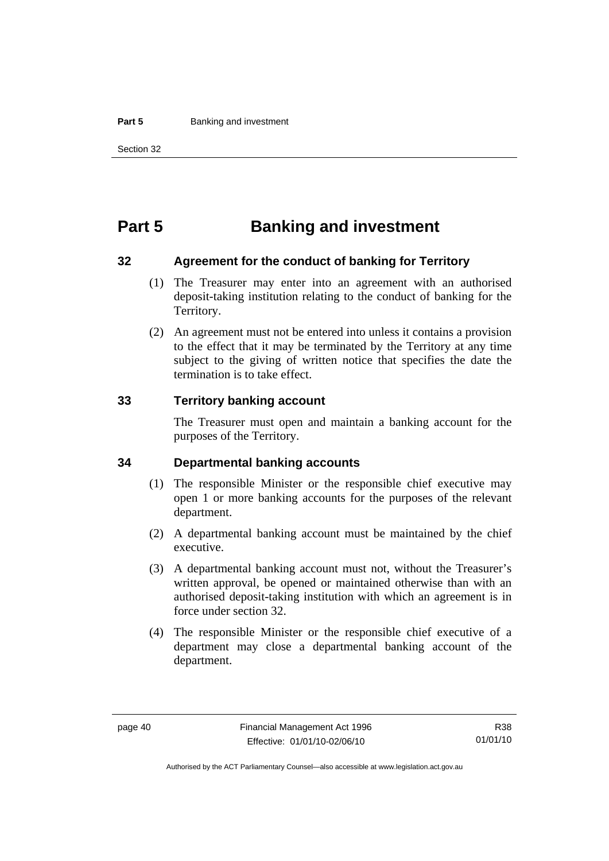#### **Part 5 Banking and investment**

# **Part 5 Banking and investment**

#### **32 Agreement for the conduct of banking for Territory**

- (1) The Treasurer may enter into an agreement with an authorised deposit-taking institution relating to the conduct of banking for the Territory.
- (2) An agreement must not be entered into unless it contains a provision to the effect that it may be terminated by the Territory at any time subject to the giving of written notice that specifies the date the termination is to take effect.

#### **33 Territory banking account**

The Treasurer must open and maintain a banking account for the purposes of the Territory.

#### **34 Departmental banking accounts**

- (1) The responsible Minister or the responsible chief executive may open 1 or more banking accounts for the purposes of the relevant department.
- (2) A departmental banking account must be maintained by the chief executive.
- (3) A departmental banking account must not, without the Treasurer's written approval, be opened or maintained otherwise than with an authorised deposit-taking institution with which an agreement is in force under section 32.
- (4) The responsible Minister or the responsible chief executive of a department may close a departmental banking account of the department.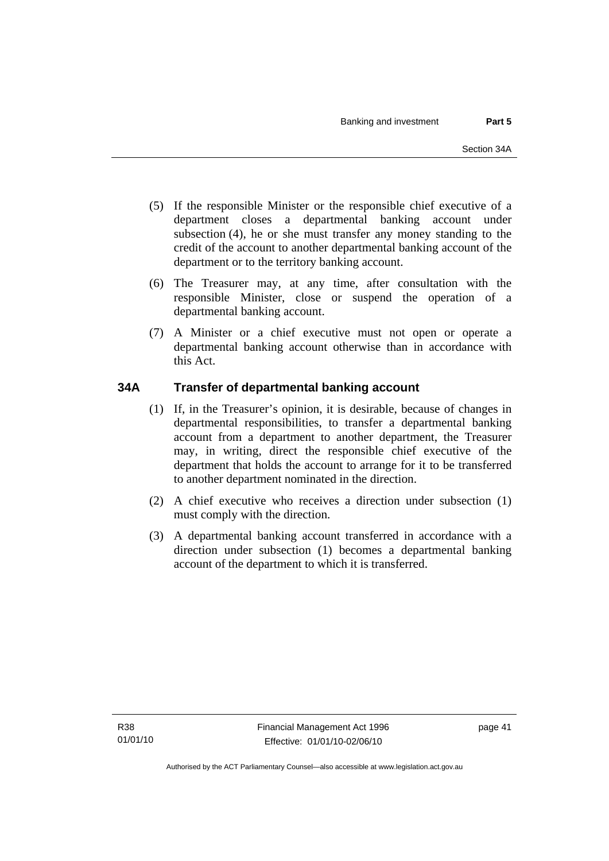- (5) If the responsible Minister or the responsible chief executive of a department closes a departmental banking account under subsection (4), he or she must transfer any money standing to the credit of the account to another departmental banking account of the department or to the territory banking account.
- (6) The Treasurer may, at any time, after consultation with the responsible Minister, close or suspend the operation of a departmental banking account.
- (7) A Minister or a chief executive must not open or operate a departmental banking account otherwise than in accordance with this Act.

# **34A Transfer of departmental banking account**

- (1) If, in the Treasurer's opinion, it is desirable, because of changes in departmental responsibilities, to transfer a departmental banking account from a department to another department, the Treasurer may, in writing, direct the responsible chief executive of the department that holds the account to arrange for it to be transferred to another department nominated in the direction.
- (2) A chief executive who receives a direction under subsection (1) must comply with the direction.
- (3) A departmental banking account transferred in accordance with a direction under subsection (1) becomes a departmental banking account of the department to which it is transferred.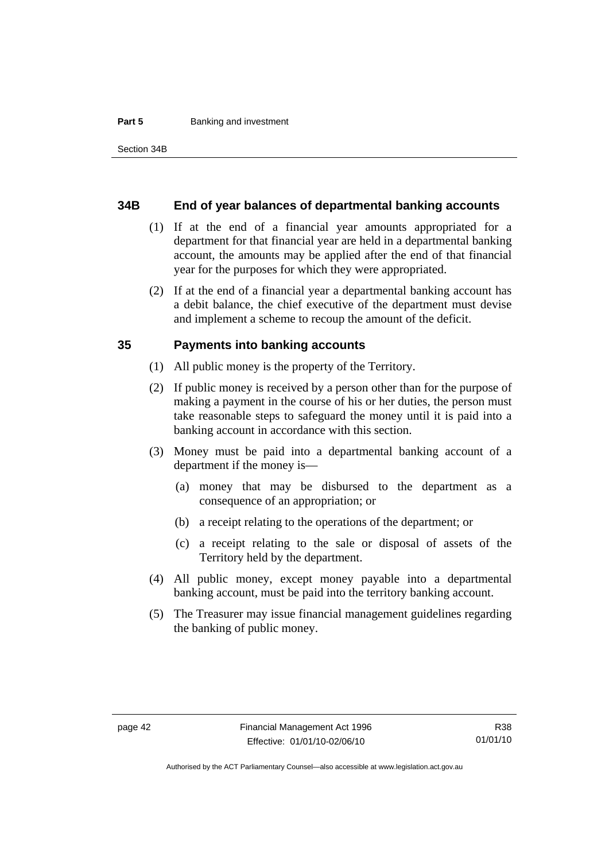#### **Part 5 Banking and investment**

#### **34B End of year balances of departmental banking accounts**

- (1) If at the end of a financial year amounts appropriated for a department for that financial year are held in a departmental banking account, the amounts may be applied after the end of that financial year for the purposes for which they were appropriated.
- (2) If at the end of a financial year a departmental banking account has a debit balance, the chief executive of the department must devise and implement a scheme to recoup the amount of the deficit.

#### **35 Payments into banking accounts**

- (1) All public money is the property of the Territory.
- (2) If public money is received by a person other than for the purpose of making a payment in the course of his or her duties, the person must take reasonable steps to safeguard the money until it is paid into a banking account in accordance with this section.
- (3) Money must be paid into a departmental banking account of a department if the money is—
	- (a) money that may be disbursed to the department as a consequence of an appropriation; or
	- (b) a receipt relating to the operations of the department; or
	- (c) a receipt relating to the sale or disposal of assets of the Territory held by the department.
- (4) All public money, except money payable into a departmental banking account, must be paid into the territory banking account.
- (5) The Treasurer may issue financial management guidelines regarding the banking of public money.

Authorised by the ACT Parliamentary Counsel—also accessible at www.legislation.act.gov.au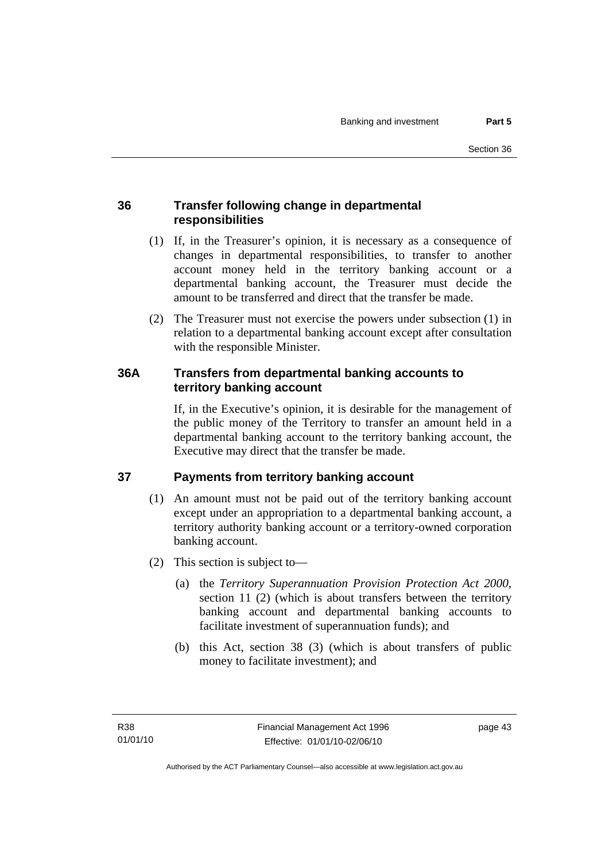# **36 Transfer following change in departmental responsibilities**

- (1) If, in the Treasurer's opinion, it is necessary as a consequence of changes in departmental responsibilities, to transfer to another account money held in the territory banking account or a departmental banking account, the Treasurer must decide the amount to be transferred and direct that the transfer be made.
- (2) The Treasurer must not exercise the powers under subsection (1) in relation to a departmental banking account except after consultation with the responsible Minister.

# **36A Transfers from departmental banking accounts to territory banking account**

If, in the Executive's opinion, it is desirable for the management of the public money of the Territory to transfer an amount held in a departmental banking account to the territory banking account, the Executive may direct that the transfer be made.

# **37 Payments from territory banking account**

- (1) An amount must not be paid out of the territory banking account except under an appropriation to a departmental banking account, a territory authority banking account or a territory-owned corporation banking account.
- (2) This section is subject to—
	- (a) the *Territory Superannuation Provision Protection Act 2000*, section 11 (2) (which is about transfers between the territory banking account and departmental banking accounts to facilitate investment of superannuation funds); and
	- (b) this Act, section 38 (3) (which is about transfers of public money to facilitate investment); and

page 43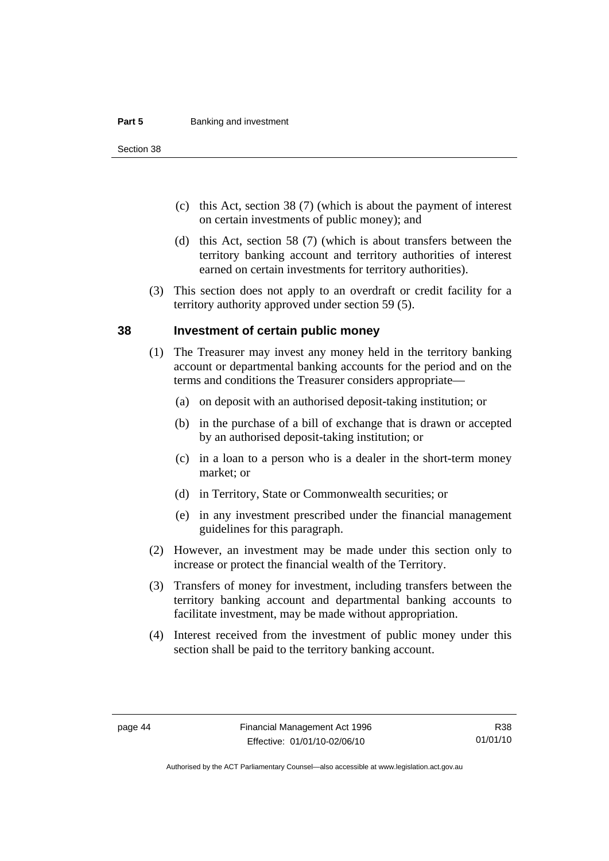#### **Part 5 Banking and investment**

Section 38

- (c) this Act, section 38 (7) (which is about the payment of interest on certain investments of public money); and
- (d) this Act, section 58 (7) (which is about transfers between the territory banking account and territory authorities of interest earned on certain investments for territory authorities).
- (3) This section does not apply to an overdraft or credit facility for a territory authority approved under section 59 (5).

#### **38 Investment of certain public money**

- (1) The Treasurer may invest any money held in the territory banking account or departmental banking accounts for the period and on the terms and conditions the Treasurer considers appropriate—
	- (a) on deposit with an authorised deposit-taking institution; or
	- (b) in the purchase of a bill of exchange that is drawn or accepted by an authorised deposit-taking institution; or
	- (c) in a loan to a person who is a dealer in the short-term money market; or
	- (d) in Territory, State or Commonwealth securities; or
	- (e) in any investment prescribed under the financial management guidelines for this paragraph.
- (2) However, an investment may be made under this section only to increase or protect the financial wealth of the Territory.
- (3) Transfers of money for investment, including transfers between the territory banking account and departmental banking accounts to facilitate investment, may be made without appropriation.
- (4) Interest received from the investment of public money under this section shall be paid to the territory banking account.

Authorised by the ACT Parliamentary Counsel—also accessible at www.legislation.act.gov.au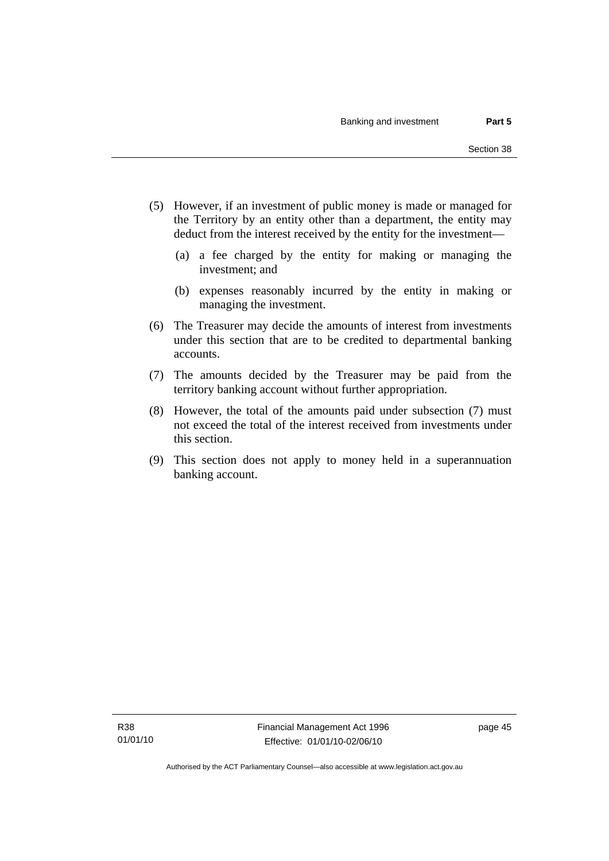- (5) However, if an investment of public money is made or managed for the Territory by an entity other than a department, the entity may deduct from the interest received by the entity for the investment—
	- (a) a fee charged by the entity for making or managing the investment; and
	- (b) expenses reasonably incurred by the entity in making or managing the investment.
- (6) The Treasurer may decide the amounts of interest from investments under this section that are to be credited to departmental banking accounts.
- (7) The amounts decided by the Treasurer may be paid from the territory banking account without further appropriation.
- (8) However, the total of the amounts paid under subsection (7) must not exceed the total of the interest received from investments under this section.
- (9) This section does not apply to money held in a superannuation banking account.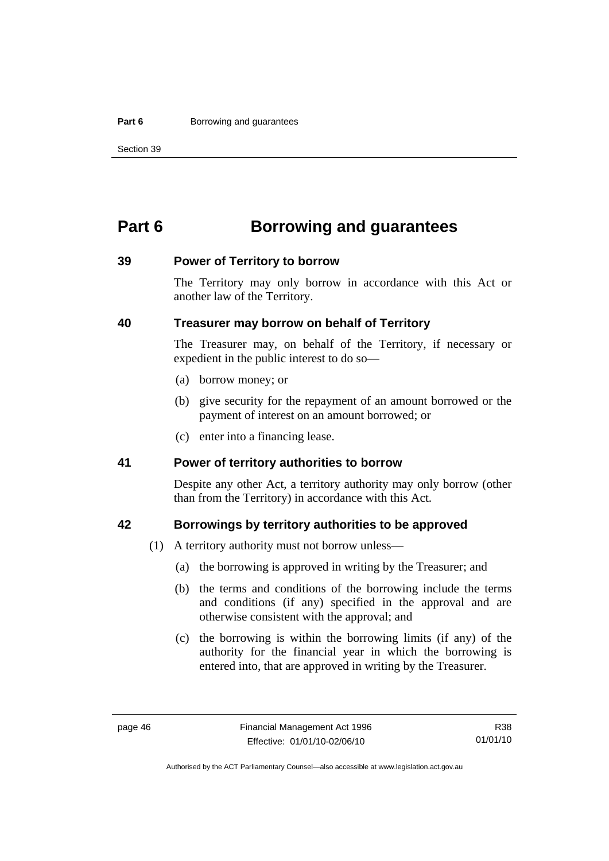#### **Part 6 Borrowing and guarantees**

Section 39

# **Part 6 Borrowing and guarantees**

#### **39 Power of Territory to borrow**

The Territory may only borrow in accordance with this Act or another law of the Territory.

# **40 Treasurer may borrow on behalf of Territory**

The Treasurer may, on behalf of the Territory, if necessary or expedient in the public interest to do so—

- (a) borrow money; or
- (b) give security for the repayment of an amount borrowed or the payment of interest on an amount borrowed; or
- (c) enter into a financing lease.

### **41 Power of territory authorities to borrow**

Despite any other Act, a territory authority may only borrow (other than from the Territory) in accordance with this Act.

### **42 Borrowings by territory authorities to be approved**

- (1) A territory authority must not borrow unless—
	- (a) the borrowing is approved in writing by the Treasurer; and
	- (b) the terms and conditions of the borrowing include the terms and conditions (if any) specified in the approval and are otherwise consistent with the approval; and
	- (c) the borrowing is within the borrowing limits (if any) of the authority for the financial year in which the borrowing is entered into, that are approved in writing by the Treasurer.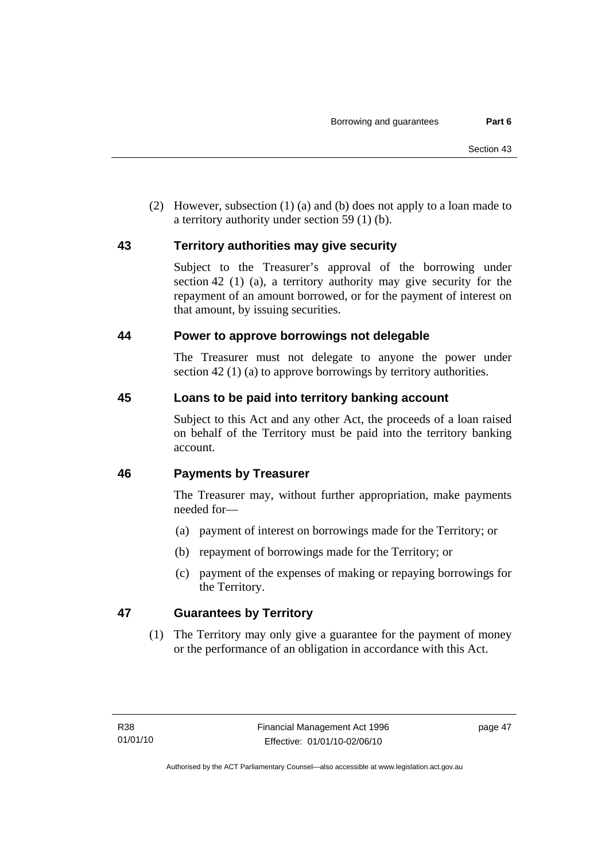(2) However, subsection (1) (a) and (b) does not apply to a loan made to a territory authority under section 59 (1) (b).

# **43 Territory authorities may give security**

Subject to the Treasurer's approval of the borrowing under section 42 (1) (a), a territory authority may give security for the repayment of an amount borrowed, or for the payment of interest on that amount, by issuing securities.

# **44 Power to approve borrowings not delegable**

The Treasurer must not delegate to anyone the power under section 42 (1) (a) to approve borrowings by territory authorities.

# **45 Loans to be paid into territory banking account**

Subject to this Act and any other Act, the proceeds of a loan raised on behalf of the Territory must be paid into the territory banking account.

# **46 Payments by Treasurer**

The Treasurer may, without further appropriation, make payments needed for—

- (a) payment of interest on borrowings made for the Territory; or
- (b) repayment of borrowings made for the Territory; or
- (c) payment of the expenses of making or repaying borrowings for the Territory.

# **47 Guarantees by Territory**

 (1) The Territory may only give a guarantee for the payment of money or the performance of an obligation in accordance with this Act.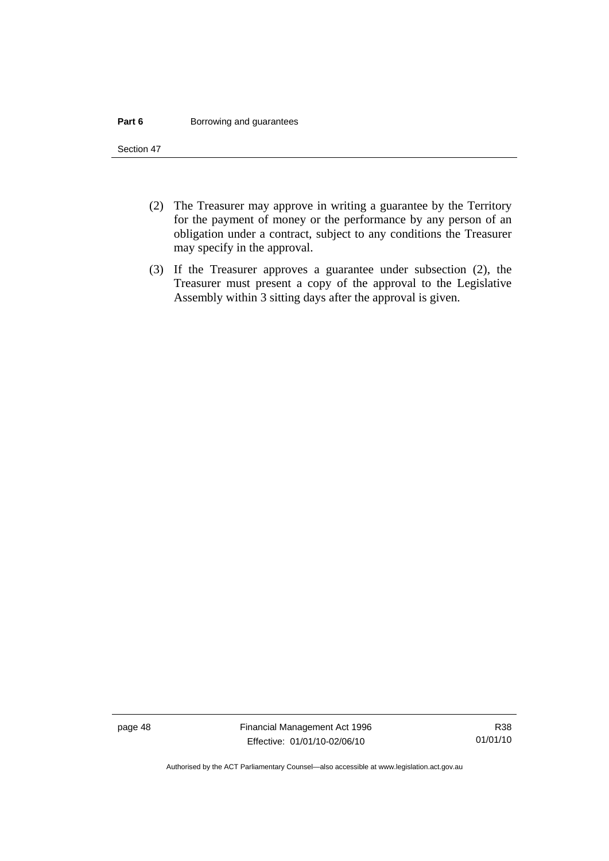#### **Part 6 Borrowing and guarantees**

Section 47

- (2) The Treasurer may approve in writing a guarantee by the Territory for the payment of money or the performance by any person of an obligation under a contract, subject to any conditions the Treasurer may specify in the approval.
- (3) If the Treasurer approves a guarantee under subsection (2), the Treasurer must present a copy of the approval to the Legislative Assembly within 3 sitting days after the approval is given.

page 48 Financial Management Act 1996 Effective: 01/01/10-02/06/10

Authorised by the ACT Parliamentary Counsel—also accessible at www.legislation.act.gov.au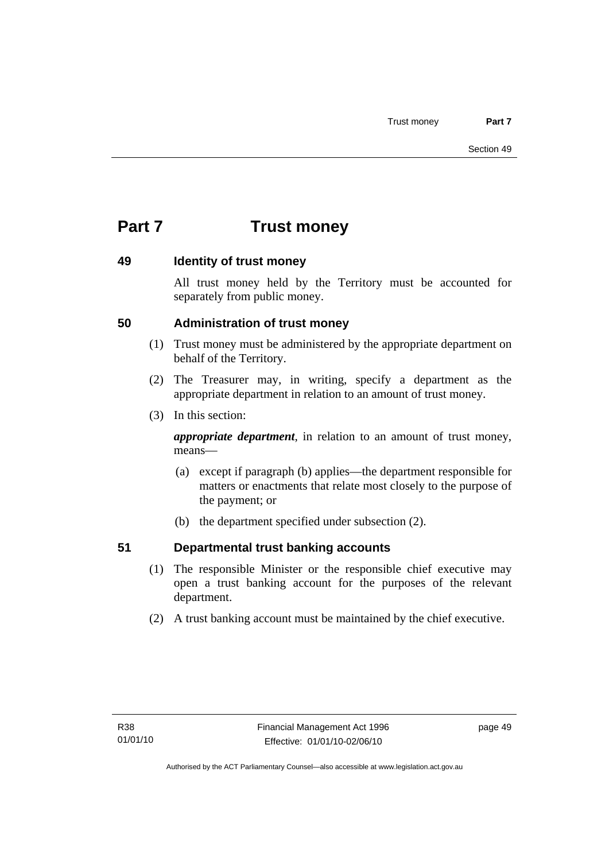# **Part 7 Trust money**

# **49 Identity of trust money**

All trust money held by the Territory must be accounted for separately from public money.

# **50 Administration of trust money**

- (1) Trust money must be administered by the appropriate department on behalf of the Territory.
- (2) The Treasurer may, in writing, specify a department as the appropriate department in relation to an amount of trust money.
- (3) In this section:

*appropriate department*, in relation to an amount of trust money, means—

- (a) except if paragraph (b) applies—the department responsible for matters or enactments that relate most closely to the purpose of the payment; or
- (b) the department specified under subsection (2).

# **51 Departmental trust banking accounts**

- (1) The responsible Minister or the responsible chief executive may open a trust banking account for the purposes of the relevant department.
- (2) A trust banking account must be maintained by the chief executive.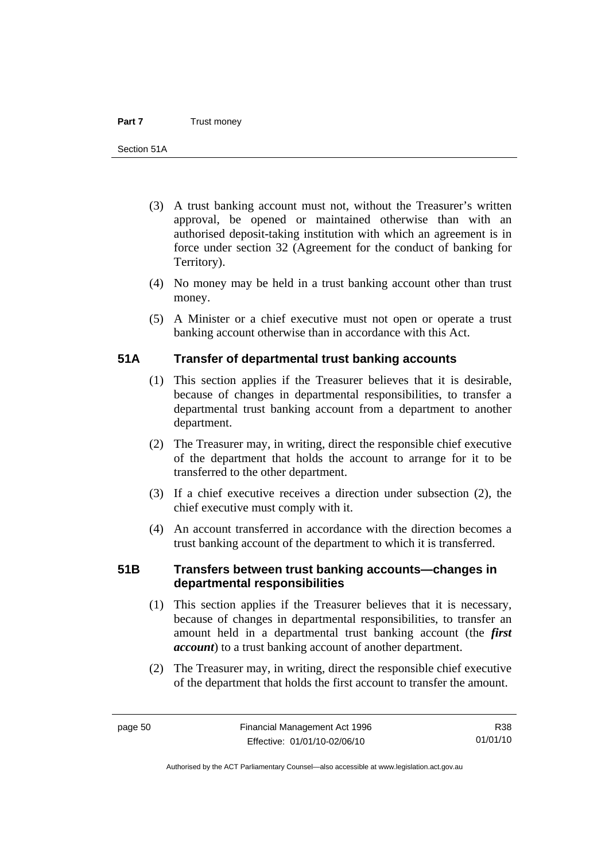- (3) A trust banking account must not, without the Treasurer's written approval, be opened or maintained otherwise than with an authorised deposit-taking institution with which an agreement is in force under section 32 (Agreement for the conduct of banking for Territory).
- (4) No money may be held in a trust banking account other than trust money.
- (5) A Minister or a chief executive must not open or operate a trust banking account otherwise than in accordance with this Act.

# **51A Transfer of departmental trust banking accounts**

- (1) This section applies if the Treasurer believes that it is desirable, because of changes in departmental responsibilities, to transfer a departmental trust banking account from a department to another department.
- (2) The Treasurer may, in writing, direct the responsible chief executive of the department that holds the account to arrange for it to be transferred to the other department.
- (3) If a chief executive receives a direction under subsection (2), the chief executive must comply with it.
- (4) An account transferred in accordance with the direction becomes a trust banking account of the department to which it is transferred.

# **51B Transfers between trust banking accounts—changes in departmental responsibilities**

- (1) This section applies if the Treasurer believes that it is necessary, because of changes in departmental responsibilities, to transfer an amount held in a departmental trust banking account (the *first account*) to a trust banking account of another department.
- (2) The Treasurer may, in writing, direct the responsible chief executive of the department that holds the first account to transfer the amount.

R38 01/01/10

Authorised by the ACT Parliamentary Counsel—also accessible at www.legislation.act.gov.au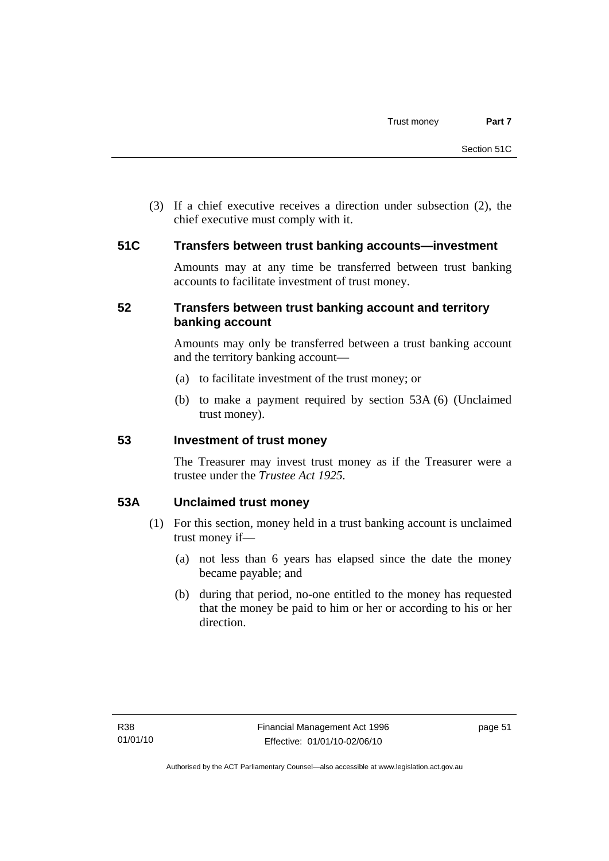(3) If a chief executive receives a direction under subsection (2), the chief executive must comply with it.

### **51C Transfers between trust banking accounts—investment**

Amounts may at any time be transferred between trust banking accounts to facilitate investment of trust money.

# **52 Transfers between trust banking account and territory banking account**

Amounts may only be transferred between a trust banking account and the territory banking account—

- (a) to facilitate investment of the trust money; or
- (b) to make a payment required by section 53A (6) (Unclaimed trust money).

### **53 Investment of trust money**

The Treasurer may invest trust money as if the Treasurer were a trustee under the *Trustee Act 1925.*

# **53A Unclaimed trust money**

- (1) For this section, money held in a trust banking account is unclaimed trust money if—
	- (a) not less than 6 years has elapsed since the date the money became payable; and
	- (b) during that period, no-one entitled to the money has requested that the money be paid to him or her or according to his or her direction.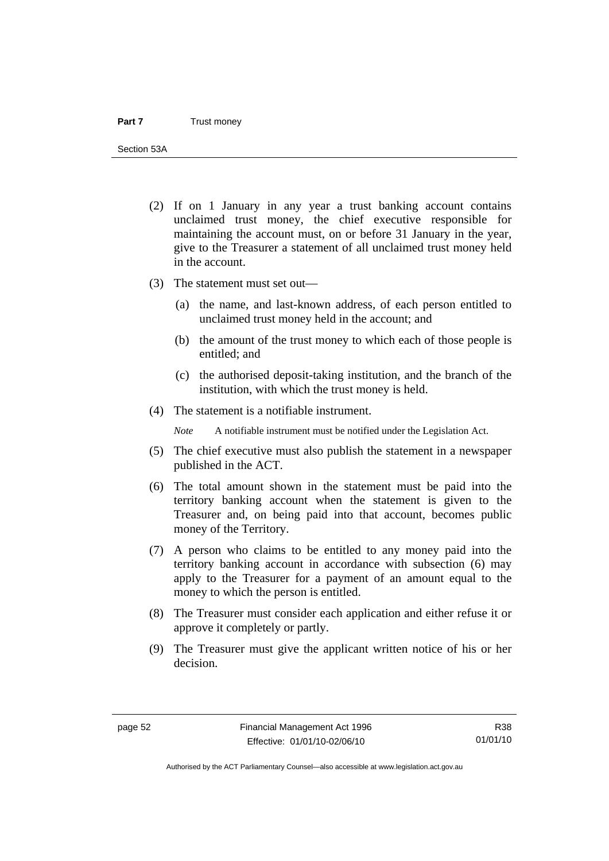Section 53A

- (2) If on 1 January in any year a trust banking account contains unclaimed trust money, the chief executive responsible for maintaining the account must, on or before 31 January in the year, give to the Treasurer a statement of all unclaimed trust money held in the account.
- (3) The statement must set out—
	- (a) the name, and last-known address, of each person entitled to unclaimed trust money held in the account; and
	- (b) the amount of the trust money to which each of those people is entitled; and
	- (c) the authorised deposit-taking institution, and the branch of the institution, with which the trust money is held.
- (4) The statement is a notifiable instrument.

*Note* A notifiable instrument must be notified under the Legislation Act.

- (5) The chief executive must also publish the statement in a newspaper published in the ACT.
- (6) The total amount shown in the statement must be paid into the territory banking account when the statement is given to the Treasurer and, on being paid into that account, becomes public money of the Territory.
- (7) A person who claims to be entitled to any money paid into the territory banking account in accordance with subsection (6) may apply to the Treasurer for a payment of an amount equal to the money to which the person is entitled.
- (8) The Treasurer must consider each application and either refuse it or approve it completely or partly.
- (9) The Treasurer must give the applicant written notice of his or her decision.

Authorised by the ACT Parliamentary Counsel—also accessible at www.legislation.act.gov.au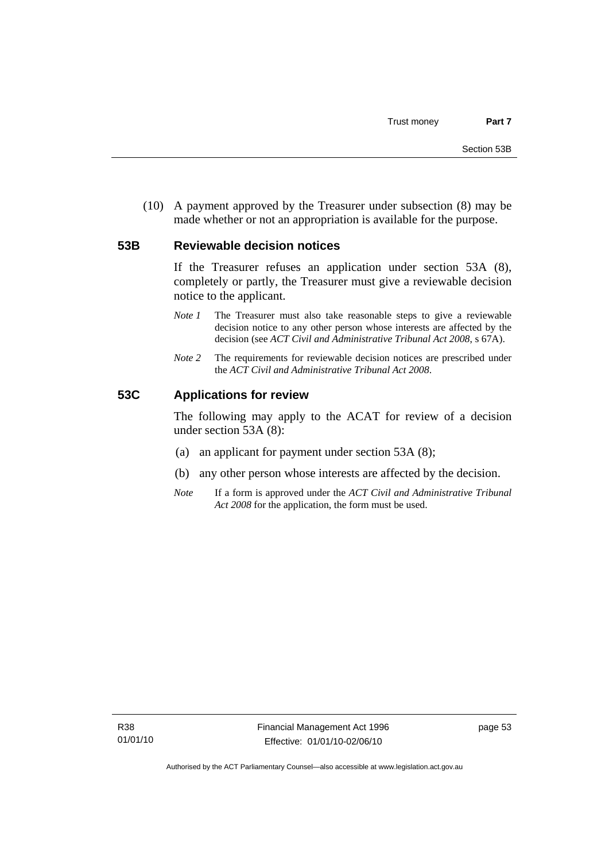(10) A payment approved by the Treasurer under subsection (8) may be made whether or not an appropriation is available for the purpose.

#### **53B Reviewable decision notices**

If the Treasurer refuses an application under section 53A (8), completely or partly, the Treasurer must give a reviewable decision notice to the applicant.

- *Note 1* The Treasurer must also take reasonable steps to give a reviewable decision notice to any other person whose interests are affected by the decision (see *ACT Civil and Administrative Tribunal Act 2008*, s 67A).
- *Note* 2 The requirements for reviewable decision notices are prescribed under the *ACT Civil and Administrative Tribunal Act 2008*.

#### **53C Applications for review**

The following may apply to the ACAT for review of a decision under section 53A (8):

- (a) an applicant for payment under section 53A (8);
- (b) any other person whose interests are affected by the decision.
- *Note* If a form is approved under the *ACT Civil and Administrative Tribunal Act 2008* for the application, the form must be used.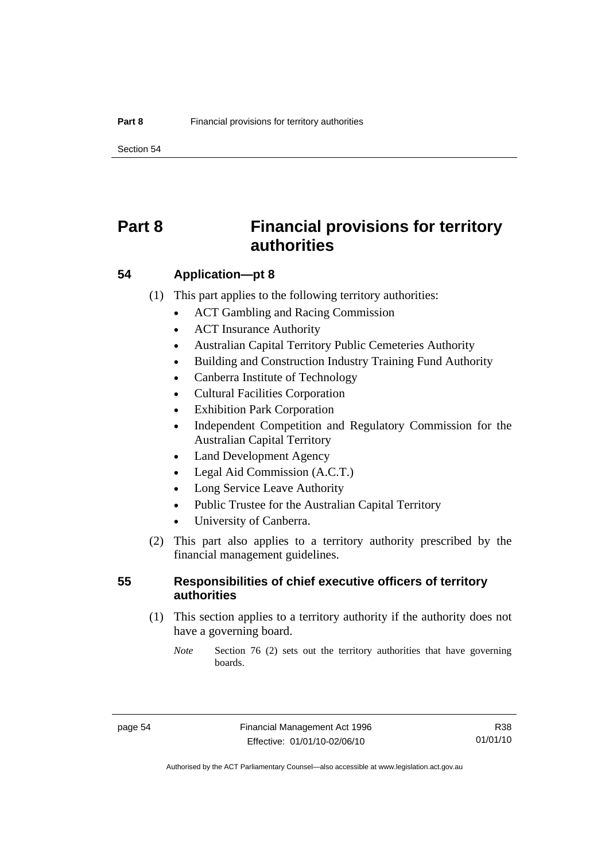Section 54

# **Part 8 Financial provisions for territory authorities**

### **54 Application—pt 8**

(1) This part applies to the following territory authorities:

- ACT Gambling and Racing Commission
- ACT Insurance Authority
- Australian Capital Territory Public Cemeteries Authority
- Building and Construction Industry Training Fund Authority
- Canberra Institute of Technology
- Cultural Facilities Corporation
- **Exhibition Park Corporation**
- Independent Competition and Regulatory Commission for the Australian Capital Territory
- Land Development Agency
- Legal Aid Commission (A.C.T.)
- Long Service Leave Authority
- Public Trustee for the Australian Capital Territory
- University of Canberra.
- (2) This part also applies to a territory authority prescribed by the financial management guidelines.

### **55 Responsibilities of chief executive officers of territory authorities**

- (1) This section applies to a territory authority if the authority does not have a governing board.
	- *Note* Section 76 (2) sets out the territory authorities that have governing boards.

R38 01/01/10

Authorised by the ACT Parliamentary Counsel—also accessible at www.legislation.act.gov.au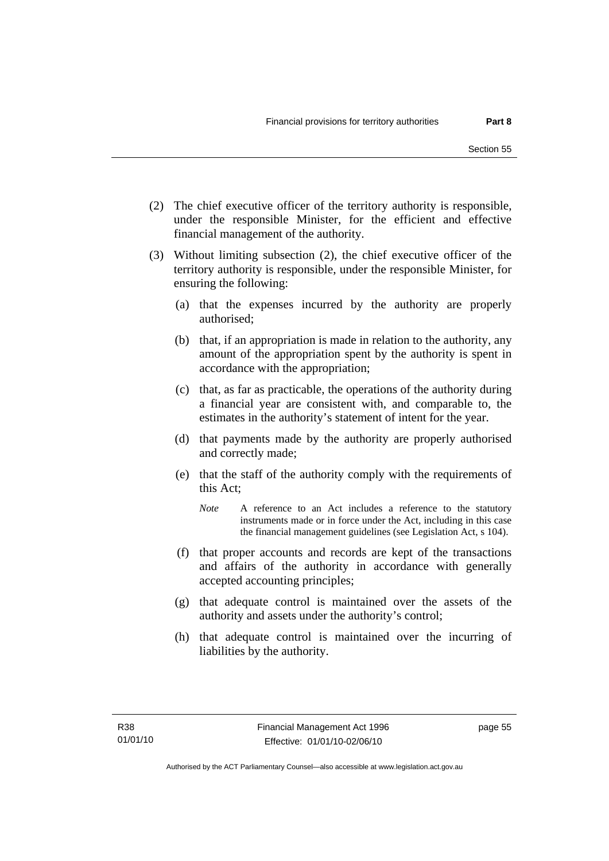- (2) The chief executive officer of the territory authority is responsible, under the responsible Minister, for the efficient and effective financial management of the authority.
- (3) Without limiting subsection (2), the chief executive officer of the territory authority is responsible, under the responsible Minister, for ensuring the following:
	- (a) that the expenses incurred by the authority are properly authorised;
	- (b) that, if an appropriation is made in relation to the authority, any amount of the appropriation spent by the authority is spent in accordance with the appropriation;
	- (c) that, as far as practicable, the operations of the authority during a financial year are consistent with, and comparable to, the estimates in the authority's statement of intent for the year.
	- (d) that payments made by the authority are properly authorised and correctly made;
	- (e) that the staff of the authority comply with the requirements of this Act;
		- *Note* A reference to an Act includes a reference to the statutory instruments made or in force under the Act, including in this case the financial management guidelines (see Legislation Act, s 104).
	- (f) that proper accounts and records are kept of the transactions and affairs of the authority in accordance with generally accepted accounting principles;
	- (g) that adequate control is maintained over the assets of the authority and assets under the authority's control;
	- (h) that adequate control is maintained over the incurring of liabilities by the authority.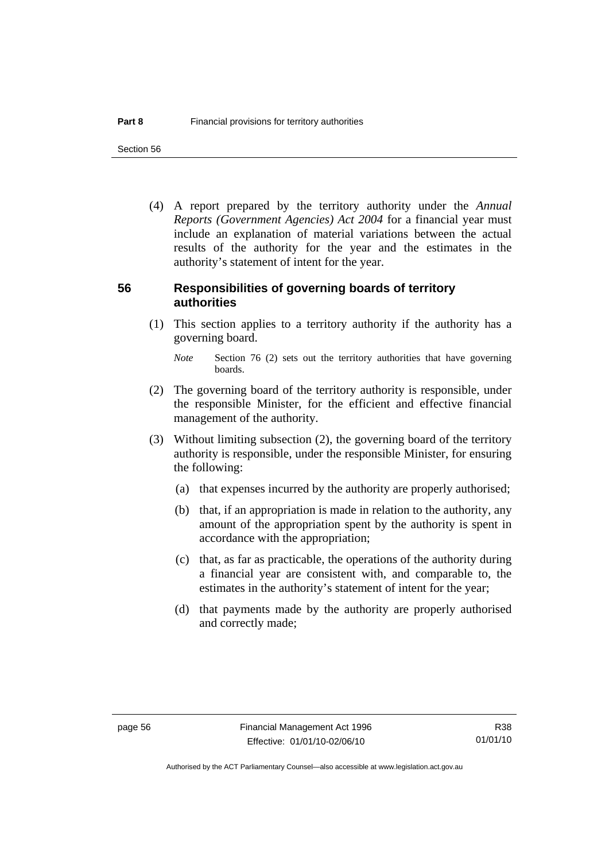Section 56

 (4) A report prepared by the territory authority under the *Annual Reports (Government Agencies) Act 2004* for a financial year must include an explanation of material variations between the actual results of the authority for the year and the estimates in the authority's statement of intent for the year.

#### **56 Responsibilities of governing boards of territory authorities**

 (1) This section applies to a territory authority if the authority has a governing board.

- (2) The governing board of the territory authority is responsible, under the responsible Minister, for the efficient and effective financial management of the authority.
- (3) Without limiting subsection (2), the governing board of the territory authority is responsible, under the responsible Minister, for ensuring the following:
	- (a) that expenses incurred by the authority are properly authorised;
	- (b) that, if an appropriation is made in relation to the authority, any amount of the appropriation spent by the authority is spent in accordance with the appropriation;
	- (c) that, as far as practicable, the operations of the authority during a financial year are consistent with, and comparable to, the estimates in the authority's statement of intent for the year;
	- (d) that payments made by the authority are properly authorised and correctly made;

*Note* Section 76 (2) sets out the territory authorities that have governing boards.

R38 01/01/10

Authorised by the ACT Parliamentary Counsel—also accessible at www.legislation.act.gov.au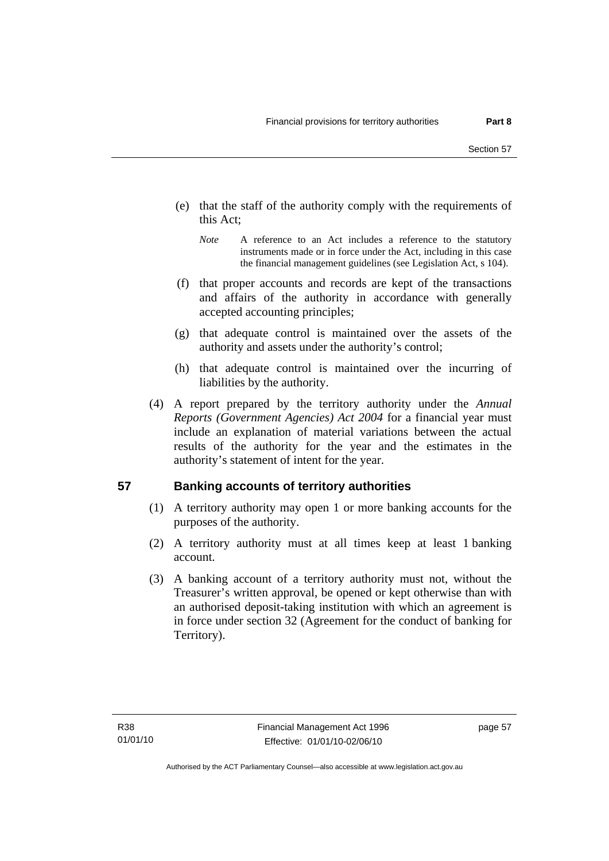- (e) that the staff of the authority comply with the requirements of this Act;
	- *Note* A reference to an Act includes a reference to the statutory instruments made or in force under the Act, including in this case the financial management guidelines (see Legislation Act, s 104).
- (f) that proper accounts and records are kept of the transactions and affairs of the authority in accordance with generally accepted accounting principles;
- (g) that adequate control is maintained over the assets of the authority and assets under the authority's control;
- (h) that adequate control is maintained over the incurring of liabilities by the authority.
- (4) A report prepared by the territory authority under the *Annual Reports (Government Agencies) Act 2004* for a financial year must include an explanation of material variations between the actual results of the authority for the year and the estimates in the authority's statement of intent for the year.

# **57 Banking accounts of territory authorities**

- (1) A territory authority may open 1 or more banking accounts for the purposes of the authority.
- (2) A territory authority must at all times keep at least 1 banking account.
- (3) A banking account of a territory authority must not, without the Treasurer's written approval, be opened or kept otherwise than with an authorised deposit-taking institution with which an agreement is in force under section 32 (Agreement for the conduct of banking for Territory).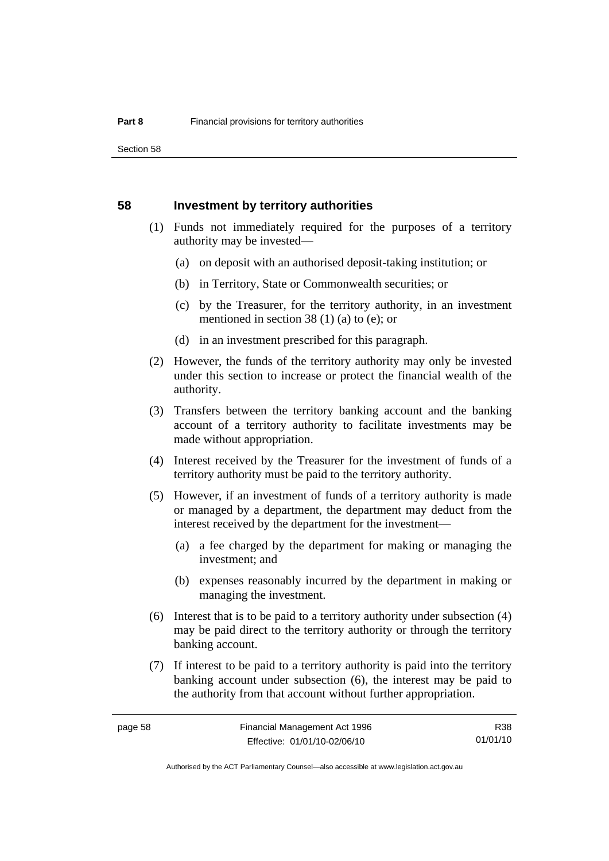Section 58

#### **58 Investment by territory authorities**

- (1) Funds not immediately required for the purposes of a territory authority may be invested—
	- (a) on deposit with an authorised deposit-taking institution; or
	- (b) in Territory, State or Commonwealth securities; or
	- (c) by the Treasurer, for the territory authority, in an investment mentioned in section 38 (1) (a) to (e); or
	- (d) in an investment prescribed for this paragraph.
- (2) However, the funds of the territory authority may only be invested under this section to increase or protect the financial wealth of the authority.
- (3) Transfers between the territory banking account and the banking account of a territory authority to facilitate investments may be made without appropriation.
- (4) Interest received by the Treasurer for the investment of funds of a territory authority must be paid to the territory authority.
- (5) However, if an investment of funds of a territory authority is made or managed by a department, the department may deduct from the interest received by the department for the investment—
	- (a) a fee charged by the department for making or managing the investment; and
	- (b) expenses reasonably incurred by the department in making or managing the investment.
- (6) Interest that is to be paid to a territory authority under subsection (4) may be paid direct to the territory authority or through the territory banking account.
- (7) If interest to be paid to a territory authority is paid into the territory banking account under subsection (6), the interest may be paid to the authority from that account without further appropriation.

R38 01/01/10

Authorised by the ACT Parliamentary Counsel—also accessible at www.legislation.act.gov.au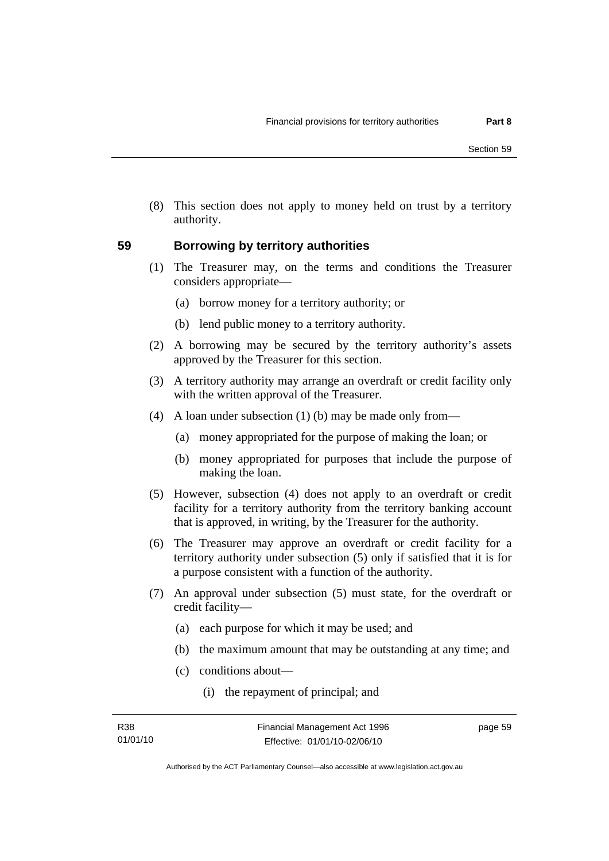(8) This section does not apply to money held on trust by a territory authority.

### **59 Borrowing by territory authorities**

- (1) The Treasurer may, on the terms and conditions the Treasurer considers appropriate—
	- (a) borrow money for a territory authority; or
	- (b) lend public money to a territory authority.
- (2) A borrowing may be secured by the territory authority's assets approved by the Treasurer for this section.
- (3) A territory authority may arrange an overdraft or credit facility only with the written approval of the Treasurer.
- (4) A loan under subsection (1) (b) may be made only from—
	- (a) money appropriated for the purpose of making the loan; or
	- (b) money appropriated for purposes that include the purpose of making the loan.
- (5) However, subsection (4) does not apply to an overdraft or credit facility for a territory authority from the territory banking account that is approved, in writing, by the Treasurer for the authority.
- (6) The Treasurer may approve an overdraft or credit facility for a territory authority under subsection (5) only if satisfied that it is for a purpose consistent with a function of the authority.
- (7) An approval under subsection (5) must state, for the overdraft or credit facility—
	- (a) each purpose for which it may be used; and
	- (b) the maximum amount that may be outstanding at any time; and
	- (c) conditions about—
		- (i) the repayment of principal; and

page 59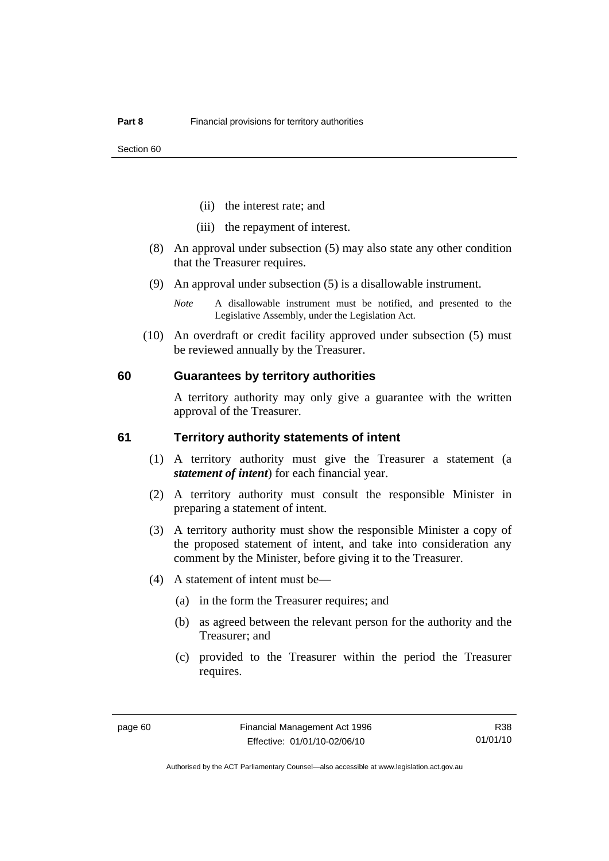- (ii) the interest rate; and
- (iii) the repayment of interest.
- (8) An approval under subsection (5) may also state any other condition that the Treasurer requires.
- (9) An approval under subsection (5) is a disallowable instrument.
	- *Note* A disallowable instrument must be notified, and presented to the Legislative Assembly, under the Legislation Act.
- (10) An overdraft or credit facility approved under subsection (5) must be reviewed annually by the Treasurer.

#### **60 Guarantees by territory authorities**

A territory authority may only give a guarantee with the written approval of the Treasurer.

#### **61 Territory authority statements of intent**

- (1) A territory authority must give the Treasurer a statement (a *statement of intent*) for each financial year.
- (2) A territory authority must consult the responsible Minister in preparing a statement of intent.
- (3) A territory authority must show the responsible Minister a copy of the proposed statement of intent, and take into consideration any comment by the Minister, before giving it to the Treasurer.
- (4) A statement of intent must be—
	- (a) in the form the Treasurer requires; and
	- (b) as agreed between the relevant person for the authority and the Treasurer; and
	- (c) provided to the Treasurer within the period the Treasurer requires.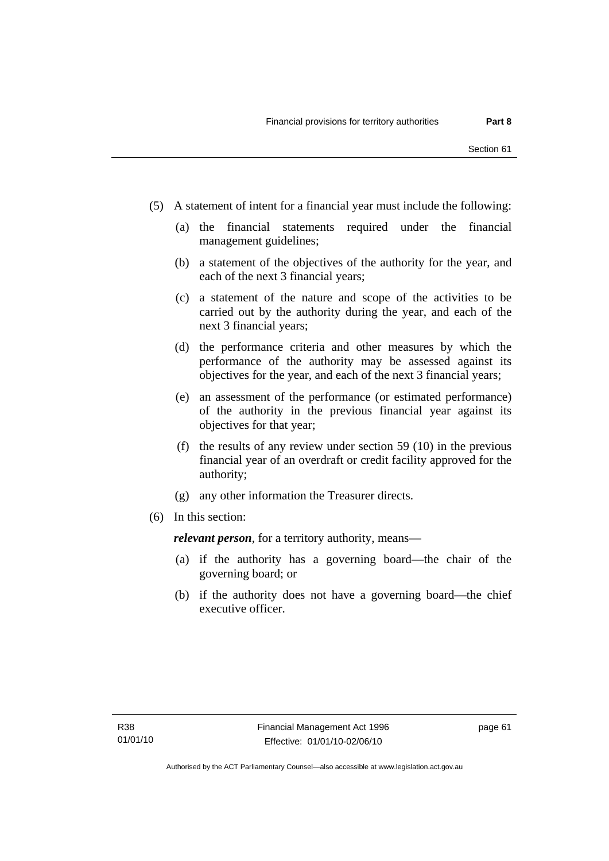- (5) A statement of intent for a financial year must include the following:
	- (a) the financial statements required under the financial management guidelines;
	- (b) a statement of the objectives of the authority for the year, and each of the next 3 financial years;
	- (c) a statement of the nature and scope of the activities to be carried out by the authority during the year, and each of the next 3 financial years;
	- (d) the performance criteria and other measures by which the performance of the authority may be assessed against its objectives for the year, and each of the next 3 financial years;
	- (e) an assessment of the performance (or estimated performance) of the authority in the previous financial year against its objectives for that year;
	- (f) the results of any review under section 59 (10) in the previous financial year of an overdraft or credit facility approved for the authority;
	- (g) any other information the Treasurer directs.
- (6) In this section:

*relevant person*, for a territory authority, means—

- (a) if the authority has a governing board—the chair of the governing board; or
- (b) if the authority does not have a governing board—the chief executive officer.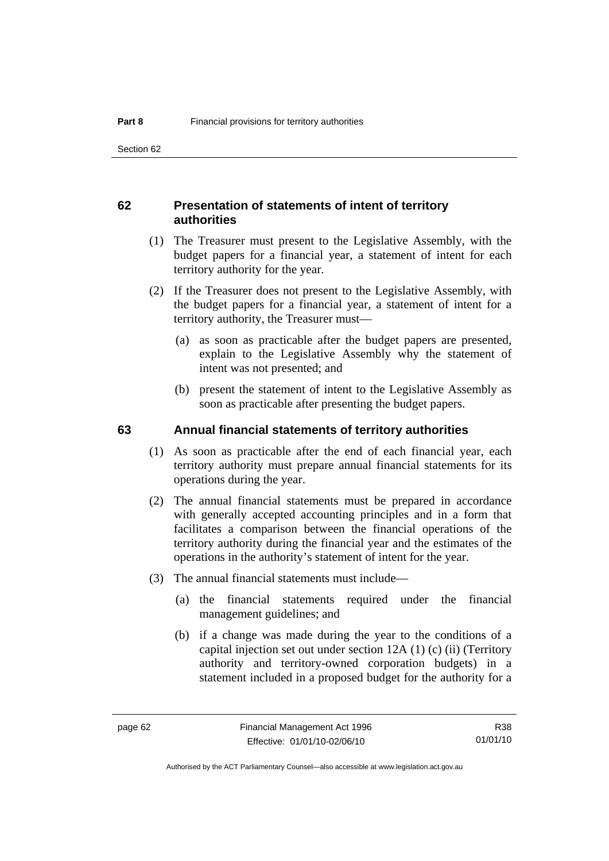## **62 Presentation of statements of intent of territory authorities**

- (1) The Treasurer must present to the Legislative Assembly, with the budget papers for a financial year, a statement of intent for each territory authority for the year.
- (2) If the Treasurer does not present to the Legislative Assembly, with the budget papers for a financial year, a statement of intent for a territory authority, the Treasurer must—
	- (a) as soon as practicable after the budget papers are presented, explain to the Legislative Assembly why the statement of intent was not presented; and
	- (b) present the statement of intent to the Legislative Assembly as soon as practicable after presenting the budget papers.

#### **63 Annual financial statements of territory authorities**

- (1) As soon as practicable after the end of each financial year, each territory authority must prepare annual financial statements for its operations during the year.
- (2) The annual financial statements must be prepared in accordance with generally accepted accounting principles and in a form that facilitates a comparison between the financial operations of the territory authority during the financial year and the estimates of the operations in the authority's statement of intent for the year.
- (3) The annual financial statements must include—
	- (a) the financial statements required under the financial management guidelines; and
	- (b) if a change was made during the year to the conditions of a capital injection set out under section 12A (1) (c) (ii) (Territory authority and territory-owned corporation budgets) in a statement included in a proposed budget for the authority for a

R38 01/01/10

Authorised by the ACT Parliamentary Counsel—also accessible at www.legislation.act.gov.au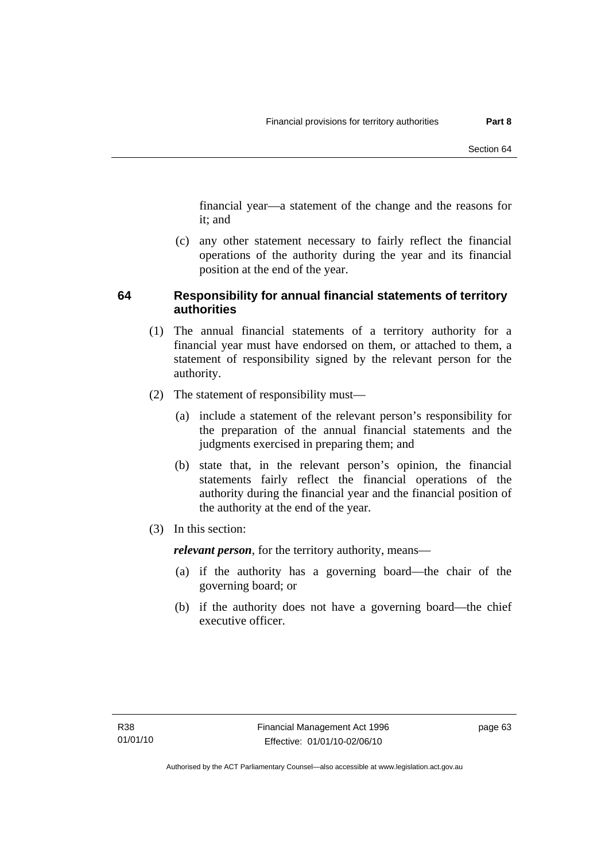financial year—a statement of the change and the reasons for it; and

 (c) any other statement necessary to fairly reflect the financial operations of the authority during the year and its financial position at the end of the year.

## **64 Responsibility for annual financial statements of territory authorities**

- (1) The annual financial statements of a territory authority for a financial year must have endorsed on them, or attached to them, a statement of responsibility signed by the relevant person for the authority.
- (2) The statement of responsibility must—
	- (a) include a statement of the relevant person's responsibility for the preparation of the annual financial statements and the judgments exercised in preparing them; and
	- (b) state that, in the relevant person's opinion, the financial statements fairly reflect the financial operations of the authority during the financial year and the financial position of the authority at the end of the year.
- (3) In this section:

*relevant person*, for the territory authority, means—

- (a) if the authority has a governing board—the chair of the governing board; or
- (b) if the authority does not have a governing board—the chief executive officer.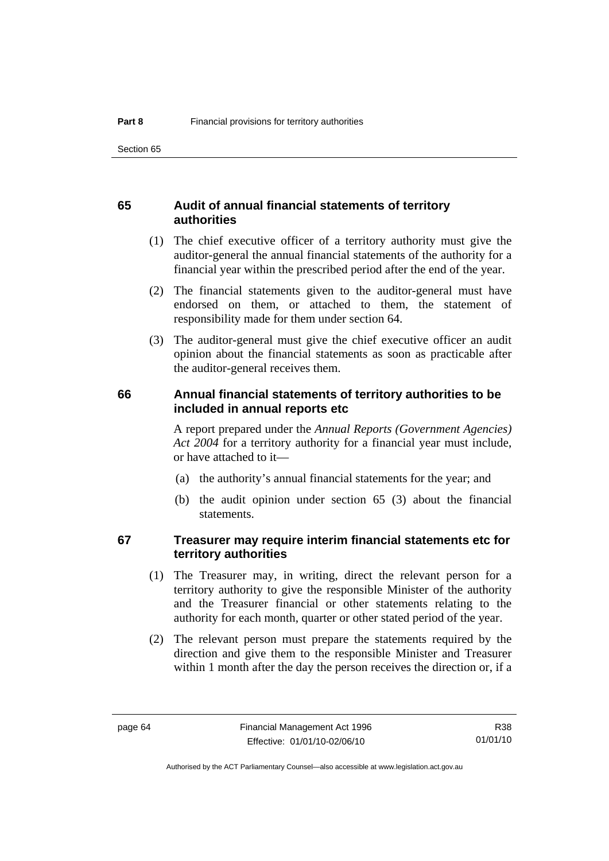## **65 Audit of annual financial statements of territory authorities**

- (1) The chief executive officer of a territory authority must give the auditor-general the annual financial statements of the authority for a financial year within the prescribed period after the end of the year.
- (2) The financial statements given to the auditor-general must have endorsed on them, or attached to them, the statement of responsibility made for them under section 64.
- (3) The auditor-general must give the chief executive officer an audit opinion about the financial statements as soon as practicable after the auditor-general receives them.

### **66 Annual financial statements of territory authorities to be included in annual reports etc**

A report prepared under the *Annual Reports (Government Agencies) Act 2004* for a territory authority for a financial year must include, or have attached to it—

- (a) the authority's annual financial statements for the year; and
- (b) the audit opinion under section 65 (3) about the financial statements.

## **67 Treasurer may require interim financial statements etc for territory authorities**

- (1) The Treasurer may, in writing, direct the relevant person for a territory authority to give the responsible Minister of the authority and the Treasurer financial or other statements relating to the authority for each month, quarter or other stated period of the year.
- (2) The relevant person must prepare the statements required by the direction and give them to the responsible Minister and Treasurer within 1 month after the day the person receives the direction or, if a

R38 01/01/10

Authorised by the ACT Parliamentary Counsel—also accessible at www.legislation.act.gov.au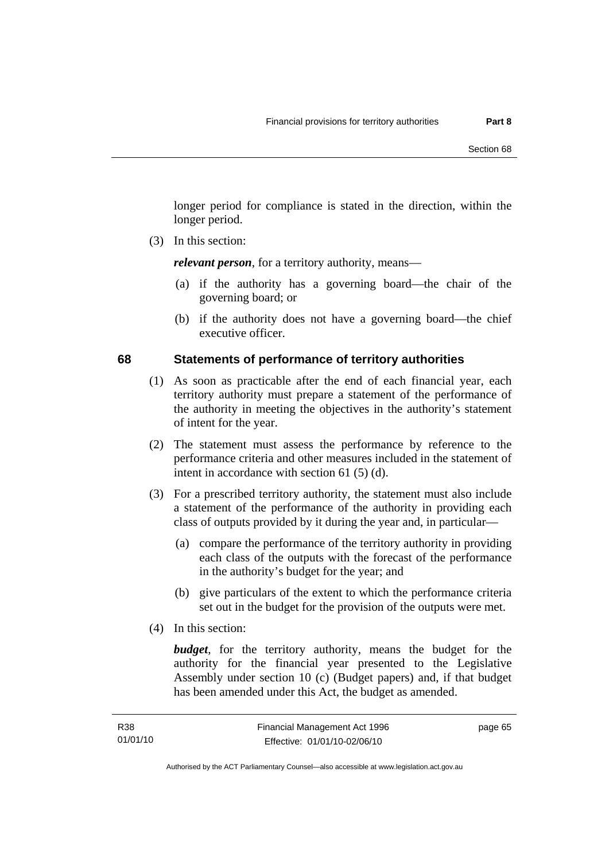longer period for compliance is stated in the direction, within the longer period.

(3) In this section:

*relevant person*, for a territory authority, means—

- (a) if the authority has a governing board—the chair of the governing board; or
- (b) if the authority does not have a governing board—the chief executive officer.

## **68 Statements of performance of territory authorities**

- (1) As soon as practicable after the end of each financial year, each territory authority must prepare a statement of the performance of the authority in meeting the objectives in the authority's statement of intent for the year.
- (2) The statement must assess the performance by reference to the performance criteria and other measures included in the statement of intent in accordance with section 61 (5) (d).
- (3) For a prescribed territory authority, the statement must also include a statement of the performance of the authority in providing each class of outputs provided by it during the year and, in particular—
	- (a) compare the performance of the territory authority in providing each class of the outputs with the forecast of the performance in the authority's budget for the year; and
	- (b) give particulars of the extent to which the performance criteria set out in the budget for the provision of the outputs were met.
- (4) In this section:

*budget*, for the territory authority, means the budget for the authority for the financial year presented to the Legislative Assembly under section 10 (c) (Budget papers) and, if that budget has been amended under this Act, the budget as amended.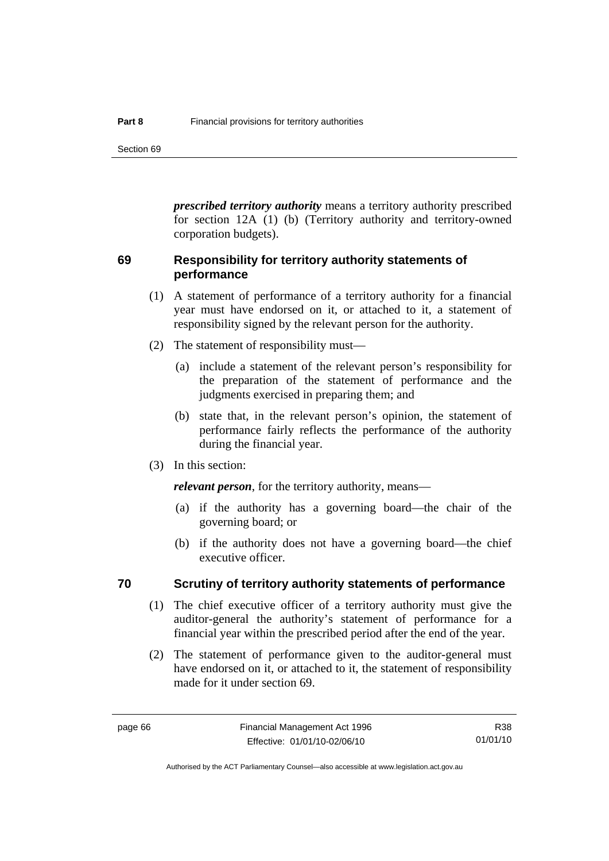Section 69

*prescribed territory authority* means a territory authority prescribed for section 12A (1) (b) (Territory authority and territory-owned corporation budgets).

## **69 Responsibility for territory authority statements of performance**

- (1) A statement of performance of a territory authority for a financial year must have endorsed on it, or attached to it, a statement of responsibility signed by the relevant person for the authority.
- (2) The statement of responsibility must—
	- (a) include a statement of the relevant person's responsibility for the preparation of the statement of performance and the judgments exercised in preparing them; and
	- (b) state that, in the relevant person's opinion, the statement of performance fairly reflects the performance of the authority during the financial year.
- (3) In this section:

*relevant person*, for the territory authority, means—

- (a) if the authority has a governing board—the chair of the governing board; or
- (b) if the authority does not have a governing board—the chief executive officer.

#### **70 Scrutiny of territory authority statements of performance**

- (1) The chief executive officer of a territory authority must give the auditor-general the authority's statement of performance for a financial year within the prescribed period after the end of the year.
- (2) The statement of performance given to the auditor-general must have endorsed on it, or attached to it, the statement of responsibility made for it under section 69.

Authorised by the ACT Parliamentary Counsel—also accessible at www.legislation.act.gov.au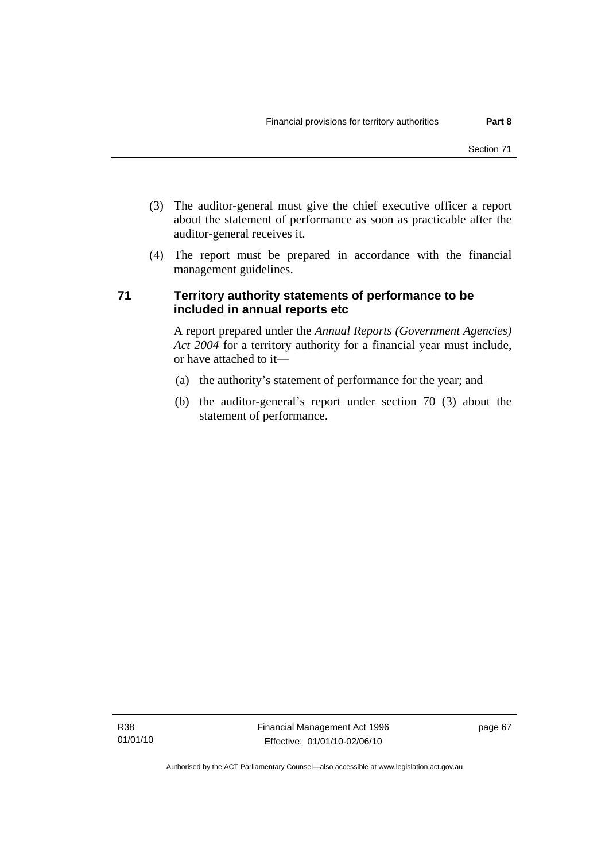- (3) The auditor-general must give the chief executive officer a report about the statement of performance as soon as practicable after the auditor-general receives it.
- (4) The report must be prepared in accordance with the financial management guidelines.

## **71 Territory authority statements of performance to be included in annual reports etc**

A report prepared under the *Annual Reports (Government Agencies) Act 2004* for a territory authority for a financial year must include, or have attached to it—

- (a) the authority's statement of performance for the year; and
- (b) the auditor-general's report under section 70 (3) about the statement of performance.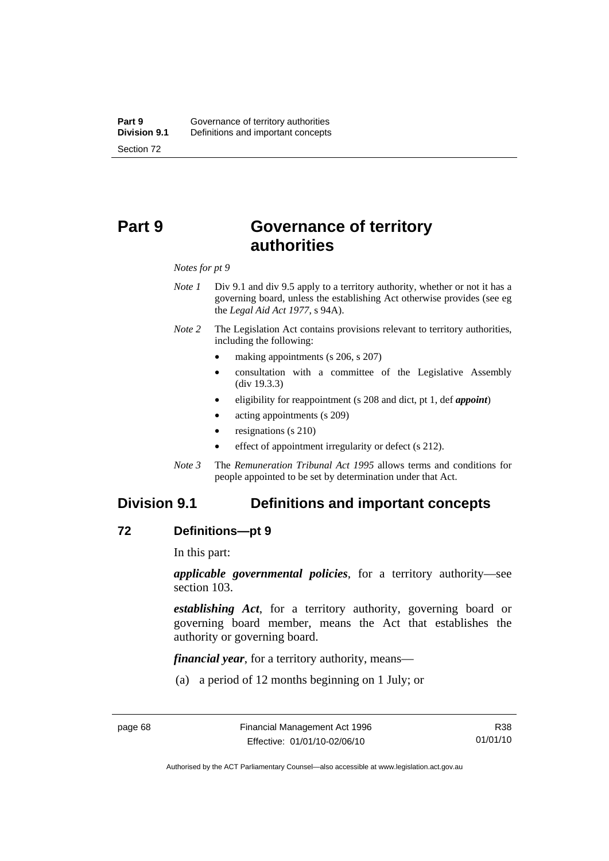# **Part 9 Governance of territory authorities**

#### *Notes for pt 9*

- *Note 1* Div 9.1 and div 9.5 apply to a territory authority, whether or not it has a governing board, unless the establishing Act otherwise provides (see eg the *Legal Aid Act 1977*, s 94A).
- *Note 2* The Legislation Act contains provisions relevant to territory authorities, including the following:
	- making appointments (s 206, s 207)
	- consultation with a committee of the Legislative Assembly (div 19.3.3)
	- eligibility for reappointment (s 208 and dict, pt 1, def *appoint*)
	- acting appointments (s 209)
	- resignations (s 210)
	- effect of appointment irregularity or defect (s 212).
- *Note 3* The *Remuneration Tribunal Act 1995* allows terms and conditions for people appointed to be set by determination under that Act.

## **Division 9.1 Definitions and important concepts**

#### **72 Definitions—pt 9**

In this part:

*applicable governmental policies*, for a territory authority—see section 103.

*establishing Act*, for a territory authority, governing board or governing board member, means the Act that establishes the authority or governing board.

*financial year*, for a territory authority, means—

(a) a period of 12 months beginning on 1 July; or

Authorised by the ACT Parliamentary Counsel—also accessible at www.legislation.act.gov.au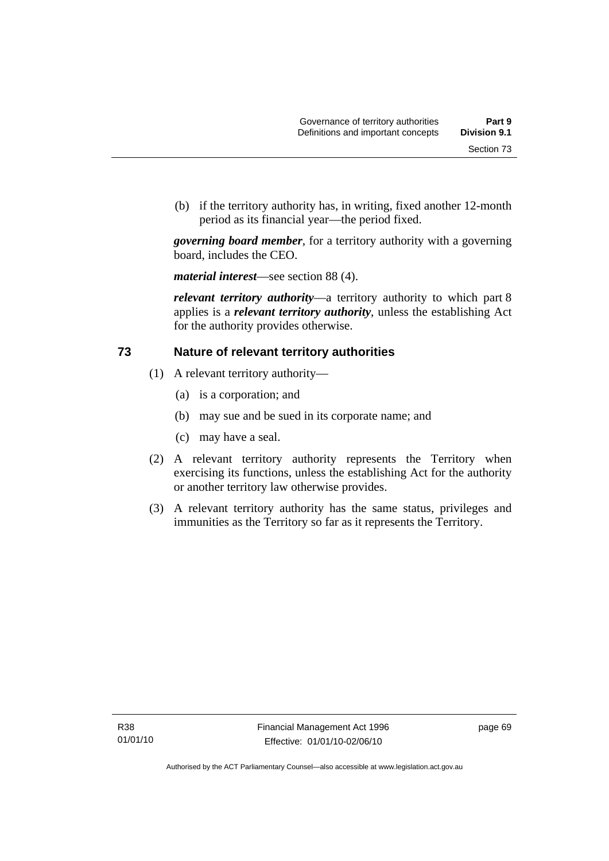(b) if the territory authority has, in writing, fixed another 12-month period as its financial year—the period fixed.

*governing board member*, for a territory authority with a governing board, includes the CEO.

*material interest*—see section 88 (4).

*relevant territory authority*—a territory authority to which part 8 applies is a *relevant territory authority*, unless the establishing Act for the authority provides otherwise.

## **73 Nature of relevant territory authorities**

- (1) A relevant territory authority—
	- (a) is a corporation; and
	- (b) may sue and be sued in its corporate name; and
	- (c) may have a seal.
- (2) A relevant territory authority represents the Territory when exercising its functions, unless the establishing Act for the authority or another territory law otherwise provides.
- (3) A relevant territory authority has the same status, privileges and immunities as the Territory so far as it represents the Territory.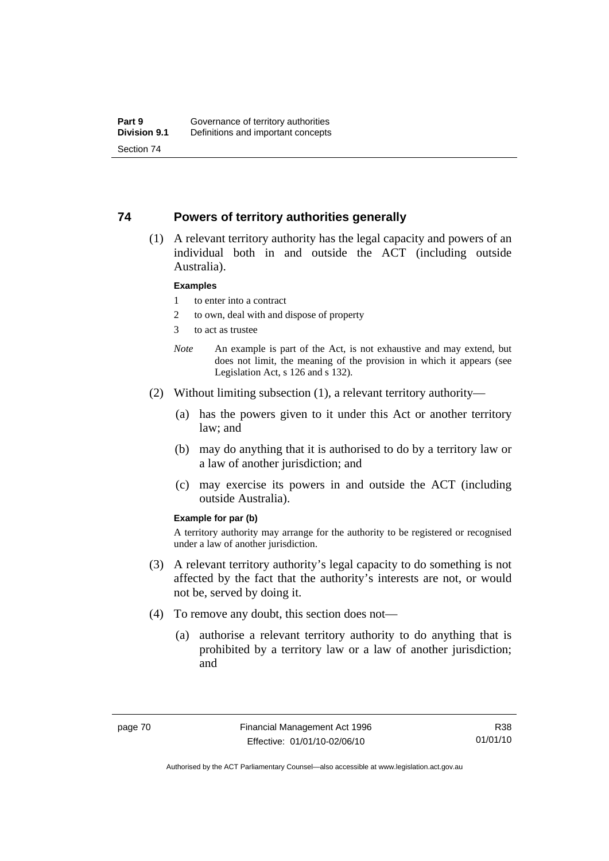### **74 Powers of territory authorities generally**

 (1) A relevant territory authority has the legal capacity and powers of an individual both in and outside the ACT (including outside Australia).

#### **Examples**

- 1 to enter into a contract
- 2 to own, deal with and dispose of property
- 3 to act as trustee
- *Note* An example is part of the Act, is not exhaustive and may extend, but does not limit, the meaning of the provision in which it appears (see Legislation Act, s 126 and s 132).
- (2) Without limiting subsection (1), a relevant territory authority—
	- (a) has the powers given to it under this Act or another territory law; and
	- (b) may do anything that it is authorised to do by a territory law or a law of another jurisdiction; and
	- (c) may exercise its powers in and outside the ACT (including outside Australia).

#### **Example for par (b)**

A territory authority may arrange for the authority to be registered or recognised under a law of another jurisdiction.

- (3) A relevant territory authority's legal capacity to do something is not affected by the fact that the authority's interests are not, or would not be, served by doing it.
- (4) To remove any doubt, this section does not—
	- (a) authorise a relevant territory authority to do anything that is prohibited by a territory law or a law of another jurisdiction; and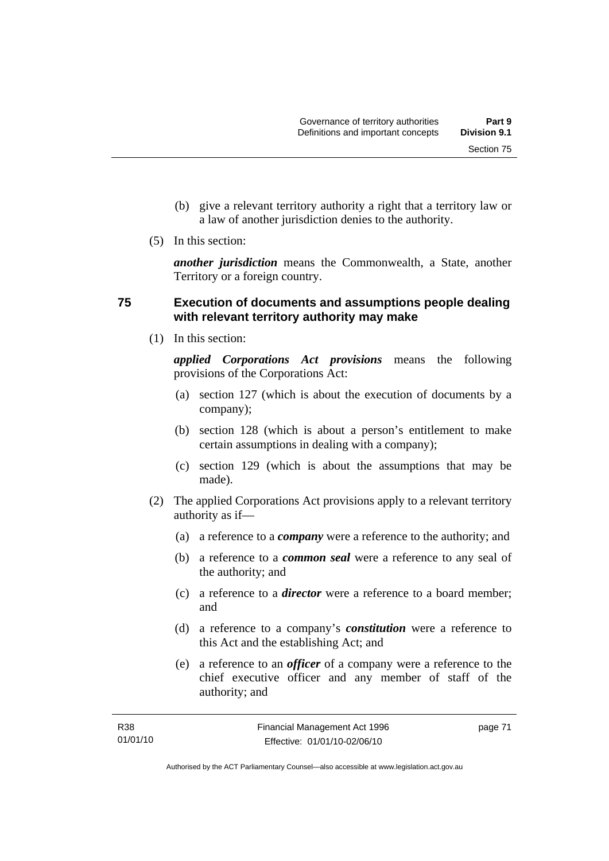Section 75

- (b) give a relevant territory authority a right that a territory law or a law of another jurisdiction denies to the authority.
- (5) In this section:

*another jurisdiction* means the Commonwealth, a State, another Territory or a foreign country.

## **75 Execution of documents and assumptions people dealing with relevant territory authority may make**

(1) In this section:

*applied Corporations Act provisions* means the following provisions of the Corporations Act:

- (a) section 127 (which is about the execution of documents by a company);
- (b) section 128 (which is about a person's entitlement to make certain assumptions in dealing with a company);
- (c) section 129 (which is about the assumptions that may be made).
- (2) The applied Corporations Act provisions apply to a relevant territory authority as if—
	- (a) a reference to a *company* were a reference to the authority; and
	- (b) a reference to a *common seal* were a reference to any seal of the authority; and
	- (c) a reference to a *director* were a reference to a board member; and
	- (d) a reference to a company's *constitution* were a reference to this Act and the establishing Act; and
	- (e) a reference to an *officer* of a company were a reference to the chief executive officer and any member of staff of the authority; and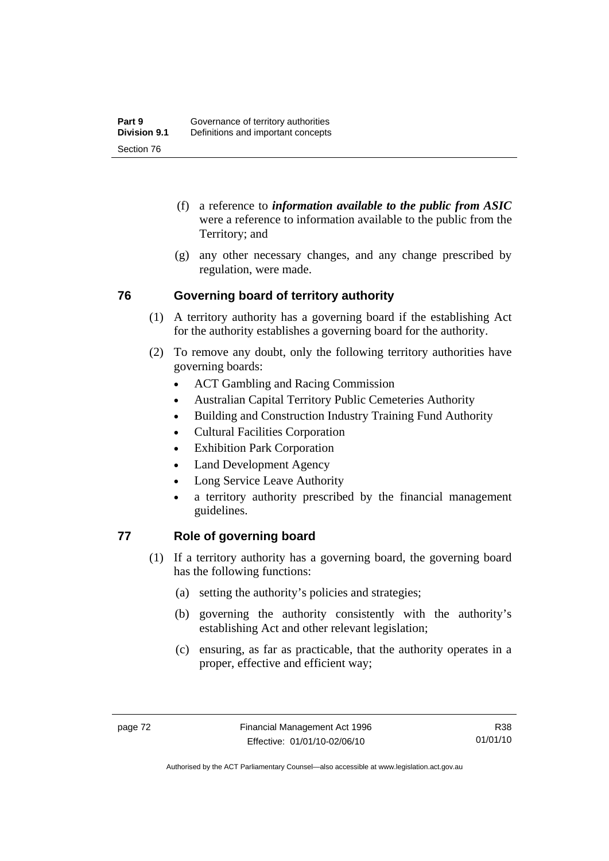- (f) a reference to *information available to the public from ASIC*  were a reference to information available to the public from the Territory; and
- (g) any other necessary changes, and any change prescribed by regulation, were made.

## **76 Governing board of territory authority**

- (1) A territory authority has a governing board if the establishing Act for the authority establishes a governing board for the authority.
- (2) To remove any doubt, only the following territory authorities have governing boards:
	- ACT Gambling and Racing Commission
	- Australian Capital Territory Public Cemeteries Authority
	- Building and Construction Industry Training Fund Authority
	- Cultural Facilities Corporation
	- Exhibition Park Corporation
	- Land Development Agency
	- Long Service Leave Authority
	- a territory authority prescribed by the financial management guidelines.

## **77 Role of governing board**

- (1) If a territory authority has a governing board, the governing board has the following functions:
	- (a) setting the authority's policies and strategies;
	- (b) governing the authority consistently with the authority's establishing Act and other relevant legislation;
	- (c) ensuring, as far as practicable, that the authority operates in a proper, effective and efficient way;

Authorised by the ACT Parliamentary Counsel—also accessible at www.legislation.act.gov.au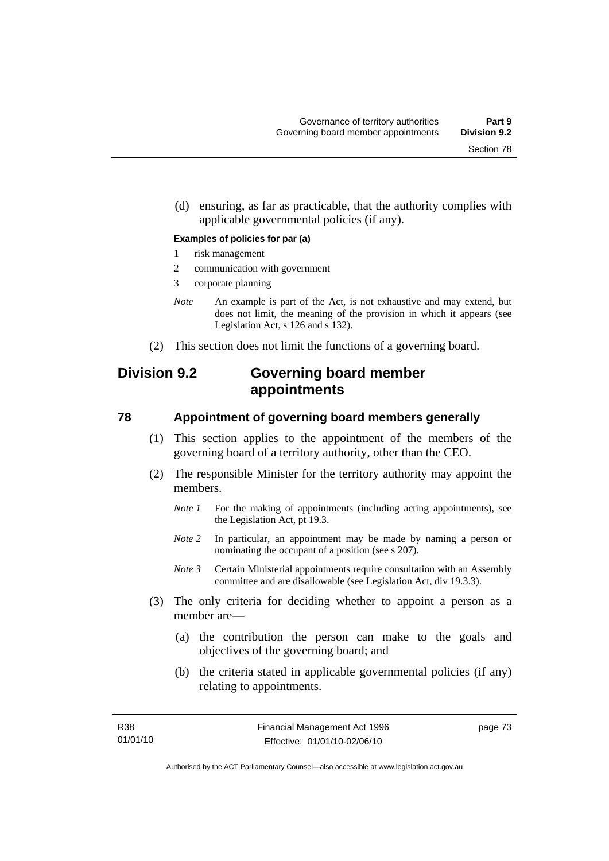(d) ensuring, as far as practicable, that the authority complies with applicable governmental policies (if any).

#### **Examples of policies for par (a)**

- 1 risk management
- 2 communication with government
- 3 corporate planning
- *Note* An example is part of the Act, is not exhaustive and may extend, but does not limit, the meaning of the provision in which it appears (see Legislation Act, s 126 and s 132).
- (2) This section does not limit the functions of a governing board.

# **Division 9.2 Governing board member appointments**

#### **78 Appointment of governing board members generally**

- (1) This section applies to the appointment of the members of the governing board of a territory authority, other than the CEO.
- (2) The responsible Minister for the territory authority may appoint the members.
	- *Note 1* For the making of appointments (including acting appointments), see the Legislation Act, pt 19.3.
	- *Note 2* In particular, an appointment may be made by naming a person or nominating the occupant of a position (see s 207).
	- *Note 3* Certain Ministerial appointments require consultation with an Assembly committee and are disallowable (see Legislation Act, div 19.3.3).
- (3) The only criteria for deciding whether to appoint a person as a member are—
	- (a) the contribution the person can make to the goals and objectives of the governing board; and
	- (b) the criteria stated in applicable governmental policies (if any) relating to appointments.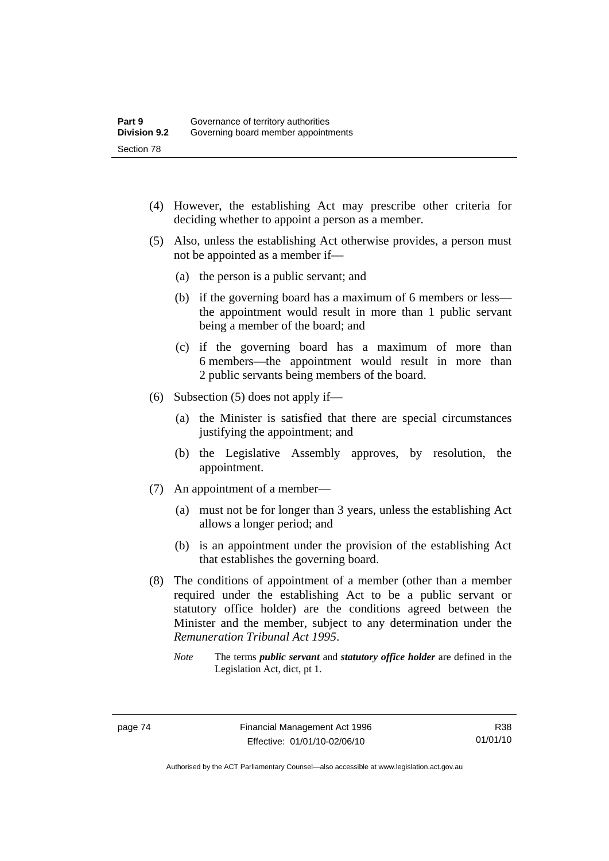- (4) However, the establishing Act may prescribe other criteria for deciding whether to appoint a person as a member.
- (5) Also, unless the establishing Act otherwise provides, a person must not be appointed as a member if—
	- (a) the person is a public servant; and
	- (b) if the governing board has a maximum of 6 members or less the appointment would result in more than 1 public servant being a member of the board; and
	- (c) if the governing board has a maximum of more than 6 members—the appointment would result in more than 2 public servants being members of the board.
- (6) Subsection (5) does not apply if—
	- (a) the Minister is satisfied that there are special circumstances justifying the appointment; and
	- (b) the Legislative Assembly approves, by resolution, the appointment.
- (7) An appointment of a member—
	- (a) must not be for longer than 3 years, unless the establishing Act allows a longer period; and
	- (b) is an appointment under the provision of the establishing Act that establishes the governing board.
- (8) The conditions of appointment of a member (other than a member required under the establishing Act to be a public servant or statutory office holder) are the conditions agreed between the Minister and the member, subject to any determination under the *Remuneration Tribunal Act 1995*.
	- *Note* The terms *public servant* and *statutory office holder* are defined in the Legislation Act, dict, pt 1.

Authorised by the ACT Parliamentary Counsel—also accessible at www.legislation.act.gov.au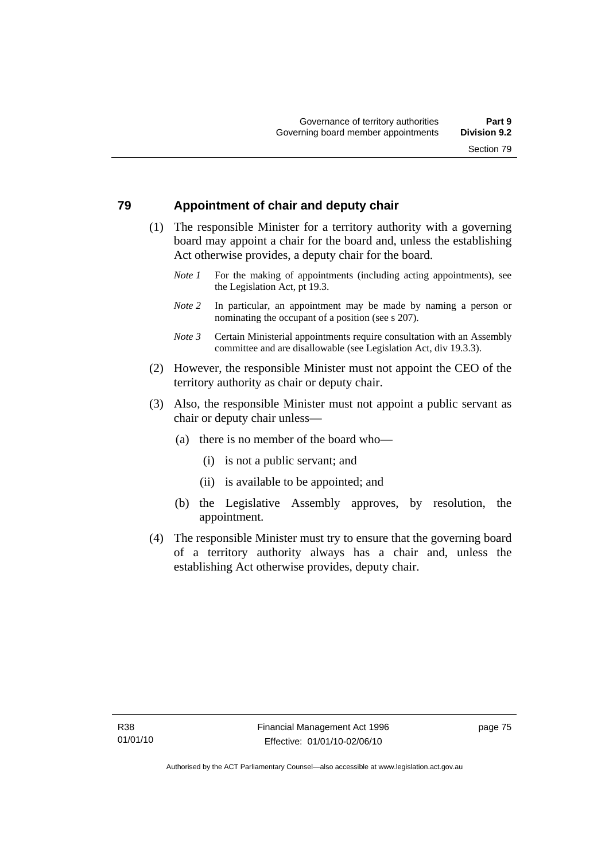## **79 Appointment of chair and deputy chair**

- (1) The responsible Minister for a territory authority with a governing board may appoint a chair for the board and, unless the establishing Act otherwise provides, a deputy chair for the board.
	- *Note 1* For the making of appointments (including acting appointments), see the Legislation Act, pt 19.3.
	- *Note 2* In particular, an appointment may be made by naming a person or nominating the occupant of a position (see s 207).
	- *Note 3* Certain Ministerial appointments require consultation with an Assembly committee and are disallowable (see Legislation Act, div 19.3.3).
- (2) However, the responsible Minister must not appoint the CEO of the territory authority as chair or deputy chair.
- (3) Also, the responsible Minister must not appoint a public servant as chair or deputy chair unless—
	- (a) there is no member of the board who—
		- (i) is not a public servant; and
		- (ii) is available to be appointed; and
	- (b) the Legislative Assembly approves, by resolution, the appointment.
- (4) The responsible Minister must try to ensure that the governing board of a territory authority always has a chair and, unless the establishing Act otherwise provides, deputy chair.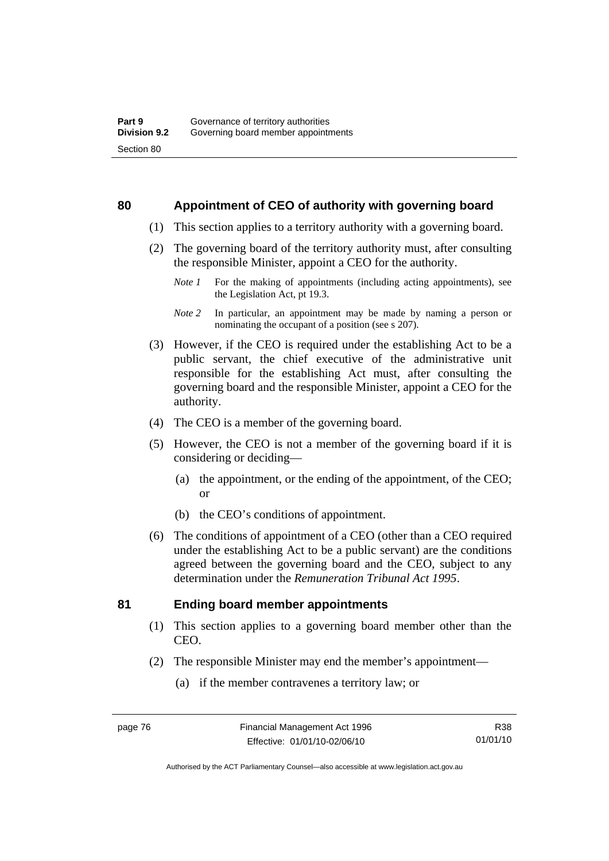### **80 Appointment of CEO of authority with governing board**

- (1) This section applies to a territory authority with a governing board.
- (2) The governing board of the territory authority must, after consulting the responsible Minister, appoint a CEO for the authority.
	- *Note 1* For the making of appointments (including acting appointments), see the Legislation Act, pt 19.3.
	- *Note 2* In particular, an appointment may be made by naming a person or nominating the occupant of a position (see s 207).
- (3) However, if the CEO is required under the establishing Act to be a public servant, the chief executive of the administrative unit responsible for the establishing Act must, after consulting the governing board and the responsible Minister, appoint a CEO for the authority.
- (4) The CEO is a member of the governing board.
- (5) However, the CEO is not a member of the governing board if it is considering or deciding—
	- (a) the appointment, or the ending of the appointment, of the CEO; or
	- (b) the CEO's conditions of appointment.
- (6) The conditions of appointment of a CEO (other than a CEO required under the establishing Act to be a public servant) are the conditions agreed between the governing board and the CEO, subject to any determination under the *Remuneration Tribunal Act 1995*.

## **81 Ending board member appointments**

- (1) This section applies to a governing board member other than the CEO.
- (2) The responsible Minister may end the member's appointment—
	- (a) if the member contravenes a territory law; or

R38 01/01/10

Authorised by the ACT Parliamentary Counsel—also accessible at www.legislation.act.gov.au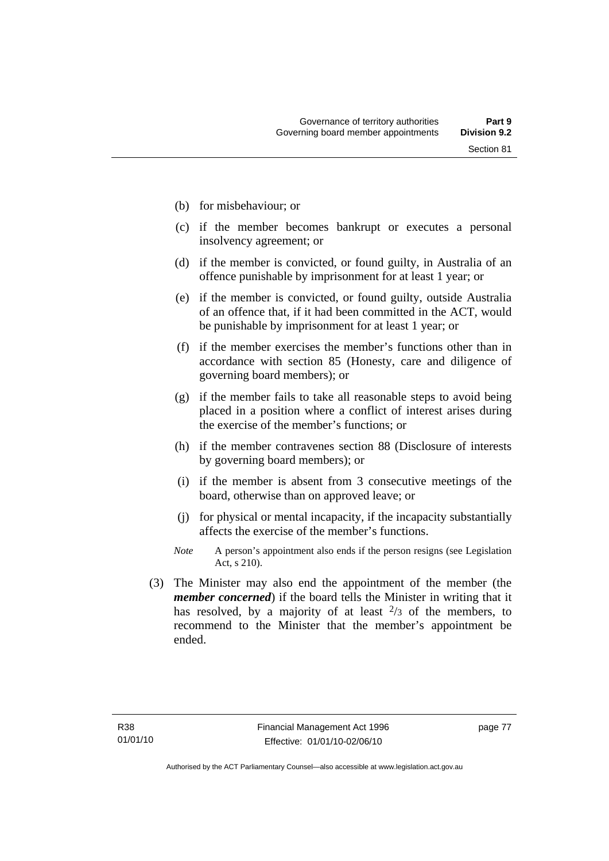- (b) for misbehaviour; or
- (c) if the member becomes bankrupt or executes a personal insolvency agreement; or
- (d) if the member is convicted, or found guilty, in Australia of an offence punishable by imprisonment for at least 1 year; or
- (e) if the member is convicted, or found guilty, outside Australia of an offence that, if it had been committed in the ACT, would be punishable by imprisonment for at least 1 year; or
- (f) if the member exercises the member's functions other than in accordance with section 85 (Honesty, care and diligence of governing board members); or
- (g) if the member fails to take all reasonable steps to avoid being placed in a position where a conflict of interest arises during the exercise of the member's functions; or
- (h) if the member contravenes section 88 (Disclosure of interests by governing board members); or
- (i) if the member is absent from 3 consecutive meetings of the board, otherwise than on approved leave; or
- (j) for physical or mental incapacity, if the incapacity substantially affects the exercise of the member's functions.
- *Note* A person's appointment also ends if the person resigns (see Legislation Act, s 210).
- (3) The Minister may also end the appointment of the member (the *member concerned*) if the board tells the Minister in writing that it has resolved, by a majority of at least  $\frac{2}{3}$  of the members, to recommend to the Minister that the member's appointment be ended.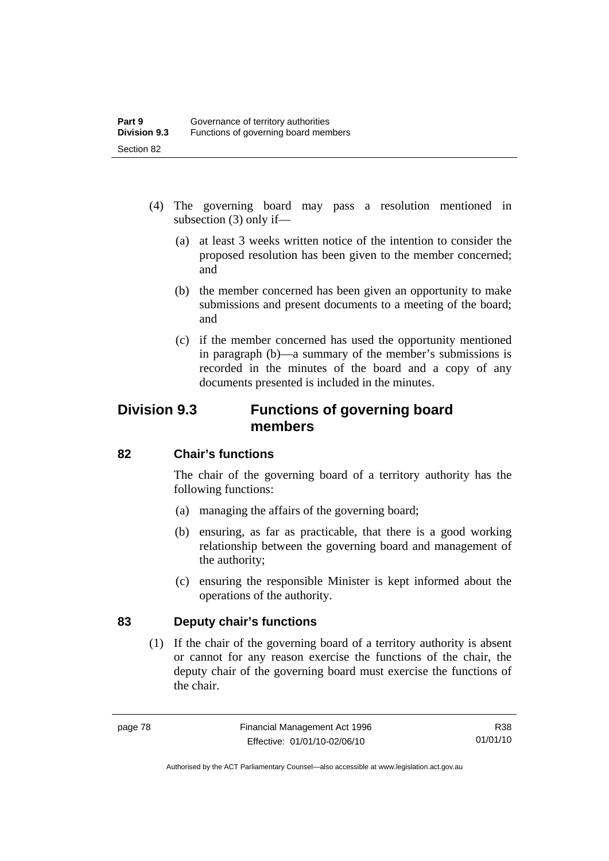- (4) The governing board may pass a resolution mentioned in subsection (3) only if—
	- (a) at least 3 weeks written notice of the intention to consider the proposed resolution has been given to the member concerned; and
	- (b) the member concerned has been given an opportunity to make submissions and present documents to a meeting of the board; and
	- (c) if the member concerned has used the opportunity mentioned in paragraph (b)—a summary of the member's submissions is recorded in the minutes of the board and a copy of any documents presented is included in the minutes.

# **Division 9.3 Functions of governing board members**

## **82 Chair's functions**

The chair of the governing board of a territory authority has the following functions:

- (a) managing the affairs of the governing board;
- (b) ensuring, as far as practicable, that there is a good working relationship between the governing board and management of the authority;
- (c) ensuring the responsible Minister is kept informed about the operations of the authority.

## **83 Deputy chair's functions**

 (1) If the chair of the governing board of a territory authority is absent or cannot for any reason exercise the functions of the chair, the deputy chair of the governing board must exercise the functions of the chair.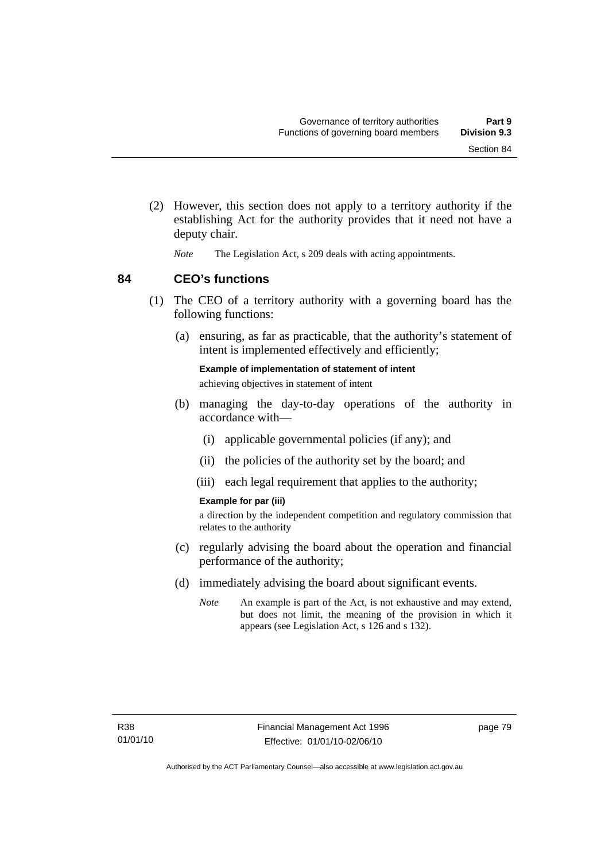- (2) However, this section does not apply to a territory authority if the establishing Act for the authority provides that it need not have a deputy chair.
	- *Note* The Legislation Act, s 209 deals with acting appointments.

**84 CEO's functions** 

- (1) The CEO of a territory authority with a governing board has the following functions:
	- (a) ensuring, as far as practicable, that the authority's statement of intent is implemented effectively and efficiently;

**Example of implementation of statement of intent**  achieving objectives in statement of intent

- (b) managing the day-to-day operations of the authority in accordance with—
	- (i) applicable governmental policies (if any); and
	- (ii) the policies of the authority set by the board; and
	- (iii) each legal requirement that applies to the authority;

#### **Example for par (iii)**

a direction by the independent competition and regulatory commission that relates to the authority

- (c) regularly advising the board about the operation and financial performance of the authority;
- (d) immediately advising the board about significant events.
	- *Note* An example is part of the Act, is not exhaustive and may extend, but does not limit, the meaning of the provision in which it appears (see Legislation Act, s 126 and s 132).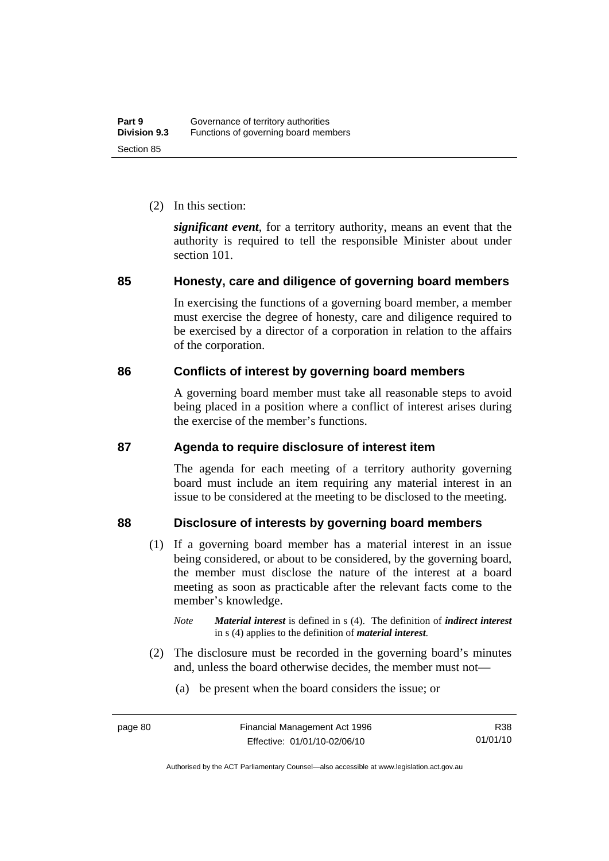(2) In this section:

*significant event*, for a territory authority, means an event that the authority is required to tell the responsible Minister about under section 101.

## **85 Honesty, care and diligence of governing board members**

In exercising the functions of a governing board member, a member must exercise the degree of honesty, care and diligence required to be exercised by a director of a corporation in relation to the affairs of the corporation.

## **86 Conflicts of interest by governing board members**

A governing board member must take all reasonable steps to avoid being placed in a position where a conflict of interest arises during the exercise of the member's functions.

## **87 Agenda to require disclosure of interest item**

The agenda for each meeting of a territory authority governing board must include an item requiring any material interest in an issue to be considered at the meeting to be disclosed to the meeting.

## **88 Disclosure of interests by governing board members**

- (1) If a governing board member has a material interest in an issue being considered, or about to be considered, by the governing board, the member must disclose the nature of the interest at a board meeting as soon as practicable after the relevant facts come to the member's knowledge.
	- *Note Material interest* is defined in s (4). The definition of *indirect interest* in s (4) applies to the definition of *material interest*.
- (2) The disclosure must be recorded in the governing board's minutes and, unless the board otherwise decides, the member must not—
	- (a) be present when the board considers the issue; or

Authorised by the ACT Parliamentary Counsel—also accessible at www.legislation.act.gov.au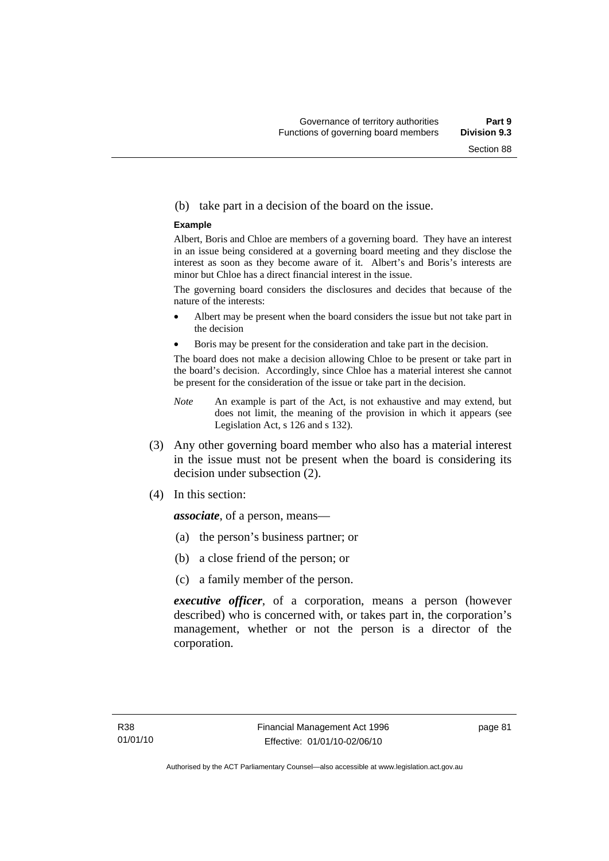#### (b) take part in a decision of the board on the issue.

#### **Example**

Albert, Boris and Chloe are members of a governing board. They have an interest in an issue being considered at a governing board meeting and they disclose the interest as soon as they become aware of it. Albert's and Boris's interests are minor but Chloe has a direct financial interest in the issue.

The governing board considers the disclosures and decides that because of the nature of the interests:

- Albert may be present when the board considers the issue but not take part in the decision
- Boris may be present for the consideration and take part in the decision.

The board does not make a decision allowing Chloe to be present or take part in the board's decision. Accordingly, since Chloe has a material interest she cannot be present for the consideration of the issue or take part in the decision.

- *Note* An example is part of the Act, is not exhaustive and may extend, but does not limit, the meaning of the provision in which it appears (see Legislation Act, s 126 and s 132).
- (3) Any other governing board member who also has a material interest in the issue must not be present when the board is considering its decision under subsection (2).
- (4) In this section:

*associate*, of a person, means—

- (a) the person's business partner; or
- (b) a close friend of the person; or
- (c) a family member of the person.

*executive officer*, of a corporation, means a person (however described) who is concerned with, or takes part in, the corporation's management, whether or not the person is a director of the corporation.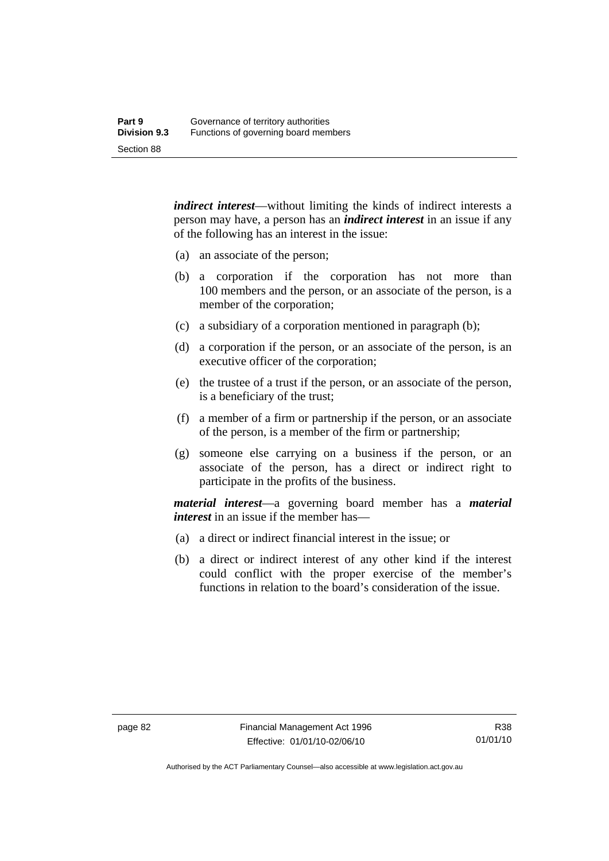*indirect interest*—without limiting the kinds of indirect interests a person may have, a person has an *indirect interest* in an issue if any of the following has an interest in the issue:

- (a) an associate of the person;
- (b) a corporation if the corporation has not more than 100 members and the person, or an associate of the person, is a member of the corporation;
- (c) a subsidiary of a corporation mentioned in paragraph (b);
- (d) a corporation if the person, or an associate of the person, is an executive officer of the corporation;
- (e) the trustee of a trust if the person, or an associate of the person, is a beneficiary of the trust;
- (f) a member of a firm or partnership if the person, or an associate of the person, is a member of the firm or partnership;
- (g) someone else carrying on a business if the person, or an associate of the person, has a direct or indirect right to participate in the profits of the business.

*material interest*—a governing board member has a *material interest* in an issue if the member has—

- (a) a direct or indirect financial interest in the issue; or
- (b) a direct or indirect interest of any other kind if the interest could conflict with the proper exercise of the member's functions in relation to the board's consideration of the issue.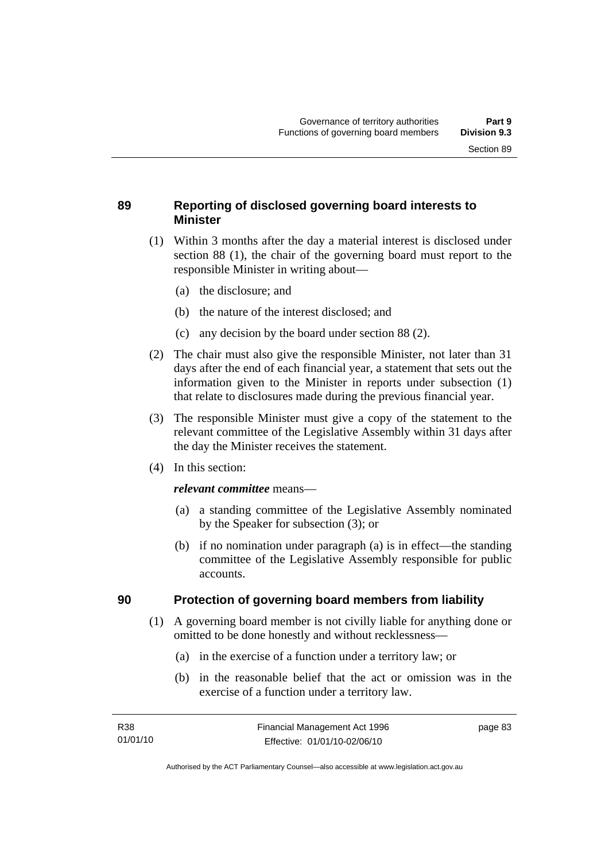## **89 Reporting of disclosed governing board interests to Minister**

- (1) Within 3 months after the day a material interest is disclosed under section 88 (1), the chair of the governing board must report to the responsible Minister in writing about—
	- (a) the disclosure; and
	- (b) the nature of the interest disclosed; and
	- (c) any decision by the board under section 88 (2).
- (2) The chair must also give the responsible Minister, not later than 31 days after the end of each financial year, a statement that sets out the information given to the Minister in reports under subsection (1) that relate to disclosures made during the previous financial year.
- (3) The responsible Minister must give a copy of the statement to the relevant committee of the Legislative Assembly within 31 days after the day the Minister receives the statement.
- (4) In this section:

#### *relevant committee* means—

- (a) a standing committee of the Legislative Assembly nominated by the Speaker for subsection (3); or
- (b) if no nomination under paragraph (a) is in effect—the standing committee of the Legislative Assembly responsible for public accounts.

## **90 Protection of governing board members from liability**

- (1) A governing board member is not civilly liable for anything done or omitted to be done honestly and without recklessness—
	- (a) in the exercise of a function under a territory law; or
	- (b) in the reasonable belief that the act or omission was in the exercise of a function under a territory law.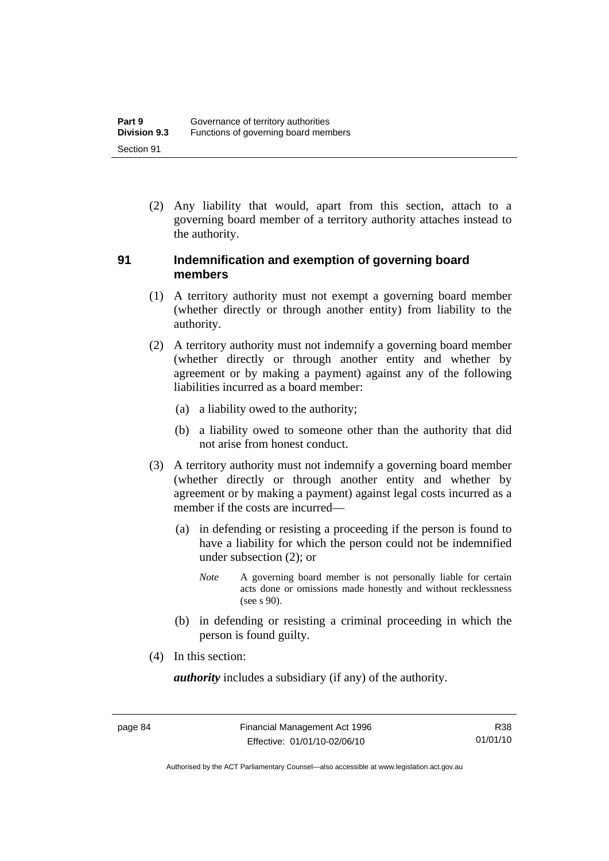(2) Any liability that would, apart from this section, attach to a governing board member of a territory authority attaches instead to the authority.

## **91 Indemnification and exemption of governing board members**

- (1) A territory authority must not exempt a governing board member (whether directly or through another entity) from liability to the authority.
- (2) A territory authority must not indemnify a governing board member (whether directly or through another entity and whether by agreement or by making a payment) against any of the following liabilities incurred as a board member:
	- (a) a liability owed to the authority;
	- (b) a liability owed to someone other than the authority that did not arise from honest conduct.
- (3) A territory authority must not indemnify a governing board member (whether directly or through another entity and whether by agreement or by making a payment) against legal costs incurred as a member if the costs are incurred—
	- (a) in defending or resisting a proceeding if the person is found to have a liability for which the person could not be indemnified under subsection (2); or
		- *Note* A governing board member is not personally liable for certain acts done or omissions made honestly and without recklessness  $($ see s  $90$ ).
	- (b) in defending or resisting a criminal proceeding in which the person is found guilty.
- (4) In this section:

*authority* includes a subsidiary (if any) of the authority.

Authorised by the ACT Parliamentary Counsel—also accessible at www.legislation.act.gov.au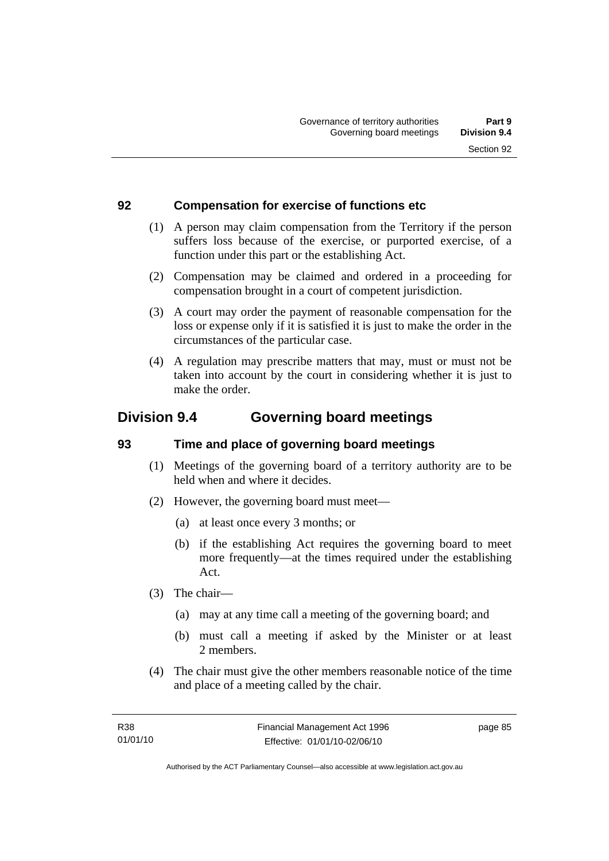## **92 Compensation for exercise of functions etc**

- (1) A person may claim compensation from the Territory if the person suffers loss because of the exercise, or purported exercise, of a function under this part or the establishing Act.
- (2) Compensation may be claimed and ordered in a proceeding for compensation brought in a court of competent jurisdiction.
- (3) A court may order the payment of reasonable compensation for the loss or expense only if it is satisfied it is just to make the order in the circumstances of the particular case.
- (4) A regulation may prescribe matters that may, must or must not be taken into account by the court in considering whether it is just to make the order.

# **Division 9.4 Governing board meetings**

## **93 Time and place of governing board meetings**

- (1) Meetings of the governing board of a territory authority are to be held when and where it decides.
- (2) However, the governing board must meet—
	- (a) at least once every 3 months; or
	- (b) if the establishing Act requires the governing board to meet more frequently—at the times required under the establishing Act.
- (3) The chair—
	- (a) may at any time call a meeting of the governing board; and
	- (b) must call a meeting if asked by the Minister or at least 2 members.
- (4) The chair must give the other members reasonable notice of the time and place of a meeting called by the chair.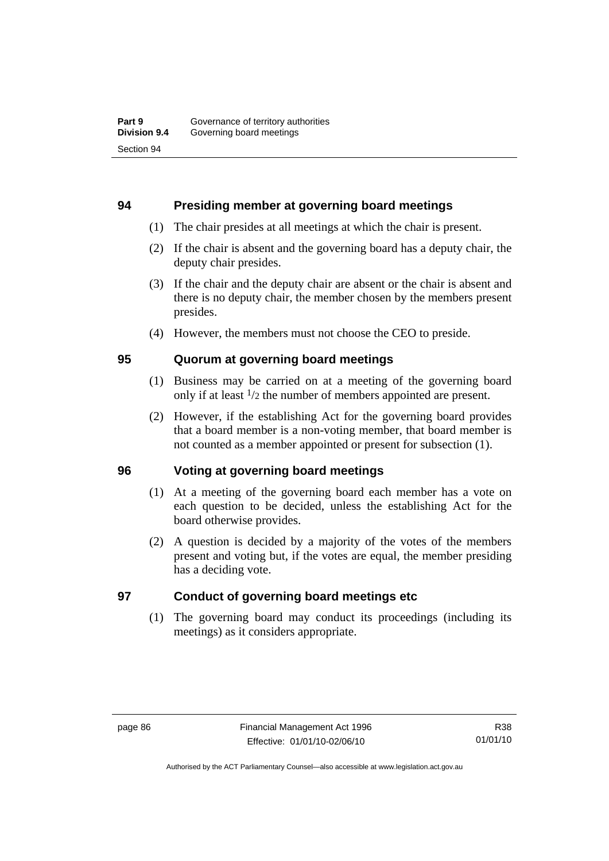## **94 Presiding member at governing board meetings**

- (1) The chair presides at all meetings at which the chair is present.
- (2) If the chair is absent and the governing board has a deputy chair, the deputy chair presides.
- (3) If the chair and the deputy chair are absent or the chair is absent and there is no deputy chair, the member chosen by the members present presides.
- (4) However, the members must not choose the CEO to preside.

## **95 Quorum at governing board meetings**

- (1) Business may be carried on at a meeting of the governing board only if at least 1/2 the number of members appointed are present.
- (2) However, if the establishing Act for the governing board provides that a board member is a non-voting member, that board member is not counted as a member appointed or present for subsection (1).

## **96 Voting at governing board meetings**

- (1) At a meeting of the governing board each member has a vote on each question to be decided, unless the establishing Act for the board otherwise provides.
- (2) A question is decided by a majority of the votes of the members present and voting but, if the votes are equal, the member presiding has a deciding vote.

## **97 Conduct of governing board meetings etc**

 (1) The governing board may conduct its proceedings (including its meetings) as it considers appropriate.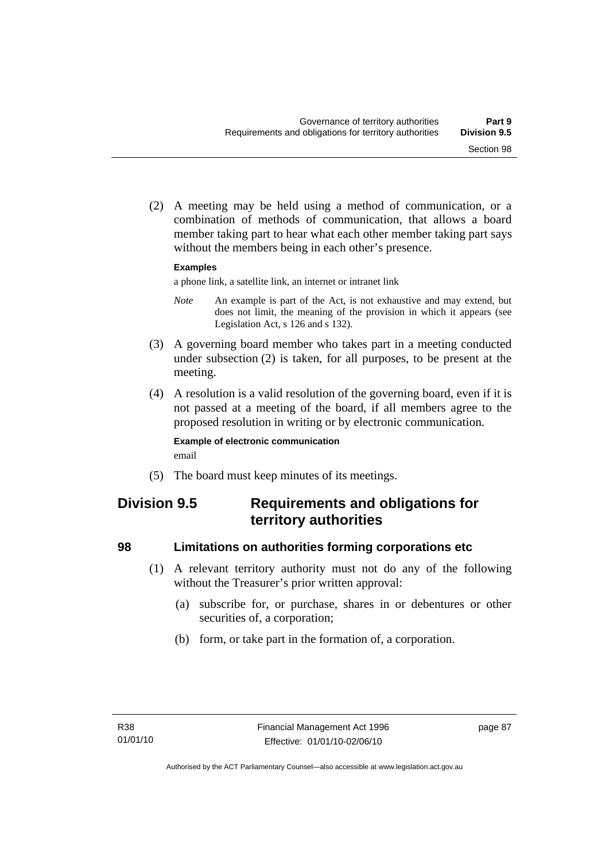(2) A meeting may be held using a method of communication, or a combination of methods of communication, that allows a board member taking part to hear what each other member taking part says without the members being in each other's presence.

#### **Examples**

a phone link, a satellite link, an internet or intranet link

- *Note* An example is part of the Act, is not exhaustive and may extend, but does not limit, the meaning of the provision in which it appears (see Legislation Act, s 126 and s 132).
- (3) A governing board member who takes part in a meeting conducted under subsection (2) is taken, for all purposes, to be present at the meeting.
- (4) A resolution is a valid resolution of the governing board, even if it is not passed at a meeting of the board, if all members agree to the proposed resolution in writing or by electronic communication.

#### **Example of electronic communication**  email

(5) The board must keep minutes of its meetings.

# **Division 9.5 Requirements and obligations for territory authorities**

## **98 Limitations on authorities forming corporations etc**

- (1) A relevant territory authority must not do any of the following without the Treasurer's prior written approval:
	- (a) subscribe for, or purchase, shares in or debentures or other securities of, a corporation;
	- (b) form, or take part in the formation of, a corporation.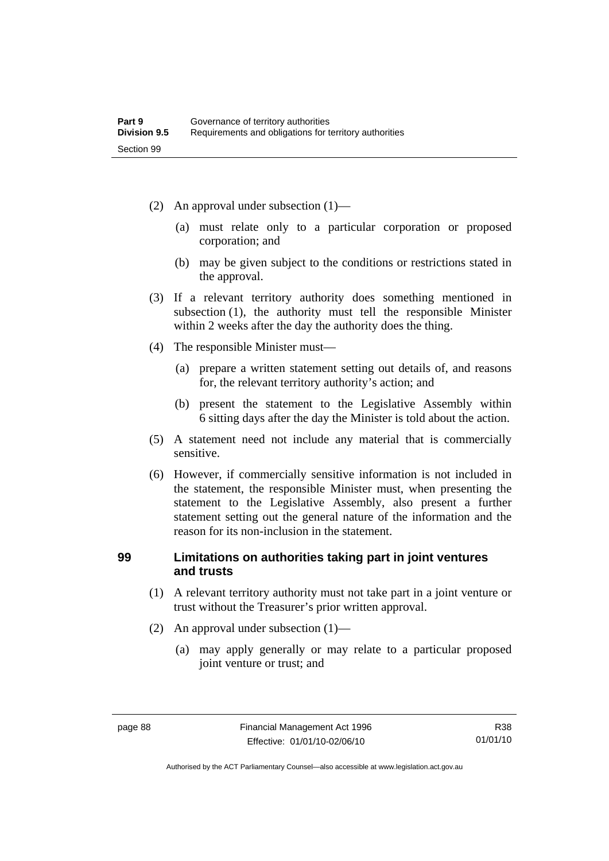- (2) An approval under subsection (1)—
	- (a) must relate only to a particular corporation or proposed corporation; and
	- (b) may be given subject to the conditions or restrictions stated in the approval.
- (3) If a relevant territory authority does something mentioned in subsection (1), the authority must tell the responsible Minister within 2 weeks after the day the authority does the thing.
- (4) The responsible Minister must—
	- (a) prepare a written statement setting out details of, and reasons for, the relevant territory authority's action; and
	- (b) present the statement to the Legislative Assembly within 6 sitting days after the day the Minister is told about the action.
- (5) A statement need not include any material that is commercially sensitive.
- (6) However, if commercially sensitive information is not included in the statement, the responsible Minister must, when presenting the statement to the Legislative Assembly, also present a further statement setting out the general nature of the information and the reason for its non-inclusion in the statement.

## **99 Limitations on authorities taking part in joint ventures and trusts**

- (1) A relevant territory authority must not take part in a joint venture or trust without the Treasurer's prior written approval.
- (2) An approval under subsection (1)—
	- (a) may apply generally or may relate to a particular proposed joint venture or trust; and

Authorised by the ACT Parliamentary Counsel—also accessible at www.legislation.act.gov.au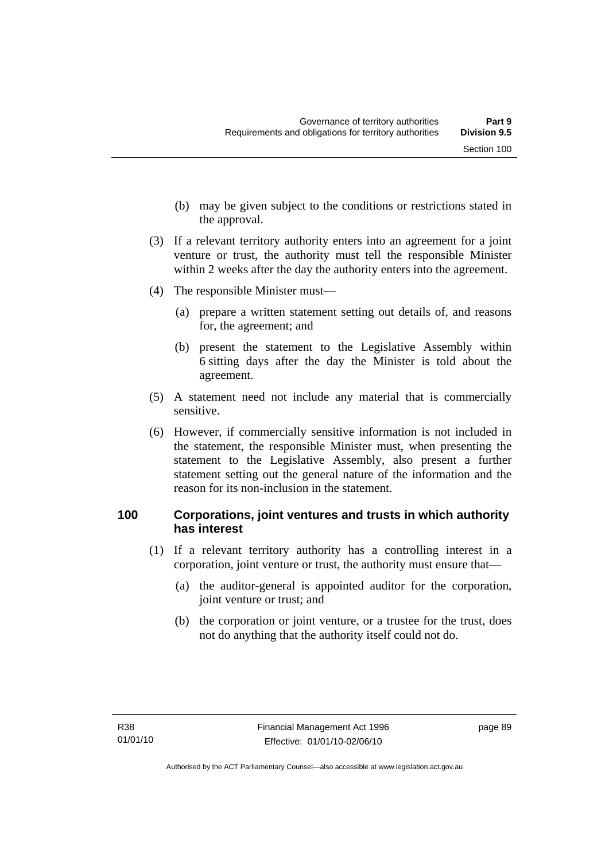- (b) may be given subject to the conditions or restrictions stated in the approval.
- (3) If a relevant territory authority enters into an agreement for a joint venture or trust, the authority must tell the responsible Minister within 2 weeks after the day the authority enters into the agreement.
- (4) The responsible Minister must—
	- (a) prepare a written statement setting out details of, and reasons for, the agreement; and
	- (b) present the statement to the Legislative Assembly within 6 sitting days after the day the Minister is told about the agreement.
- (5) A statement need not include any material that is commercially sensitive.
- (6) However, if commercially sensitive information is not included in the statement, the responsible Minister must, when presenting the statement to the Legislative Assembly, also present a further statement setting out the general nature of the information and the reason for its non-inclusion in the statement.

## **100 Corporations, joint ventures and trusts in which authority has interest**

- (1) If a relevant territory authority has a controlling interest in a corporation, joint venture or trust, the authority must ensure that—
	- (a) the auditor-general is appointed auditor for the corporation, joint venture or trust; and
	- (b) the corporation or joint venture, or a trustee for the trust, does not do anything that the authority itself could not do.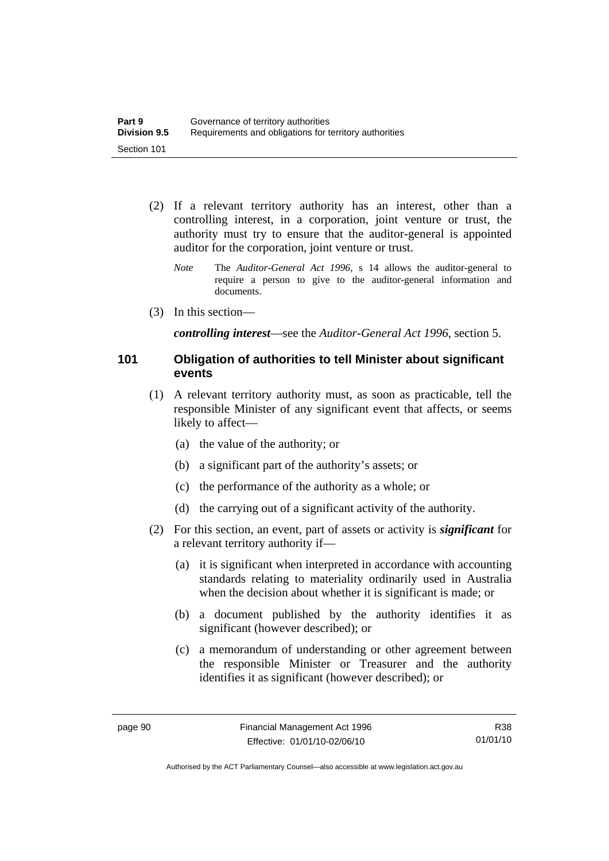- (2) If a relevant territory authority has an interest, other than a controlling interest, in a corporation, joint venture or trust, the authority must try to ensure that the auditor-general is appointed auditor for the corporation, joint venture or trust.
	- *Note* The *Auditor-General Act 1996*, s 14 allows the auditor-general to require a person to give to the auditor-general information and documents.
- (3) In this section—

*controlling interest*—see the *Auditor-General Act 1996*, section 5.

### **101 Obligation of authorities to tell Minister about significant events**

- (1) A relevant territory authority must, as soon as practicable, tell the responsible Minister of any significant event that affects, or seems likely to affect—
	- (a) the value of the authority; or
	- (b) a significant part of the authority's assets; or
	- (c) the performance of the authority as a whole; or
	- (d) the carrying out of a significant activity of the authority.
- (2) For this section, an event, part of assets or activity is *significant* for a relevant territory authority if—
	- (a) it is significant when interpreted in accordance with accounting standards relating to materiality ordinarily used in Australia when the decision about whether it is significant is made; or
	- (b) a document published by the authority identifies it as significant (however described); or
	- (c) a memorandum of understanding or other agreement between the responsible Minister or Treasurer and the authority identifies it as significant (however described); or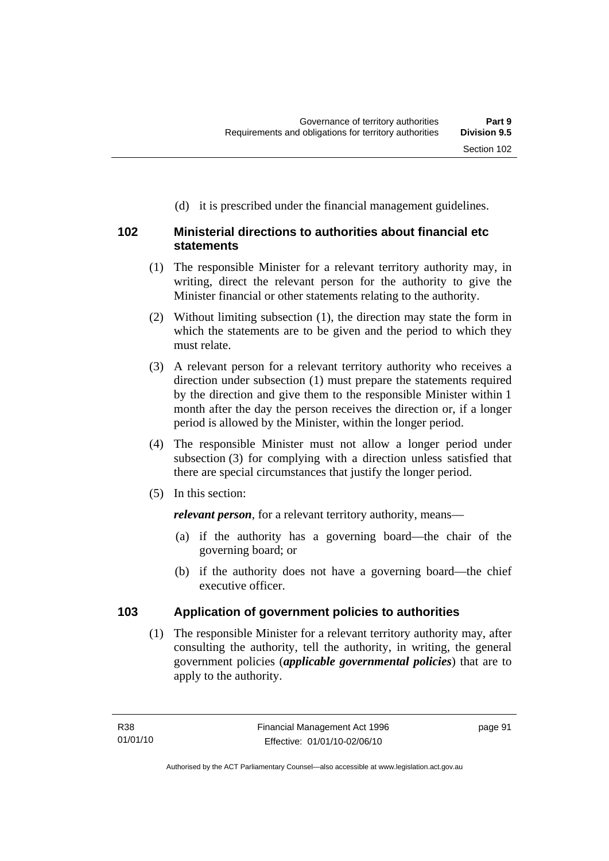# **102 Ministerial directions to authorities about financial etc statements**

 (1) The responsible Minister for a relevant territory authority may, in writing, direct the relevant person for the authority to give the Minister financial or other statements relating to the authority.

(d) it is prescribed under the financial management guidelines.

- (2) Without limiting subsection (1), the direction may state the form in which the statements are to be given and the period to which they must relate.
- (3) A relevant person for a relevant territory authority who receives a direction under subsection (1) must prepare the statements required by the direction and give them to the responsible Minister within 1 month after the day the person receives the direction or, if a longer period is allowed by the Minister, within the longer period.
- (4) The responsible Minister must not allow a longer period under subsection (3) for complying with a direction unless satisfied that there are special circumstances that justify the longer period.
- (5) In this section:

*relevant person*, for a relevant territory authority, means—

- (a) if the authority has a governing board—the chair of the governing board; or
- (b) if the authority does not have a governing board—the chief executive officer.

## **103 Application of government policies to authorities**

 (1) The responsible Minister for a relevant territory authority may, after consulting the authority, tell the authority, in writing, the general government policies (*applicable governmental policies*) that are to apply to the authority.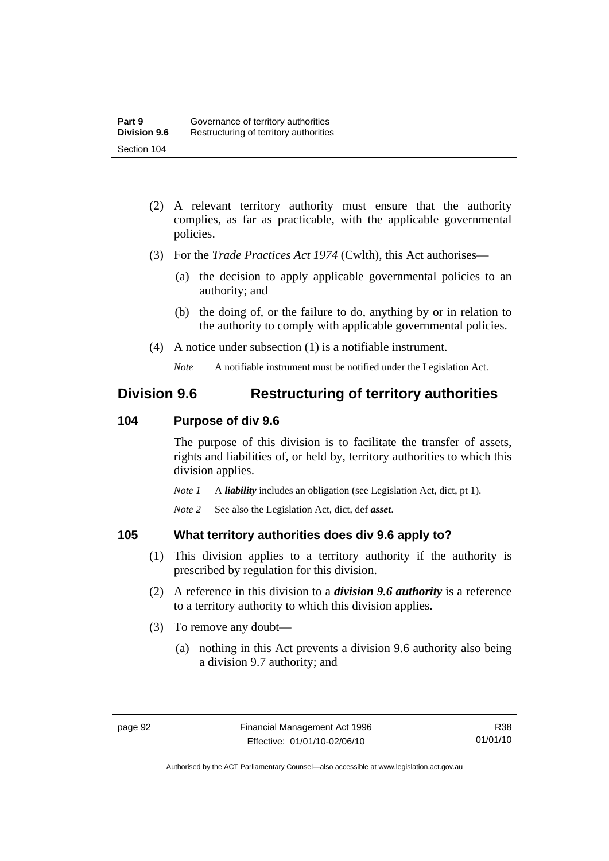- (2) A relevant territory authority must ensure that the authority complies, as far as practicable, with the applicable governmental policies.
- (3) For the *Trade Practices Act 1974* (Cwlth), this Act authorises—
	- (a) the decision to apply applicable governmental policies to an authority; and
	- (b) the doing of, or the failure to do, anything by or in relation to the authority to comply with applicable governmental policies.
- (4) A notice under subsection (1) is a notifiable instrument.

*Note* A notifiable instrument must be notified under the Legislation Act.

# **Division 9.6 Restructuring of territory authorities**

## **104 Purpose of div 9.6**

The purpose of this division is to facilitate the transfer of assets, rights and liabilities of, or held by, territory authorities to which this division applies.

*Note 1* A *liability* includes an obligation (see Legislation Act, dict, pt 1).

*Note 2* See also the Legislation Act, dict, def *asset*.

## **105 What territory authorities does div 9.6 apply to?**

- (1) This division applies to a territory authority if the authority is prescribed by regulation for this division.
- (2) A reference in this division to a *division 9.6 authority* is a reference to a territory authority to which this division applies.
- (3) To remove any doubt—
	- (a) nothing in this Act prevents a division 9.6 authority also being a division 9.7 authority; and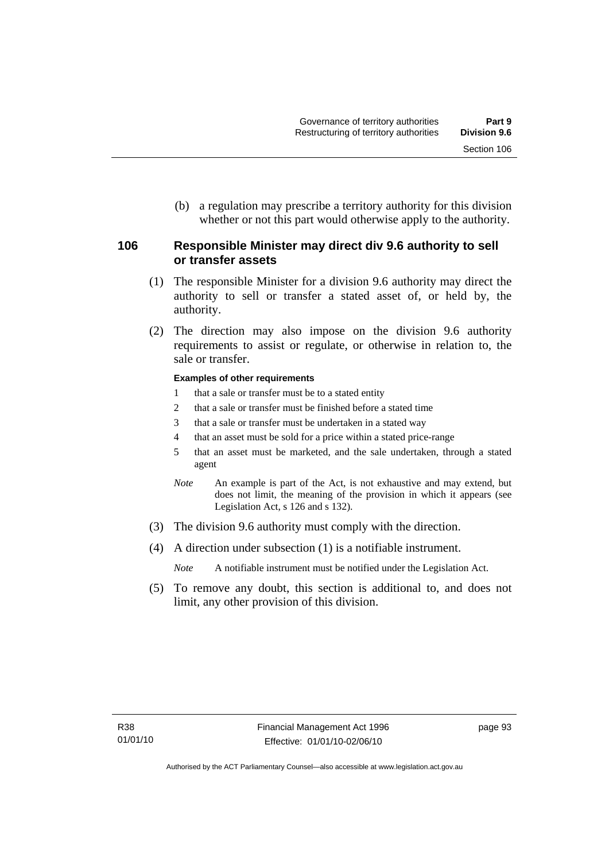(b) a regulation may prescribe a territory authority for this division whether or not this part would otherwise apply to the authority.

## **106 Responsible Minister may direct div 9.6 authority to sell or transfer assets**

- (1) The responsible Minister for a division 9.6 authority may direct the authority to sell or transfer a stated asset of, or held by, the authority.
- (2) The direction may also impose on the division 9.6 authority requirements to assist or regulate, or otherwise in relation to, the sale or transfer.

#### **Examples of other requirements**

- 1 that a sale or transfer must be to a stated entity
- 2 that a sale or transfer must be finished before a stated time
- 3 that a sale or transfer must be undertaken in a stated way
- 4 that an asset must be sold for a price within a stated price-range
- 5 that an asset must be marketed, and the sale undertaken, through a stated agent
- *Note* An example is part of the Act, is not exhaustive and may extend, but does not limit, the meaning of the provision in which it appears (see Legislation Act, s 126 and s 132).
- (3) The division 9.6 authority must comply with the direction.
- (4) A direction under subsection (1) is a notifiable instrument.

*Note* A notifiable instrument must be notified under the Legislation Act.

 (5) To remove any doubt, this section is additional to, and does not limit, any other provision of this division.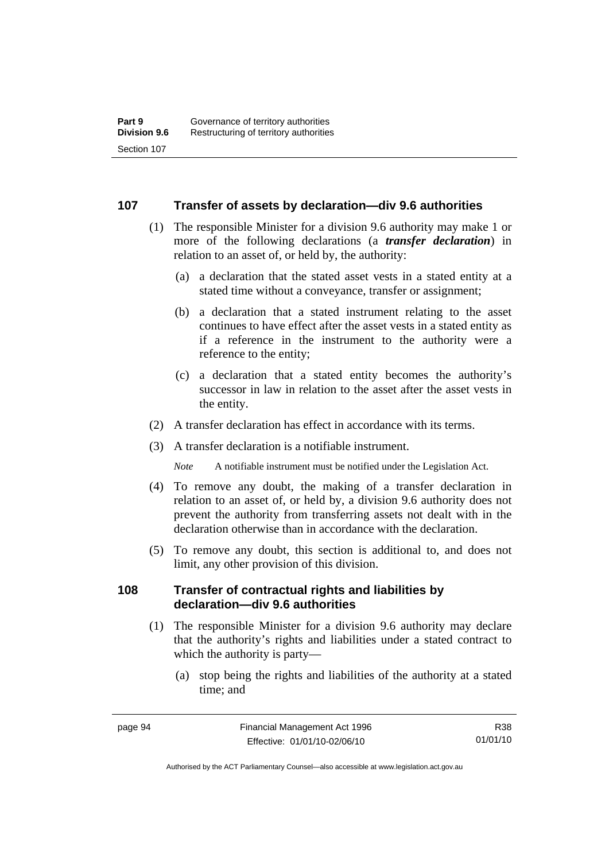#### **107 Transfer of assets by declaration—div 9.6 authorities**

- (1) The responsible Minister for a division 9.6 authority may make 1 or more of the following declarations (a *transfer declaration*) in relation to an asset of, or held by, the authority:
	- (a) a declaration that the stated asset vests in a stated entity at a stated time without a conveyance, transfer or assignment;
	- (b) a declaration that a stated instrument relating to the asset continues to have effect after the asset vests in a stated entity as if a reference in the instrument to the authority were a reference to the entity;
	- (c) a declaration that a stated entity becomes the authority's successor in law in relation to the asset after the asset vests in the entity.
- (2) A transfer declaration has effect in accordance with its terms.
- (3) A transfer declaration is a notifiable instrument.

*Note* A notifiable instrument must be notified under the Legislation Act.

- (4) To remove any doubt, the making of a transfer declaration in relation to an asset of, or held by, a division 9.6 authority does not prevent the authority from transferring assets not dealt with in the declaration otherwise than in accordance with the declaration.
- (5) To remove any doubt, this section is additional to, and does not limit, any other provision of this division.

#### **108 Transfer of contractual rights and liabilities by declaration—div 9.6 authorities**

- (1) The responsible Minister for a division 9.6 authority may declare that the authority's rights and liabilities under a stated contract to which the authority is party—
	- (a) stop being the rights and liabilities of the authority at a stated time; and

R38 01/01/10

Authorised by the ACT Parliamentary Counsel—also accessible at www.legislation.act.gov.au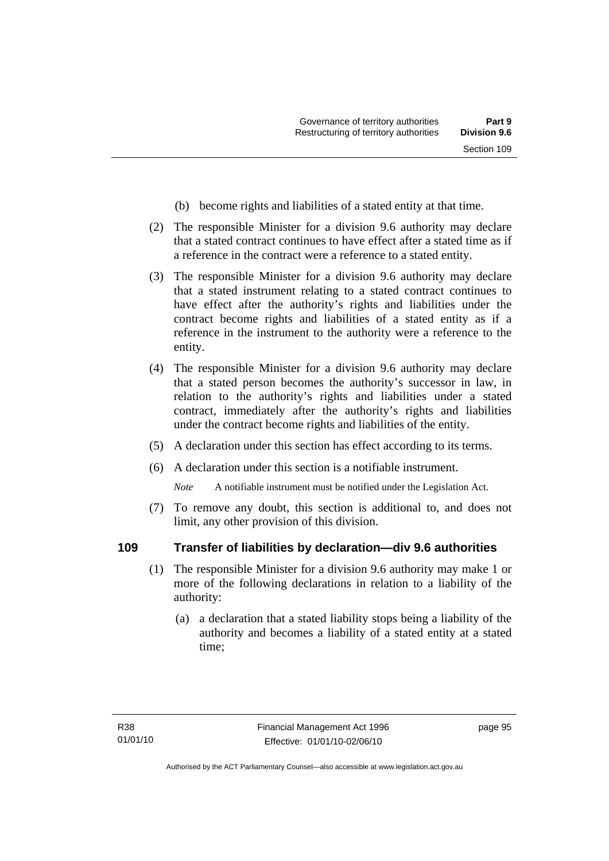- (b) become rights and liabilities of a stated entity at that time.
- (2) The responsible Minister for a division 9.6 authority may declare that a stated contract continues to have effect after a stated time as if a reference in the contract were a reference to a stated entity.
- (3) The responsible Minister for a division 9.6 authority may declare that a stated instrument relating to a stated contract continues to have effect after the authority's rights and liabilities under the contract become rights and liabilities of a stated entity as if a reference in the instrument to the authority were a reference to the entity.
- (4) The responsible Minister for a division 9.6 authority may declare that a stated person becomes the authority's successor in law, in relation to the authority's rights and liabilities under a stated contract, immediately after the authority's rights and liabilities under the contract become rights and liabilities of the entity.
- (5) A declaration under this section has effect according to its terms.
- (6) A declaration under this section is a notifiable instrument.

*Note* A notifiable instrument must be notified under the Legislation Act.

 (7) To remove any doubt, this section is additional to, and does not limit, any other provision of this division.

## **109 Transfer of liabilities by declaration—div 9.6 authorities**

- (1) The responsible Minister for a division 9.6 authority may make 1 or more of the following declarations in relation to a liability of the authority:
	- (a) a declaration that a stated liability stops being a liability of the authority and becomes a liability of a stated entity at a stated time;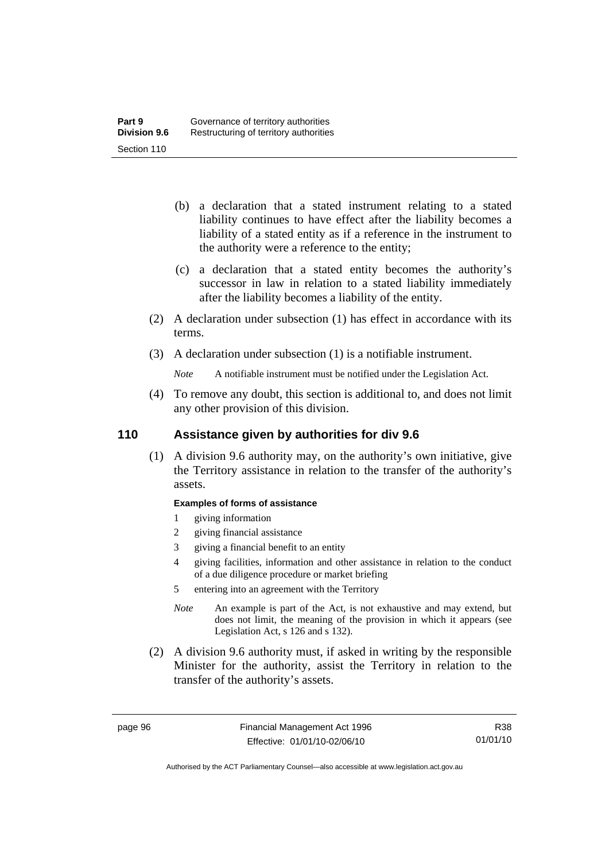- (b) a declaration that a stated instrument relating to a stated liability continues to have effect after the liability becomes a liability of a stated entity as if a reference in the instrument to the authority were a reference to the entity;
- (c) a declaration that a stated entity becomes the authority's successor in law in relation to a stated liability immediately after the liability becomes a liability of the entity.
- (2) A declaration under subsection (1) has effect in accordance with its terms.
- (3) A declaration under subsection (1) is a notifiable instrument.
	- *Note* A notifiable instrument must be notified under the Legislation Act.
- (4) To remove any doubt, this section is additional to, and does not limit any other provision of this division.

## **110 Assistance given by authorities for div 9.6**

 (1) A division 9.6 authority may, on the authority's own initiative, give the Territory assistance in relation to the transfer of the authority's assets.

#### **Examples of forms of assistance**

- 1 giving information
- 2 giving financial assistance
- 3 giving a financial benefit to an entity
- 4 giving facilities, information and other assistance in relation to the conduct of a due diligence procedure or market briefing

5 entering into an agreement with the Territory

- *Note* An example is part of the Act, is not exhaustive and may extend, but does not limit, the meaning of the provision in which it appears (see Legislation Act, s 126 and s 132).
- (2) A division 9.6 authority must, if asked in writing by the responsible Minister for the authority, assist the Territory in relation to the transfer of the authority's assets.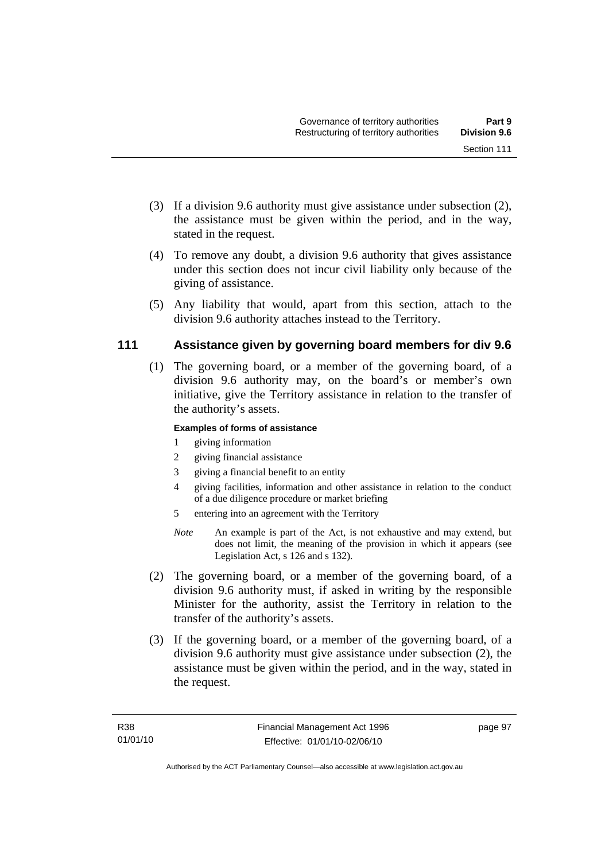- (3) If a division 9.6 authority must give assistance under subsection (2), the assistance must be given within the period, and in the way, stated in the request.
- (4) To remove any doubt, a division 9.6 authority that gives assistance under this section does not incur civil liability only because of the giving of assistance.
- (5) Any liability that would, apart from this section, attach to the division 9.6 authority attaches instead to the Territory.

## **111 Assistance given by governing board members for div 9.6**

 (1) The governing board, or a member of the governing board, of a division 9.6 authority may, on the board's or member's own initiative, give the Territory assistance in relation to the transfer of the authority's assets.

#### **Examples of forms of assistance**

- 1 giving information
- 2 giving financial assistance
- 3 giving a financial benefit to an entity
- 4 giving facilities, information and other assistance in relation to the conduct of a due diligence procedure or market briefing
- 5 entering into an agreement with the Territory
- *Note* An example is part of the Act, is not exhaustive and may extend, but does not limit, the meaning of the provision in which it appears (see Legislation Act, s 126 and s 132).
- (2) The governing board, or a member of the governing board, of a division 9.6 authority must, if asked in writing by the responsible Minister for the authority, assist the Territory in relation to the transfer of the authority's assets.
- (3) If the governing board, or a member of the governing board, of a division 9.6 authority must give assistance under subsection (2), the assistance must be given within the period, and in the way, stated in the request.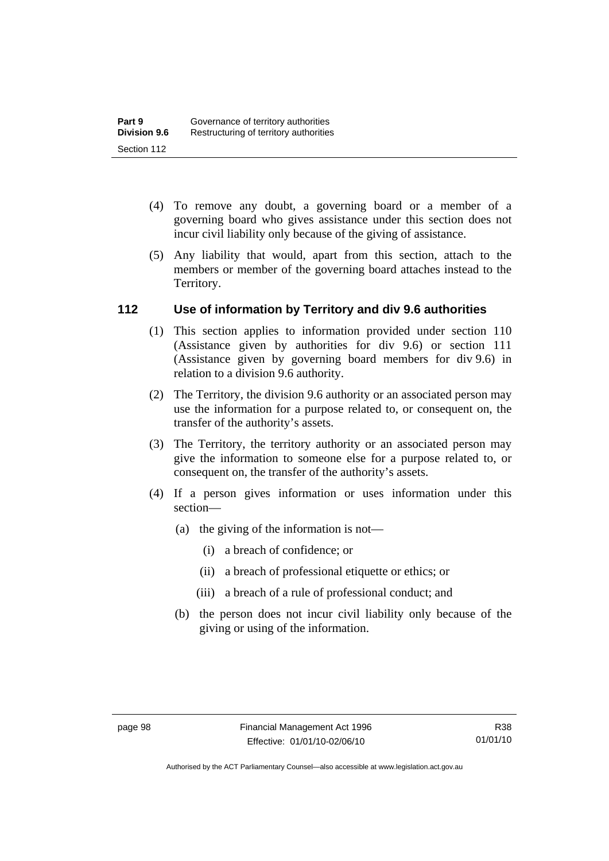- (4) To remove any doubt, a governing board or a member of a governing board who gives assistance under this section does not incur civil liability only because of the giving of assistance.
- (5) Any liability that would, apart from this section, attach to the members or member of the governing board attaches instead to the Territory.

## **112 Use of information by Territory and div 9.6 authorities**

- (1) This section applies to information provided under section 110 (Assistance given by authorities for div 9.6) or section 111 (Assistance given by governing board members for div 9.6) in relation to a division 9.6 authority.
- (2) The Territory, the division 9.6 authority or an associated person may use the information for a purpose related to, or consequent on, the transfer of the authority's assets.
- (3) The Territory, the territory authority or an associated person may give the information to someone else for a purpose related to, or consequent on, the transfer of the authority's assets.
- (4) If a person gives information or uses information under this section—
	- (a) the giving of the information is not—
		- (i) a breach of confidence; or
		- (ii) a breach of professional etiquette or ethics; or
		- (iii) a breach of a rule of professional conduct; and
	- (b) the person does not incur civil liability only because of the giving or using of the information.

Authorised by the ACT Parliamentary Counsel—also accessible at www.legislation.act.gov.au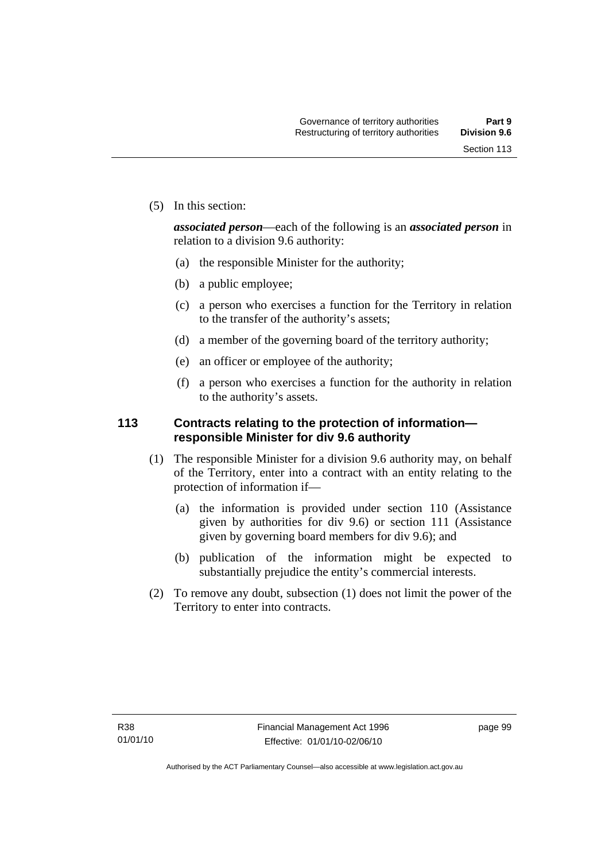(5) In this section:

*associated person*—each of the following is an *associated person* in relation to a division 9.6 authority:

- (a) the responsible Minister for the authority;
- (b) a public employee;
- (c) a person who exercises a function for the Territory in relation to the transfer of the authority's assets;
- (d) a member of the governing board of the territory authority;
- (e) an officer or employee of the authority;
- (f) a person who exercises a function for the authority in relation to the authority's assets.

### **113 Contracts relating to the protection of information responsible Minister for div 9.6 authority**

- (1) The responsible Minister for a division 9.6 authority may, on behalf of the Territory, enter into a contract with an entity relating to the protection of information if—
	- (a) the information is provided under section 110 (Assistance given by authorities for div 9.6) or section 111 (Assistance given by governing board members for div 9.6); and
	- (b) publication of the information might be expected to substantially prejudice the entity's commercial interests.
- (2) To remove any doubt, subsection (1) does not limit the power of the Territory to enter into contracts.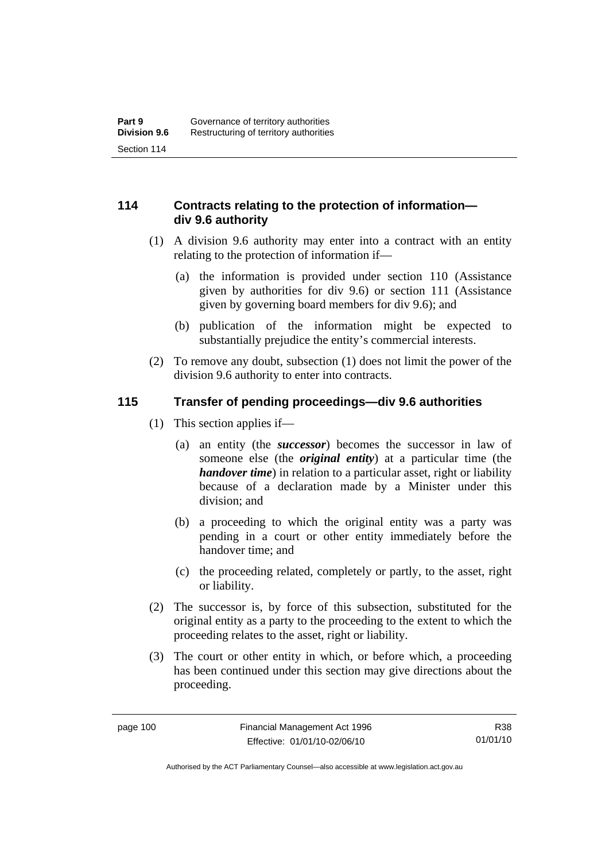### **114 Contracts relating to the protection of information div 9.6 authority**

- (1) A division 9.6 authority may enter into a contract with an entity relating to the protection of information if—
	- (a) the information is provided under section 110 (Assistance given by authorities for div 9.6) or section 111 (Assistance given by governing board members for div 9.6); and
	- (b) publication of the information might be expected to substantially prejudice the entity's commercial interests.
- (2) To remove any doubt, subsection (1) does not limit the power of the division 9.6 authority to enter into contracts.

### **115 Transfer of pending proceedings—div 9.6 authorities**

- (1) This section applies if—
	- (a) an entity (the *successor*) becomes the successor in law of someone else (the *original entity*) at a particular time (the *handover time*) in relation to a particular asset, right or liability because of a declaration made by a Minister under this division; and
	- (b) a proceeding to which the original entity was a party was pending in a court or other entity immediately before the handover time; and
	- (c) the proceeding related, completely or partly, to the asset, right or liability.
- (2) The successor is, by force of this subsection, substituted for the original entity as a party to the proceeding to the extent to which the proceeding relates to the asset, right or liability.
- (3) The court or other entity in which, or before which, a proceeding has been continued under this section may give directions about the proceeding.

R38 01/01/10

Authorised by the ACT Parliamentary Counsel—also accessible at www.legislation.act.gov.au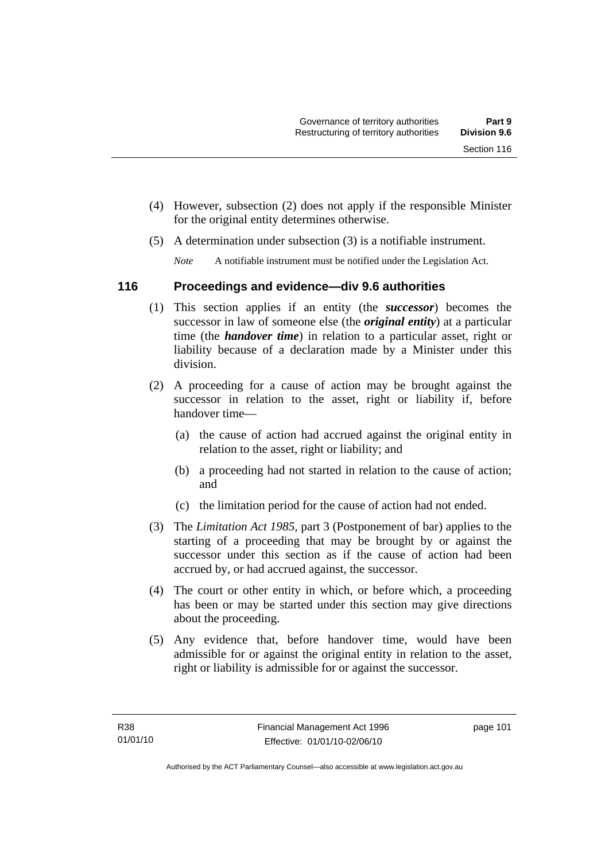- (4) However, subsection (2) does not apply if the responsible Minister for the original entity determines otherwise.
- (5) A determination under subsection (3) is a notifiable instrument.

*Note* A notifiable instrument must be notified under the Legislation Act.

### **116 Proceedings and evidence—div 9.6 authorities**

- (1) This section applies if an entity (the *successor*) becomes the successor in law of someone else (the *original entity*) at a particular time (the *handover time*) in relation to a particular asset, right or liability because of a declaration made by a Minister under this division.
- (2) A proceeding for a cause of action may be brought against the successor in relation to the asset, right or liability if, before handover time—
	- (a) the cause of action had accrued against the original entity in relation to the asset, right or liability; and
	- (b) a proceeding had not started in relation to the cause of action; and
	- (c) the limitation period for the cause of action had not ended.
- (3) The *Limitation Act 1985,* part 3 (Postponement of bar) applies to the starting of a proceeding that may be brought by or against the successor under this section as if the cause of action had been accrued by, or had accrued against, the successor.
- (4) The court or other entity in which, or before which, a proceeding has been or may be started under this section may give directions about the proceeding.
- (5) Any evidence that, before handover time, would have been admissible for or against the original entity in relation to the asset, right or liability is admissible for or against the successor.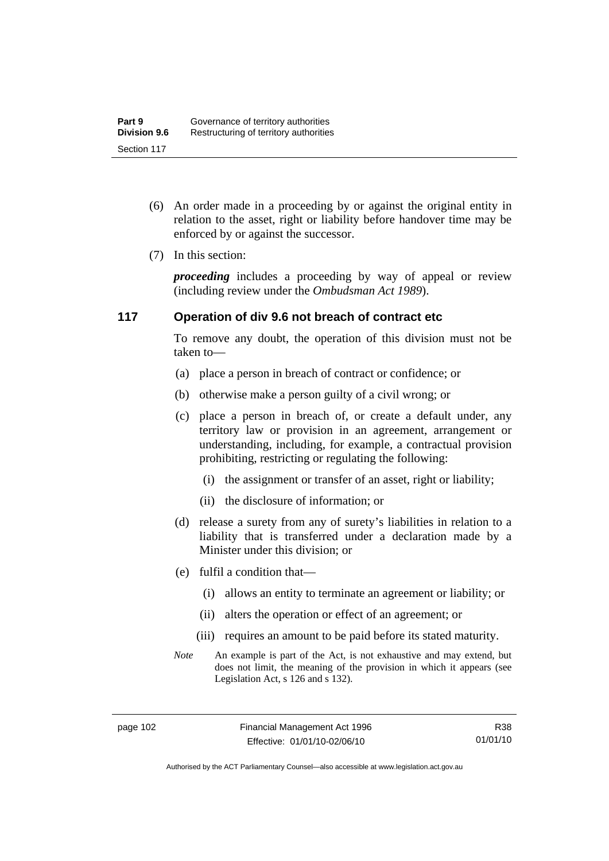- (6) An order made in a proceeding by or against the original entity in relation to the asset, right or liability before handover time may be enforced by or against the successor.
- (7) In this section:

*proceeding* includes a proceeding by way of appeal or review (including review under the *Ombudsman Act 1989*).

### **117 Operation of div 9.6 not breach of contract etc**

To remove any doubt, the operation of this division must not be taken to—

- (a) place a person in breach of contract or confidence; or
- (b) otherwise make a person guilty of a civil wrong; or
- (c) place a person in breach of, or create a default under, any territory law or provision in an agreement, arrangement or understanding, including, for example, a contractual provision prohibiting, restricting or regulating the following:
	- (i) the assignment or transfer of an asset, right or liability;
	- (ii) the disclosure of information; or
- (d) release a surety from any of surety's liabilities in relation to a liability that is transferred under a declaration made by a Minister under this division; or
- (e) fulfil a condition that—
	- (i) allows an entity to terminate an agreement or liability; or
	- (ii) alters the operation or effect of an agreement; or
	- (iii) requires an amount to be paid before its stated maturity.
- *Note* An example is part of the Act, is not exhaustive and may extend, but does not limit, the meaning of the provision in which it appears (see Legislation Act, s 126 and s 132).

Authorised by the ACT Parliamentary Counsel—also accessible at www.legislation.act.gov.au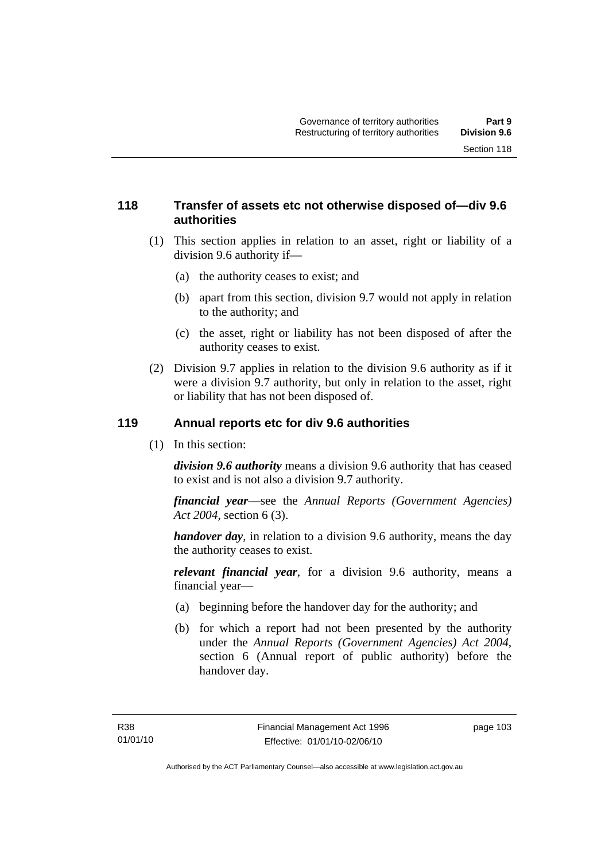### **118 Transfer of assets etc not otherwise disposed of—div 9.6 authorities**

- (1) This section applies in relation to an asset, right or liability of a division 9.6 authority if—
	- (a) the authority ceases to exist; and
	- (b) apart from this section, division 9.7 would not apply in relation to the authority; and
	- (c) the asset, right or liability has not been disposed of after the authority ceases to exist.
- (2) Division 9.7 applies in relation to the division 9.6 authority as if it were a division 9.7 authority, but only in relation to the asset, right or liability that has not been disposed of.

### **119 Annual reports etc for div 9.6 authorities**

(1) In this section:

*division 9.6 authority* means a division 9.6 authority that has ceased to exist and is not also a division 9.7 authority.

*financial year*––see the *Annual Reports (Government Agencies) Act 2004*, section 6 (3).

*handover day*, in relation to a division 9.6 authority, means the day the authority ceases to exist.

*relevant financial year*, for a division 9.6 authority, means a financial year—

- (a) beginning before the handover day for the authority; and
- (b) for which a report had not been presented by the authority under the *Annual Reports (Government Agencies) Act 2004*, section 6 (Annual report of public authority) before the handover day.

page 103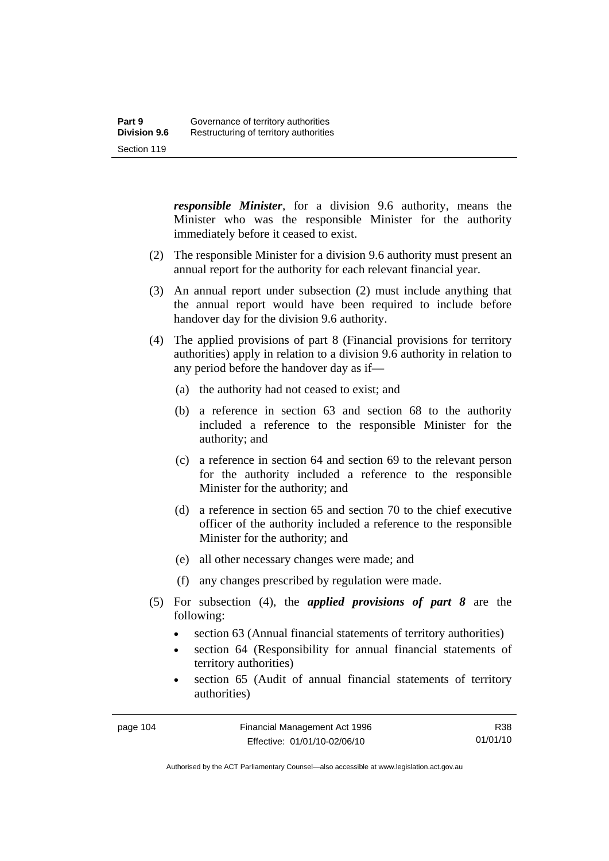*responsible Minister*, for a division 9.6 authority, means the Minister who was the responsible Minister for the authority immediately before it ceased to exist.

- (2) The responsible Minister for a division 9.6 authority must present an annual report for the authority for each relevant financial year.
- (3) An annual report under subsection (2) must include anything that the annual report would have been required to include before handover day for the division 9.6 authority.
- (4) The applied provisions of part 8 (Financial provisions for territory authorities) apply in relation to a division 9.6 authority in relation to any period before the handover day as if—
	- (a) the authority had not ceased to exist; and
	- (b) a reference in section 63 and section 68 to the authority included a reference to the responsible Minister for the authority; and
	- (c) a reference in section 64 and section 69 to the relevant person for the authority included a reference to the responsible Minister for the authority; and
	- (d) a reference in section 65 and section 70 to the chief executive officer of the authority included a reference to the responsible Minister for the authority; and
	- (e) all other necessary changes were made; and
	- (f) any changes prescribed by regulation were made.
- (5) For subsection (4), the *applied provisions of part 8* are the following:
	- section 63 (Annual financial statements of territory authorities)
	- section 64 (Responsibility for annual financial statements of territory authorities)
	- section 65 (Audit of annual financial statements of territory authorities)

R38 01/01/10

Authorised by the ACT Parliamentary Counsel—also accessible at www.legislation.act.gov.au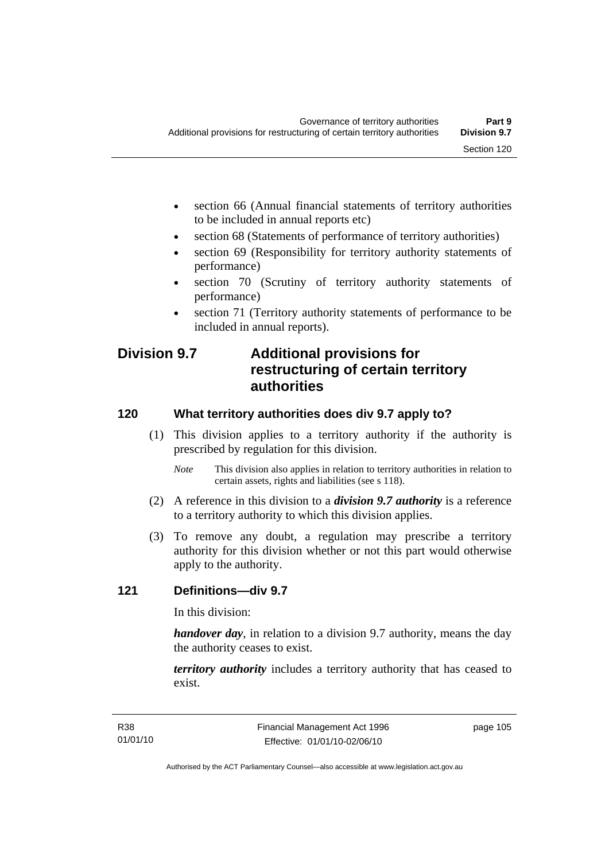- section 66 (Annual financial statements of territory authorities to be included in annual reports etc)
- section 68 (Statements of performance of territory authorities)
- section 69 (Responsibility for territory authority statements of performance)
- section 70 (Scrutiny of territory authority statements of performance)
- section 71 (Territory authority statements of performance to be included in annual reports).

## **Division 9.7 Additional provisions for restructuring of certain territory authorities**

### **120 What territory authorities does div 9.7 apply to?**

- (1) This division applies to a territory authority if the authority is prescribed by regulation for this division.
	- *Note* This division also applies in relation to territory authorities in relation to certain assets, rights and liabilities (see s 118).
- (2) A reference in this division to a *division 9.7 authority* is a reference to a territory authority to which this division applies.
- (3) To remove any doubt, a regulation may prescribe a territory authority for this division whether or not this part would otherwise apply to the authority.

### **121 Definitions—div 9.7**

In this division:

*handover day*, in relation to a division 9.7 authority, means the day the authority ceases to exist.

*territory authority* includes a territory authority that has ceased to exist.

page 105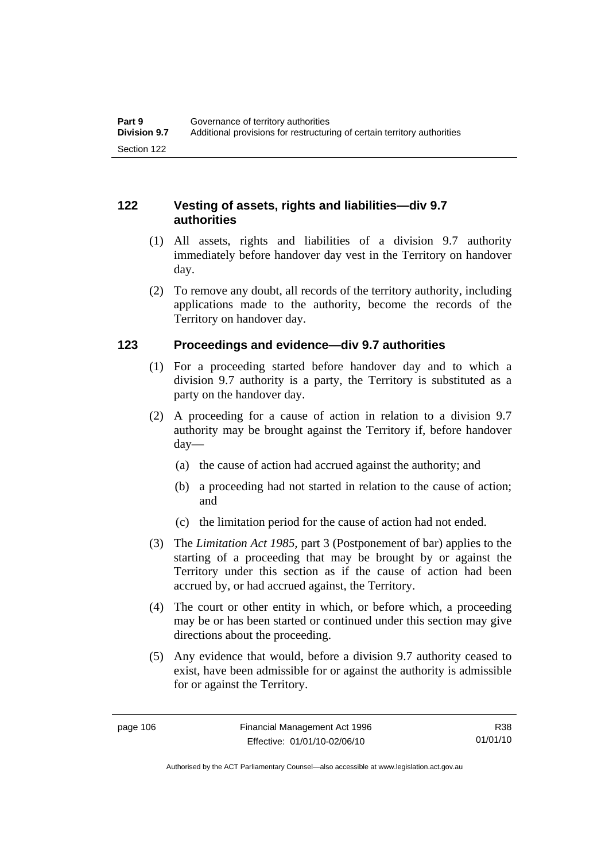### **122 Vesting of assets, rights and liabilities—div 9.7 authorities**

- (1) All assets, rights and liabilities of a division 9.7 authority immediately before handover day vest in the Territory on handover day.
- (2) To remove any doubt, all records of the territory authority, including applications made to the authority, become the records of the Territory on handover day.

### **123 Proceedings and evidence—div 9.7 authorities**

- (1) For a proceeding started before handover day and to which a division 9.7 authority is a party, the Territory is substituted as a party on the handover day.
- (2) A proceeding for a cause of action in relation to a division 9.7 authority may be brought against the Territory if, before handover day—
	- (a) the cause of action had accrued against the authority; and
	- (b) a proceeding had not started in relation to the cause of action; and
	- (c) the limitation period for the cause of action had not ended.
- (3) The *Limitation Act 1985,* part 3 (Postponement of bar) applies to the starting of a proceeding that may be brought by or against the Territory under this section as if the cause of action had been accrued by, or had accrued against, the Territory.
- (4) The court or other entity in which, or before which, a proceeding may be or has been started or continued under this section may give directions about the proceeding.
- (5) Any evidence that would, before a division 9.7 authority ceased to exist, have been admissible for or against the authority is admissible for or against the Territory.

R38 01/01/10

Authorised by the ACT Parliamentary Counsel—also accessible at www.legislation.act.gov.au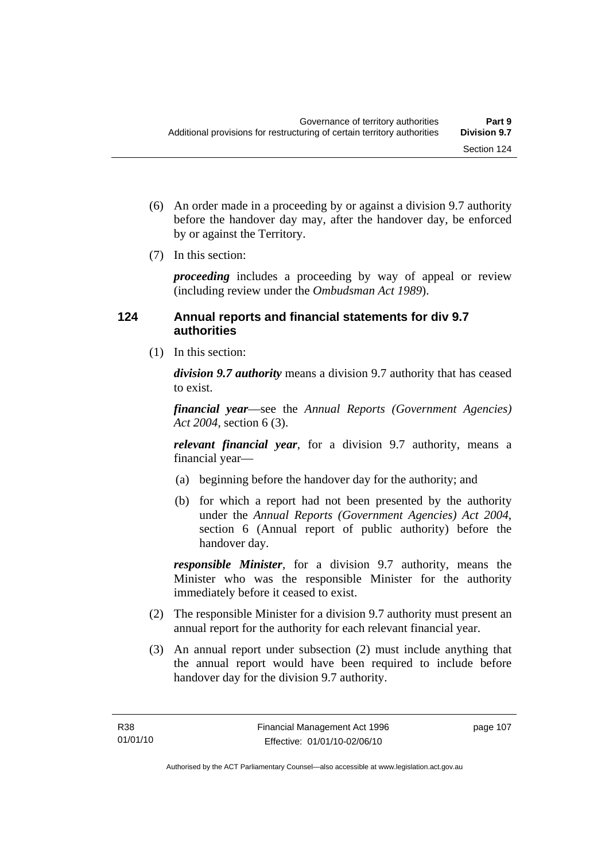- (6) An order made in a proceeding by or against a division 9.7 authority before the handover day may, after the handover day, be enforced by or against the Territory.
- (7) In this section:

*proceeding* includes a proceeding by way of appeal or review (including review under the *Ombudsman Act 1989*).

### **124 Annual reports and financial statements for div 9.7 authorities**

(1) In this section:

*division 9.7 authority* means a division 9.7 authority that has ceased to exist.

*financial year*––see the *Annual Reports (Government Agencies) Act 2004*, section 6 (3).

*relevant financial year*, for a division 9.7 authority, means a financial year—

- (a) beginning before the handover day for the authority; and
- (b) for which a report had not been presented by the authority under the *Annual Reports (Government Agencies) Act 2004*, section 6 (Annual report of public authority) before the handover day.

*responsible Minister*, for a division 9.7 authority, means the Minister who was the responsible Minister for the authority immediately before it ceased to exist.

- (2) The responsible Minister for a division 9.7 authority must present an annual report for the authority for each relevant financial year.
- (3) An annual report under subsection (2) must include anything that the annual report would have been required to include before handover day for the division 9.7 authority.

page 107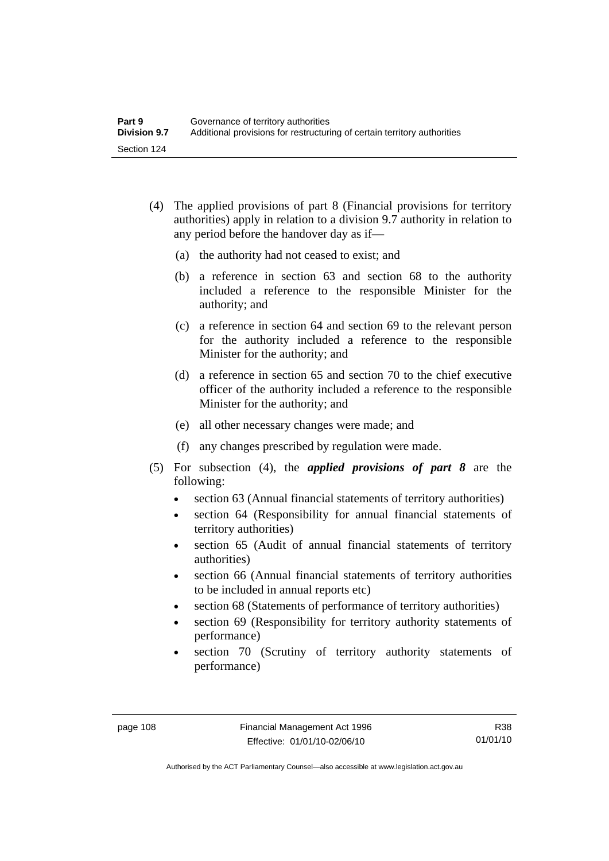- (4) The applied provisions of part 8 (Financial provisions for territory authorities) apply in relation to a division 9.7 authority in relation to any period before the handover day as if—
	- (a) the authority had not ceased to exist; and
	- (b) a reference in section 63 and section 68 to the authority included a reference to the responsible Minister for the authority; and
	- (c) a reference in section 64 and section 69 to the relevant person for the authority included a reference to the responsible Minister for the authority; and
	- (d) a reference in section 65 and section 70 to the chief executive officer of the authority included a reference to the responsible Minister for the authority; and
	- (e) all other necessary changes were made; and
	- (f) any changes prescribed by regulation were made.
- (5) For subsection (4), the *applied provisions of part 8* are the following:
	- section 63 (Annual financial statements of territory authorities)
	- section 64 (Responsibility for annual financial statements of territory authorities)
	- section 65 (Audit of annual financial statements of territory authorities)
	- section 66 (Annual financial statements of territory authorities to be included in annual reports etc)
	- section 68 (Statements of performance of territory authorities)
	- section 69 (Responsibility for territory authority statements of performance)
	- section 70 (Scrutiny of territory authority statements of performance)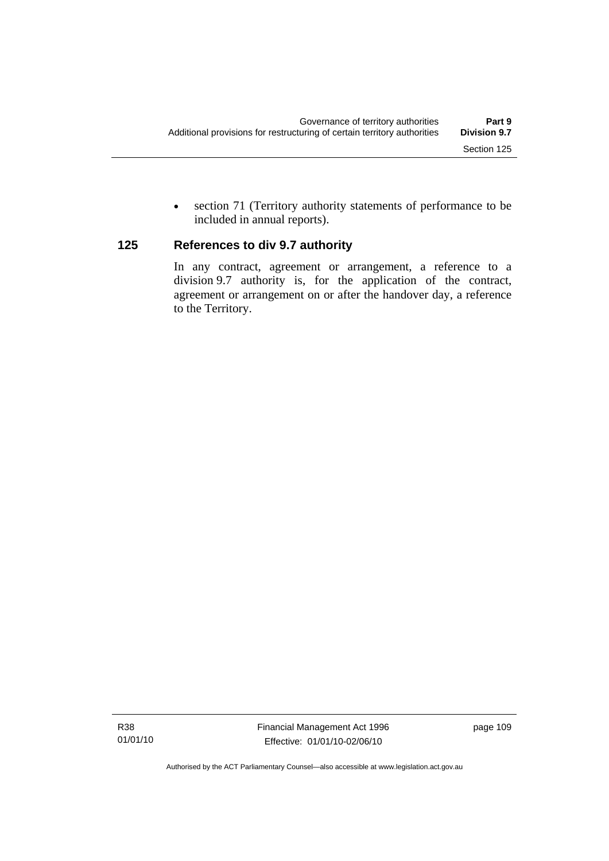• section 71 (Territory authority statements of performance to be included in annual reports).

### **125 References to div 9.7 authority**

In any contract, agreement or arrangement, a reference to a division 9.7 authority is, for the application of the contract, agreement or arrangement on or after the handover day, a reference to the Territory.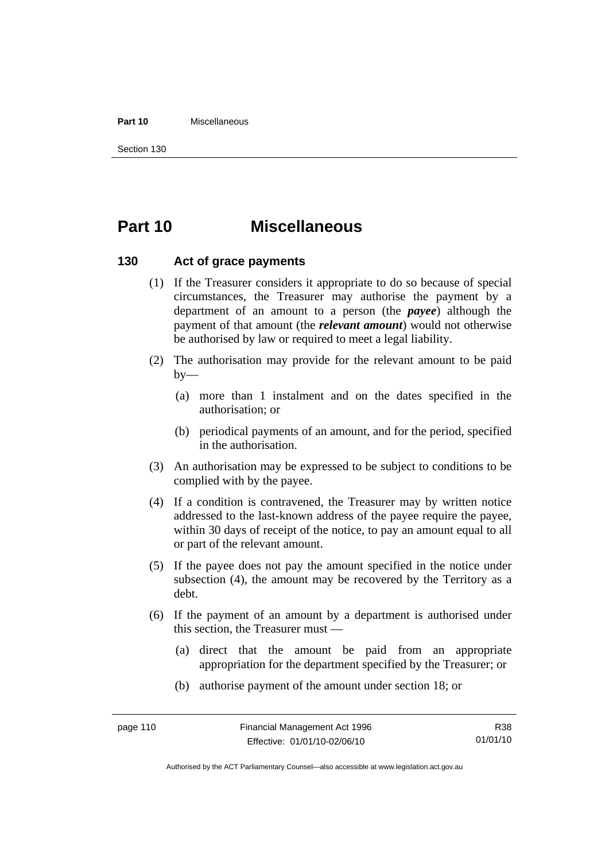#### **Part 10** Miscellaneous

Section 130

# **Part 10 Miscellaneous**

### **130 Act of grace payments**

- (1) If the Treasurer considers it appropriate to do so because of special circumstances, the Treasurer may authorise the payment by a department of an amount to a person (the *payee*) although the payment of that amount (the *relevant amount*) would not otherwise be authorised by law or required to meet a legal liability.
- (2) The authorisation may provide for the relevant amount to be paid  $by-$ 
	- (a) more than 1 instalment and on the dates specified in the authorisation; or
	- (b) periodical payments of an amount, and for the period, specified in the authorisation.
- (3) An authorisation may be expressed to be subject to conditions to be complied with by the payee.
- (4) If a condition is contravened, the Treasurer may by written notice addressed to the last-known address of the payee require the payee, within 30 days of receipt of the notice, to pay an amount equal to all or part of the relevant amount.
- (5) If the payee does not pay the amount specified in the notice under subsection (4), the amount may be recovered by the Territory as a debt.
- (6) If the payment of an amount by a department is authorised under this section, the Treasurer must —
	- (a) direct that the amount be paid from an appropriate appropriation for the department specified by the Treasurer; or
	- (b) authorise payment of the amount under section 18; or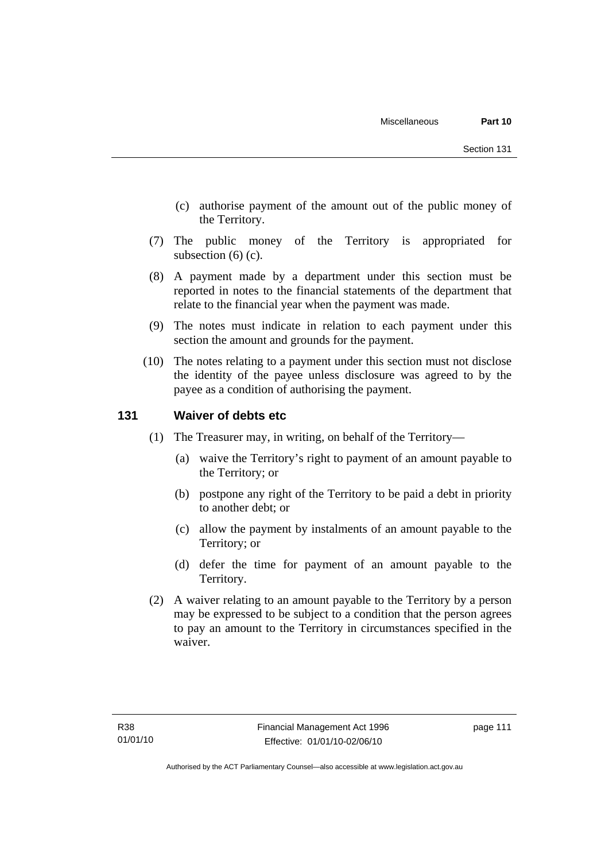- (c) authorise payment of the amount out of the public money of the Territory.
- (7) The public money of the Territory is appropriated for subsection (6) (c).
- (8) A payment made by a department under this section must be reported in notes to the financial statements of the department that relate to the financial year when the payment was made.
- (9) The notes must indicate in relation to each payment under this section the amount and grounds for the payment.
- (10) The notes relating to a payment under this section must not disclose the identity of the payee unless disclosure was agreed to by the payee as a condition of authorising the payment.

### **131 Waiver of debts etc**

- (1) The Treasurer may, in writing, on behalf of the Territory—
	- (a) waive the Territory's right to payment of an amount payable to the Territory; or
	- (b) postpone any right of the Territory to be paid a debt in priority to another debt; or
	- (c) allow the payment by instalments of an amount payable to the Territory; or
	- (d) defer the time for payment of an amount payable to the Territory.
- (2) A waiver relating to an amount payable to the Territory by a person may be expressed to be subject to a condition that the person agrees to pay an amount to the Territory in circumstances specified in the waiver.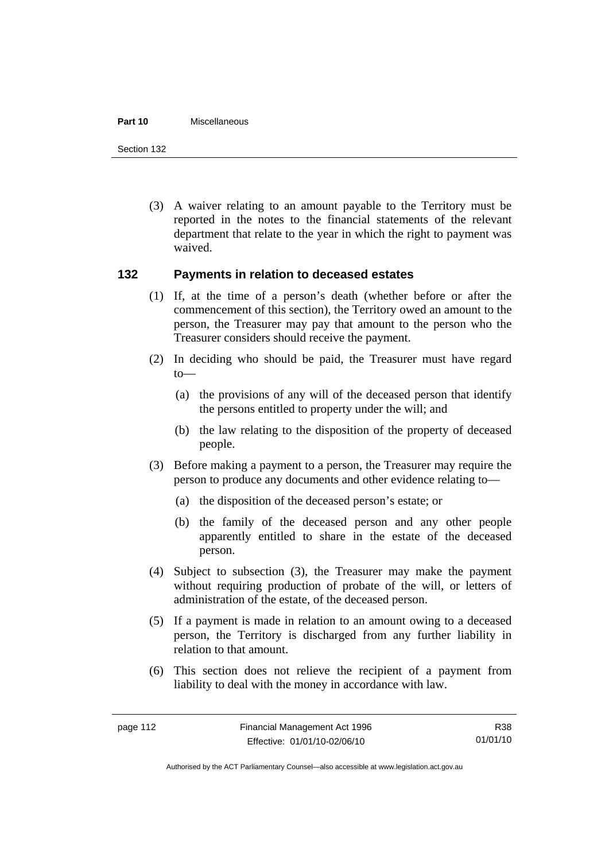#### **Part 10** Miscellaneous

Section 132

 (3) A waiver relating to an amount payable to the Territory must be reported in the notes to the financial statements of the relevant department that relate to the year in which the right to payment was waived.

### **132 Payments in relation to deceased estates**

- (1) If, at the time of a person's death (whether before or after the commencement of this section), the Territory owed an amount to the person, the Treasurer may pay that amount to the person who the Treasurer considers should receive the payment.
- (2) In deciding who should be paid, the Treasurer must have regard to—
	- (a) the provisions of any will of the deceased person that identify the persons entitled to property under the will; and
	- (b) the law relating to the disposition of the property of deceased people.
- (3) Before making a payment to a person, the Treasurer may require the person to produce any documents and other evidence relating to—
	- (a) the disposition of the deceased person's estate; or
	- (b) the family of the deceased person and any other people apparently entitled to share in the estate of the deceased person.
- (4) Subject to subsection (3), the Treasurer may make the payment without requiring production of probate of the will, or letters of administration of the estate, of the deceased person.
- (5) If a payment is made in relation to an amount owing to a deceased person, the Territory is discharged from any further liability in relation to that amount.
- (6) This section does not relieve the recipient of a payment from liability to deal with the money in accordance with law.

R38 01/01/10

Authorised by the ACT Parliamentary Counsel—also accessible at www.legislation.act.gov.au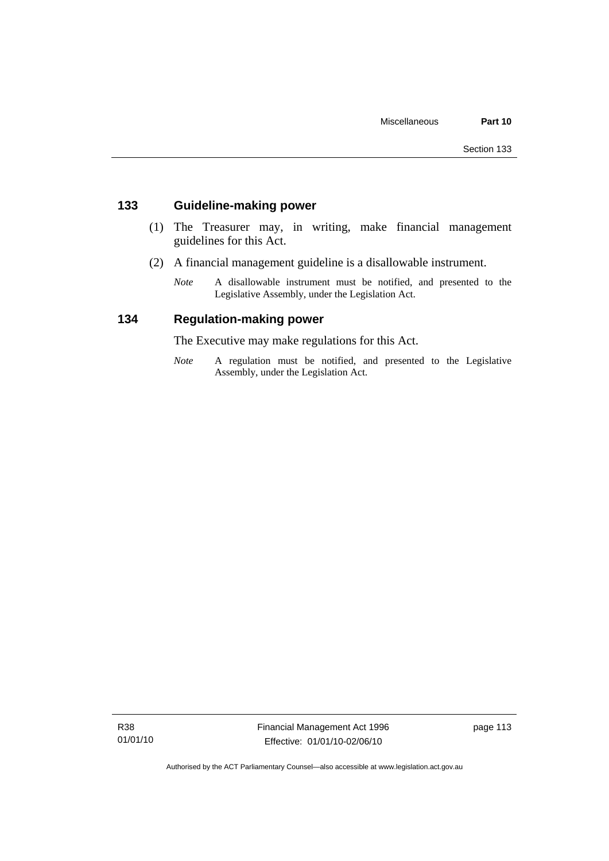### **133 Guideline-making power**

- (1) The Treasurer may, in writing, make financial management guidelines for this Act.
- (2) A financial management guideline is a disallowable instrument.
	- *Note* A disallowable instrument must be notified, and presented to the Legislative Assembly, under the Legislation Act.

### **134 Regulation-making power**

The Executive may make regulations for this Act.

*Note* A regulation must be notified, and presented to the Legislative Assembly, under the Legislation Act.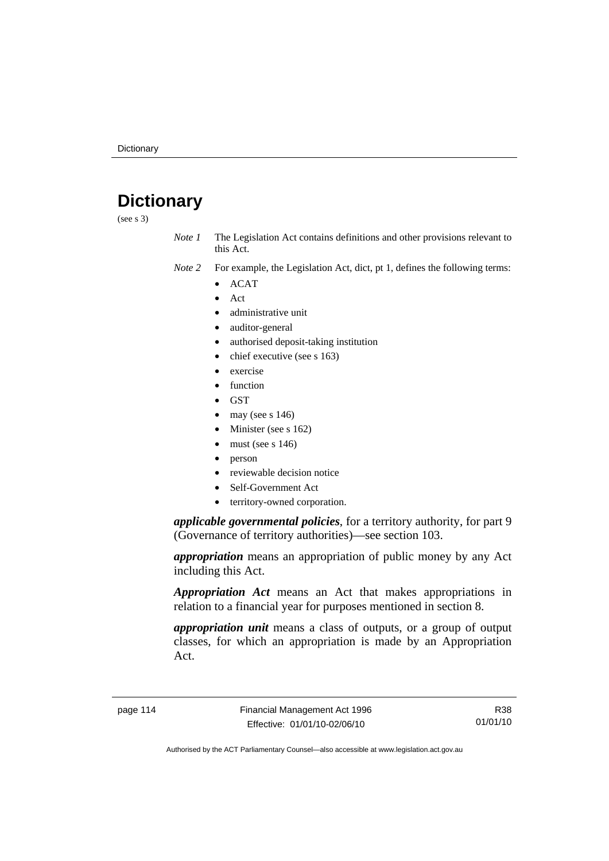# **Dictionary**

(see s 3)

*Note 1* The Legislation Act contains definitions and other provisions relevant to this Act.

- *Note 2* For example, the Legislation Act, dict, pt 1, defines the following terms:
	- ACAT
		- Act
		- administrative unit
	- auditor-general
	- authorised deposit-taking institution
	- chief executive (see s 163)
	- exercise
	- function
	- GST
	- may (see s  $146$ )
	- Minister (see s 162)
	- must (see s  $146$ )
	- person
	- reviewable decision notice
	- Self-Government Act
	- territory-owned corporation.

*applicable governmental policies*, for a territory authority, for part 9 (Governance of territory authorities)—see section 103.

*appropriation* means an appropriation of public money by any Act including this Act.

*Appropriation Act* means an Act that makes appropriations in relation to a financial year for purposes mentioned in section 8.

*appropriation unit* means a class of outputs, or a group of output classes, for which an appropriation is made by an Appropriation Act.

R38 01/01/10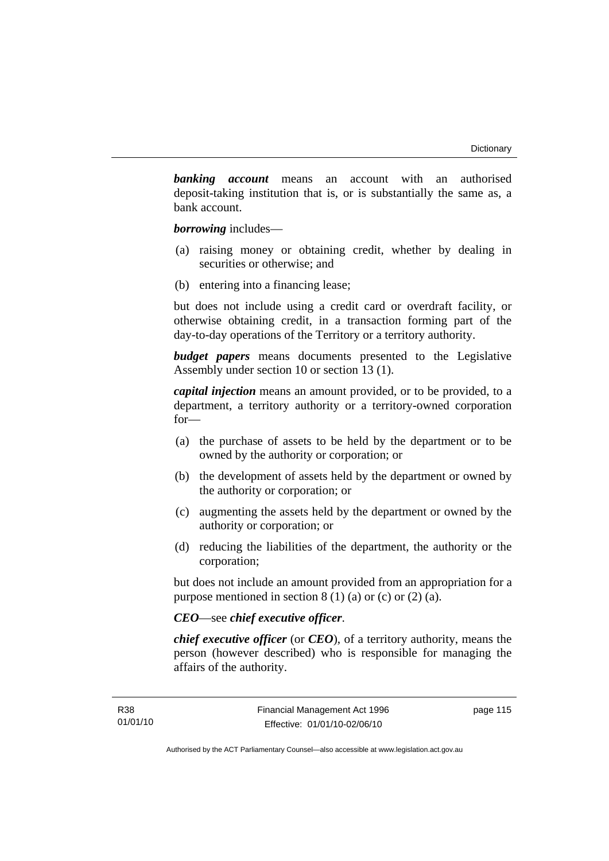*banking account* means an account with an authorised deposit-taking institution that is, or is substantially the same as, a bank account.

*borrowing* includes—

- (a) raising money or obtaining credit, whether by dealing in securities or otherwise; and
- (b) entering into a financing lease;

but does not include using a credit card or overdraft facility, or otherwise obtaining credit, in a transaction forming part of the day-to-day operations of the Territory or a territory authority.

*budget papers* means documents presented to the Legislative Assembly under section 10 or section 13 (1).

*capital injection* means an amount provided, or to be provided, to a department, a territory authority or a territory-owned corporation for—

- (a) the purchase of assets to be held by the department or to be owned by the authority or corporation; or
- (b) the development of assets held by the department or owned by the authority or corporation; or
- (c) augmenting the assets held by the department or owned by the authority or corporation; or
- (d) reducing the liabilities of the department, the authority or the corporation;

but does not include an amount provided from an appropriation for a purpose mentioned in section  $8(1)(a)$  or (c) or  $(2)(a)$ .

### *CEO*—see *chief executive officer*.

*chief executive officer* (or *CEO*), of a territory authority, means the person (however described) who is responsible for managing the affairs of the authority.

page 115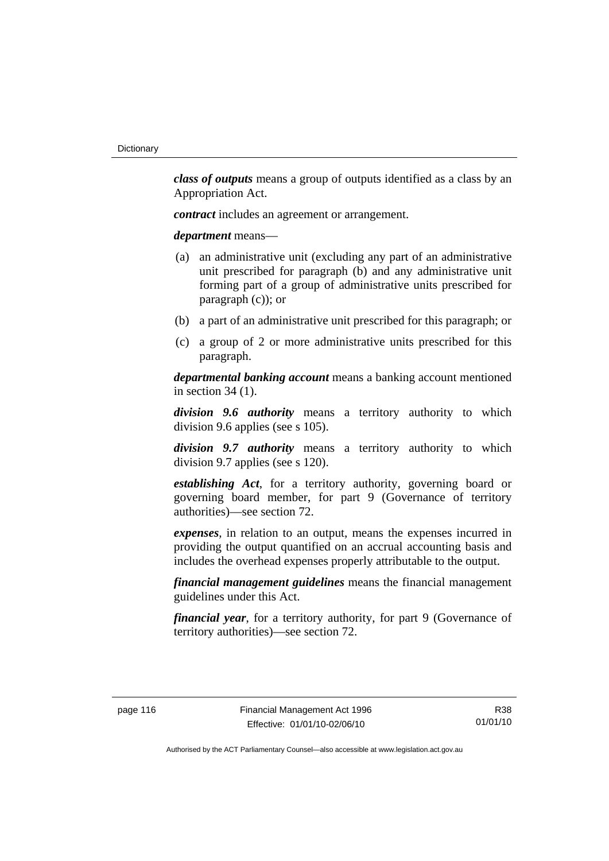*class of outputs* means a group of outputs identified as a class by an Appropriation Act.

*contract* includes an agreement or arrangement.

*department* means—

- (a) an administrative unit (excluding any part of an administrative unit prescribed for paragraph (b) and any administrative unit forming part of a group of administrative units prescribed for paragraph (c)); or
- (b) a part of an administrative unit prescribed for this paragraph; or
- (c) a group of 2 or more administrative units prescribed for this paragraph.

*departmental banking account* means a banking account mentioned in section 34 (1).

*division 9.6 authority* means a territory authority to which division 9.6 applies (see s 105).

*division 9.7 authority* means a territory authority to which division 9.7 applies (see s 120).

*establishing Act*, for a territory authority, governing board or governing board member, for part 9 (Governance of territory authorities)—see section 72.

*expenses*, in relation to an output, means the expenses incurred in providing the output quantified on an accrual accounting basis and includes the overhead expenses properly attributable to the output.

*financial management guidelines* means the financial management guidelines under this Act.

*financial year*, for a territory authority, for part 9 (Governance of territory authorities)—see section 72.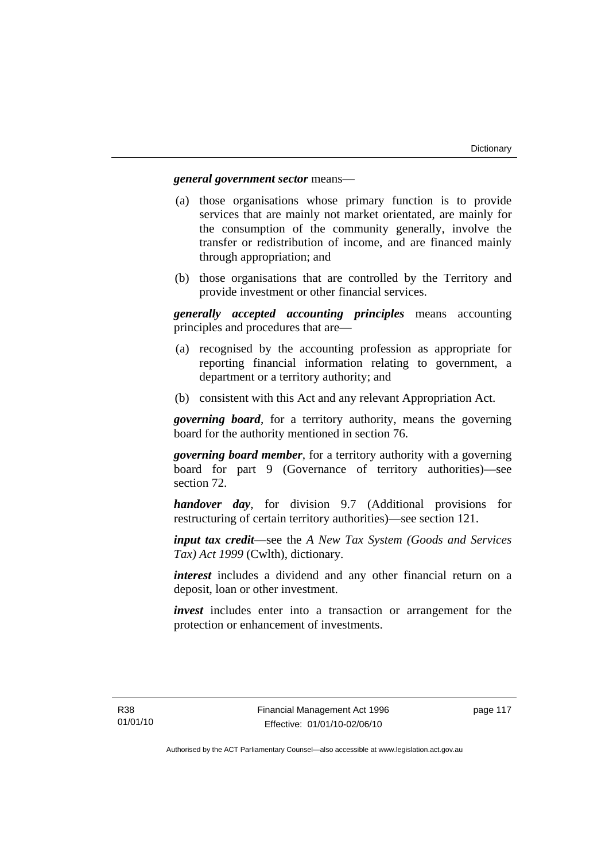### *general government sector* means—

- (a) those organisations whose primary function is to provide services that are mainly not market orientated, are mainly for the consumption of the community generally, involve the transfer or redistribution of income, and are financed mainly through appropriation; and
- (b) those organisations that are controlled by the Territory and provide investment or other financial services.

*generally accepted accounting principles* means accounting principles and procedures that are—

- (a) recognised by the accounting profession as appropriate for reporting financial information relating to government, a department or a territory authority; and
- (b) consistent with this Act and any relevant Appropriation Act.

*governing board*, for a territory authority, means the governing board for the authority mentioned in section 76.

*governing board member*, for a territory authority with a governing board for part 9 (Governance of territory authorities)—see section 72.

*handover day*, for division 9.7 (Additional provisions for restructuring of certain territory authorities)—see section 121.

*input tax credit*—see the *A New Tax System (Goods and Services Tax) Act 1999* (Cwlth), dictionary.

*interest* includes a dividend and any other financial return on a deposit, loan or other investment.

*invest* includes enter into a transaction or arrangement for the protection or enhancement of investments.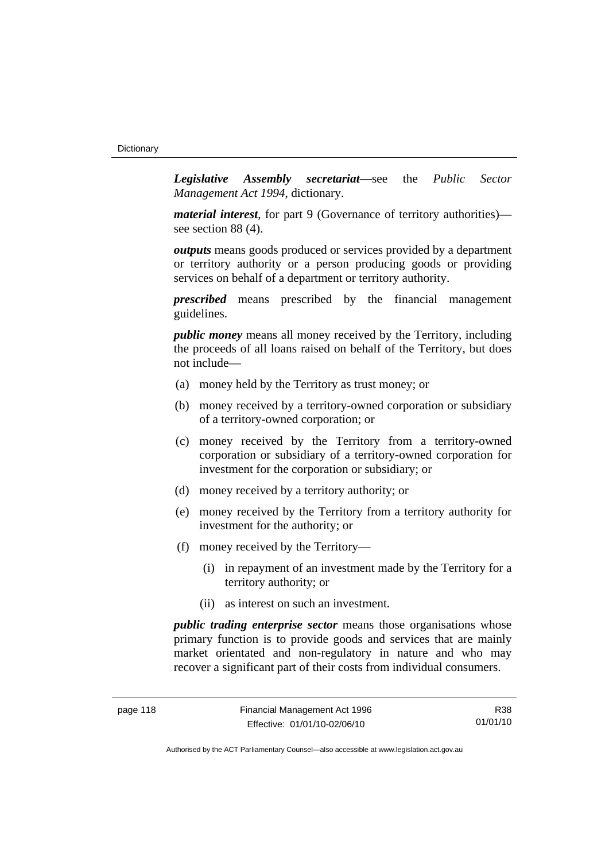*Legislative Assembly secretariat***—**see the *Public Sector Management Act 1994*, dictionary.

*material interest*, for part 9 (Governance of territory authorities) see section 88 (4).

*outputs* means goods produced or services provided by a department or territory authority or a person producing goods or providing services on behalf of a department or territory authority.

*prescribed* means prescribed by the financial management guidelines.

*public money* means all money received by the Territory, including the proceeds of all loans raised on behalf of the Territory, but does not include—

- (a) money held by the Territory as trust money; or
- (b) money received by a territory-owned corporation or subsidiary of a territory-owned corporation; or
- (c) money received by the Territory from a territory-owned corporation or subsidiary of a territory-owned corporation for investment for the corporation or subsidiary; or
- (d) money received by a territory authority; or
- (e) money received by the Territory from a territory authority for investment for the authority; or
- (f) money received by the Territory—
	- (i) in repayment of an investment made by the Territory for a territory authority; or
	- (ii) as interest on such an investment.

*public trading enterprise sector* means those organisations whose primary function is to provide goods and services that are mainly market orientated and non-regulatory in nature and who may recover a significant part of their costs from individual consumers.

R38 01/01/10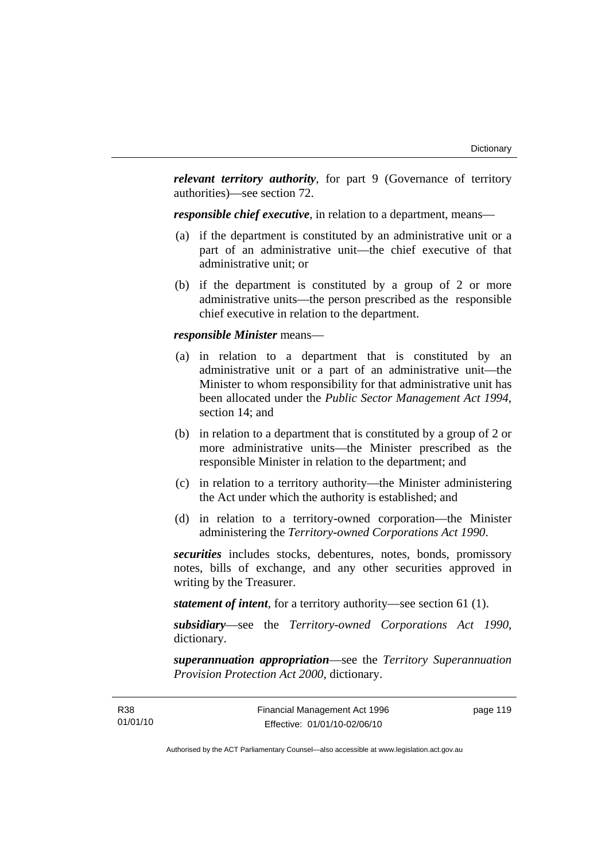*relevant territory authority*, for part 9 (Governance of territory authorities)—see section 72.

*responsible chief executive*, in relation to a department, means—

- (a) if the department is constituted by an administrative unit or a part of an administrative unit—the chief executive of that administrative unit; or
- (b) if the department is constituted by a group of 2 or more administrative units—the person prescribed as the responsible chief executive in relation to the department.

#### *responsible Minister* means—

- (a) in relation to a department that is constituted by an administrative unit or a part of an administrative unit—the Minister to whom responsibility for that administrative unit has been allocated under the *Public Sector Management Act 1994*, section 14; and
- (b) in relation to a department that is constituted by a group of 2 or more administrative units—the Minister prescribed as the responsible Minister in relation to the department; and
- (c) in relation to a territory authority—the Minister administering the Act under which the authority is established; and
- (d) in relation to a territory-owned corporation—the Minister administering the *Territory-owned Corporations Act 1990*.

*securities* includes stocks, debentures, notes, bonds, promissory notes, bills of exchange, and any other securities approved in writing by the Treasurer.

*statement of intent*, for a territory authority—see section 61 (1).

*subsidiary*—see the *Territory-owned Corporations Act 1990*, dictionary.

*superannuation appropriation*—see the *Territory Superannuation Provision Protection Act 2000*, dictionary.

page 119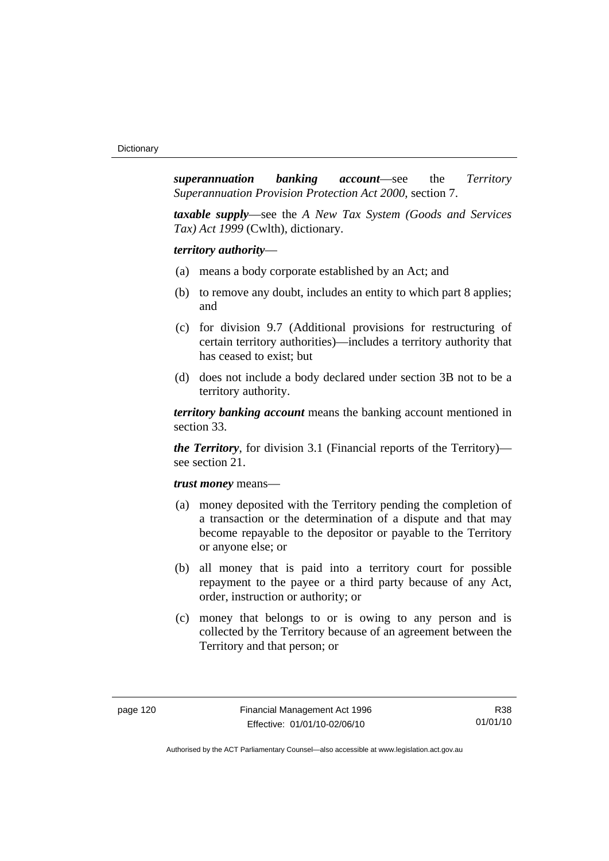*superannuation banking account*—see the *Territory Superannuation Provision Protection Act 2000*, section 7.

*taxable supply*—see the *A New Tax System (Goods and Services Tax) Act 1999* (Cwlth), dictionary.

*territory authority*—

- (a) means a body corporate established by an Act; and
- (b) to remove any doubt, includes an entity to which part 8 applies; and
- (c) for division 9.7 (Additional provisions for restructuring of certain territory authorities)—includes a territory authority that has ceased to exist; but
- (d) does not include a body declared under section 3B not to be a territory authority.

*territory banking account* means the banking account mentioned in section 33.

*the Territory*, for division 3.1 (Financial reports of the Territory) see section 21.

#### *trust money* means—

- (a) money deposited with the Territory pending the completion of a transaction or the determination of a dispute and that may become repayable to the depositor or payable to the Territory or anyone else; or
- (b) all money that is paid into a territory court for possible repayment to the payee or a third party because of any Act, order, instruction or authority; or
- (c) money that belongs to or is owing to any person and is collected by the Territory because of an agreement between the Territory and that person; or

R38 01/01/10

Authorised by the ACT Parliamentary Counsel—also accessible at www.legislation.act.gov.au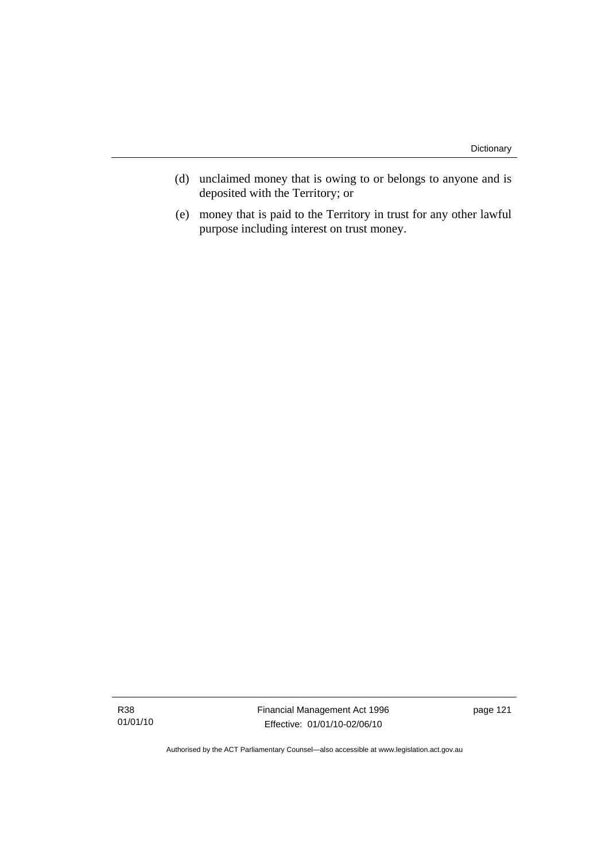- (d) unclaimed money that is owing to or belongs to anyone and is deposited with the Territory; or
- (e) money that is paid to the Territory in trust for any other lawful purpose including interest on trust money.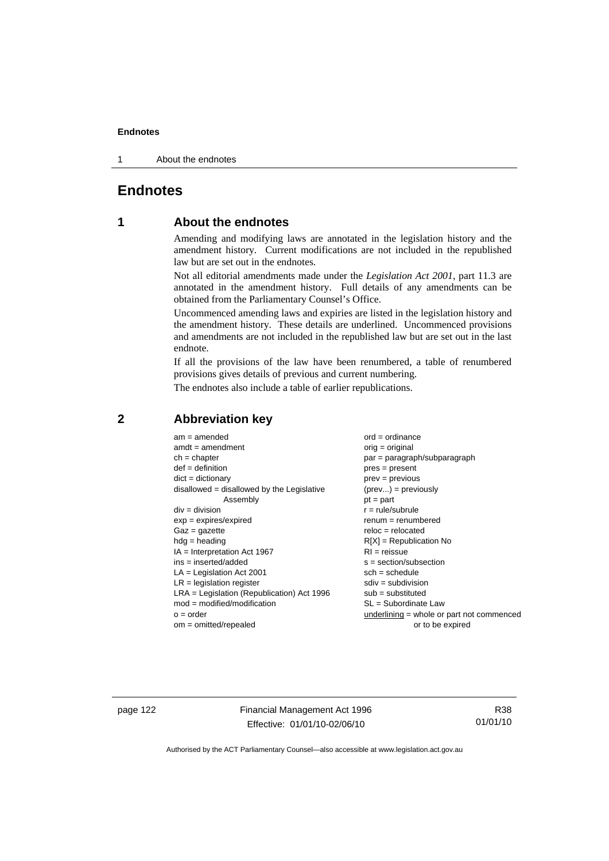1 About the endnotes

### **Endnotes**

### **1 About the endnotes**

Amending and modifying laws are annotated in the legislation history and the amendment history. Current modifications are not included in the republished law but are set out in the endnotes.

Not all editorial amendments made under the *Legislation Act 2001*, part 11.3 are annotated in the amendment history. Full details of any amendments can be obtained from the Parliamentary Counsel's Office.

Uncommenced amending laws and expiries are listed in the legislation history and the amendment history. These details are underlined. Uncommenced provisions and amendments are not included in the republished law but are set out in the last endnote.

If all the provisions of the law have been renumbered, a table of renumbered provisions gives details of previous and current numbering.

The endnotes also include a table of earlier republications.

| $am = amended$                               | $ord = ordinance$                         |
|----------------------------------------------|-------------------------------------------|
| $amdt = amendment$                           | orig = original                           |
| $ch = chapter$                               | par = paragraph/subparagraph              |
| $def = definition$                           | $pres = present$                          |
| $dict = dictionary$                          | $prev = previous$                         |
| $disallowed = disallowed by the Legislative$ | $(\text{prev}) = \text{previously}$       |
| Assembly                                     | $pt = part$                               |
| $div = division$                             | $r = rule/subrule$                        |
| $exp = expires/expired$                      | $renum = renumbered$                      |
| $Gaz = gazette$                              | $reloc = relocated$                       |
| $hdg =$ heading                              | $R[X]$ = Republication No                 |
| $IA = Interpretation Act 1967$               | $RI = reissue$                            |
| $ins = inserted/added$                       | $s = section/subsection$                  |
| $LA =$ Legislation Act 2001                  | $sch = schedule$                          |
| $LR =$ legislation register                  | $sdiv = subdivision$                      |
| $LRA =$ Legislation (Republication) Act 1996 | $sub = substituted$                       |
| $mod = modified/modification$                | SL = Subordinate Law                      |
| $o = order$                                  | underlining = whole or part not commenced |
| $om = omitted/repealed$                      | or to be expired                          |
|                                              |                                           |

### **2 Abbreviation key**

page 122 Financial Management Act 1996 Effective: 01/01/10-02/06/10

R38 01/01/10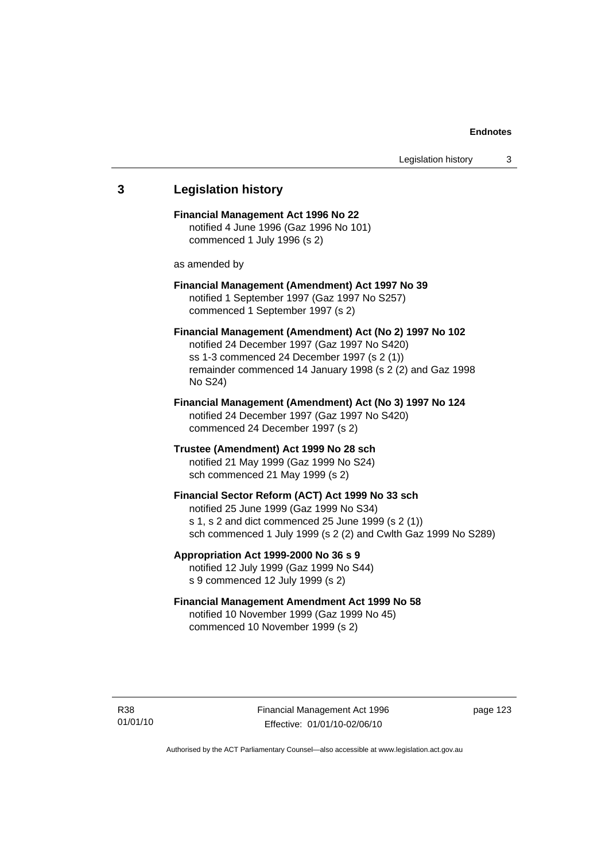# **3 Legislation history Financial Management Act 1996 No 22**  notified 4 June 1996 (Gaz 1996 No 101) commenced 1 July 1996 (s 2) as amended by **Financial Management (Amendment) Act 1997 No 39**  notified 1 September 1997 (Gaz 1997 No S257) commenced 1 September 1997 (s 2) **Financial Management (Amendment) Act (No 2) 1997 No 102**  notified 24 December 1997 (Gaz 1997 No S420) ss 1-3 commenced 24 December 1997 (s 2 (1)) remainder commenced 14 January 1998 (s 2 (2) and Gaz 1998 No S24) **Financial Management (Amendment) Act (No 3) 1997 No 124**  notified 24 December 1997 (Gaz 1997 No S420) commenced 24 December 1997 (s 2) **Trustee (Amendment) Act 1999 No 28 sch**  notified 21 May 1999 (Gaz 1999 No S24) sch commenced 21 May 1999 (s 2) **Financial Sector Reform (ACT) Act 1999 No 33 sch**  notified 25 June 1999 (Gaz 1999 No S34) s 1, s 2 and dict commenced 25 June 1999 (s 2 (1)) sch commenced 1 July 1999 (s 2 (2) and Cwlth Gaz 1999 No S289) **Appropriation Act 1999-2000 No 36 s 9**  notified 12 July 1999 (Gaz 1999 No S44) s 9 commenced 12 July 1999 (s 2) **Financial Management Amendment Act 1999 No 58**  notified 10 November 1999 (Gaz 1999 No 45) commenced 10 November 1999 (s 2)

page 123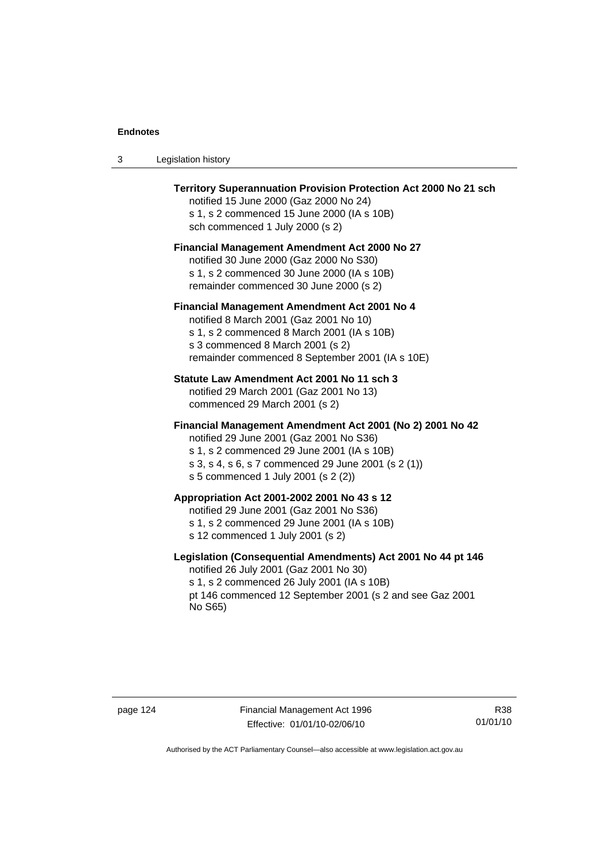| Legislation history<br>- 3 |  |
|----------------------------|--|
|----------------------------|--|

| Territory Superannuation Provision Protection Act 2000 No 21 sch<br>notified 15 June 2000 (Gaz 2000 No 24)<br>s 1, s 2 commenced 15 June 2000 (IA s 10B)<br>sch commenced 1 July 2000 (s 2)                                                      |
|--------------------------------------------------------------------------------------------------------------------------------------------------------------------------------------------------------------------------------------------------|
| <b>Financial Management Amendment Act 2000 No 27</b><br>notified 30 June 2000 (Gaz 2000 No S30)<br>s 1, s 2 commenced 30 June 2000 (IA s 10B)<br>remainder commenced 30 June 2000 (s 2)                                                          |
| Financial Management Amendment Act 2001 No 4<br>notified 8 March 2001 (Gaz 2001 No 10)<br>s 1, s 2 commenced 8 March 2001 (IA s 10B)<br>s 3 commenced 8 March 2001 (s 2)<br>remainder commenced 8 September 2001 (IA s 10E)                      |
| Statute Law Amendment Act 2001 No 11 sch 3<br>notified 29 March 2001 (Gaz 2001 No 13)<br>commenced 29 March 2001 (s 2)                                                                                                                           |
| Financial Management Amendment Act 2001 (No 2) 2001 No 42<br>notified 29 June 2001 (Gaz 2001 No S36)<br>s 1, s 2 commenced 29 June 2001 (IA s 10B)<br>s 3, s 4, s 6, s 7 commenced 29 June 2001 (s 2 (1))<br>s 5 commenced 1 July 2001 (s 2 (2)) |
| Appropriation Act 2001-2002 2001 No 43 s 12<br>notified 29 June 2001 (Gaz 2001 No S36)<br>s 1, s 2 commenced 29 June 2001 (IA s 10B)<br>s 12 commenced 1 July 2001 (s 2)                                                                         |
| Legislation (Consequential Amendments) Act 2001 No 44 pt 146<br>notified 26 July 2001 (Gaz 2001 No 30)<br>s 1, s 2 commenced 26 July 2001 (IA s 10B)<br>pt 146 commenced 12 September 2001 (s 2 and see Gaz 2001<br>No S65)                      |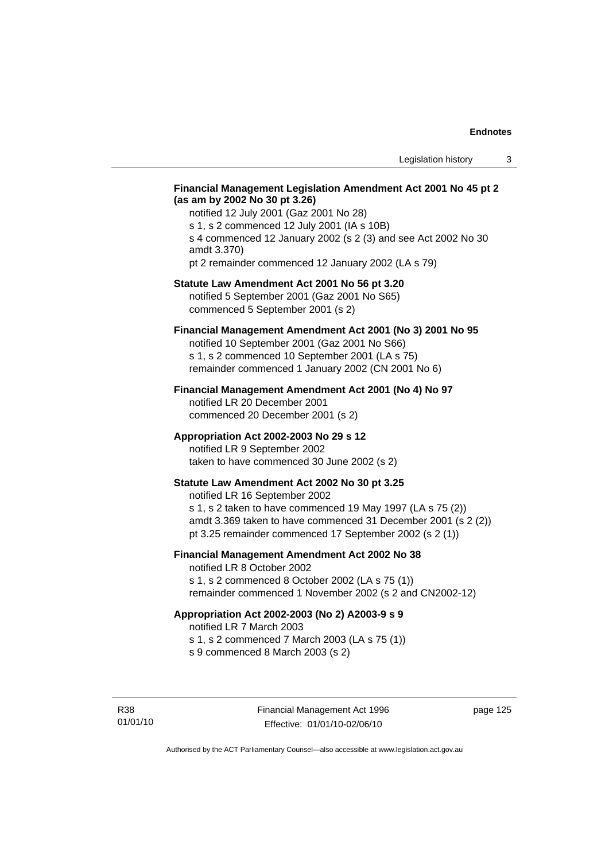### **Financial Management Legislation Amendment Act 2001 No 45 pt 2 (as am by 2002 No 30 pt 3.26)**

notified 12 July 2001 (Gaz 2001 No 28) s 1, s 2 commenced 12 July 2001 (IA s 10B) s 4 commenced 12 January 2002 (s 2 (3) and see Act 2002 No 30 amdt 3.370) pt 2 remainder commenced 12 January 2002 (LA s 79)

#### **Statute Law Amendment Act 2001 No 56 pt 3.20**

notified 5 September 2001 (Gaz 2001 No S65) commenced 5 September 2001 (s 2)

### **Financial Management Amendment Act 2001 (No 3) 2001 No 95**

notified 10 September 2001 (Gaz 2001 No S66) s 1, s 2 commenced 10 September 2001 (LA s 75) remainder commenced 1 January 2002 (CN 2001 No 6)

#### **Financial Management Amendment Act 2001 (No 4) No 97**

notified LR 20 December 2001 commenced 20 December 2001 (s 2)

#### **Appropriation Act 2002-2003 No 29 s 12**

notified LR 9 September 2002 taken to have commenced 30 June 2002 (s 2)

### **Statute Law Amendment Act 2002 No 30 pt 3.25**

notified LR 16 September 2002 s 1, s 2 taken to have commenced 19 May 1997 (LA s 75 (2)) amdt 3.369 taken to have commenced 31 December 2001 (s 2 (2)) pt 3.25 remainder commenced 17 September 2002 (s 2 (1))

### **Financial Management Amendment Act 2002 No 38**

notified LR 8 October 2002 s 1, s 2 commenced 8 October 2002 (LA s 75 (1))

remainder commenced 1 November 2002 (s 2 and CN2002-12)

### **Appropriation Act 2002-2003 (No 2) A2003-9 s 9**

notified LR 7 March 2003

s 1, s 2 commenced 7 March 2003 (LA s 75 (1))

s 9 commenced 8 March 2003 (s 2)

R38 01/01/10 page 125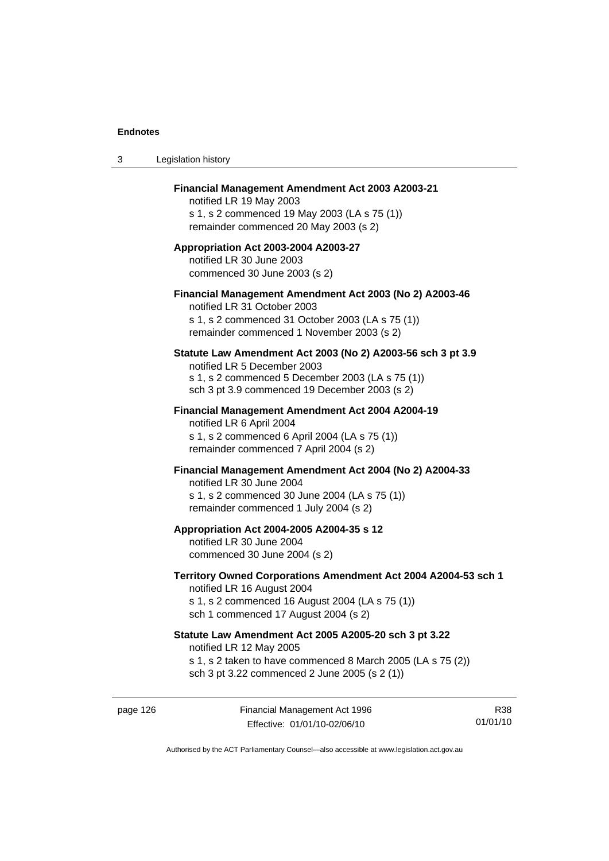| 3 | Legislation history                                                                                                                                                                              |
|---|--------------------------------------------------------------------------------------------------------------------------------------------------------------------------------------------------|
|   | Financial Management Amendment Act 2003 A2003-21<br>notified LR 19 May 2003<br>s 1, s 2 commenced 19 May 2003 (LA s 75 (1))<br>remainder commenced 20 May 2003 (s 2)                             |
|   | Appropriation Act 2003-2004 A2003-27<br>notified LR 30 June 2003<br>commenced 30 June 2003 (s 2)                                                                                                 |
|   | Financial Management Amendment Act 2003 (No 2) A2003-46<br>notified LR 31 October 2003<br>s 1, s 2 commenced 31 October 2003 (LA s 75 (1))<br>remainder commenced 1 November 2003 (s 2)          |
|   | Statute Law Amendment Act 2003 (No 2) A2003-56 sch 3 pt 3.9<br>notified LR 5 December 2003<br>s 1, s 2 commenced 5 December 2003 (LA s 75 (1))<br>sch 3 pt 3.9 commenced 19 December 2003 (s 2)  |
|   | Financial Management Amendment Act 2004 A2004-19<br>notified LR 6 April 2004<br>s 1, s 2 commenced 6 April 2004 (LA s 75 (1))<br>remainder commenced 7 April 2004 (s 2)                          |
|   | Financial Management Amendment Act 2004 (No 2) A2004-33<br>notified LR 30 June 2004<br>s 1, s 2 commenced 30 June 2004 (LA s 75 (1))<br>remainder commenced 1 July 2004 (s 2)                    |
|   | Appropriation Act 2004-2005 A2004-35 s 12<br>notified LR 30 June 2004<br>commenced 30 June 2004 (s 2)                                                                                            |
|   | Territory Owned Corporations Amendment Act 2004 A2004-53 sch 1<br>notified LR 16 August 2004<br>s 1, s 2 commenced 16 August 2004 (LA s 75 (1))<br>sch 1 commenced 17 August 2004 (s 2)          |
|   | Statute Law Amendment Act 2005 A2005-20 sch 3 pt 3.22<br>notified LR 12 May 2005<br>s 1, s 2 taken to have commenced 8 March 2005 (LA s 75 (2))<br>sch 3 pt 3.22 commenced 2 June 2005 (s 2 (1)) |
|   |                                                                                                                                                                                                  |

page 126 Financial Management Act 1996 Effective: 01/01/10-02/06/10

R38 01/01/10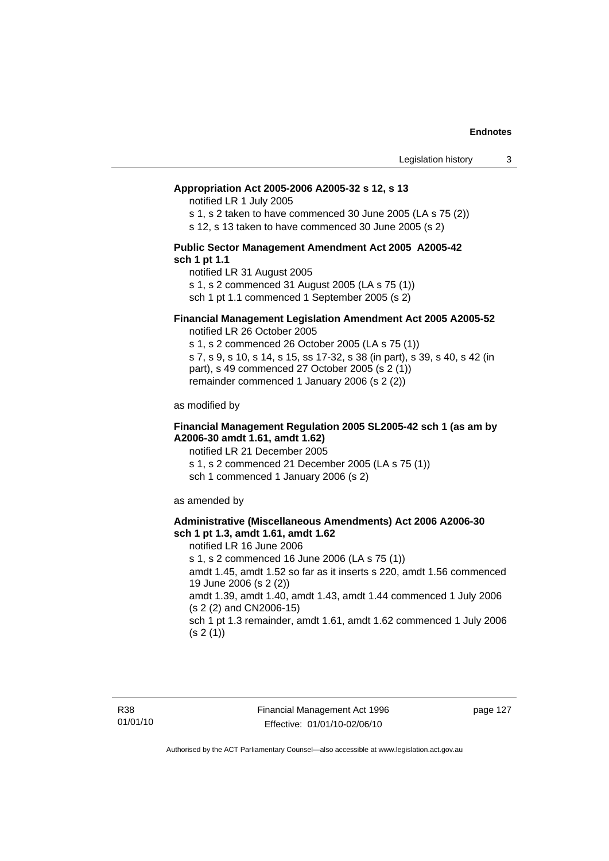#### **Appropriation Act 2005-2006 A2005-32 s 12, s 13**

notified LR 1 July 2005

s 1, s 2 taken to have commenced 30 June 2005 (LA s 75 (2))

s 12, s 13 taken to have commenced 30 June 2005 (s 2)

#### **Public Sector Management Amendment Act 2005 A2005-42 sch 1 pt 1.1**

notified LR 31 August 2005 s 1, s 2 commenced 31 August 2005 (LA s 75 (1)) sch 1 pt 1.1 commenced 1 September 2005 (s 2)

#### **Financial Management Legislation Amendment Act 2005 A2005-52**

notified LR 26 October 2005

s 1, s 2 commenced 26 October 2005 (LA s 75 (1)) s 7, s 9, s 10, s 14, s 15, ss 17-32, s 38 (in part), s 39, s 40, s 42 (in part), s 49 commenced 27 October 2005 (s 2 (1)) remainder commenced 1 January 2006 (s 2 (2))

as modified by

#### **Financial Management Regulation 2005 SL2005-42 sch 1 (as am by A2006-30 amdt 1.61, amdt 1.62)**

notified LR 21 December 2005 s 1, s 2 commenced 21 December 2005 (LA s 75 (1)) sch 1 commenced 1 January 2006 (s 2)

as amended by

#### **Administrative (Miscellaneous Amendments) Act 2006 A2006-30 sch 1 pt 1.3, amdt 1.61, amdt 1.62**

notified LR 16 June 2006 s 1, s 2 commenced 16 June 2006 (LA s 75 (1)) amdt 1.45, amdt 1.52 so far as it inserts s 220, amdt 1.56 commenced 19 June 2006 (s 2 (2)) amdt 1.39, amdt 1.40, amdt 1.43, amdt 1.44 commenced 1 July 2006 (s 2 (2) and CN2006-15) sch 1 pt 1.3 remainder, amdt 1.61, amdt 1.62 commenced 1 July 2006  $(s 2(1))$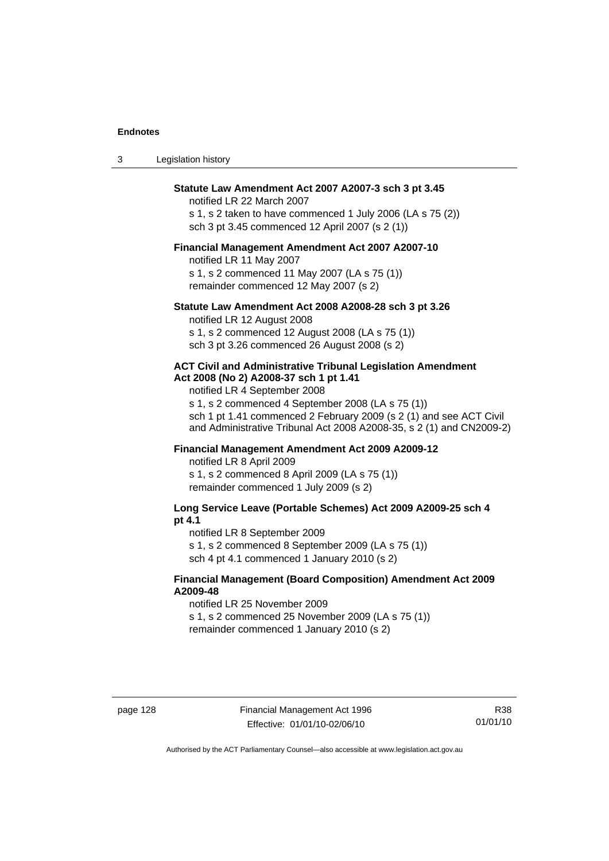| Statute Law Amendment Act 2007 A2007-3 sch 3 pt 3.45       |
|------------------------------------------------------------|
| notified LR 22 March 2007                                  |
| s 1, s 2 taken to have commenced 1 July 2006 (LA s 75 (2)) |
| sch 3 pt 3.45 commenced 12 April 2007 (s 2 (1))            |

3 Legislation history

#### **Financial Management Amendment Act 2007 A2007-10**

notified LR 11 May 2007 s 1, s 2 commenced 11 May 2007 (LA s 75 (1)) remainder commenced 12 May 2007 (s 2)

#### **Statute Law Amendment Act 2008 A2008-28 sch 3 pt 3.26**

notified LR 12 August 2008 s 1, s 2 commenced 12 August 2008 (LA s 75 (1)) sch 3 pt 3.26 commenced 26 August 2008 (s 2)

#### **ACT Civil and Administrative Tribunal Legislation Amendment Act 2008 (No 2) A2008-37 sch 1 pt 1.41**

notified LR 4 September 2008

s 1, s 2 commenced 4 September 2008 (LA s 75 (1)) sch 1 pt 1.41 commenced 2 February 2009 (s 2 (1) and see ACT Civil and Administrative Tribunal Act 2008 A2008-35, s 2 (1) and CN2009-2)

### **Financial Management Amendment Act 2009 A2009-12**

notified LR 8 April 2009

s 1, s 2 commenced 8 April 2009 (LA s 75 (1)) remainder commenced 1 July 2009 (s 2)

**Long Service Leave (Portable Schemes) Act 2009 A2009-25 sch 4 pt 4.1** 

notified LR 8 September 2009

s 1, s 2 commenced 8 September 2009 (LA s 75 (1))

sch 4 pt 4.1 commenced 1 January 2010 (s 2)

### **Financial Management (Board Composition) Amendment Act 2009 A2009-48**

notified LR 25 November 2009

s 1, s 2 commenced 25 November 2009 (LA s 75 (1))

remainder commenced 1 January 2010 (s 2)

R38 01/01/10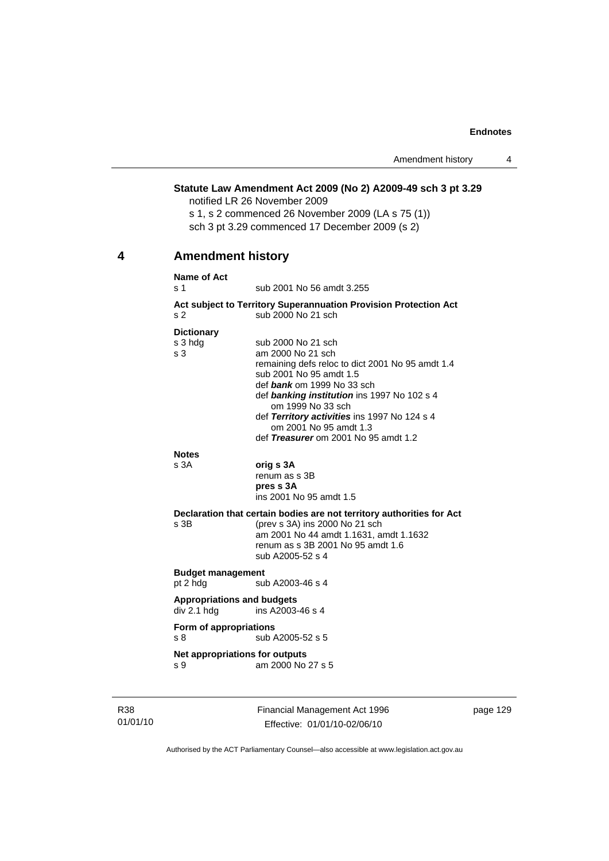### **Statute Law Amendment Act 2009 (No 2) A2009-49 sch 3 pt 3.29**

notified LR 26 November 2009

s 1, s 2 commenced 26 November 2009 (LA s 75 (1)) sch 3 pt 3.29 commenced 17 December 2009 (s 2)

### **4 Amendment history**

#### **Name of Act**

s 1 sub 2001 No 56 amdt 3.255

#### **Act subject to Territory Superannuation Provision Protection Act** s 2 sub 2000 No 21 sch

#### **Dictionary**

| s 3 hdg                           | sub 2000 No 21 sch                                                     |
|-----------------------------------|------------------------------------------------------------------------|
| s 3                               | am 2000 No 21 sch                                                      |
|                                   | remaining defs reloc to dict 2001 No 95 amdt 1.4                       |
|                                   | sub 2001 No 95 amdt 1.5                                                |
|                                   | def bank om 1999 No 33 sch                                             |
|                                   | def banking institution ins 1997 No 102 s 4<br>om 1999 No 33 sch       |
|                                   | def Territory activities ins 1997 No 124 s 4<br>om 2001 No 95 amdt 1.3 |
|                                   | def Treasurer om 2001 No 95 amdt 1.2                                   |
| <b>Notes</b>                      |                                                                        |
| s 3A                              | orig s 3A                                                              |
|                                   | renum as s 3B                                                          |
|                                   | pres s 3A                                                              |
|                                   | ins 2001 No 95 amdt 1.5                                                |
|                                   | Declaration that certain bodies are not territory authorities for Act  |
| s 3B                              | (prev s 3A) ins 2000 No 21 sch                                         |
|                                   | am 2001 No 44 amdt 1.1631, amdt 1.1632                                 |
|                                   | renum as s 3B 2001 No 95 amdt 1.6                                      |
|                                   | sub A2005-52 s 4                                                       |
| <b>Budget management</b>          |                                                                        |
| pt 2 hdg                          | sub A2003-46 s 4                                                       |
| <b>Appropriations and budgets</b> |                                                                        |
| div 2.1 hdg                       | ins A2003-46 s 4                                                       |
|                                   |                                                                        |
| Form of appropriations<br>s 8     | sub A2005-52 s 5                                                       |
|                                   |                                                                        |
| Net appropriations for outputs    |                                                                        |
| s 9                               | am 2000 No 27 s 5                                                      |
|                                   |                                                                        |
|                                   |                                                                        |

R38 01/01/10 Financial Management Act 1996 Effective: 01/01/10-02/06/10

page 129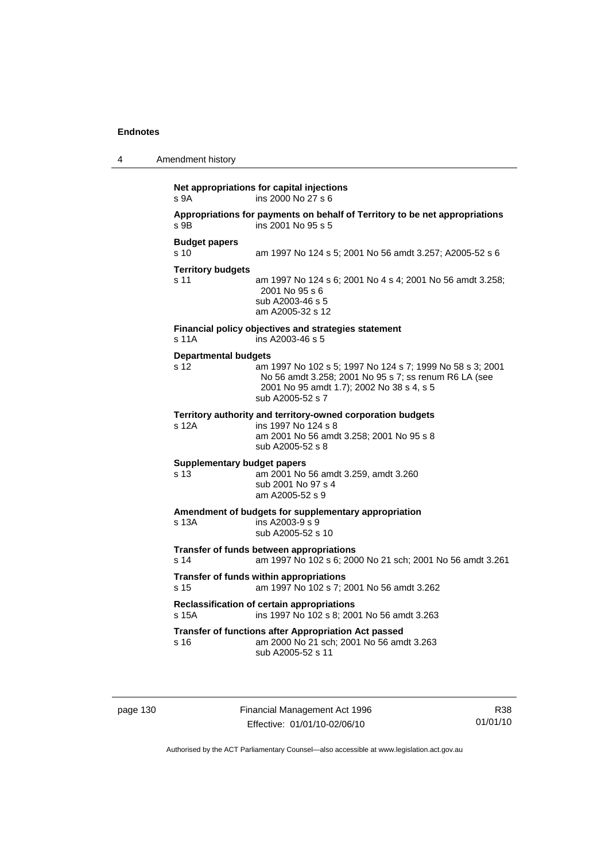| 4 | Amendment history                          |                                                                                                                                                                                     |
|---|--------------------------------------------|-------------------------------------------------------------------------------------------------------------------------------------------------------------------------------------|
|   | s <sub>9A</sub>                            | Net appropriations for capital injections<br>ins 2000 No 27 s 6                                                                                                                     |
|   | s 9B                                       | Appropriations for payments on behalf of Territory to be net appropriations<br>ins 2001 No 95 s 5                                                                                   |
|   | <b>Budget papers</b><br>s <sub>10</sub>    | am 1997 No 124 s 5; 2001 No 56 amdt 3.257; A2005-52 s 6                                                                                                                             |
|   | <b>Territory budgets</b><br>s 11           | am 1997 No 124 s 6; 2001 No 4 s 4; 2001 No 56 amdt 3.258;<br>2001 No 95 s 6<br>sub A2003-46 s 5<br>am A2005-32 s 12                                                                 |
|   | s 11A                                      | Financial policy objectives and strategies statement<br>ins A2003-46 s 5                                                                                                            |
|   | <b>Departmental budgets</b><br>s 12        | am 1997 No 102 s 5; 1997 No 124 s 7; 1999 No 58 s 3; 2001<br>No 56 amdt 3.258; 2001 No 95 s 7; ss renum R6 LA (see<br>2001 No 95 amdt 1.7); 2002 No 38 s 4, s 5<br>sub A2005-52 s 7 |
|   | s 12A                                      | Territory authority and territory-owned corporation budgets<br>ins 1997 No 124 s 8<br>am 2001 No 56 amdt 3.258; 2001 No 95 s 8<br>sub A2005-52 s 8                                  |
|   | <b>Supplementary budget papers</b><br>s 13 | am 2001 No 56 amdt 3.259, amdt 3.260<br>sub 2001 No 97 s 4<br>am A2005-52 s 9                                                                                                       |
|   | s 13A                                      | Amendment of budgets for supplementary appropriation<br>ins A2003-9 s 9<br>sub A2005-52 s 10                                                                                        |
|   | s 14                                       | Transfer of funds between appropriations<br>am 1997 No 102 s 6; 2000 No 21 sch; 2001 No 56 amdt 3.261                                                                               |
|   | s <sub>15</sub>                            | Transfer of funds within appropriations<br>am 1997 No 102 s 7; 2001 No 56 amdt 3.262                                                                                                |
|   | s 15A                                      | Reclassification of certain appropriations<br>ins 1997 No 102 s 8; 2001 No 56 amdt 3.263                                                                                            |
|   | s 16                                       | Transfer of functions after Appropriation Act passed<br>am 2000 No 21 sch; 2001 No 56 amdt 3.263<br>sub A2005-52 s 11                                                               |

page 130 Financial Management Act 1996 Effective: 01/01/10-02/06/10

R38 01/01/10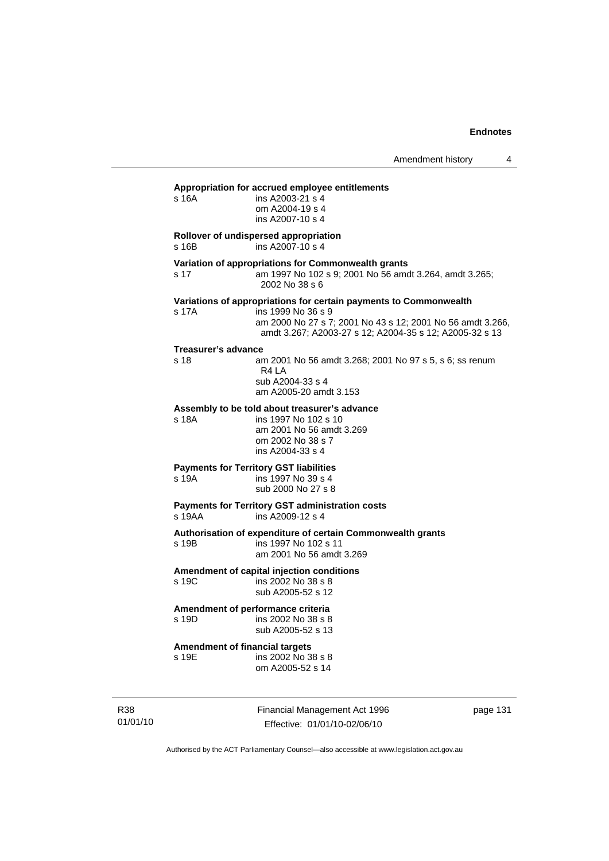Amendment history 4

#### **Appropriation for accrued employee entitlements**

| s 16A                                          | ins A2003-21 s 4<br>om A2004-19 s 4<br>ins A2007-10 s 4                                                                                                                                                          |
|------------------------------------------------|------------------------------------------------------------------------------------------------------------------------------------------------------------------------------------------------------------------|
| s 16B                                          | Rollover of undispersed appropriation<br>ins A2007-10 s 4                                                                                                                                                        |
| s 17                                           | Variation of appropriations for Commonwealth grants<br>am 1997 No 102 s 9; 2001 No 56 amdt 3.264, amdt 3.265;<br>2002 No 38 s 6                                                                                  |
| s 17A                                          | Variations of appropriations for certain payments to Commonwealth<br>ins 1999 No 36 s 9<br>am 2000 No 27 s 7; 2001 No 43 s 12; 2001 No 56 amdt 3.266,<br>amdt 3.267; A2003-27 s 12; A2004-35 s 12; A2005-32 s 13 |
| <b>Treasurer's advance</b><br>s 18             | am 2001 No 56 amdt 3.268; 2001 No 97 s 5, s 6; ss renum<br>R4 LA<br>sub A2004-33 s 4<br>am A2005-20 amdt 3.153                                                                                                   |
| s 18A                                          | Assembly to be told about treasurer's advance<br>ins 1997 No 102 s 10<br>am 2001 No 56 amdt 3.269<br>om 2002 No 38 s 7<br>ins A2004-33 s 4                                                                       |
| s 19A                                          | <b>Payments for Territory GST liabilities</b><br>ins 1997 No 39 s 4<br>sub 2000 No 27 s 8                                                                                                                        |
| s 19AA                                         | <b>Payments for Territory GST administration costs</b><br>ins A2009-12 s 4                                                                                                                                       |
| s 19B                                          | Authorisation of expenditure of certain Commonwealth grants<br>ins 1997 No 102 s 11<br>am 2001 No 56 amdt 3.269                                                                                                  |
| s 19C                                          | Amendment of capital injection conditions<br>ins 2002 No 38 s 8<br>sub A2005-52 s 12                                                                                                                             |
| s 19D                                          | Amendment of performance criteria<br>ins 2002 No 38 s 8<br>sub A2005-52 s 13                                                                                                                                     |
| <b>Amendment of financial targets</b><br>s 19E | ins 2002 No 38 s 8<br>om A2005-52 s 14                                                                                                                                                                           |
|                                                |                                                                                                                                                                                                                  |

R38 01/01/10 Financial Management Act 1996 Effective: 01/01/10-02/06/10

page 131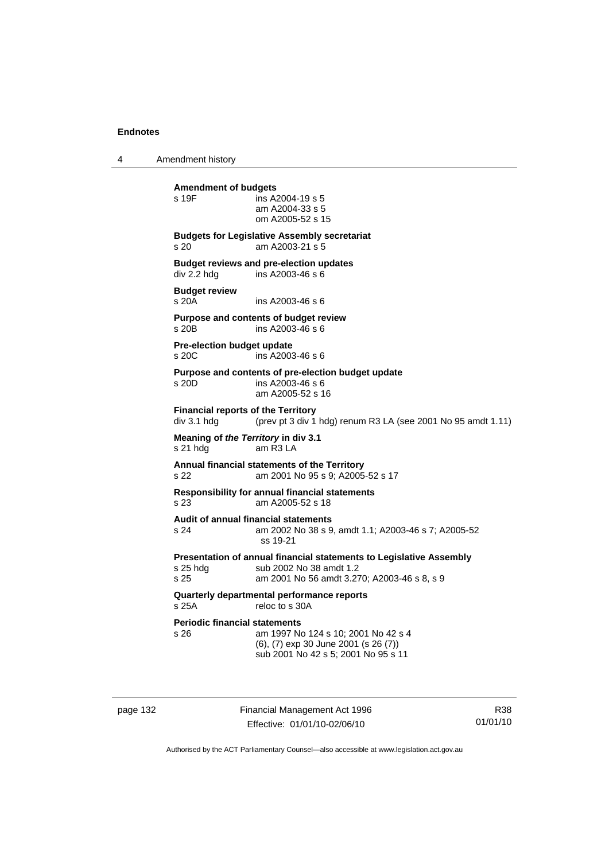4 Amendment history

**Amendment of budgets**   $ins$  A2004-19 s 5 am A2004-33 s 5 om A2005-52 s 15 **Budgets for Legislative Assembly secretariat**  s 20 am A2003-21 s 5 **Budget reviews and pre-election updates**  div 2.2 hdg ins A2003-46 s 6 **Budget review**  s 20A ins A2003-46 s 6 **Purpose and contents of budget review**   $ins A2003-46 s 6$ **Pre-election budget update**  s 20C ins A2003-46 s 6 **Purpose and contents of pre-election budget update**  s 20D ins A2003-46 s 6 am A2005-52 s 16 **Financial reports of the Territory**  div 3.1 hdg (prev pt 3 div 1 hdg) renum R3 LA (see 2001 No 95 amdt 1.11) **Meaning of** *the Territory* **in div 3.1**  s 21 hdg am R3 LA **Annual financial statements of the Territory**  s 22 am 2001 No 95 s 9; A2005-52 s 17 **Responsibility for annual financial statements**  s 23 am A2005-52 s 18 **Audit of annual financial statements**  s 24 am 2002 No 38 s 9, amdt 1.1; A2003-46 s 7; A2005-52 ss 19-21 **Presentation of annual financial statements to Legislative Assembly**  s 25 hdg sub 2002 No 38 amdt 1.2<br>s 25 september 2001 No 56 amdt 3.2 am 2001 No 56 amdt 3.270; A2003-46 s 8, s 9 **Quarterly departmental performance reports**  s 25A reloc to s 30A **Periodic financial statements** s 26 am 1997 No 124 s 10; 2001 No 42 s 4 (6), (7) exp 30 June 2001 (s 26 (7)) sub 2001 No 42 s 5; 2001 No 95 s 11

page 132 Financial Management Act 1996 Effective: 01/01/10-02/06/10

R38 01/01/10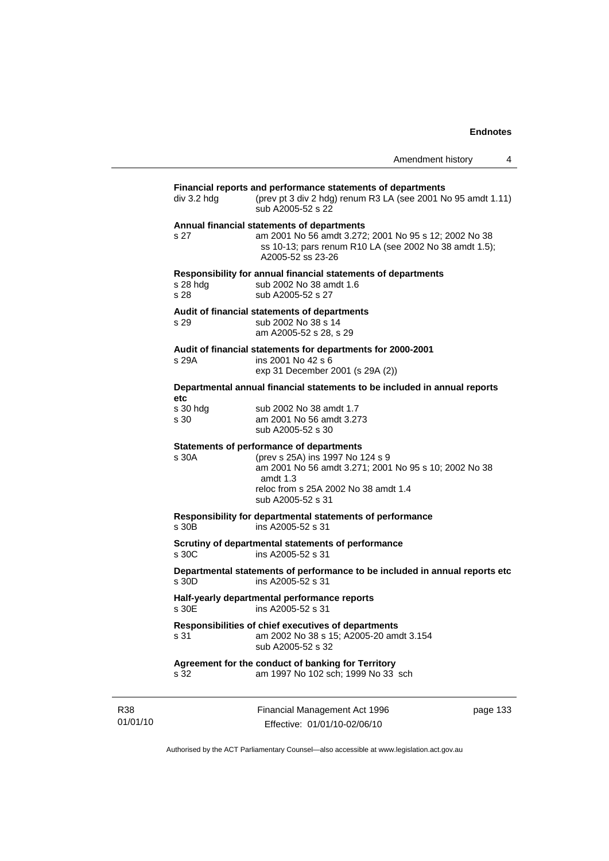|                                                                                                                                                                   |                                                                                                                                                                                                                  | Amendment history | 4 |
|-------------------------------------------------------------------------------------------------------------------------------------------------------------------|------------------------------------------------------------------------------------------------------------------------------------------------------------------------------------------------------------------|-------------------|---|
| Financial reports and performance statements of departments<br>(prev pt 3 div 2 hdg) renum R3 LA (see 2001 No 95 amdt 1.11)<br>$div$ 3.2 hdg<br>sub A2005-52 s 22 |                                                                                                                                                                                                                  |                   |   |
| s 27                                                                                                                                                              | Annual financial statements of departments<br>am 2001 No 56 amdt 3.272; 2001 No 95 s 12; 2002 No 38<br>ss 10-13; pars renum R10 LA (see 2002 No 38 amdt 1.5);<br>A2005-52 ss 23-26                               |                   |   |
| s 28 hdg<br>s 28                                                                                                                                                  | Responsibility for annual financial statements of departments<br>sub 2002 No 38 amdt 1.6<br>sub A2005-52 s 27                                                                                                    |                   |   |
| s 29                                                                                                                                                              | Audit of financial statements of departments<br>sub 2002 No 38 s 14<br>am A2005-52 s 28, s 29                                                                                                                    |                   |   |
| s 29A                                                                                                                                                             | Audit of financial statements for departments for 2000-2001<br>ins 2001 No 42 s 6<br>exp 31 December 2001 (s 29A (2))                                                                                            |                   |   |
|                                                                                                                                                                   | Departmental annual financial statements to be included in annual reports                                                                                                                                        |                   |   |
| etc<br>s 30 hdg<br>s 30                                                                                                                                           | sub 2002 No 38 amdt 1.7<br>am 2001 No 56 amdt 3.273<br>sub A2005-52 s 30                                                                                                                                         |                   |   |
| s 30A                                                                                                                                                             | Statements of performance of departments<br>(prev s 25A) ins 1997 No 124 s 9<br>am 2001 No 56 amdt 3.271; 2001 No 95 s 10; 2002 No 38<br>amdt $1.3$<br>reloc from s 25A 2002 No 38 amdt 1.4<br>sub A2005-52 s 31 |                   |   |
| s 30B                                                                                                                                                             | Responsibility for departmental statements of performance<br>ins A2005-52 s 31                                                                                                                                   |                   |   |
| s 30C                                                                                                                                                             | Scrutiny of departmental statements of performance<br>ins A2005-52 s 31                                                                                                                                          |                   |   |
| s 30D                                                                                                                                                             | Departmental statements of performance to be included in annual reports etc<br>ins A2005-52 s 31                                                                                                                 |                   |   |
| s 30E                                                                                                                                                             | Half-yearly departmental performance reports<br>ins A2005-52 s 31                                                                                                                                                |                   |   |
| s 31                                                                                                                                                              | Responsibilities of chief executives of departments<br>am 2002 No 38 s 15; A2005-20 amdt 3.154<br>sub A2005-52 s 32                                                                                              |                   |   |
| s 32                                                                                                                                                              | Agreement for the conduct of banking for Territory<br>am 1997 No 102 sch; 1999 No 33 sch                                                                                                                         |                   |   |

R38 01/01/10 Financial Management Act 1996 Effective: 01/01/10-02/06/10

page 133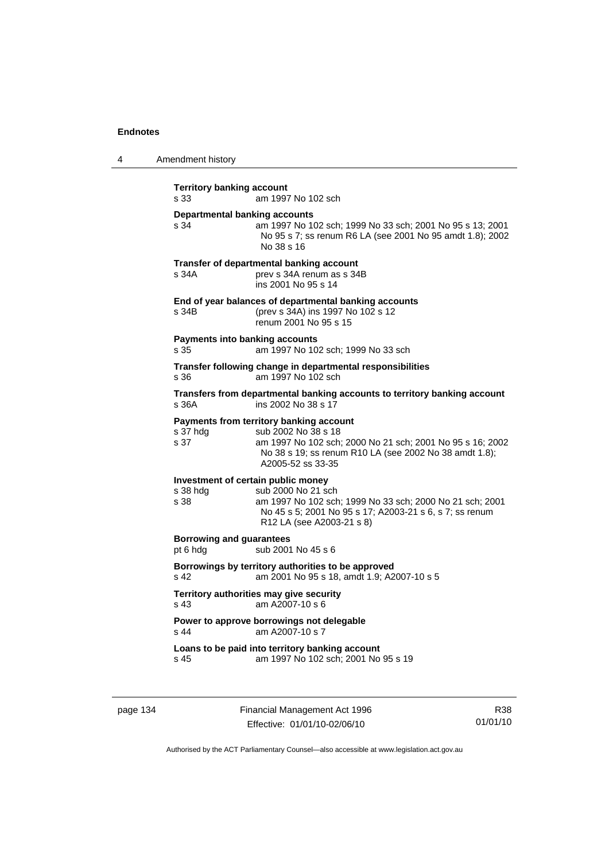| 4 | Amendment history |
|---|-------------------|
|---|-------------------|

| <b>Territory banking account</b><br>s 33               | am 1997 No 102 sch                                                                                                                                                                                         |
|--------------------------------------------------------|------------------------------------------------------------------------------------------------------------------------------------------------------------------------------------------------------------|
| <b>Departmental banking accounts</b><br>s 34           | am 1997 No 102 sch; 1999 No 33 sch; 2001 No 95 s 13; 2001<br>No 95 s 7; ss renum R6 LA (see 2001 No 95 amdt 1.8); 2002<br>No 38 s 16                                                                       |
| s 34A                                                  | Transfer of departmental banking account<br>prev s 34A renum as s 34B<br>ins 2001 No 95 s 14                                                                                                               |
| s 34B                                                  | End of year balances of departmental banking accounts<br>(prev s 34A) ins 1997 No 102 s 12<br>renum 2001 No 95 s 15                                                                                        |
| <b>Payments into banking accounts</b><br>s.35          | am 1997 No 102 sch; 1999 No 33 sch                                                                                                                                                                         |
| s 36                                                   | Transfer following change in departmental responsibilities<br>am 1997 No 102 sch                                                                                                                           |
| s 36A                                                  | Transfers from departmental banking accounts to territory banking account<br>ins 2002 No 38 s 17                                                                                                           |
| s 37 hdg<br>s 37                                       | Payments from territory banking account<br>sub 2002 No 38 s 18<br>am 1997 No 102 sch; 2000 No 21 sch; 2001 No 95 s 16; 2002<br>No 38 s 19; ss renum R10 LA (see 2002 No 38 amdt 1.8);<br>A2005-52 ss 33-35 |
| Investment of certain public money<br>s 38 hdg<br>s 38 | sub 2000 No 21 sch<br>am 1997 No 102 sch; 1999 No 33 sch; 2000 No 21 sch; 2001<br>No 45 s 5; 2001 No 95 s 17; A2003-21 s 6, s 7; ss renum<br>R12 LA (see A2003-21 s 8)                                     |
| <b>Borrowing and guarantees</b><br>pt 6 hdg            | sub 2001 No 45 s 6                                                                                                                                                                                         |
| s <sub>42</sub>                                        | Borrowings by territory authorities to be approved<br>am 2001 No 95 s 18, amdt 1.9; A2007-10 s 5                                                                                                           |
| s 43                                                   | Territory authorities may give security<br>am A2007-10 s 6                                                                                                                                                 |
| s 44                                                   | Power to approve borrowings not delegable<br>am A2007-10 s 7                                                                                                                                               |
| s 45                                                   | Loans to be paid into territory banking account<br>am 1997 No 102 sch; 2001 No 95 s 19                                                                                                                     |

page 134 Financial Management Act 1996 Effective: 01/01/10-02/06/10

R38 01/01/10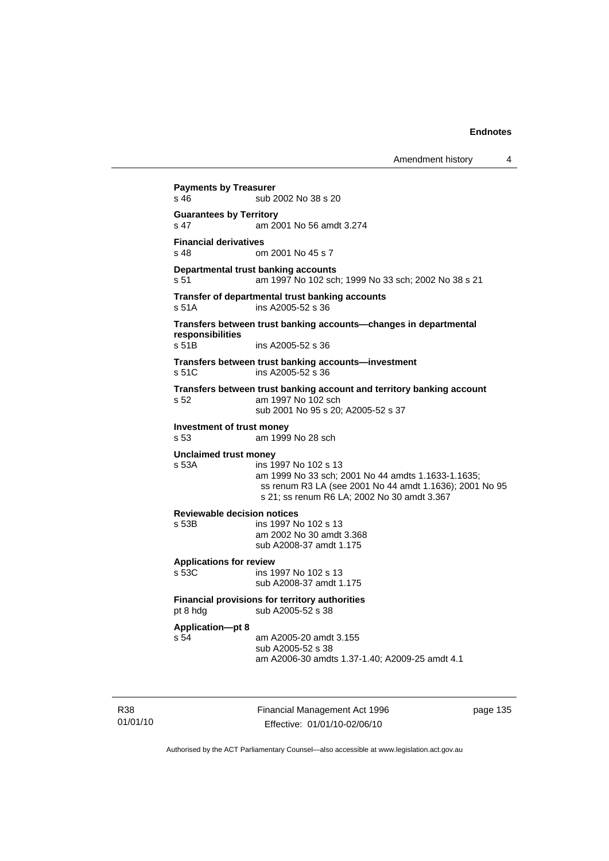```
Payments by Treasurer 
s 46 sub 2002 No 38 s 20
Guarantees by Territory 
s 47 am 2001 No 56 amdt 3.274 
Financial derivatives<br>s 48 on
                 om 2001 No 45 s 7
Departmental trust banking accounts
s 51 am 1997 No 102 sch; 1999 No 33 sch; 2002 No 38 s 21 
Transfer of departmental trust banking accounts 
s 51A ins A2005-52 s 36 
Transfers between trust banking accounts—changes in departmental 
responsibilities 
                 ins A2005-52 s 36
Transfers between trust banking accounts—investment 
s 51C ins A2005-52 s 36 
Transfers between trust banking account and territory banking account 
s 52 am 1997 No 102 sch 
                  sub 2001 No 95 s 20; A2005-52 s 37 
Investment of trust money 
s 53 am 1999 No 28 sch 
Unclaimed trust money 
s 53A ins 1997 No 102 s 13 
                  am 1999 No 33 sch; 2001 No 44 amdts 1.1633-1.1635; 
                  ss renum R3 LA (see 2001 No 44 amdt 1.1636); 2001 No 95 
                  s 21; ss renum R6 LA; 2002 No 30 amdt 3.367 
Reviewable decision notices 
s 53B ins 1997 No 102 s 13 
                  am 2002 No 30 amdt 3.368 
                  sub A2008-37 amdt 1.175 
Applications for review 
                 ins 1997 No 102 s 13
                  sub A2008-37 amdt 1.175 
Financial provisions for territory authorities 
pt 8 hdg sub A2005-52 s 38
Application—pt 8 
s 54 am A2005-20 amdt 3.155 
                  sub A2005-52 s 38 
                  am A2006-30 amdts 1.37-1.40; A2009-25 amdt 4.1
```
R38 01/01/10 Financial Management Act 1996 Effective: 01/01/10-02/06/10

page 135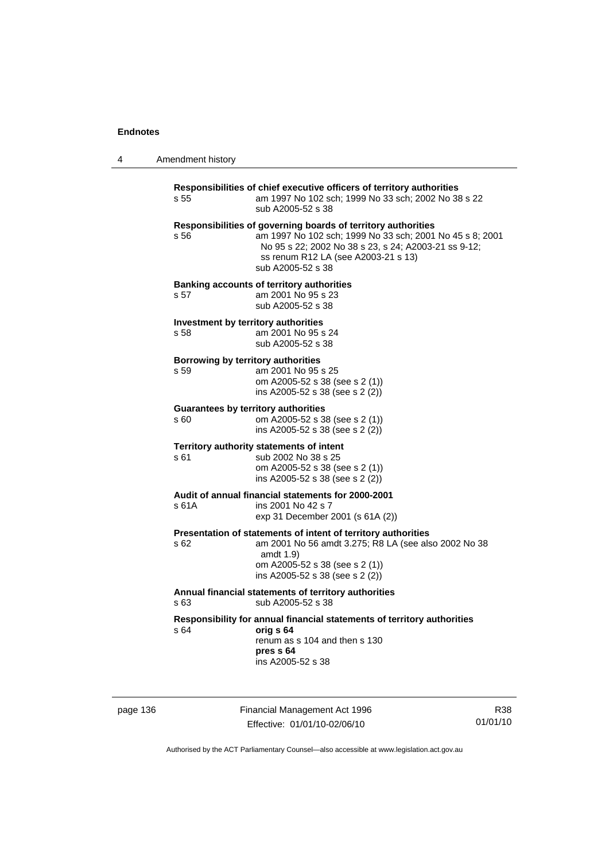4 Amendment history

| Responsibilities of chief executive officers of territory authorities<br>am 1997 No 102 sch; 1999 No 33 sch; 2002 No 38 s 22<br>s 55 |                                                                                                                                                                                                                                               |  |  |  |
|--------------------------------------------------------------------------------------------------------------------------------------|-----------------------------------------------------------------------------------------------------------------------------------------------------------------------------------------------------------------------------------------------|--|--|--|
|                                                                                                                                      | sub A2005-52 s 38                                                                                                                                                                                                                             |  |  |  |
| s 56                                                                                                                                 | Responsibilities of governing boards of territory authorities<br>am 1997 No 102 sch; 1999 No 33 sch; 2001 No 45 s 8; 2001<br>No 95 s 22; 2002 No 38 s 23, s 24; A2003-21 ss 9-12;<br>ss renum R12 LA (see A2003-21 s 13)<br>sub A2005-52 s 38 |  |  |  |
| s 57                                                                                                                                 | <b>Banking accounts of territory authorities</b><br>am 2001 No 95 s 23<br>sub A2005-52 s 38                                                                                                                                                   |  |  |  |
| s 58                                                                                                                                 | Investment by territory authorities<br>am 2001 No 95 s 24<br>sub A2005-52 s 38                                                                                                                                                                |  |  |  |
| Borrowing by territory authorities<br>s 59                                                                                           | am 2001 No 95 s 25<br>om A2005-52 s 38 (see s 2 (1))<br>ins A2005-52 s 38 (see s 2 (2))                                                                                                                                                       |  |  |  |
| s 60                                                                                                                                 | <b>Guarantees by territory authorities</b><br>om A2005-52 s 38 (see s 2 (1))<br>ins A2005-52 s 38 (see s 2 (2))                                                                                                                               |  |  |  |
| s 61                                                                                                                                 | Territory authority statements of intent<br>sub 2002 No 38 s 25<br>om A2005-52 s 38 (see s 2 (1))<br>ins A2005-52 s 38 (see s 2 (2))                                                                                                          |  |  |  |
| s 61 A                                                                                                                               | Audit of annual financial statements for 2000-2001<br>ins 2001 No 42 s 7<br>exp 31 December 2001 (s 61A (2))                                                                                                                                  |  |  |  |
| s 62                                                                                                                                 | Presentation of statements of intent of territory authorities<br>am 2001 No 56 amdt 3.275; R8 LA (see also 2002 No 38<br>amdt $1.9$<br>om A2005-52 s 38 (see s 2 (1))<br>ins A2005-52 s 38 (see s 2 (2))                                      |  |  |  |
| s 63                                                                                                                                 | Annual financial statements of territory authorities<br>sub A2005-52 s 38                                                                                                                                                                     |  |  |  |
| s 64                                                                                                                                 | Responsibility for annual financial statements of territory authorities<br>orig s 64<br>renum as s 104 and then s 130<br>pres s 64<br>ins A2005-52 s 38                                                                                       |  |  |  |
|                                                                                                                                      |                                                                                                                                                                                                                                               |  |  |  |

page 136 Financial Management Act 1996 Effective: 01/01/10-02/06/10

R38 01/01/10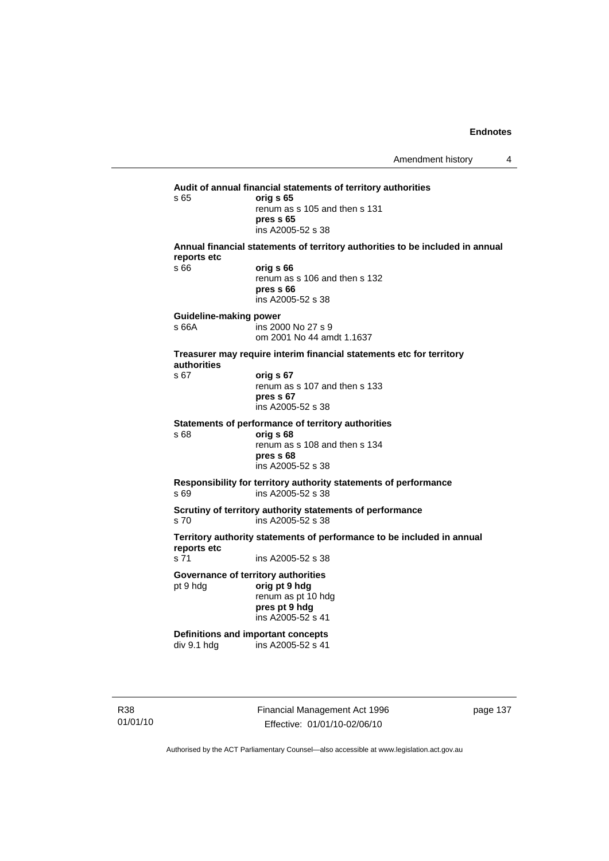**Audit of annual financial statements of territory authorities**  s 65 **orig s 65**  renum as s 105 and then s 131 **pres s 65**  ins A2005-52 s 38 **Annual financial statements of territory authorities to be included in annual reports etc**  s 66 **orig s 66**  renum as s 106 and then s 132 **pres s 66**  ins A2005-52 s 38 **Guideline-making power**  s 66A ins 2000 No 27 s 9 om 2001 No 44 amdt 1.1637 **Treasurer may require interim financial statements etc for territory authorities** s 67 **orig s 67**  renum as s 107 and then s 133 **pres s 67**  ins A2005-52 s 38 **Statements of performance of territory authorities**  s 68 **orig s 68**  renum as s 108 and then s 134 **pres s 68**  ins A2005-52 s 38 **Responsibility for territory authority statements of performance**  s 69 ins A2005-52 s 38 **Scrutiny of territory authority statements of performance**  s 70 ins A2005-52 s 38 **Territory authority statements of performance to be included in annual reports etc**  ins A2005-52 s 38 **Governance of territory authorities**  pt 9 hdg **orig pt 9 hdg**  renum as pt 10 hdg **pres pt 9 hdg**  ins A2005-52 s 41 **Definitions and important concepts**  div 9.1 hdg ins A2005-52 s 41

R38 01/01/10 Financial Management Act 1996 Effective: 01/01/10-02/06/10

page 137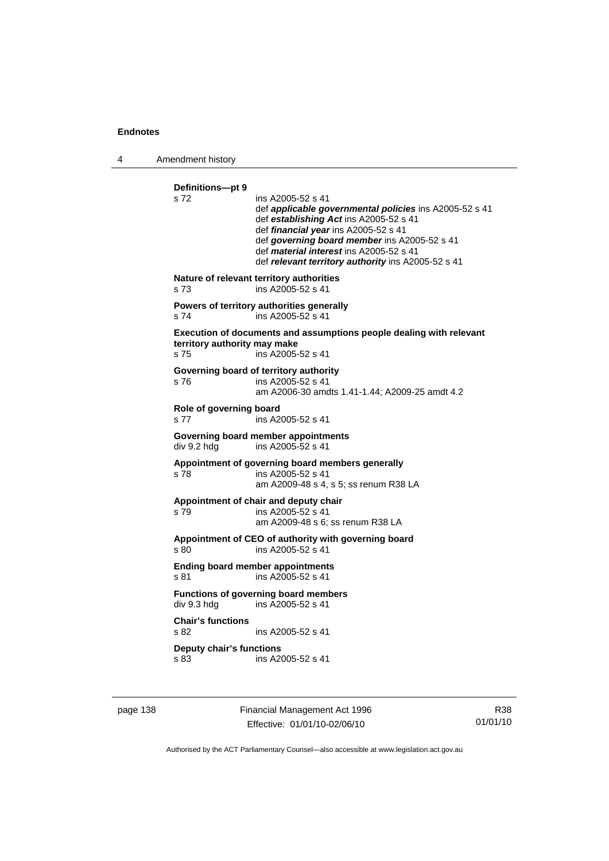4 Amendment history

**Definitions—pt 9**  s 72 ins A2005-52 s 41 def *applicable governmental policies* ins A2005-52 s 41 def *establishing Act* ins A2005-52 s 41 def *financial year* ins A2005-52 s 41 def *governing board member* ins A2005-52 s 41 def *material interest* ins A2005-52 s 41 def *relevant territory authority* ins A2005-52 s 41 **Nature of relevant territory authorities**  s 73 ins A2005-52 s 41 **Powers of territory authorities generally**  s 74 ins A2005-52 s 41 **Execution of documents and assumptions people dealing with relevant territory authority may make**  s 75 ins A2005-52 s 41 **Governing board of territory authority**  s 76 ins A2005-52 s 41 am A2006-30 amdts 1.41-1.44; A2009-25 amdt 4.2 **Role of governing board**  s 77 ins A2005-52 s 41 **Governing board member appointments**  div 9.2 hdg ins A2005-52 s 41 **Appointment of governing board members generally**  s 78 ins A2005-52 s 41 am A2009-48 s 4, s 5; ss renum R38 LA **Appointment of chair and deputy chair**  s 79 ins A2005-52 s 41 am A2009-48 s 6; ss renum R38 LA **Appointment of CEO of authority with governing board**  s 80 ins A2005-52 s 41 **Ending board member appointments**  s 81 ins A2005-52 s 41 **Functions of governing board members**<br>div 9.3 hdg ins A2005-52 s 41 ins  $A2005 - 52$  s 41 **Chair's functions**  s 82 ins A2005-52 s 41 **Deputy chair's functions**  s 83 ins A2005-52 s 41

page 138 Financial Management Act 1996 Effective: 01/01/10-02/06/10

R38 01/01/10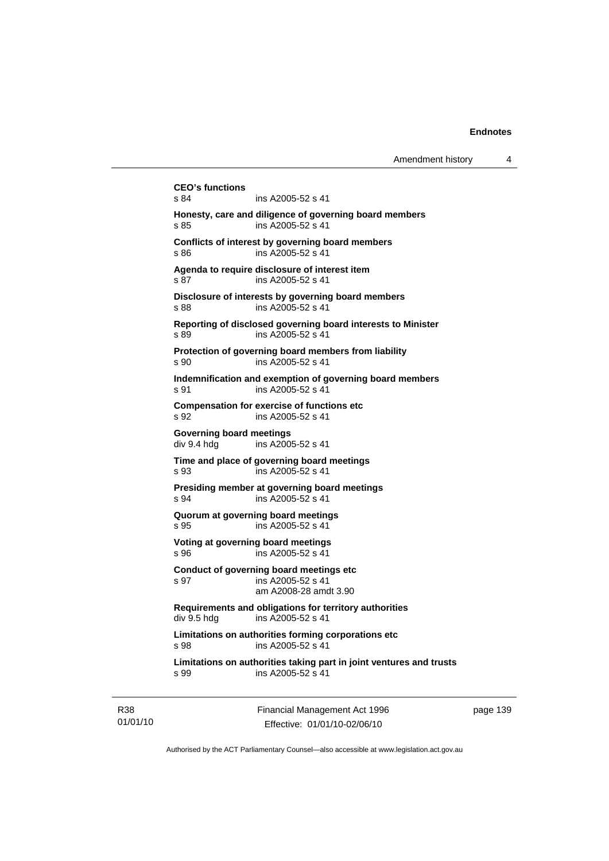```
CEO's functions 
s 84 ins A2005-52 s 41 
Honesty, care and diligence of governing board members 
s 85 ins A2005-52 s 41 
Conflicts of interest by governing board members 
s 86 ins A2005-52 s 41 
Agenda to require disclosure of interest item 
s 87 ins A2005-52 s 41 
Disclosure of interests by governing board members 
s 88 ins A2005-52 s 41
Reporting of disclosed governing board interests to Minister 
s 89 ins A2005-52 s 41 
Protection of governing board members from liability 
s 90 ins A2005-52 s 41 
Indemnification and exemption of governing board members 
s 91 ins A2005-52 s 41
Compensation for exercise of functions etc 
s 92 ins A2005-52 s 41 
Governing board meetings 
div 9.4 hdg ins A2005-52 s 41 
Time and place of governing board meetings 
s 93 ins A2005-52 s 41 
Presiding member at governing board meetings 
s 94 ins A2005-52 s 41 
Quorum at governing board meetings 
s 95 ins A2005-52 s 41 
Voting at governing board meetings 
s 96 ins A2005-52 s 41 
Conduct of governing board meetings etc 
s 97 ins A2005-52 s 41 
                 am A2008-28 amdt 3.90 
Requirements and obligations for territory authorities 
div 9.5 hdg ins A2005-52 s 41 
Limitations on authorities forming corporations etc 
s 98 ins A2005-52 s 41 
Limitations on authorities taking part in joint ventures and trusts 
s 99 ins A2005-52 s 41
```
R38 01/01/10 Financial Management Act 1996 Effective: 01/01/10-02/06/10

page 139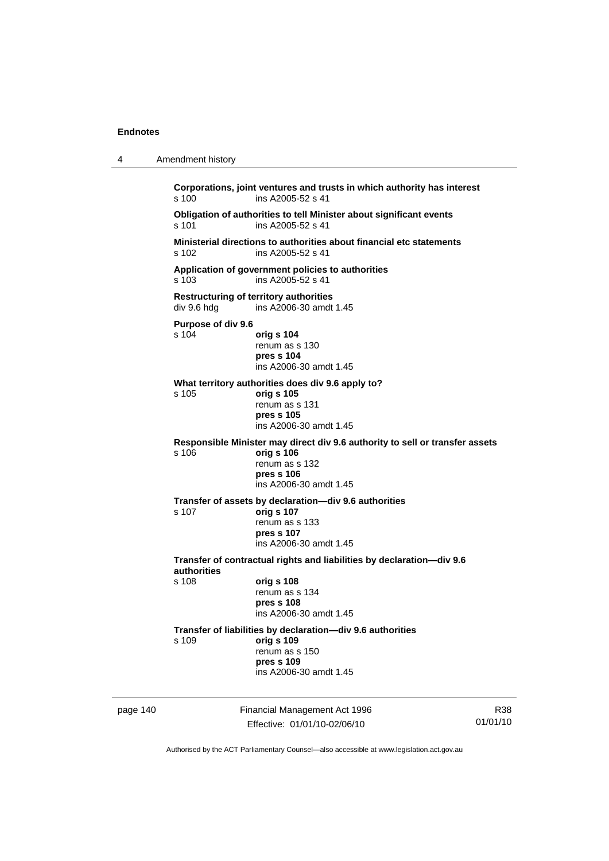| 4        | Amendment history                                                                      |                                                                                                                                                      |                 |  |
|----------|----------------------------------------------------------------------------------------|------------------------------------------------------------------------------------------------------------------------------------------------------|-----------------|--|
|          | s 100                                                                                  | Corporations, joint ventures and trusts in which authority has interest<br>ins A2005-52 s 41                                                         |                 |  |
|          | s 101                                                                                  | Obligation of authorities to tell Minister about significant events<br>ins A2005-52 s 41                                                             |                 |  |
|          | s 102                                                                                  | Ministerial directions to authorities about financial etc statements<br>ins A2005-52 s 41                                                            |                 |  |
|          | s 103                                                                                  | Application of government policies to authorities<br>ins A2005-52 s 41                                                                               |                 |  |
|          | <b>Restructuring of territory authorities</b><br>div 9.6 hdg<br>ins A2006-30 amdt 1.45 |                                                                                                                                                      |                 |  |
|          | Purpose of div 9.6<br>s 104                                                            | orig s 104<br>renum as s 130<br>pres s 104<br>ins A2006-30 amdt 1.45                                                                                 |                 |  |
|          | s 105                                                                                  | What territory authorities does div 9.6 apply to?<br>orig s 105<br>renum as s 131<br>pres s 105<br>ins A2006-30 amdt 1.45                            |                 |  |
|          | s 106                                                                                  | Responsible Minister may direct div 9.6 authority to sell or transfer assets<br>orig s 106<br>renum as s 132<br>pres s 106<br>ins A2006-30 amdt 1.45 |                 |  |
|          | s 107                                                                                  | Transfer of assets by declaration-div 9.6 authorities<br>orig s 107<br>renum as s 133<br>pres s 107<br>ins A2006-30 amdt 1.45                        |                 |  |
|          | Transfer of contractual rights and liabilities by declaration-div 9.6<br>authorities   |                                                                                                                                                      |                 |  |
|          | s 108                                                                                  | orig s 108<br>renum as s 134<br>pres s 108<br>ins A2006-30 amdt 1.45                                                                                 |                 |  |
|          | s 109                                                                                  | Transfer of liabilities by declaration-div 9.6 authorities<br>orig s 109<br>renum as s 150<br>pres s 109<br>ins A2006-30 amdt 1.45                   |                 |  |
| page 140 |                                                                                        | Financial Management Act 1996<br>Effective: 01/01/10-02/06/10                                                                                        | R38<br>01/01/10 |  |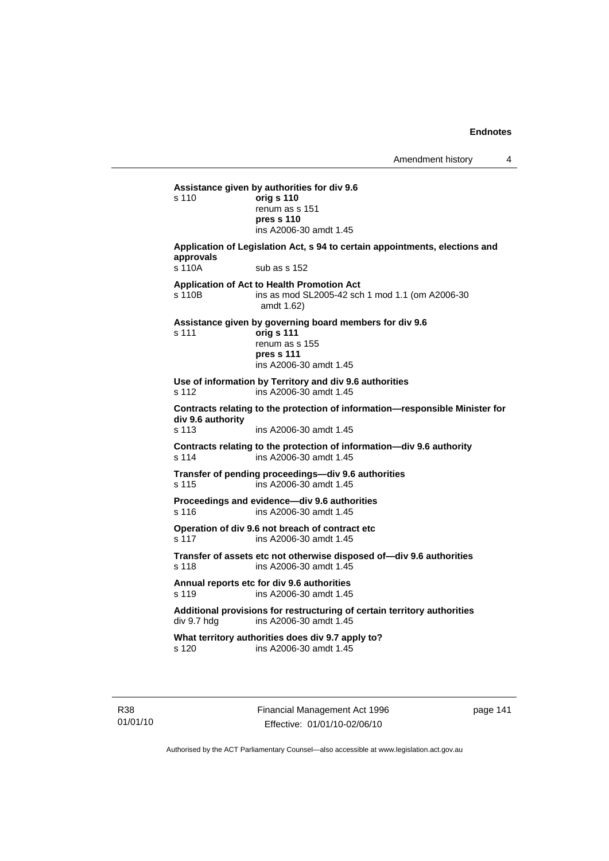**Assistance given by authorities for div 9.6**  s 110 **orig s 110** renum as s 151 **pres s 110**  ins A2006-30 amdt 1.45 **Application of Legislation Act, s 94 to certain appointments, elections and approvals**  s 110A sub as s 152 **Application of Act to Health Promotion Act**  s 110B ins as mod SL2005-42 sch 1 mod 1.1 (om A2006-30 amdt 1.62) **Assistance given by governing board members for div 9.6**  s 111 **orig s 111** renum as s 155 **pres s 111**  ins A2006-30 amdt 1.45 **Use of information by Territory and div 9.6 authorities**  s 112 ins A2006-30 amdt 1.45 **Contracts relating to the protection of information—responsible Minister for div 9.6 authority**  s 113 ins A2006-30 amdt 1.45 **Contracts relating to the protection of information—div 9.6 authority**  s 114 ins A2006-30 amdt 1.45 **Transfer of pending proceedings—div 9.6 authorities**  s 115 ins A2006-30 amdt 1.45 **Proceedings and evidence—div 9.6 authorities**  s 116 ins A2006-30 amdt 1.45 **Operation of div 9.6 not breach of contract etc**  s 117 ins A2006-30 amdt 1.45 **Transfer of assets etc not otherwise disposed of—div 9.6 authorities**  s 118 ins A2006-30 amdt 1.45 **Annual reports etc for div 9.6 authorities**  s 119 ins A2006-30 amdt 1.45 Additional provisions for restructuring of certain territory authorities<br>div 9.7 hdg ins A2006-30 amdt 1.45 ins A2006-30 amdt  $1.45$ **What territory authorities does div 9.7 apply to?**  s 120 ins A2006-30 amdt 1.45

R38 01/01/10 Financial Management Act 1996 Effective: 01/01/10-02/06/10

page 141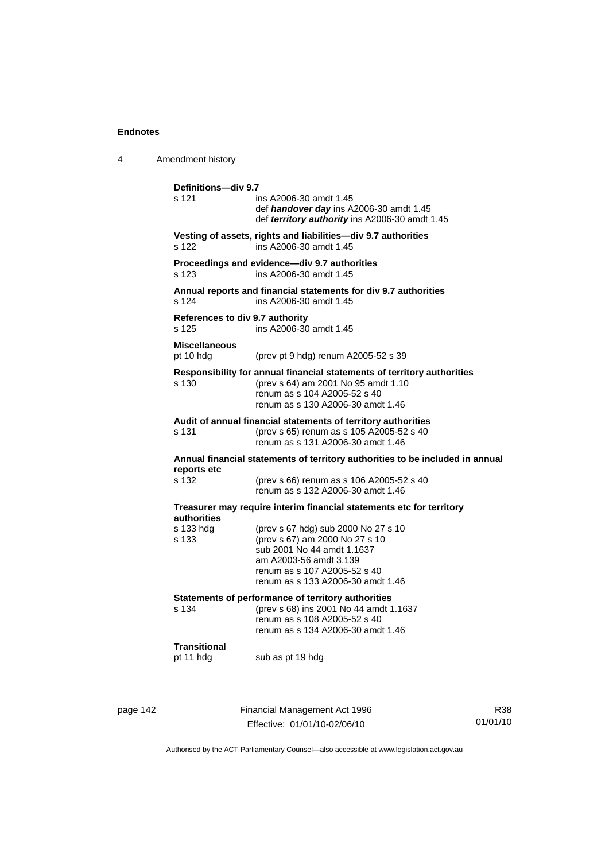| Amendment history                                                                                  |                                                                                                                                                                                                    |
|----------------------------------------------------------------------------------------------------|----------------------------------------------------------------------------------------------------------------------------------------------------------------------------------------------------|
| Definitions-div 9.7<br>s 121                                                                       | ins A2006-30 amdt 1.45<br>def handover day ins A2006-30 amdt 1.45<br>def territory authority ins A2006-30 amdt 1.45                                                                                |
| s 122                                                                                              | Vesting of assets, rights and liabilities—div 9.7 authorities<br>ins A2006-30 amdt 1.45                                                                                                            |
| s 123                                                                                              | Proceedings and evidence-div 9.7 authorities<br>ins A2006-30 amdt 1.45                                                                                                                             |
| Annual reports and financial statements for div 9.7 authorities<br>s 124<br>ins A2006-30 amdt 1.45 |                                                                                                                                                                                                    |
| References to div 9.7 authority<br>s 125                                                           | ins A2006-30 amdt 1.45                                                                                                                                                                             |
| <b>Miscellaneous</b><br>pt 10 hdg                                                                  | (prev pt 9 hdg) renum A2005-52 s 39                                                                                                                                                                |
| s 130                                                                                              | Responsibility for annual financial statements of territory authorities<br>(prev s 64) am 2001 No 95 amdt 1.10<br>renum as s 104 A2005-52 s 40<br>renum as s 130 A2006-30 amdt 1.46                |
| s 131                                                                                              | Audit of annual financial statements of territory authorities<br>(prev s 65) renum as s 105 A2005-52 s 40<br>renum as s 131 A2006-30 amdt 1.46                                                     |
| Annual financial statements of territory authorities to be included in annual<br>reports etc       |                                                                                                                                                                                                    |
| s 132                                                                                              | (prev s 66) renum as s 106 A2005-52 s 40<br>renum as s 132 A2006-30 amdt 1.46                                                                                                                      |
| Treasurer may require interim financial statements etc for territory<br><b>authorities</b>         |                                                                                                                                                                                                    |
| s 133 hdg<br>s 133                                                                                 | (prev s 67 hdg) sub 2000 No 27 s 10<br>(prev s 67) am 2000 No 27 s 10<br>sub 2001 No 44 amdt 1.1637<br>am A2003-56 amdt 3.139<br>renum as s 107 A2005-52 s 40<br>renum as s 133 A2006-30 amdt 1.46 |
| s 134                                                                                              | Statements of performance of territory authorities<br>(prev s 68) ins 2001 No 44 amdt 1.1637<br>renum as s 108 A2005-52 s 40<br>renum as s 134 A2006-30 amdt 1.46                                  |
| <b>Transitional</b><br>pt 11 hdg                                                                   | sub as pt 19 hdg                                                                                                                                                                                   |
|                                                                                                    |                                                                                                                                                                                                    |

page 142 Financial Management Act 1996 Effective: 01/01/10-02/06/10

R38 01/01/10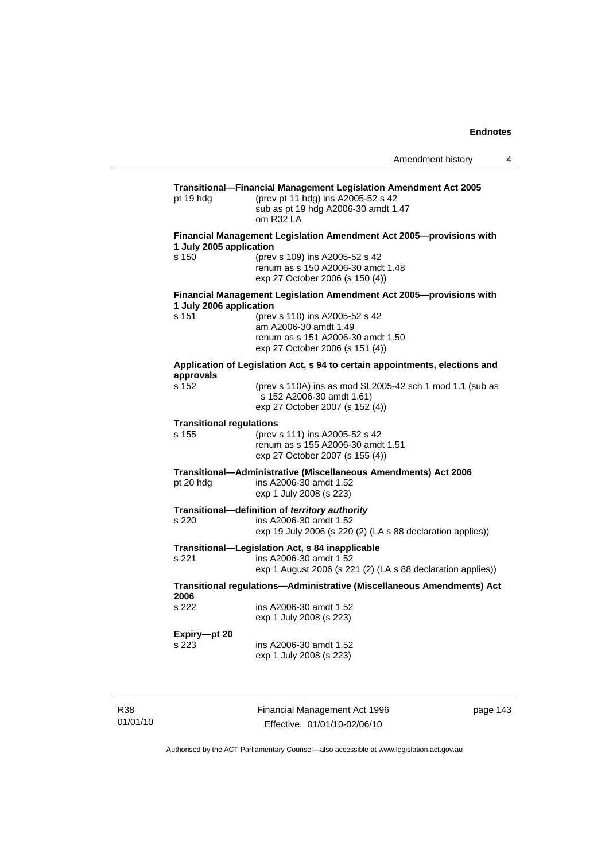# **Transitional—Financial Management Legislation Amendment Act 2005**  pt 19 hdg (prev pt 11 hdg) ins A2005-52 s 42 sub as pt 19 hdg A2006-30 amdt 1.47 om R32 LA **Financial Management Legislation Amendment Act 2005—provisions with 1 July 2005 application**  s 150 (prev s 109) ins A2005-52 s 42 renum as s 150 A2006-30 amdt 1.48 exp 27 October 2006 (s 150 (4)) **Financial Management Legislation Amendment Act 2005—provisions with 1 July 2006 application**  s 151 (prev s 110) ins A2005-52 s 42 am A2006-30 amdt 1.49 renum as s 151 A2006-30 amdt 1.50 exp 27 October 2006 (s 151 (4)) **Application of Legislation Act, s 94 to certain appointments, elections and approvals**  (prev s 110A) ins as mod SL2005-42 sch 1 mod 1.1 (sub as s 152 A2006-30 amdt 1.61) exp 27 October 2007 (s 152 (4)) **Transitional regulations**  s 155 (prev s 111) ins A2005-52 s 42 renum as s 155 A2006-30 amdt 1.51 exp 27 October 2007 (s 155 (4)) **Transitional—Administrative (Miscellaneous Amendments) Act 2006**  pt 20 hdg ins A2006-30 amdt 1.52 exp 1 July 2008 (s 223) **Transitional—definition of** *territory authority*  s 220 ins A2006-30 amdt 1.52 exp 19 July 2006 (s 220 (2) (LA s 88 declaration applies)) **Transitional—Legislation Act, s 84 inapplicable**  s 221 ins A2006-30 amdt 1.52 exp 1 August 2006 (s 221 (2) (LA s 88 declaration applies)) **Transitional regulations—Administrative (Miscellaneous Amendments) Act 2006**  s 222 ins A2006-30 amdt 1.52 exp 1 July 2008 (s 223) **Expiry—pt 20**  s 223 ins A2006-30 amdt 1.52 exp 1 July 2008 (s 223)

R38 01/01/10 Financial Management Act 1996 Effective: 01/01/10-02/06/10

page 143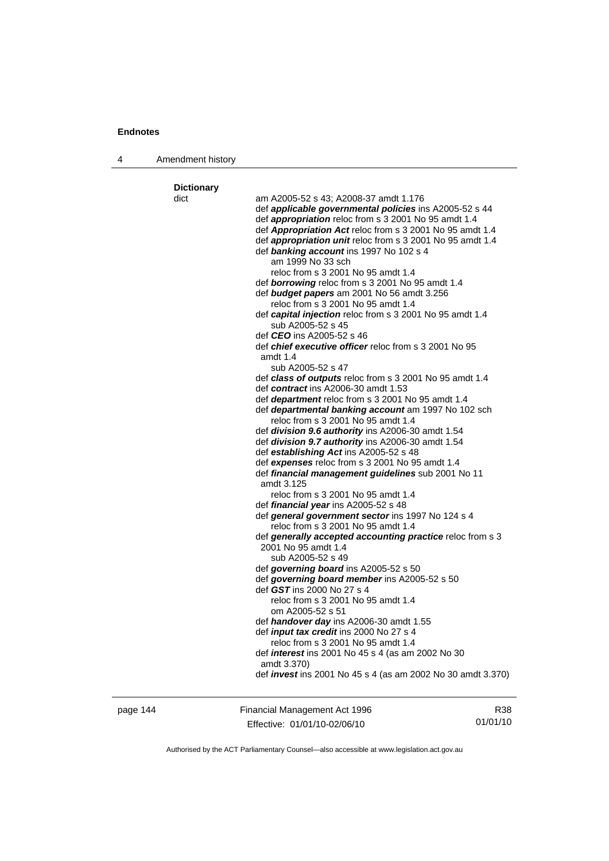4 Amendment history

page 144 Financial Management Act 1996 Effective: 01/01/10-02/06/10

R38 01/01/10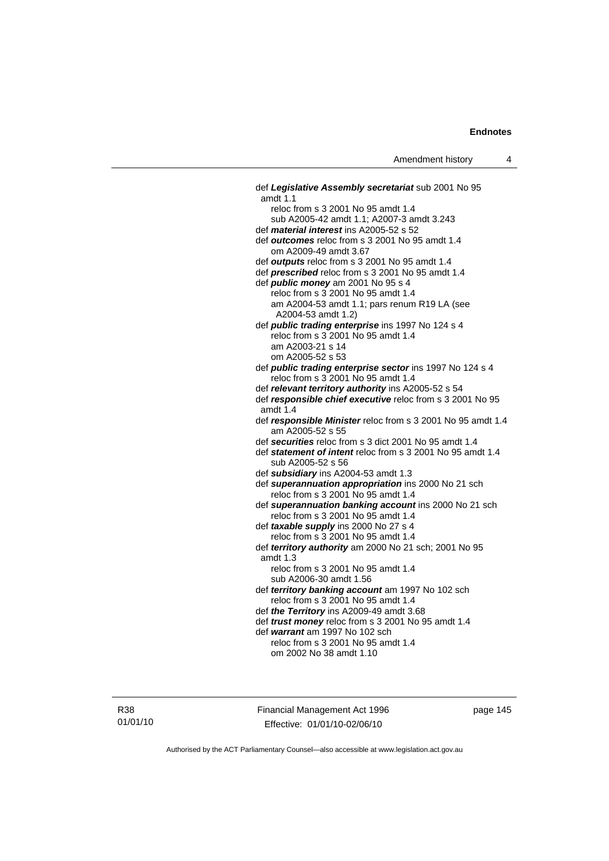def *Legislative Assembly secretariat* sub 2001 No 95 amdt 1.1 reloc from s 3 2001 No 95 amdt 1.4 sub A2005-42 amdt 1.1; A2007-3 amdt 3.243 def *material interest* ins A2005-52 s 52 def *outcomes* reloc from s 3 2001 No 95 amdt 1.4 om A2009-49 amdt 3.67 def *outputs* reloc from s 3 2001 No 95 amdt 1.4 def *prescribed* reloc from s 3 2001 No 95 amdt 1.4 def *public money* am 2001 No 95 s 4 reloc from s 3 2001 No 95 amdt 1.4 am A2004-53 amdt 1.1; pars renum R19 LA (see A2004-53 amdt 1.2) def *public trading enterprise* ins 1997 No 124 s 4 reloc from s 3 2001 No 95 amdt 1.4 am A2003-21 s 14 om A2005-52 s 53 def *public trading enterprise sector* ins 1997 No 124 s 4 reloc from s 3 2001 No 95 amdt 1.4 def *relevant territory authority* ins A2005-52 s 54 def *responsible chief executive* reloc from s 3 2001 No 95 amdt 1.4 def *responsible Minister* reloc from s 3 2001 No 95 amdt 1.4 am A2005-52 s 55 def *securities* reloc from s 3 dict 2001 No 95 amdt 1.4 def *statement of intent* reloc from s 3 2001 No 95 amdt 1.4 sub A2005-52 s 56 def *subsidiary* ins A2004-53 amdt 1.3 def *superannuation appropriation* ins 2000 No 21 sch reloc from s 3 2001 No 95 amdt 1.4 def *superannuation banking account* ins 2000 No 21 sch reloc from s 3 2001 No 95 amdt 1.4 def *taxable supply* ins 2000 No 27 s 4 reloc from s 3 2001 No 95 amdt 1.4 def *territory authority* am 2000 No 21 sch; 2001 No 95 amdt 1.3 reloc from s 3 2001 No 95 amdt 1.4 sub A2006-30 amdt 1.56 def *territory banking account* am 1997 No 102 sch reloc from s 3 2001 No 95 amdt 1.4 def *the Territory* ins A2009-49 amdt 3.68 def *trust money* reloc from s 3 2001 No 95 amdt 1.4 def *warrant* am 1997 No 102 sch reloc from s 3 2001 No 95 amdt 1.4 om 2002 No 38 amdt 1.10

R38 01/01/10 Financial Management Act 1996 Effective: 01/01/10-02/06/10

page 145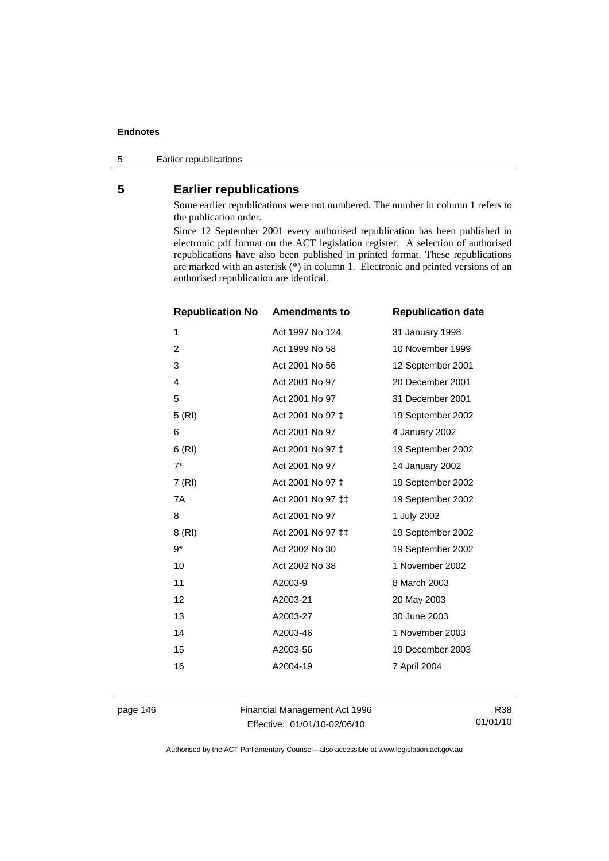5 Earlier republications

# **5 Earlier republications**

Some earlier republications were not numbered. The number in column 1 refers to the publication order.

Since 12 September 2001 every authorised republication has been published in electronic pdf format on the ACT legislation register. A selection of authorised republications have also been published in printed format. These republications are marked with an asterisk (\*) in column 1. Electronic and printed versions of an authorised republication are identical.

| <b>Republication No</b> | <b>Amendments to</b> | <b>Republication date</b> |
|-------------------------|----------------------|---------------------------|
| 1                       | Act 1997 No 124      | 31 January 1998           |
| $\overline{c}$          | Act 1999 No 58       | 10 November 1999          |
| 3                       | Act 2001 No 56       | 12 September 2001         |
| $\overline{4}$          | Act 2001 No 97       | 20 December 2001          |
| 5                       | Act 2001 No 97       | 31 December 2001          |
| 5(RI)                   | Act 2001 No 97 ‡     | 19 September 2002         |
| 6                       | Act 2001 No 97       | 4 January 2002            |
| 6(RI)                   | Act 2001 No 97 ‡     | 19 September 2002         |
| $7^*$                   | Act 2001 No 97       | 14 January 2002           |
| 7(RI)                   | Act 2001 No 97 ‡     | 19 September 2002         |
| 7A                      | Act 2001 No 97 ‡‡    | 19 September 2002         |
| 8                       | Act 2001 No 97       | 1 July 2002               |
| 8 (RI)                  | Act 2001 No 97 ‡‡    | 19 September 2002         |
| 9*                      | Act 2002 No 30       | 19 September 2002         |
| 10                      | Act 2002 No 38       | 1 November 2002           |
| 11                      | A2003-9              | 8 March 2003              |
| 12                      | A2003-21             | 20 May 2003               |
| 13                      | A2003-27             | 30 June 2003              |
| 14                      | A2003-46             | 1 November 2003           |
| 15                      | A2003-56             | 19 December 2003          |
| 16                      | A2004-19             | 7 April 2004              |
|                         |                      |                           |

page 146 Financial Management Act 1996 Effective: 01/01/10-02/06/10

R38 01/01/10